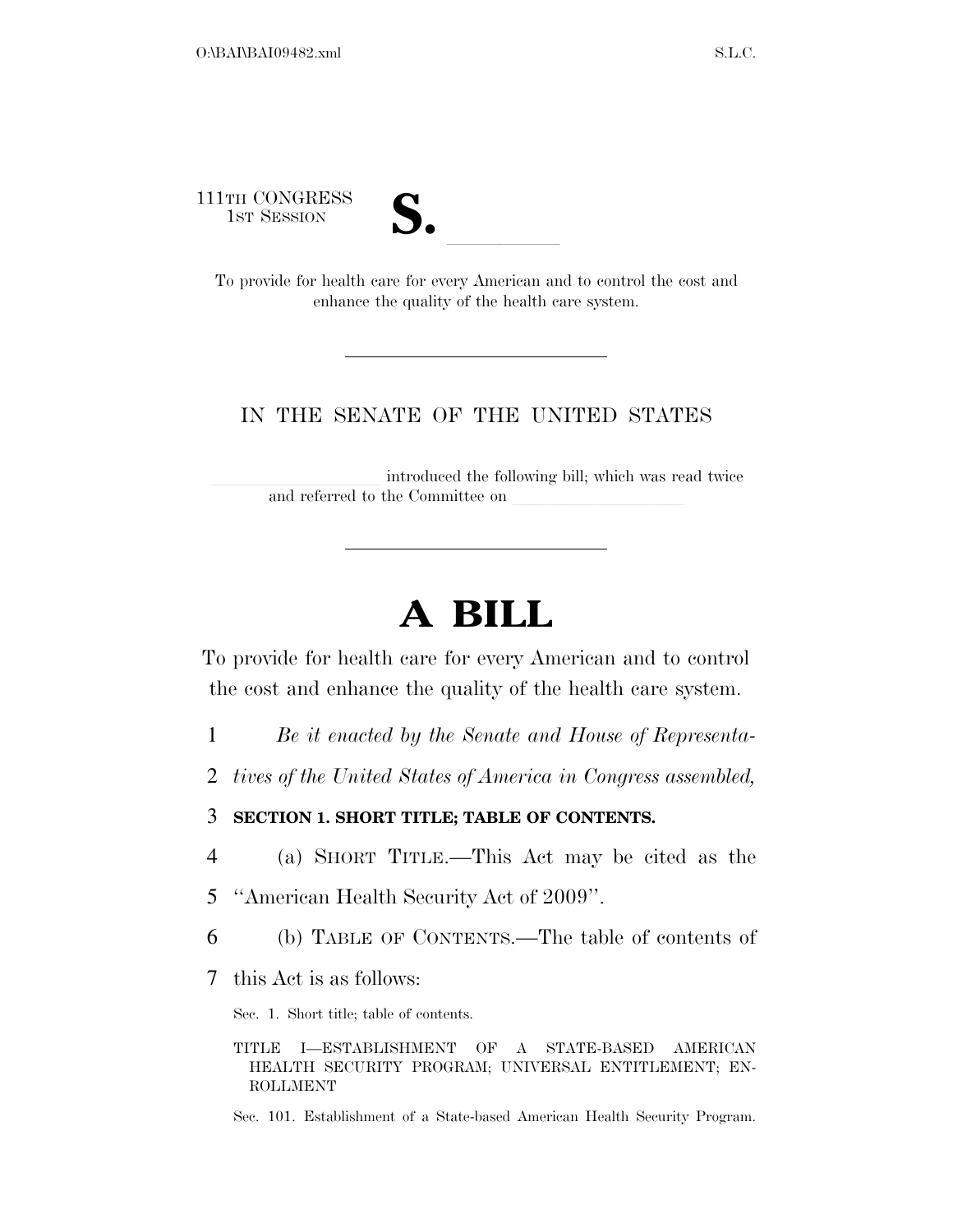111TH CONGRESS



1TH CONGRESS<br>1ST SESSION<br>To provide for health care for every American and to control the cost and enhance the quality of the health care system.

# IN THE SENATE OF THE UNITED STATES

introduced the following bill; which was read twice and referred to the Committee on

# **A BILL**

To provide for health care for every American and to control the cost and enhance the quality of the health care system.

- 1 *Be it enacted by the Senate and House of Representa-*
- 2 *tives of the United States of America in Congress assembled,*

# 3 **SECTION 1. SHORT TITLE; TABLE OF CONTENTS.**

- 4 (a) SHORT TITLE.—This Act may be cited as the
- 5 ''American Health Security Act of 2009''.
- 6 (b) TABLE OF CONTENTS.—The table of contents of
- 7 this Act is as follows:

Sec. 1. Short title; table of contents.

Sec. 101. Establishment of a State-based American Health Security Program.

TITLE I—ESTABLISHMENT OF A STATE-BASED AMERICAN HEALTH SECURITY PROGRAM; UNIVERSAL ENTITLEMENT; EN-ROLLMENT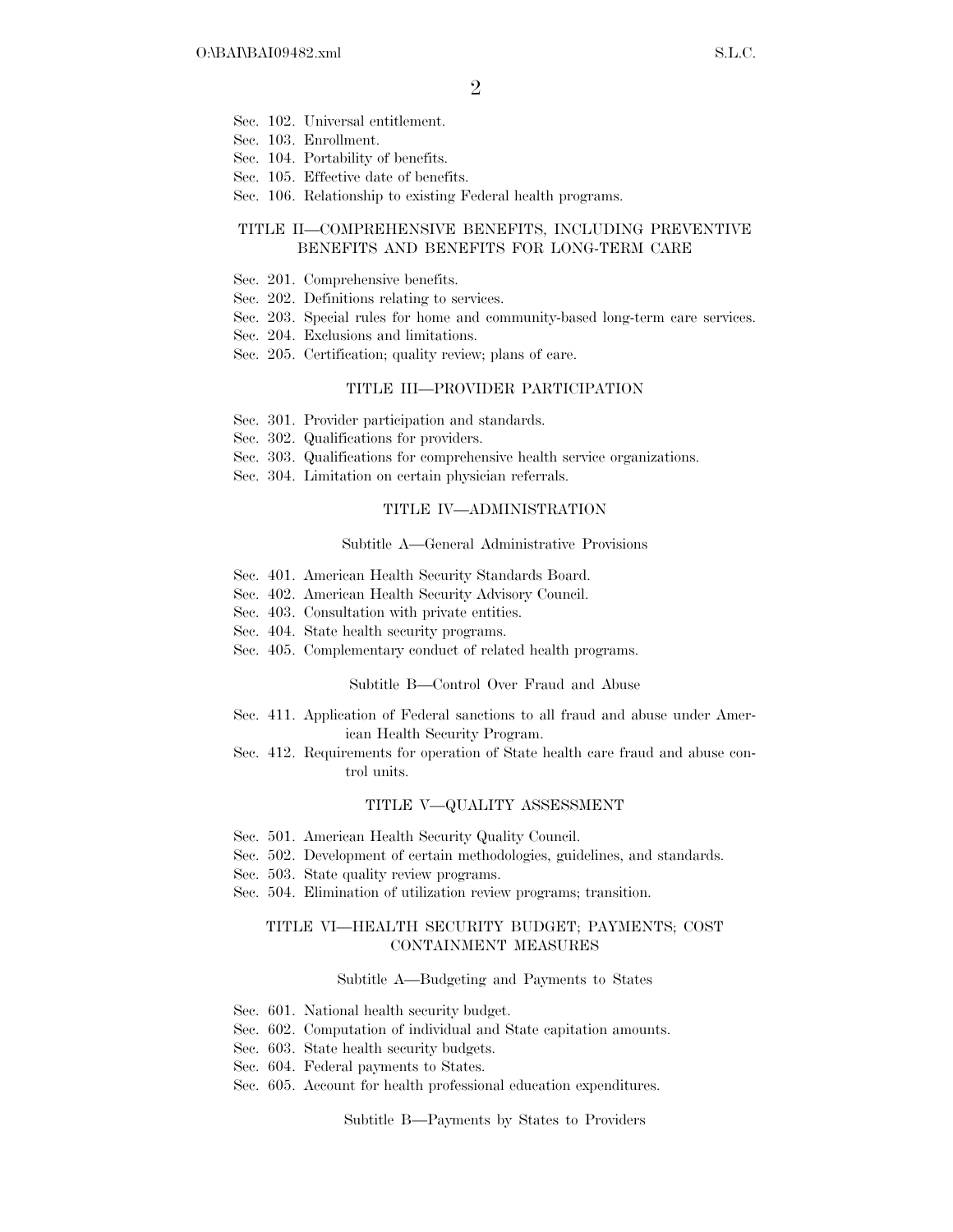- Sec. 102. Universal entitlement.
- Sec. 103. Enrollment.
- Sec. 104. Portability of benefits.
- Sec. 105. Effective date of benefits.
- Sec. 106. Relationship to existing Federal health programs.

## TITLE II—COMPREHENSIVE BENEFITS, INCLUDING PREVENTIVE BENEFITS AND BENEFITS FOR LONG-TERM CARE

- Sec. 201. Comprehensive benefits.
- Sec. 202. Definitions relating to services.
- Sec. 203. Special rules for home and community-based long-term care services.
- Sec. 204. Exclusions and limitations.
- Sec. 205. Certification; quality review; plans of care.

### TITLE III—PROVIDER PARTICIPATION

- Sec. 301. Provider participation and standards.
- Sec. 302. Qualifications for providers.
- Sec. 303. Qualifications for comprehensive health service organizations.
- Sec. 304. Limitation on certain physician referrals.

#### TITLE IV—ADMINISTRATION

#### Subtitle A—General Administrative Provisions

- Sec. 401. American Health Security Standards Board.
- Sec. 402. American Health Security Advisory Council.
- Sec. 403. Consultation with private entities.
- Sec. 404. State health security programs.
- Sec. 405. Complementary conduct of related health programs.

#### Subtitle B—Control Over Fraud and Abuse

- Sec. 411. Application of Federal sanctions to all fraud and abuse under American Health Security Program.
- Sec. 412. Requirements for operation of State health care fraud and abuse control units.

#### TITLE V—QUALITY ASSESSMENT

- Sec. 501. American Health Security Quality Council.
- Sec. 502. Development of certain methodologies, guidelines, and standards.
- Sec. 503. State quality review programs.
- Sec. 504. Elimination of utilization review programs; transition.

## TITLE VI—HEALTH SECURITY BUDGET; PAYMENTS; COST CONTAINMENT MEASURES

#### Subtitle A—Budgeting and Payments to States

- Sec. 601. National health security budget.
- Sec. 602. Computation of individual and State capitation amounts.
- Sec. 603. State health security budgets.
- Sec. 604. Federal payments to States.
- Sec. 605. Account for health professional education expenditures.

Subtitle B—Payments by States to Providers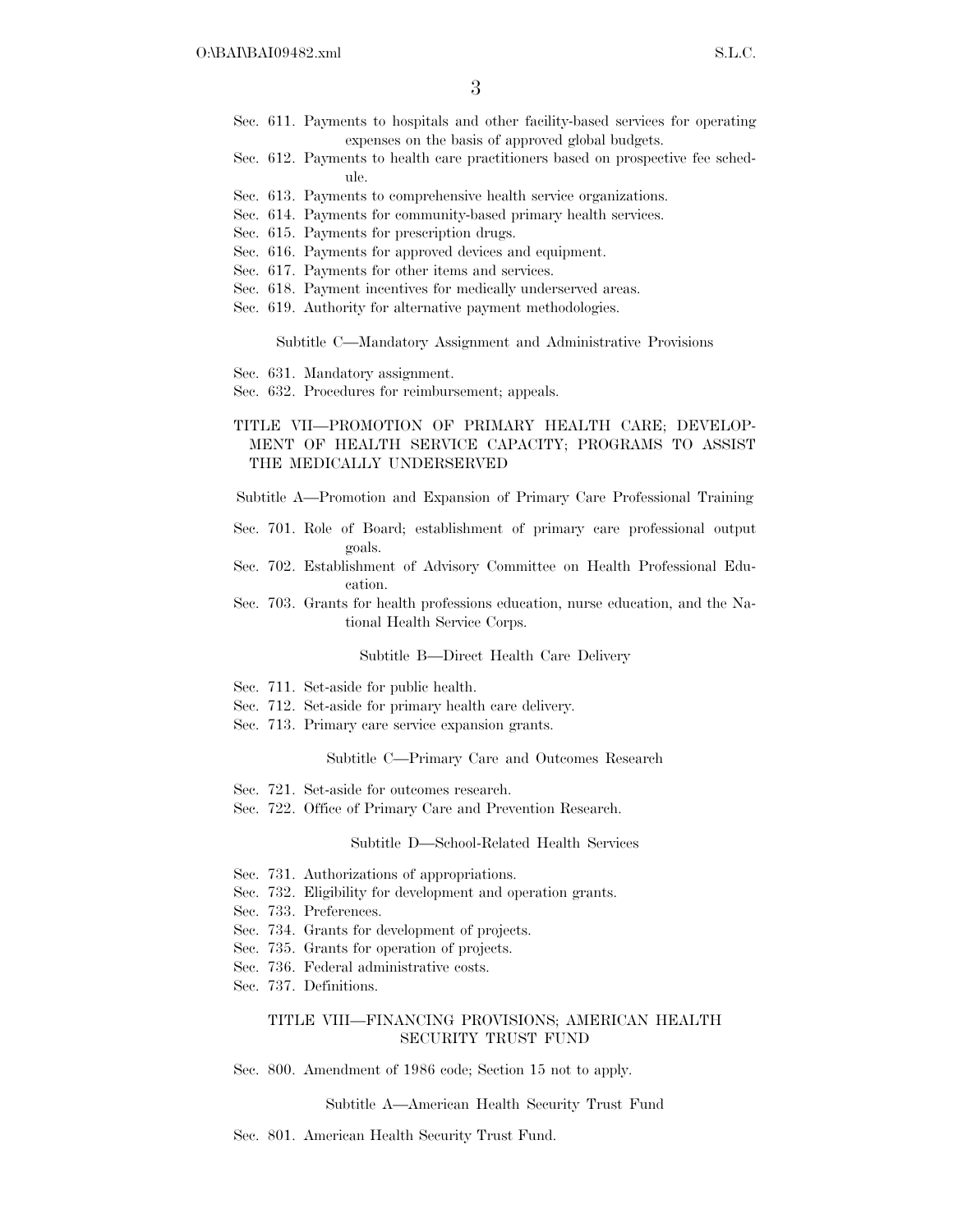- Sec. 611. Payments to hospitals and other facility-based services for operating expenses on the basis of approved global budgets.
- Sec. 612. Payments to health care practitioners based on prospective fee schedule.
- Sec. 613. Payments to comprehensive health service organizations.
- Sec. 614. Payments for community-based primary health services.
- Sec. 615. Payments for prescription drugs.
- Sec. 616. Payments for approved devices and equipment.
- Sec. 617. Payments for other items and services.
- Sec. 618. Payment incentives for medically underserved areas.
- Sec. 619. Authority for alternative payment methodologies.

Subtitle C—Mandatory Assignment and Administrative Provisions

- Sec. 631. Mandatory assignment.
- Sec. 632. Procedures for reimbursement; appeals.

## TITLE VII—PROMOTION OF PRIMARY HEALTH CARE; DEVELOP-MENT OF HEALTH SERVICE CAPACITY; PROGRAMS TO ASSIST THE MEDICALLY UNDERSERVED

Subtitle A—Promotion and Expansion of Primary Care Professional Training

- Sec. 701. Role of Board; establishment of primary care professional output goals.
- Sec. 702. Establishment of Advisory Committee on Health Professional Education.
- Sec. 703. Grants for health professions education, nurse education, and the National Health Service Corps.

#### Subtitle B—Direct Health Care Delivery

- Sec. 711. Set-aside for public health.
- Sec. 712. Set-aside for primary health care delivery.
- Sec. 713. Primary care service expansion grants.

#### Subtitle C—Primary Care and Outcomes Research

- Sec. 721. Set-aside for outcomes research.
- Sec. 722. Office of Primary Care and Prevention Research.

#### Subtitle D—School-Related Health Services

- Sec. 731. Authorizations of appropriations.
- Sec. 732. Eligibility for development and operation grants.
- Sec. 733. Preferences.
- Sec. 734. Grants for development of projects.
- Sec. 735. Grants for operation of projects.
- Sec. 736. Federal administrative costs.
- Sec. 737. Definitions.

### TITLE VIII—FINANCING PROVISIONS; AMERICAN HEALTH SECURITY TRUST FUND

Sec. 800. Amendment of 1986 code; Section 15 not to apply.

Subtitle A—American Health Security Trust Fund

Sec. 801. American Health Security Trust Fund.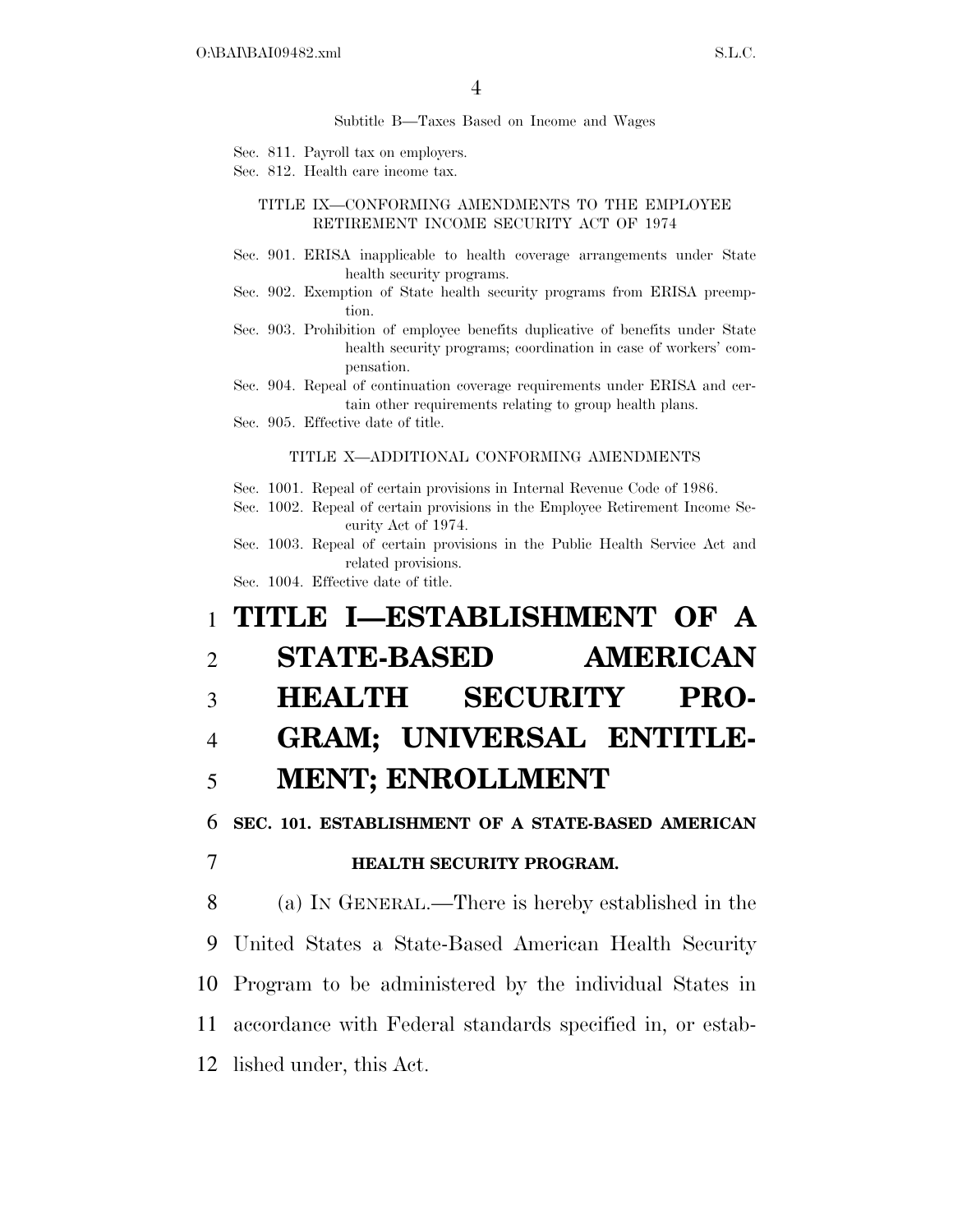Subtitle B—Taxes Based on Income and Wages

- Sec. 811. Payroll tax on employers.
- Sec. 812. Health care income tax.

TITLE IX—CONFORMING AMENDMENTS TO THE EMPLOYEE RETIREMENT INCOME SECURITY ACT OF 1974

- Sec. 901. ERISA inapplicable to health coverage arrangements under State health security programs.
- Sec. 902. Exemption of State health security programs from ERISA preemption.
- Sec. 903. Prohibition of employee benefits duplicative of benefits under State health security programs; coordination in case of workers' compensation.

Sec. 904. Repeal of continuation coverage requirements under ERISA and certain other requirements relating to group health plans.

Sec. 905. Effective date of title.

#### TITLE X—ADDITIONAL CONFORMING AMENDMENTS

Sec. 1001. Repeal of certain provisions in Internal Revenue Code of 1986.

Sec. 1002. Repeal of certain provisions in the Employee Retirement Income Security Act of 1974.

Sec. 1003. Repeal of certain provisions in the Public Health Service Act and related provisions.

Sec. 1004. Effective date of title.

# 1 **TITLE I—ESTABLISHMENT OF A**  2 **STATE-BASED AMERICAN**  3 **HEALTH SECURITY PRO-**4 **GRAM; UNIVERSAL ENTITLE-**5 **MENT; ENROLLMENT**  6 **SEC. 101. ESTABLISHMENT OF A STATE-BASED AMERICAN**  7 **HEALTH SECURITY PROGRAM.**  8 (a) IN GENERAL.—There is hereby established in the

 United States a State-Based American Health Security Program to be administered by the individual States in accordance with Federal standards specified in, or estab-lished under, this Act.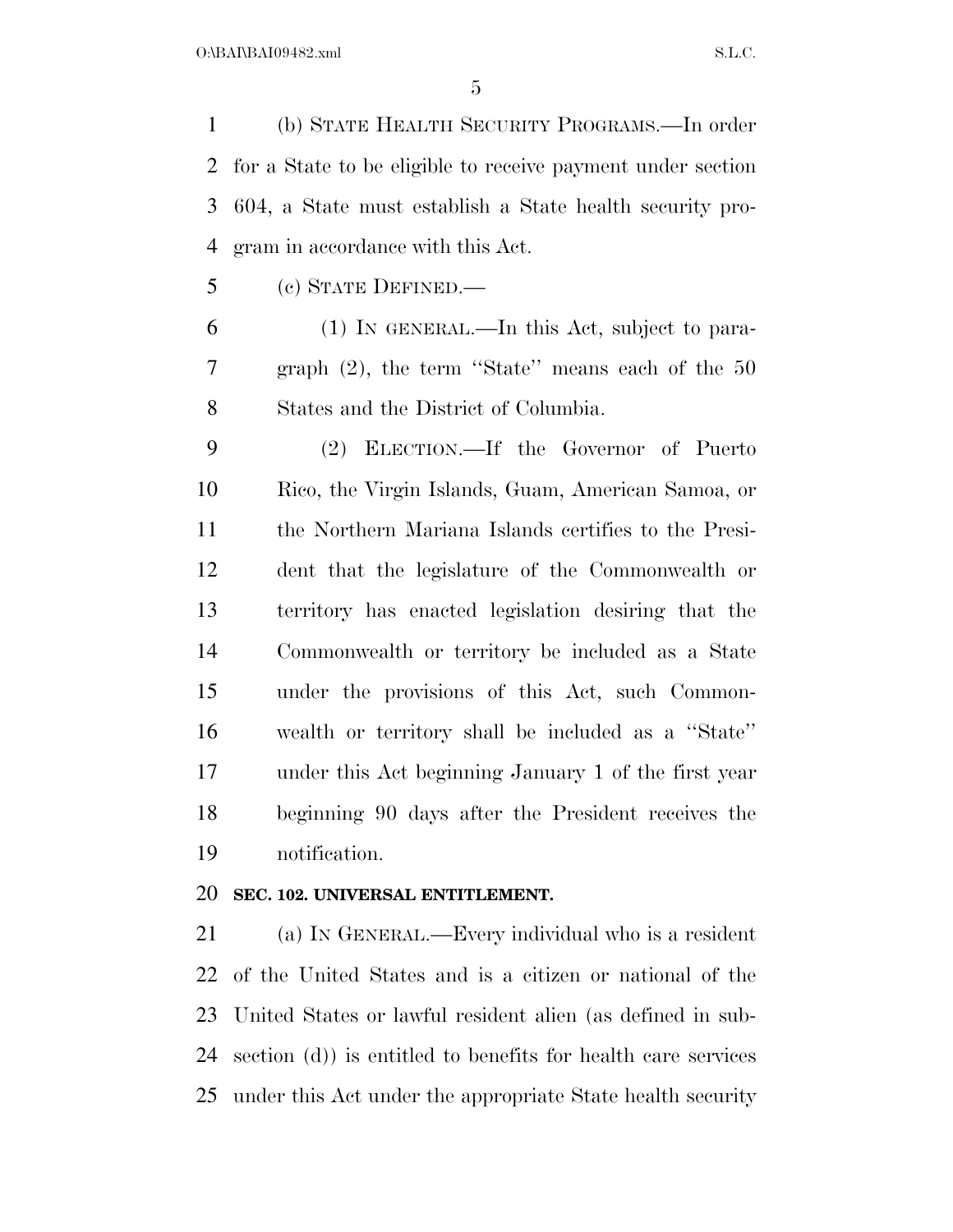(b) STATE HEALTH SECURITY PROGRAMS.—In order for a State to be eligible to receive payment under section 604, a State must establish a State health security pro-gram in accordance with this Act.

(c) STATE DEFINED.—

 (1) IN GENERAL.—In this Act, subject to para- graph (2), the term ''State'' means each of the 50 States and the District of Columbia.

 (2) ELECTION.—If the Governor of Puerto Rico, the Virgin Islands, Guam, American Samoa, or the Northern Mariana Islands certifies to the Presi- dent that the legislature of the Commonwealth or territory has enacted legislation desiring that the Commonwealth or territory be included as a State under the provisions of this Act, such Common- wealth or territory shall be included as a ''State'' under this Act beginning January 1 of the first year beginning 90 days after the President receives the notification.

# **SEC. 102. UNIVERSAL ENTITLEMENT.**

 (a) IN GENERAL.—Every individual who is a resident of the United States and is a citizen or national of the United States or lawful resident alien (as defined in sub- section (d)) is entitled to benefits for health care services under this Act under the appropriate State health security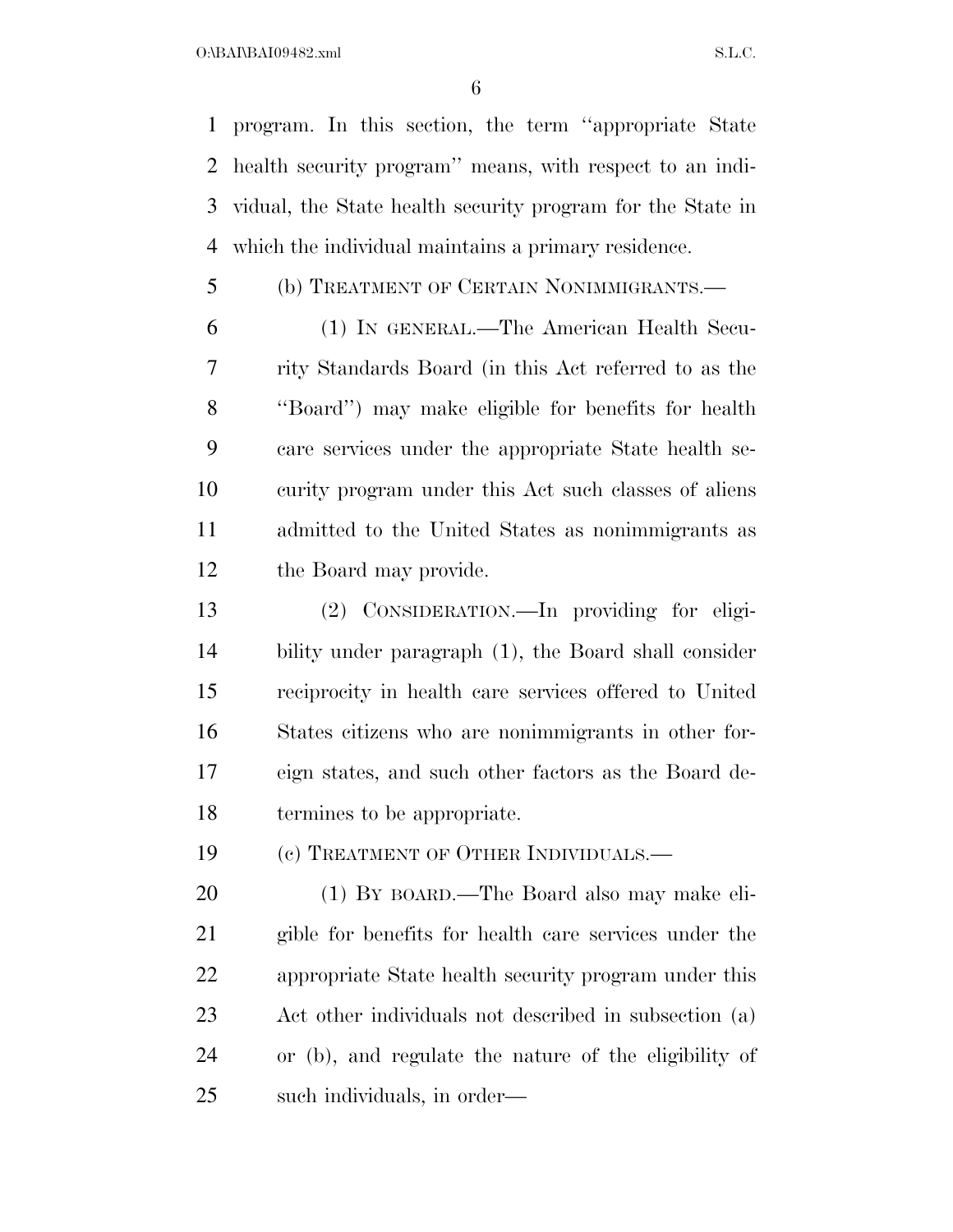program. In this section, the term ''appropriate State health security program'' means, with respect to an indi- vidual, the State health security program for the State in which the individual maintains a primary residence.

(b) TREATMENT OF CERTAIN NONIMMIGRANTS.—

 (1) IN GENERAL.—The American Health Secu- rity Standards Board (in this Act referred to as the ''Board'') may make eligible for benefits for health care services under the appropriate State health se- curity program under this Act such classes of aliens admitted to the United States as nonimmigrants as the Board may provide.

 (2) CONSIDERATION.—In providing for eligi- bility under paragraph (1), the Board shall consider reciprocity in health care services offered to United States citizens who are nonimmigrants in other for- eign states, and such other factors as the Board de-termines to be appropriate.

19 (c) TREATMENT OF OTHER INDIVIDUALS.—

 (1) BY BOARD.—The Board also may make eli- gible for benefits for health care services under the appropriate State health security program under this Act other individuals not described in subsection (a) or (b), and regulate the nature of the eligibility of such individuals, in order—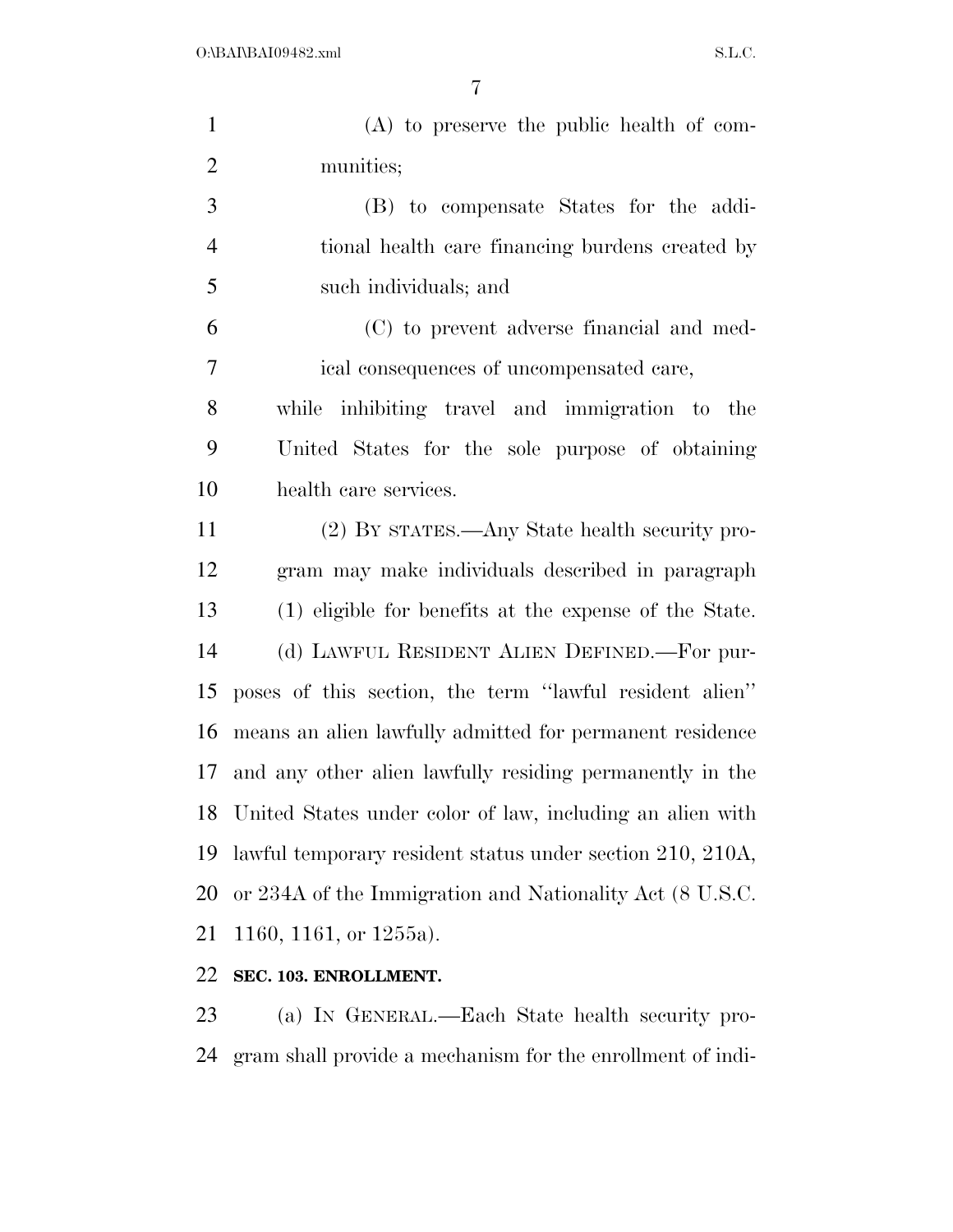| $\mathbf{1}$   | $(A)$ to preserve the public health of com-                  |
|----------------|--------------------------------------------------------------|
| $\overline{2}$ | munities;                                                    |
| 3              | (B) to compensate States for the addi-                       |
| $\overline{4}$ | tional health care financing burdens created by              |
| 5              | such individuals; and                                        |
| 6              | (C) to prevent adverse financial and med-                    |
| $\tau$         | ical consequences of uncompensated care,                     |
| 8              | while inhibiting travel and immigration to the               |
| 9              | United States for the sole purpose of obtaining              |
| 10             | health care services.                                        |
| 11             | (2) BY STATES.—Any State health security pro-                |
| 12             | gram may make individuals described in paragraph             |
| 13             | (1) eligible for benefits at the expense of the State.       |
| 14             | (d) LAWFUL RESIDENT ALIEN DEFINED.—For pur-                  |
| 15             | poses of this section, the term "lawful resident alien"      |
| 16             | means an alien lawfully admitted for permanent residence     |
| 17             | and any other alien lawfully residing permanently in the     |
|                | 18 United States under color of law, including an alien with |
| 19             | lawful temporary resident status under section 210, 210A,    |
| 20             | or 234A of the Immigration and Nationality Act (8 U.S.C.     |
| 21             | 1160, 1161, or $1255a$ ).                                    |
| 22             | SEC. 103. ENROLLMENT.                                        |
| 23             | (a) IN GENERAL.—Each State health security pro-              |

gram shall provide a mechanism for the enrollment of indi-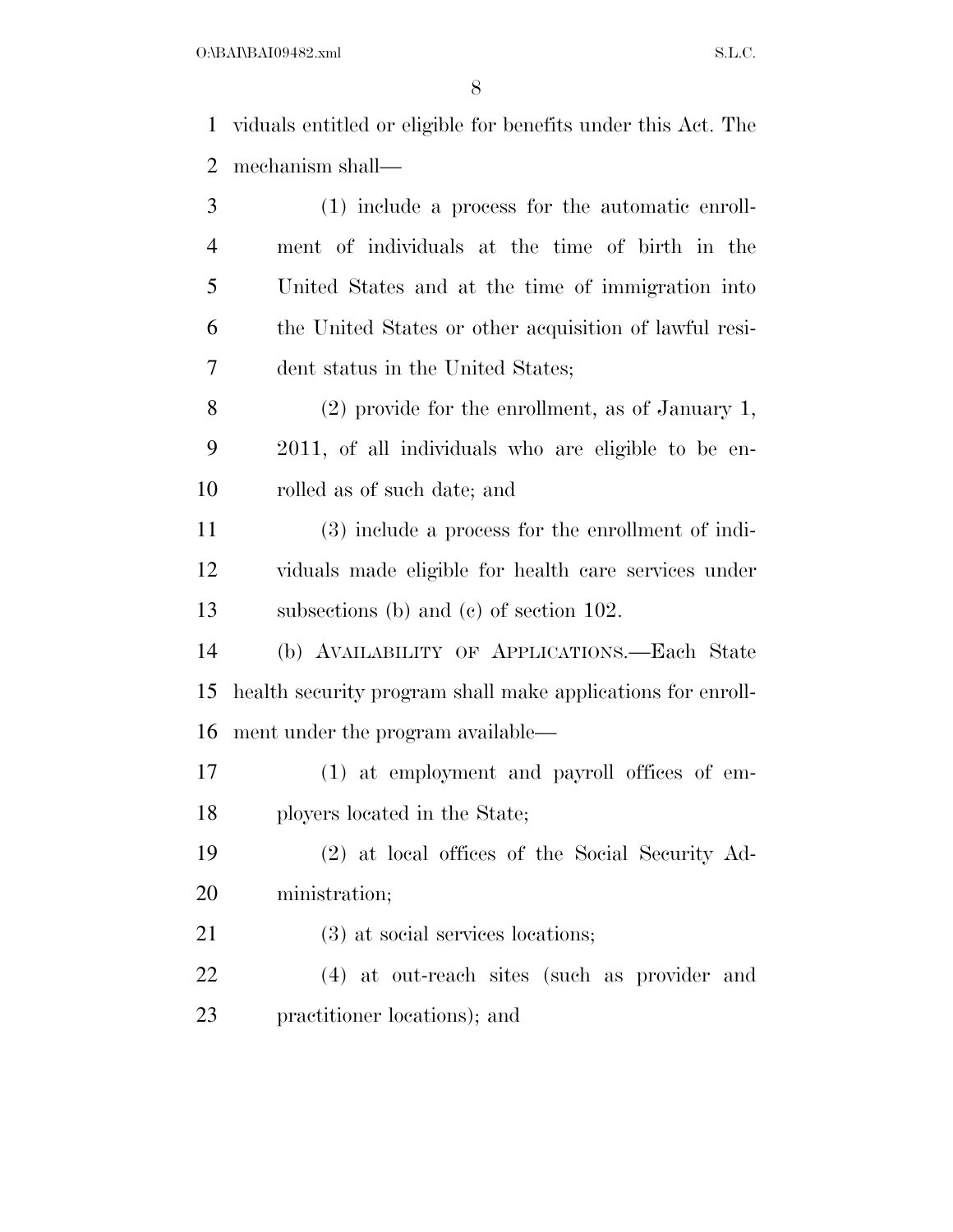O:\BAI\BAI09482.xml S.L.C.

 viduals entitled or eligible for benefits under this Act. The mechanism shall—

 (1) include a process for the automatic enroll- ment of individuals at the time of birth in the United States and at the time of immigration into the United States or other acquisition of lawful resi-dent status in the United States;

 (2) provide for the enrollment, as of January 1, 2011, of all individuals who are eligible to be en-rolled as of such date; and

 (3) include a process for the enrollment of indi- viduals made eligible for health care services under subsections (b) and (c) of section 102.

 (b) AVAILABILITY OF APPLICATIONS.—Each State health security program shall make applications for enroll-ment under the program available—

 (1) at employment and payroll offices of em-ployers located in the State;

 (2) at local offices of the Social Security Ad-ministration;

21 (3) at social services locations;

 (4) at out-reach sites (such as provider and practitioner locations); and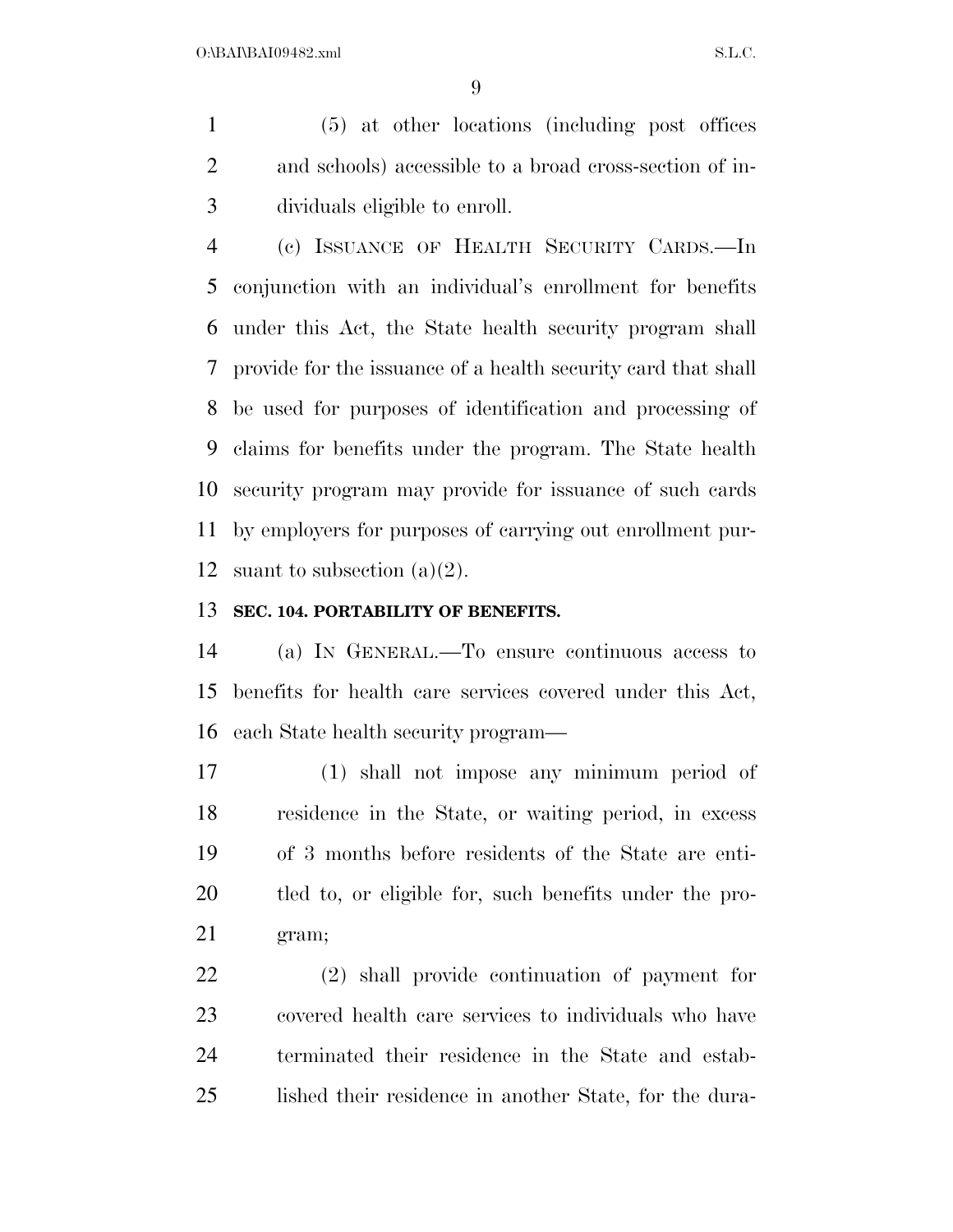(5) at other locations (including post offices and schools) accessible to a broad cross-section of in-dividuals eligible to enroll.

 (c) ISSUANCE OF HEALTH SECURITY CARDS.—In conjunction with an individual's enrollment for benefits under this Act, the State health security program shall provide for the issuance of a health security card that shall be used for purposes of identification and processing of claims for benefits under the program. The State health security program may provide for issuance of such cards by employers for purposes of carrying out enrollment pur-12 suant to subsection  $(a)(2)$ .

## **SEC. 104. PORTABILITY OF BENEFITS.**

 (a) IN GENERAL.—To ensure continuous access to benefits for health care services covered under this Act, each State health security program—

 (1) shall not impose any minimum period of residence in the State, or waiting period, in excess of 3 months before residents of the State are enti- tled to, or eligible for, such benefits under the pro-gram;

 (2) shall provide continuation of payment for covered health care services to individuals who have terminated their residence in the State and estab-lished their residence in another State, for the dura-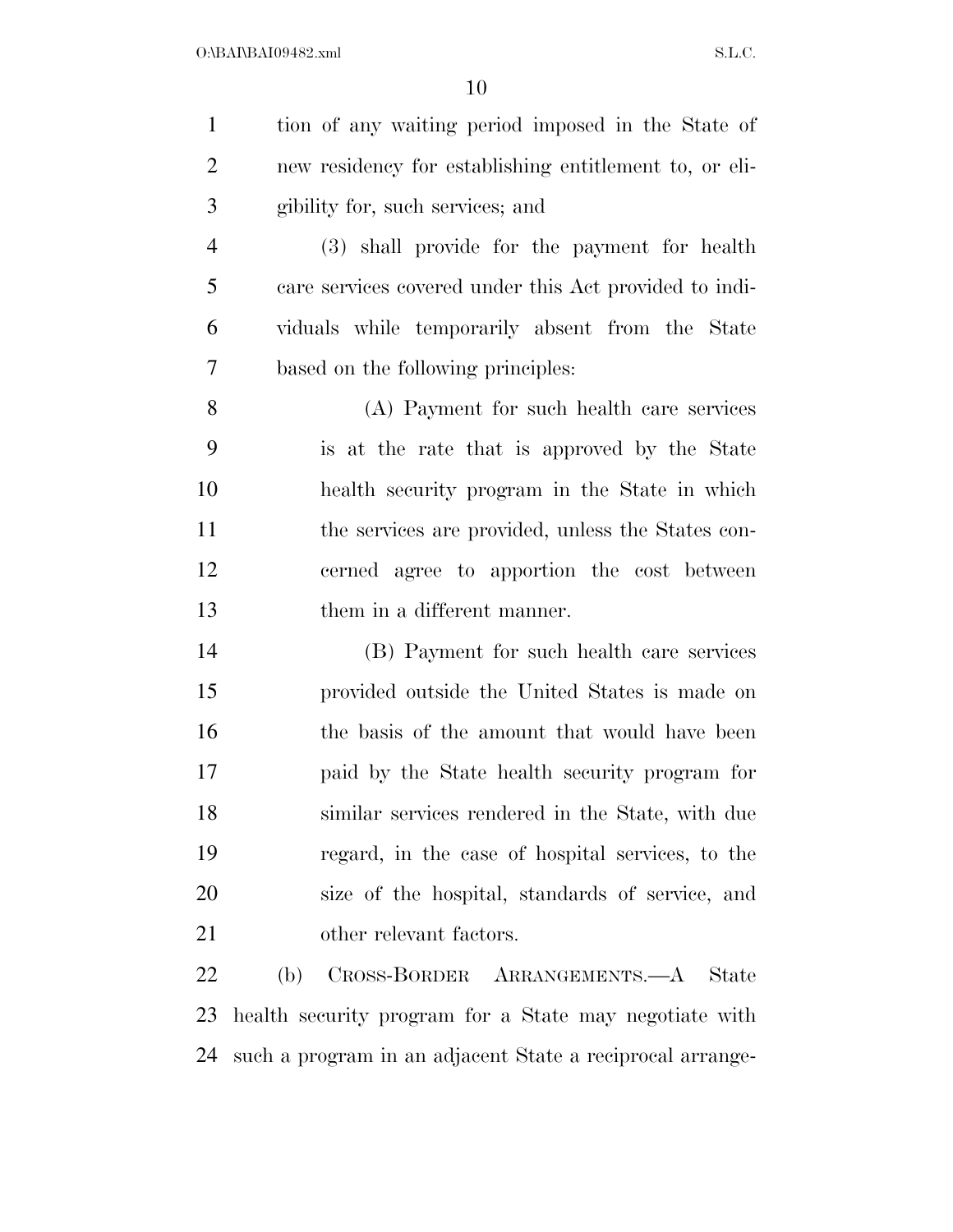| $\mathbf{1}$   | tion of any waiting period imposed in the State of        |
|----------------|-----------------------------------------------------------|
| $\overline{2}$ | new residency for establishing entitlement to, or eli-    |
| 3              | gibility for, such services; and                          |
| $\overline{4}$ | (3) shall provide for the payment for health              |
| 5              | care services covered under this Act provided to indi-    |
| 6              | viduals while temporarily absent from the State           |
| $\tau$         | based on the following principles:                        |
| 8              | (A) Payment for such health care services                 |
| 9              | is at the rate that is approved by the State              |
| 10             | health security program in the State in which             |
| 11             | the services are provided, unless the States con-         |
| 12             | cerned agree to apportion the cost between                |
| 13             | them in a different manner.                               |
| 14             | (B) Payment for such health care services                 |
| 15             | provided outside the United States is made on             |
| 16             | the basis of the amount that would have been              |
| 17             | paid by the State health security program for             |
| 18             | similar services rendered in the State, with due          |
| 19             | regard, in the case of hospital services, to the          |
| 20             | size of the hospital, standards of service, and           |
| 21             | other relevant factors.                                   |
| 22             | CROSS-BORDER ARRANGEMENTS.—A State<br>(b)                 |
|                | 23 hoalth socurity program for a State may pogetiate with |

 health security program for a State may negotiate with such a program in an adjacent State a reciprocal arrange-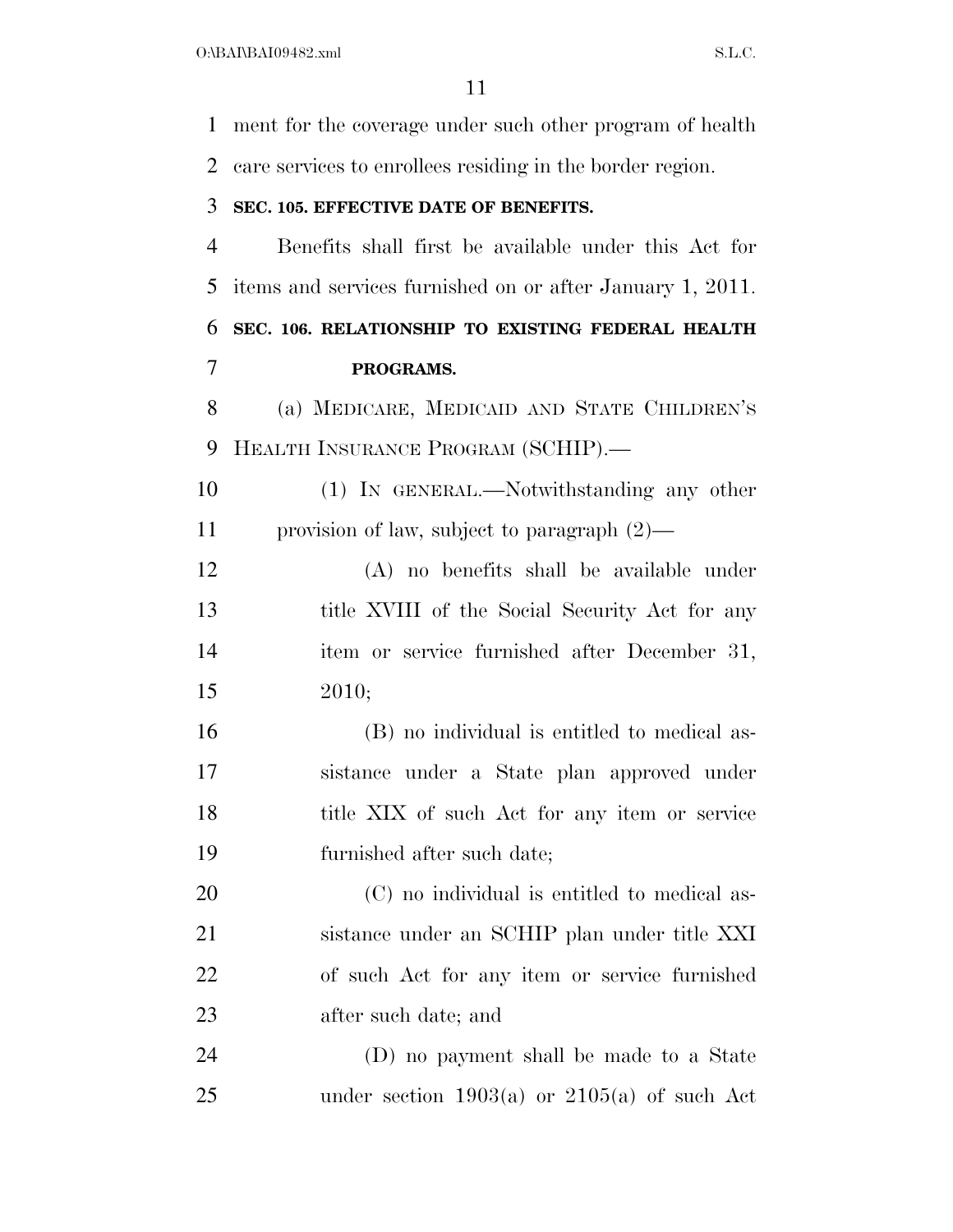ment for the coverage under such other program of health care services to enrollees residing in the border region. **SEC. 105. EFFECTIVE DATE OF BENEFITS.**  Benefits shall first be available under this Act for items and services furnished on or after January 1, 2011. **SEC. 106. RELATIONSHIP TO EXISTING FEDERAL HEALTH PROGRAMS.**  (a) MEDICARE, MEDICAID AND STATE CHILDREN'S HEALTH INSURANCE PROGRAM (SCHIP).— (1) IN GENERAL.—Notwithstanding any other provision of law, subject to paragraph (2)— (A) no benefits shall be available under 13 title XVIII of the Social Security Act for any item or service furnished after December 31, 2010; (B) no individual is entitled to medical as- sistance under a State plan approved under 18 title XIX of such Act for any item or service furnished after such date; (C) no individual is entitled to medical as- sistance under an SCHIP plan under title XXI of such Act for any item or service furnished after such date; and (D) no payment shall be made to a State 25 under section  $1903(a)$  or  $2105(a)$  of such Act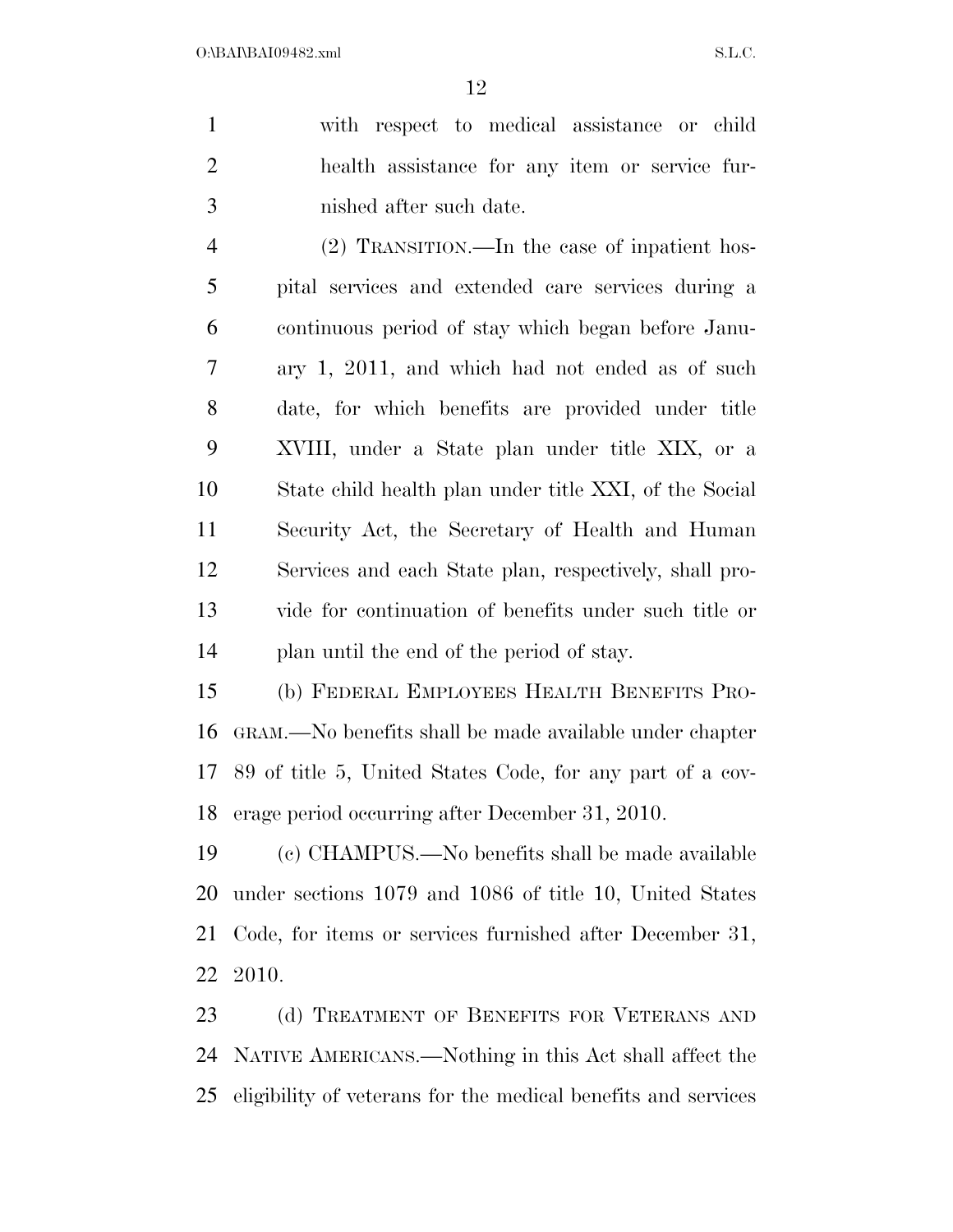with respect to medical assistance or child health assistance for any item or service fur-nished after such date.

 (2) TRANSITION.—In the case of inpatient hos- pital services and extended care services during a continuous period of stay which began before Janu- ary 1, 2011, and which had not ended as of such date, for which benefits are provided under title XVIII, under a State plan under title XIX, or a State child health plan under title XXI, of the Social Security Act, the Secretary of Health and Human Services and each State plan, respectively, shall pro- vide for continuation of benefits under such title or plan until the end of the period of stay.

 (b) FEDERAL EMPLOYEES HEALTH BENEFITS PRO- GRAM.—No benefits shall be made available under chapter 89 of title 5, United States Code, for any part of a cov-erage period occurring after December 31, 2010.

 (c) CHAMPUS.—No benefits shall be made available under sections 1079 and 1086 of title 10, United States Code, for items or services furnished after December 31, 2010.

23 (d) TREATMENT OF BENEFITS FOR VETERANS AND NATIVE AMERICANS.—Nothing in this Act shall affect the eligibility of veterans for the medical benefits and services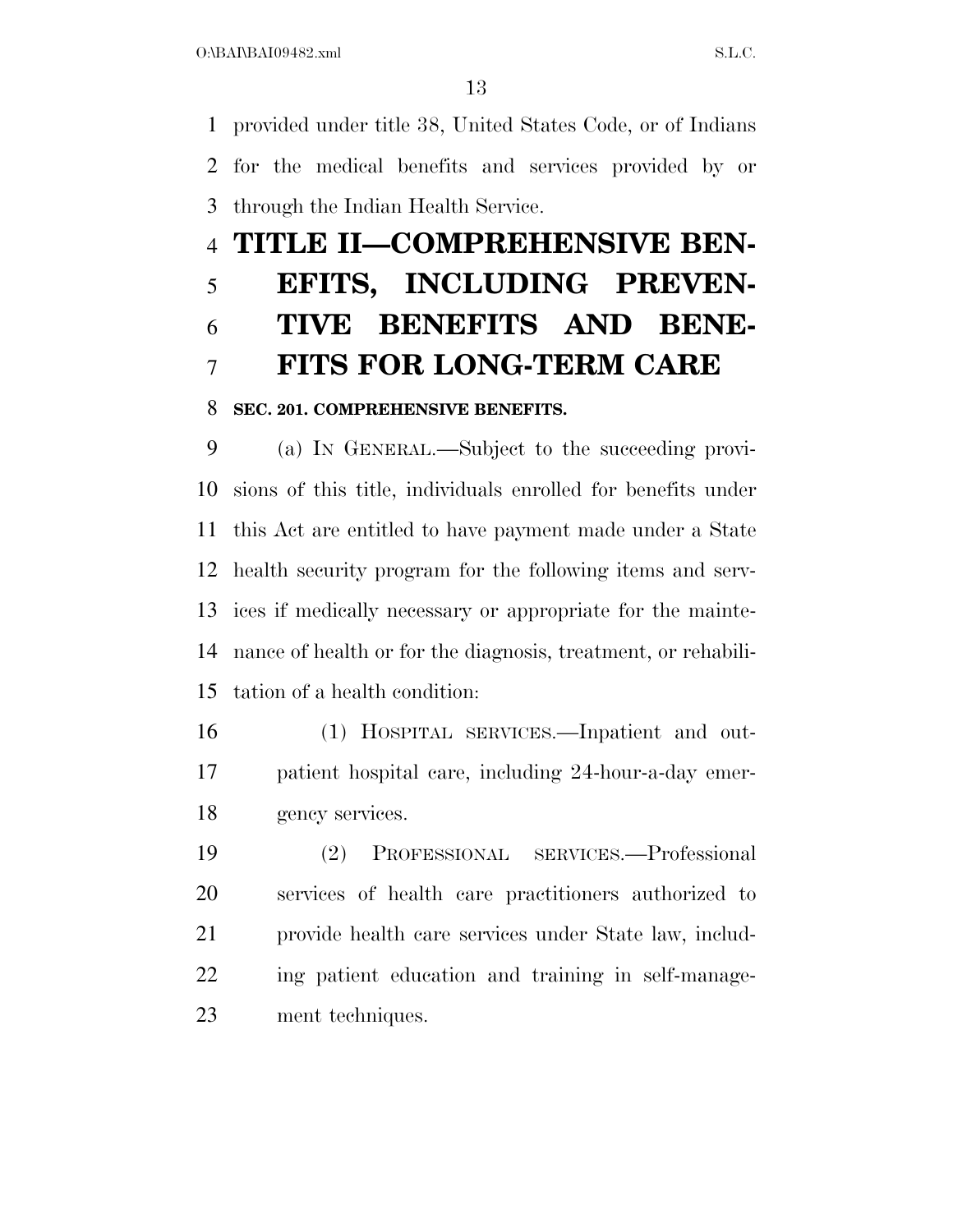provided under title 38, United States Code, or of Indians for the medical benefits and services provided by or through the Indian Health Service.

# **TITLE II—COMPREHENSIVE BEN- EFITS, INCLUDING PREVEN- TIVE BENEFITS AND BENE-FITS FOR LONG-TERM CARE**

# **SEC. 201. COMPREHENSIVE BENEFITS.**

 (a) IN GENERAL.—Subject to the succeeding provi- sions of this title, individuals enrolled for benefits under this Act are entitled to have payment made under a State health security program for the following items and serv- ices if medically necessary or appropriate for the mainte- nance of health or for the diagnosis, treatment, or rehabili-tation of a health condition:

- (1) HOSPITAL SERVICES.—Inpatient and out- patient hospital care, including 24-hour-a-day emer-gency services.
- (2) PROFESSIONAL SERVICES.—Professional services of health care practitioners authorized to provide health care services under State law, includ- ing patient education and training in self-manage-ment techniques.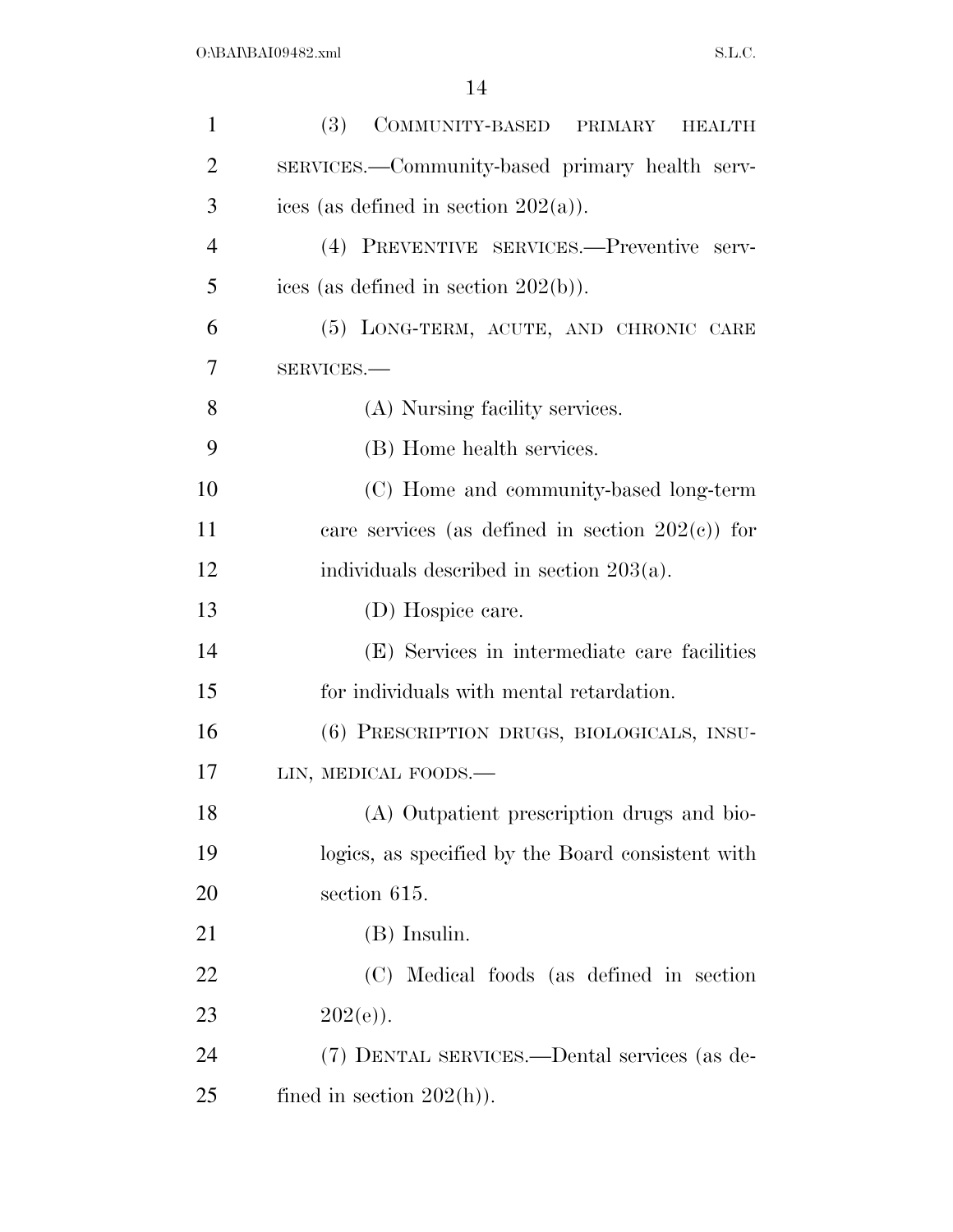| $\mathbf{1}$   | (3)<br>COMMUNITY-BASED PRIMARY HEALTH               |
|----------------|-----------------------------------------------------|
| $\overline{2}$ | SERVICES.—Community-based primary health serv-      |
| 3              | ices (as defined in section $202(a)$ ).             |
| $\overline{4}$ | (4) PREVENTIVE SERVICES.—Preventive serv-           |
| 5              | ices (as defined in section $202(b)$ ).             |
| 6              | (5) LONG-TERM, ACUTE, AND CHRONIC CARE              |
| 7              | SERVICES.-                                          |
| 8              | (A) Nursing facility services.                      |
| 9              | (B) Home health services.                           |
| 10             | (C) Home and community-based long-term              |
| 11             | care services (as defined in section $202(c)$ ) for |
| 12             | individuals described in section $203(a)$ .         |
| 13             | (D) Hospice care.                                   |
| 14             | (E) Services in intermediate care facilities        |
| 15             | for individuals with mental retardation.            |
| 16             | (6) PRESCRIPTION DRUGS, BIOLOGICALS, INSU-          |
| 17             | LIN, MEDICAL FOODS.-                                |
| 18             | (A) Outpatient prescription drugs and bio-          |
| 19             | logics, as specified by the Board consistent with   |
| 20             | section 615.                                        |
| 21             | (B) Insulin.                                        |
| 22             | (C) Medical foods (as defined in section            |
| 23             | $202(e)$ ).                                         |
| 24             | (7) DENTAL SERVICES.—Dental services (as de-        |
| 25             | fined in section $202(h)$ ).                        |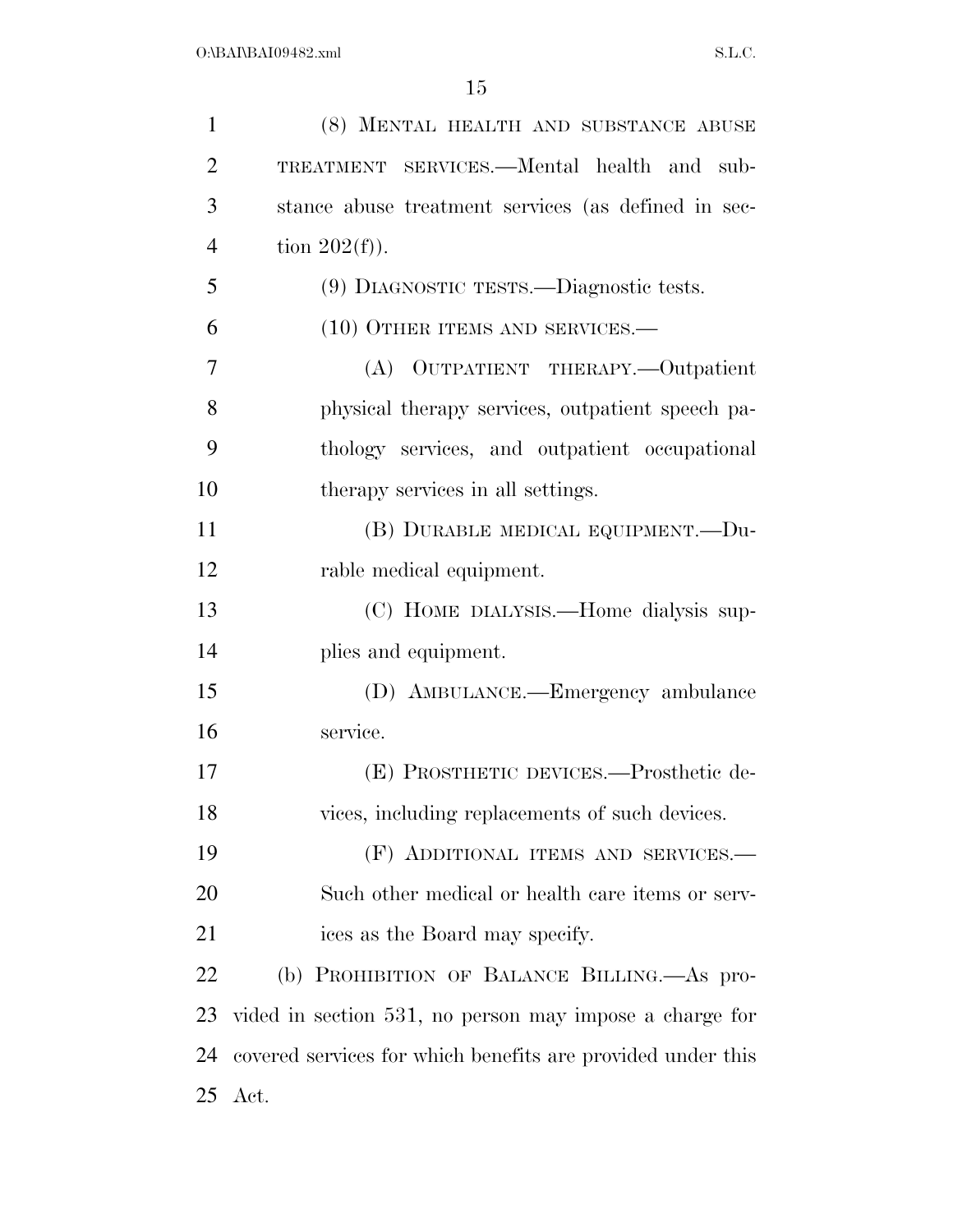| 1              | (8) MENTAL HEALTH AND SUBSTANCE ABUSE                       |
|----------------|-------------------------------------------------------------|
| $\overline{2}$ | TREATMENT SERVICES.—Mental health and sub-                  |
| 3              | stance abuse treatment services (as defined in sec-         |
| $\overline{4}$ | tion $202(f)$ ).                                            |
| 5              | (9) DIAGNOSTIC TESTS.—Diagnostic tests.                     |
| 6              | (10) OTHER ITEMS AND SERVICES.-                             |
| 7              | (A) OUTPATIENT THERAPY.—Outpatient                          |
| 8              | physical therapy services, outpatient speech pa-            |
| 9              | thology services, and outpatient occupational               |
| 10             | therapy services in all settings.                           |
| 11             | (B) DURABLE MEDICAL EQUIPMENT.-- Du-                        |
| 12             | rable medical equipment.                                    |
| 13             | (C) HOME DIALYSIS.—Home dialysis sup-                       |
| 14             | plies and equipment.                                        |
| 15             | (D) AMBULANCE.—Emergency ambulance                          |
| 16             | service.                                                    |
| 17             | (E) PROSTHETIC DEVICES.—Prosthetic de-                      |
| 18             | vices, including replacements of such devices.              |
| 19             | (F) ADDITIONAL ITEMS AND SERVICES.—                         |
| 20             | Such other medical or health care items or serv-            |
| 21             | ices as the Board may specify.                              |
| 22             | (b) PROHIBITION OF BALANCE BILLING.—As pro-                 |
| 23             | vided in section 531, no person may impose a charge for     |
| 24             | covered services for which benefits are provided under this |
|                | 25 Act.                                                     |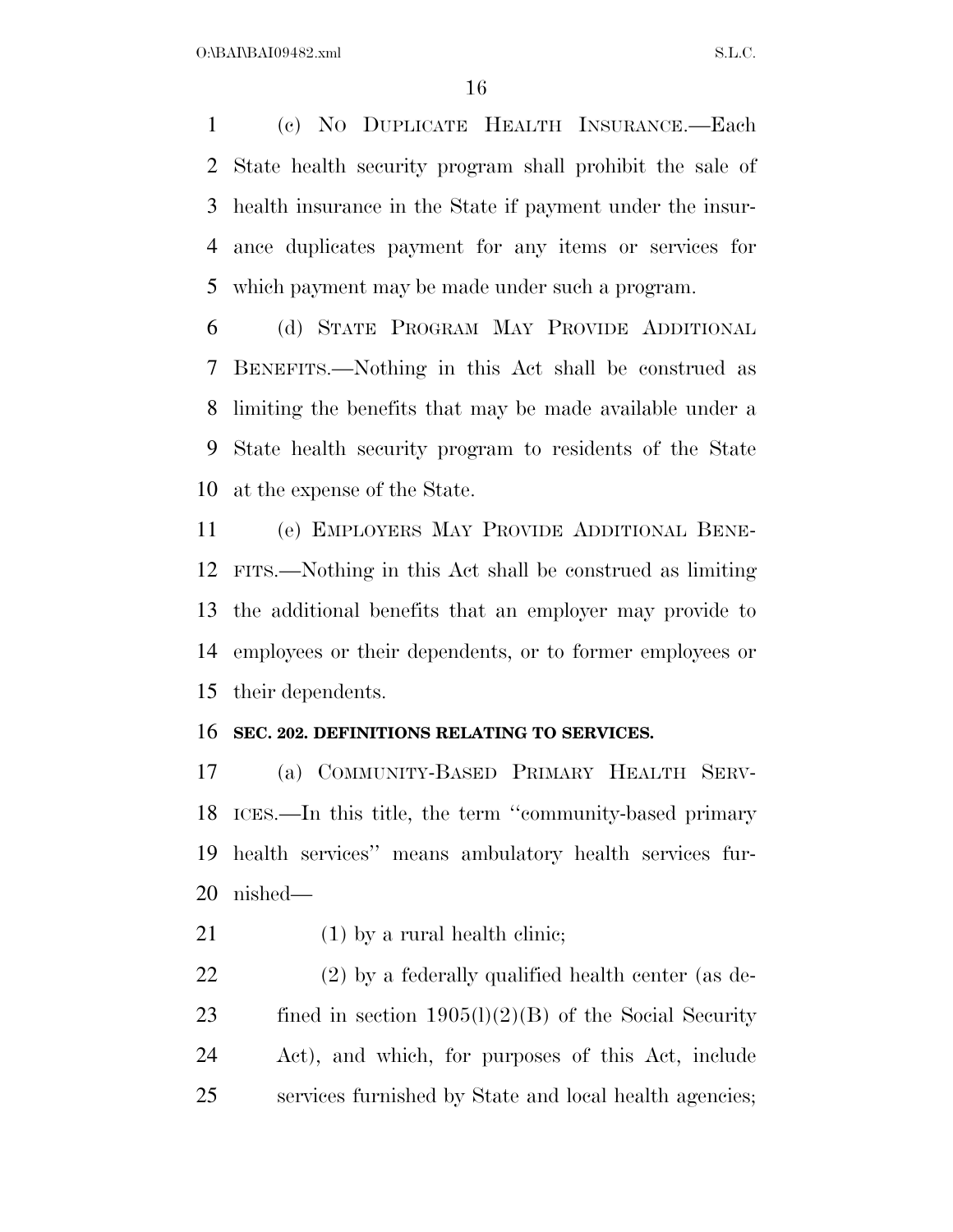(c) NO DUPLICATE HEALTH INSURANCE.—Each State health security program shall prohibit the sale of health insurance in the State if payment under the insur- ance duplicates payment for any items or services for which payment may be made under such a program.

 (d) STATE PROGRAM MAY PROVIDE ADDITIONAL BENEFITS.—Nothing in this Act shall be construed as limiting the benefits that may be made available under a State health security program to residents of the State at the expense of the State.

 (e) EMPLOYERS MAY PROVIDE ADDITIONAL BENE- FITS.—Nothing in this Act shall be construed as limiting the additional benefits that an employer may provide to employees or their dependents, or to former employees or their dependents.

## **SEC. 202. DEFINITIONS RELATING TO SERVICES.**

 (a) COMMUNITY-BASED PRIMARY HEALTH SERV- ICES.—In this title, the term ''community-based primary health services'' means ambulatory health services fur-nished—

21 (1) by a rural health clinic;

 (2) by a federally qualified health center (as de-23 fined in section  $1905(l)(2)(B)$  of the Social Security Act), and which, for purposes of this Act, include services furnished by State and local health agencies;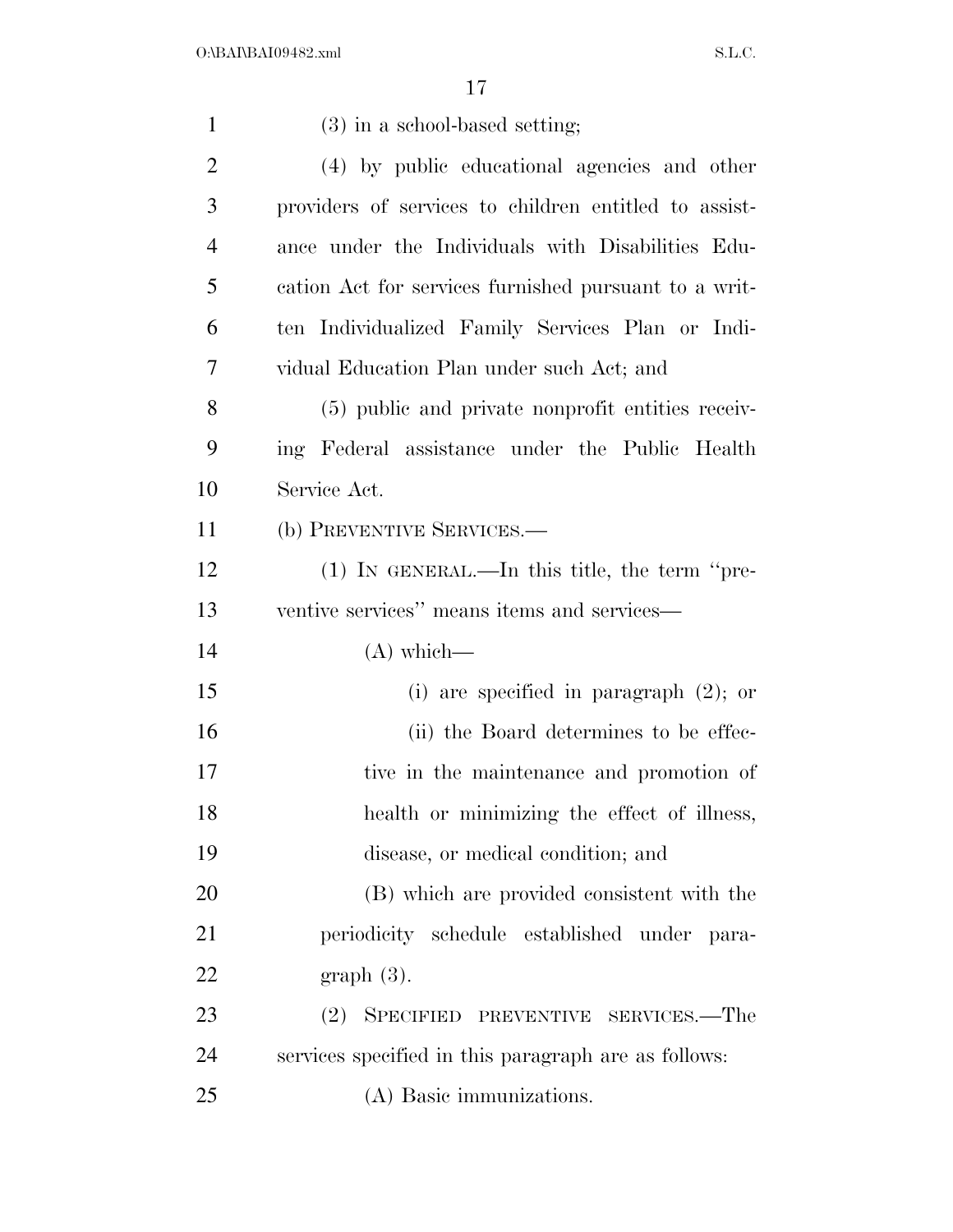| $\mathbf{1}$   | (3) in a school-based setting;                        |
|----------------|-------------------------------------------------------|
| $\overline{2}$ | (4) by public educational agencies and other          |
| 3              | providers of services to children entitled to assist- |
| $\overline{4}$ | ance under the Individuals with Disabilities Edu-     |
| 5              | cation Act for services furnished pursuant to a writ- |
| 6              | ten Individualized Family Services Plan or Indi-      |
| 7              | vidual Education Plan under such Act; and             |
| 8              | (5) public and private nonprofit entities receiv-     |
| 9              | ing Federal assistance under the Public Health        |
| 10             | Service Act.                                          |
| 11             | (b) PREVENTIVE SERVICES.-                             |
| 12             | $(1)$ In GENERAL.—In this title, the term "pre-       |
| 13             | ventive services" means items and services—           |
| 14             | $(A)$ which—                                          |
| 15             | (i) are specified in paragraph $(2)$ ; or             |
| 16             | (ii) the Board determines to be effec-                |
| 17             | tive in the maintenance and promotion of              |
| 18             | health or minimizing the effect of illness,           |
| 19             | disease, or medical condition; and                    |
| 20             | (B) which are provided consistent with the            |
| 21             | periodicity schedule established under para-          |
| 22             | $graph(3)$ .                                          |
| 23             | SPECIFIED PREVENTIVE SERVICES.—The<br>(2)             |
| 24             | services specified in this paragraph are as follows:  |
| 25             | (A) Basic immunizations.                              |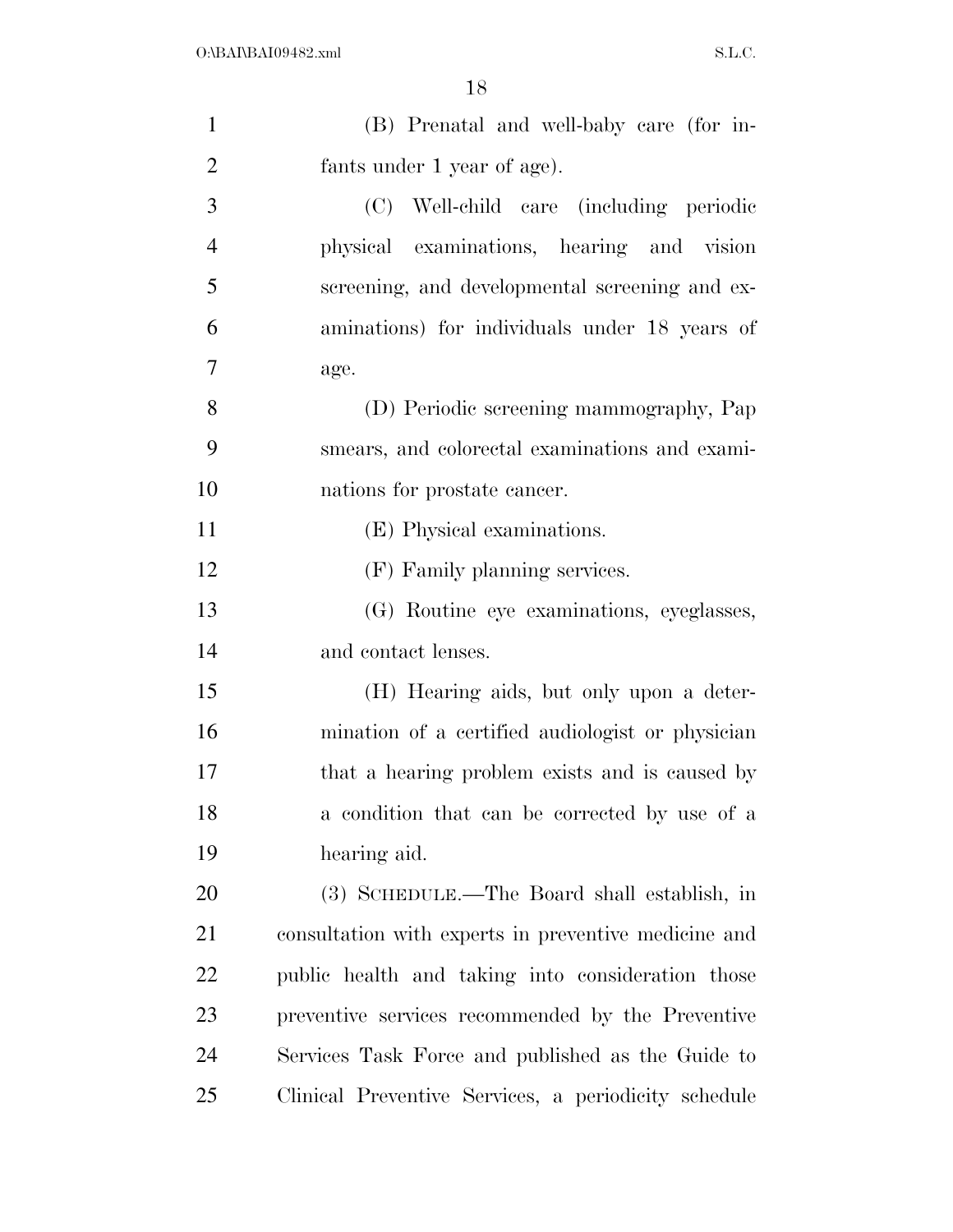| $\mathbf{1}$   | (B) Prenatal and well-baby care (for in-             |
|----------------|------------------------------------------------------|
| $\overline{2}$ | fants under 1 year of age).                          |
| 3              | (C) Well-child care (including periodic              |
| $\overline{4}$ | physical examinations, hearing and vision            |
| 5              | screening, and developmental screening and ex-       |
| 6              | aminations) for individuals under 18 years of        |
| 7              | age.                                                 |
| 8              | (D) Periodic screening mammography, Pap              |
| 9              | smears, and colorectal examinations and exami-       |
| 10             | nations for prostate cancer.                         |
| 11             | (E) Physical examinations.                           |
| 12             | (F) Family planning services.                        |
| 13             | (G) Routine eye examinations, eyeglasses,            |
| 14             | and contact lenses.                                  |
| 15             | (H) Hearing aids, but only upon a deter-             |
| 16             | mination of a certified audiologist or physician     |
| 17             | that a hearing problem exists and is caused by       |
| 18             | a condition that can be corrected by use of a        |
| 19             | hearing aid.                                         |
| 20             | (3) SCHEDULE.—The Board shall establish, in          |
| 21             | consultation with experts in preventive medicine and |
| <u>22</u>      | public health and taking into consideration those    |
| 23             | preventive services recommended by the Preventive    |
| 24             | Services Task Force and published as the Guide to    |
| 25             | Clinical Preventive Services, a periodicity schedule |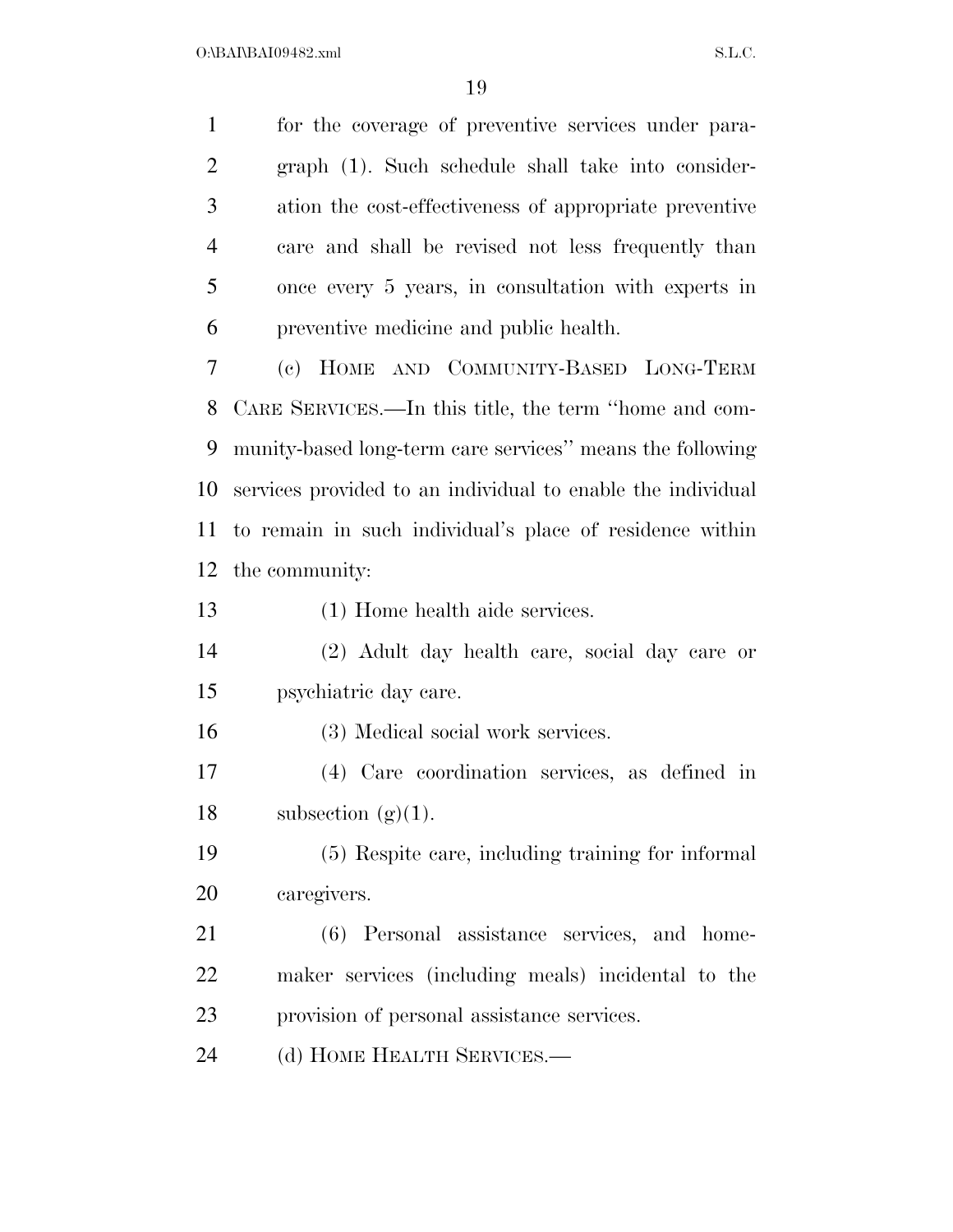for the coverage of preventive services under para- graph (1). Such schedule shall take into consider- ation the cost-effectiveness of appropriate preventive care and shall be revised not less frequently than once every 5 years, in consultation with experts in preventive medicine and public health.

 (c) HOME AND COMMUNITY-BASED LONG-TERM CARE SERVICES.—In this title, the term ''home and com- munity-based long-term care services'' means the following services provided to an individual to enable the individual to remain in such individual's place of residence within the community:

(1) Home health aide services.

 (2) Adult day health care, social day care or psychiatric day care.

(3) Medical social work services.

 (4) Care coordination services, as defined in 18 subsection  $(g)(1)$ .

 (5) Respite care, including training for informal caregivers.

 (6) Personal assistance services, and home- maker services (including meals) incidental to the provision of personal assistance services.

24 (d) HOME HEALTH SERVICES.—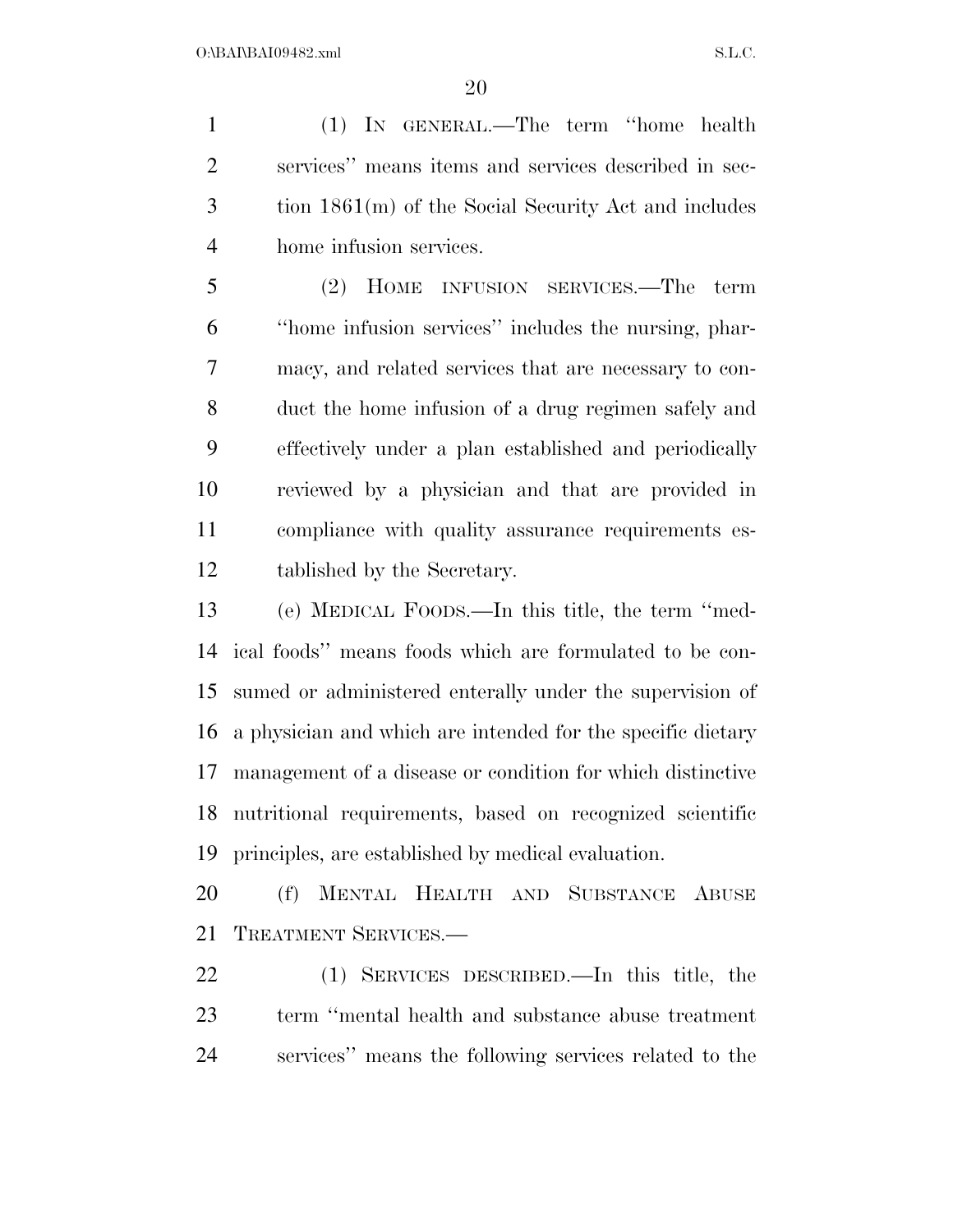(1) IN GENERAL.—The term ''home health services'' means items and services described in sec- tion 1861(m) of the Social Security Act and includes home infusion services.

 (2) HOME INFUSION SERVICES.—The term ''home infusion services'' includes the nursing, phar- macy, and related services that are necessary to con- duct the home infusion of a drug regimen safely and effectively under a plan established and periodically reviewed by a physician and that are provided in compliance with quality assurance requirements es-tablished by the Secretary.

 (e) MEDICAL FOODS.—In this title, the term ''med- ical foods'' means foods which are formulated to be con- sumed or administered enterally under the supervision of a physician and which are intended for the specific dietary management of a disease or condition for which distinctive nutritional requirements, based on recognized scientific principles, are established by medical evaluation.

 (f) MENTAL HEALTH AND SUBSTANCE ABUSE TREATMENT SERVICES.—

 (1) SERVICES DESCRIBED.—In this title, the term ''mental health and substance abuse treatment services'' means the following services related to the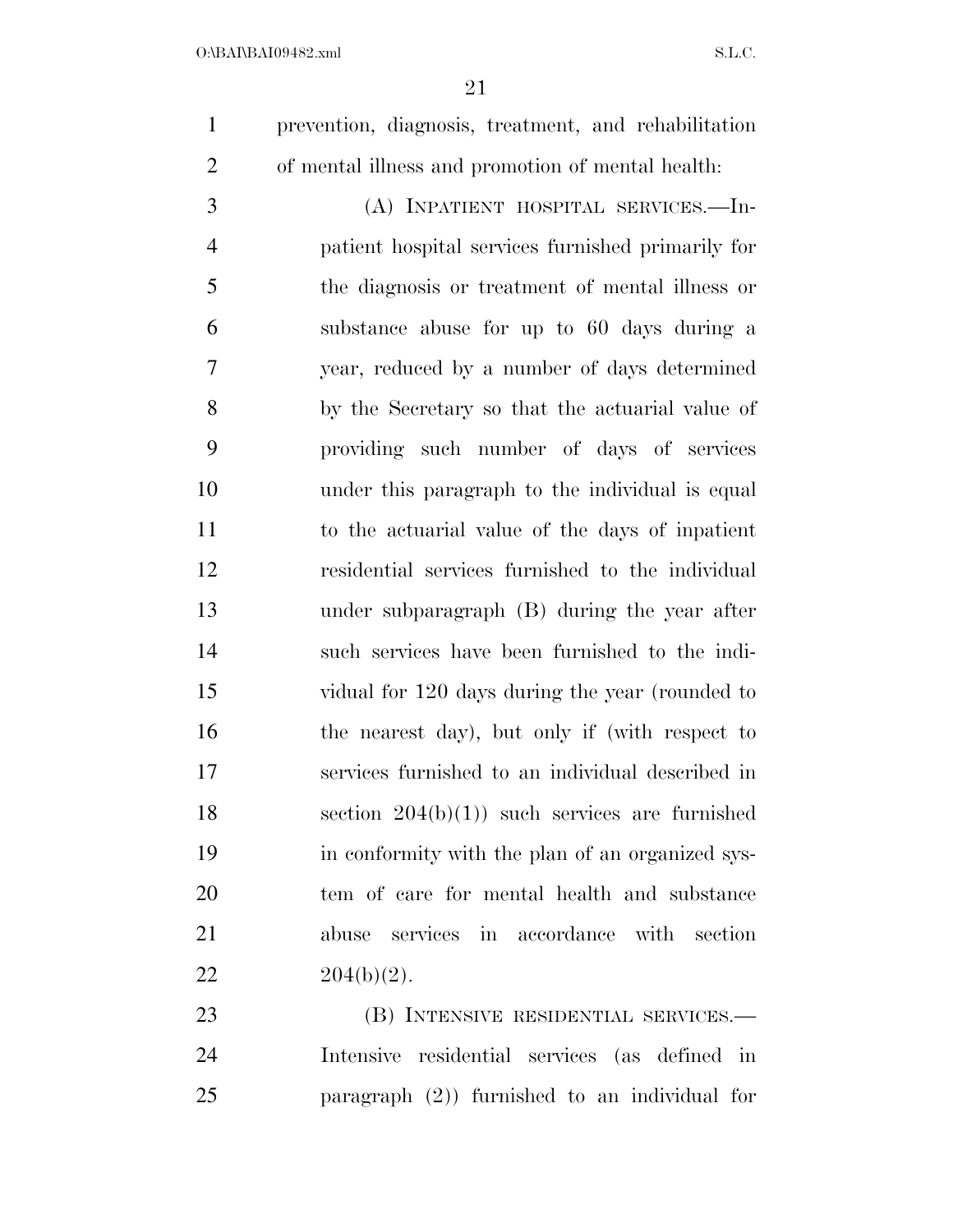prevention, diagnosis, treatment, and rehabilitation of mental illness and promotion of mental health:

 (A) INPATIENT HOSPITAL SERVICES.—In- patient hospital services furnished primarily for the diagnosis or treatment of mental illness or substance abuse for up to 60 days during a year, reduced by a number of days determined by the Secretary so that the actuarial value of providing such number of days of services under this paragraph to the individual is equal to the actuarial value of the days of inpatient residential services furnished to the individual under subparagraph (B) during the year after such services have been furnished to the indi- vidual for 120 days during the year (rounded to 16 the nearest day), but only if (with respect to services furnished to an individual described in 18 section  $204(b)(1)$  such services are furnished in conformity with the plan of an organized sys- tem of care for mental health and substance abuse services in accordance with section  $204(b)(2)$ .

 (B) INTENSIVE RESIDENTIAL SERVICES.— Intensive residential services (as defined in paragraph (2)) furnished to an individual for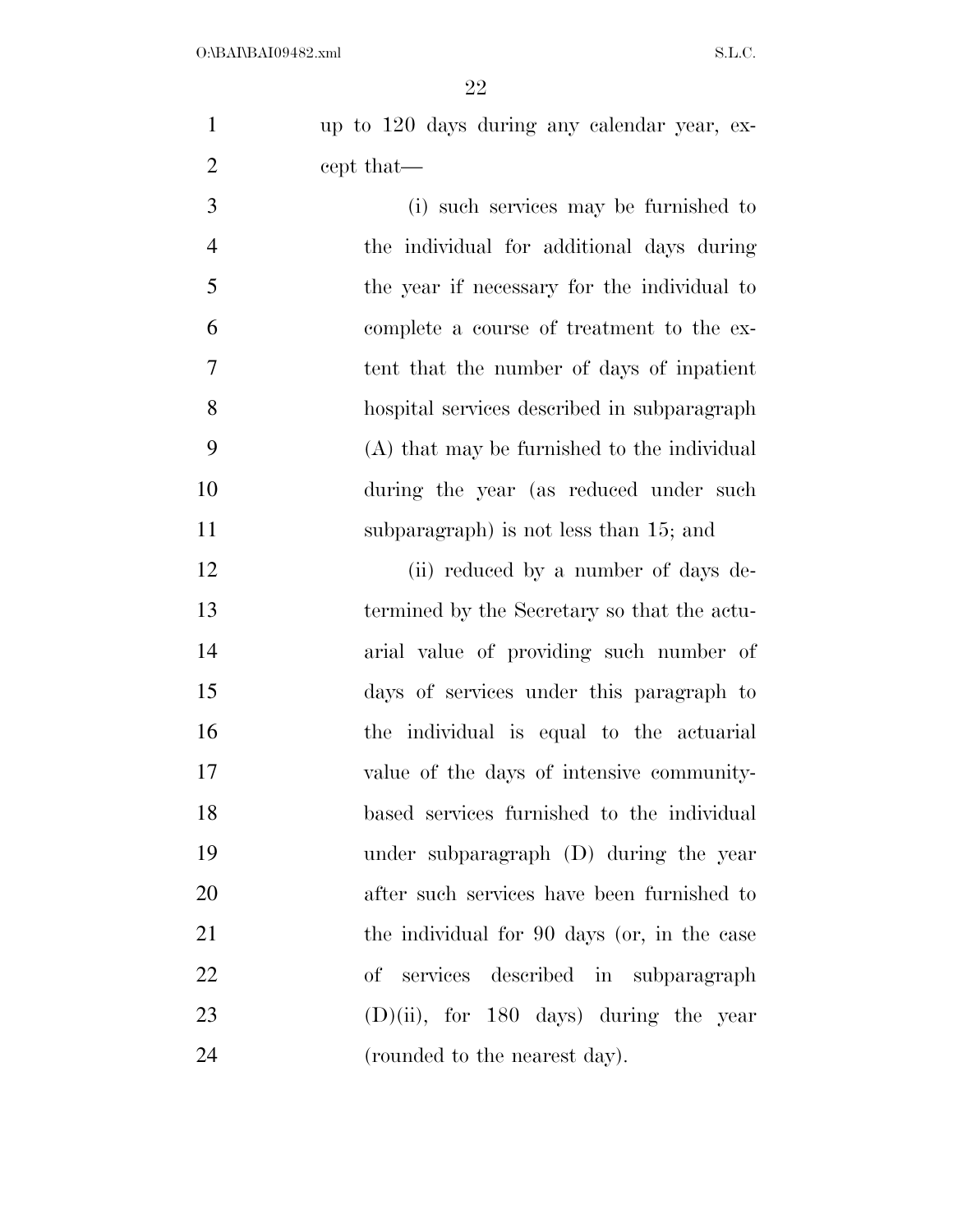up to 120 days during any calendar year, ex-2 cept that—

 (i) such services may be furnished to the individual for additional days during the year if necessary for the individual to complete a course of treatment to the ex- tent that the number of days of inpatient hospital services described in subparagraph (A) that may be furnished to the individual during the year (as reduced under such subparagraph) is not less than 15; and

12 (ii) reduced by a number of days de- termined by the Secretary so that the actu- arial value of providing such number of days of services under this paragraph to the individual is equal to the actuarial value of the days of intensive community- based services furnished to the individual under subparagraph (D) during the year after such services have been furnished to 21 the individual for 90 days (or, in the case of services described in subparagraph  $(D)(ii)$ , for 180 days) during the year (rounded to the nearest day).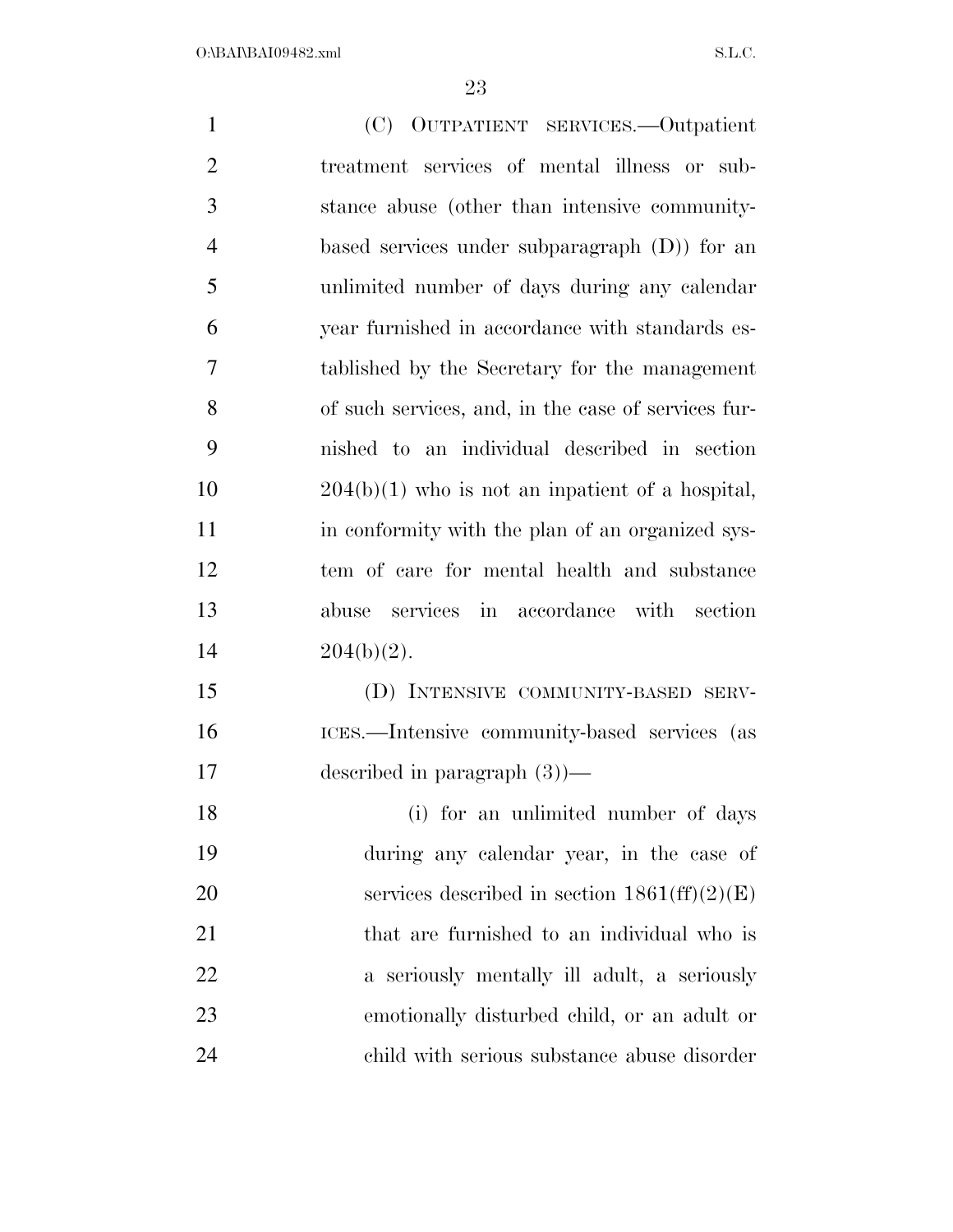| $\mathbf{1}$   | (C) OUTPATIENT SERVICES.--Outpatient                         |
|----------------|--------------------------------------------------------------|
| $\overline{2}$ | treatment services of mental illness or sub-                 |
| 3              | stance abuse (other than intensive community-                |
| $\overline{4}$ | based services under subparagraph $(D)$ for an               |
| 5              | unlimited number of days during any calendar                 |
| 6              | year furnished in accordance with standards es-              |
| 7              | tablished by the Secretary for the management                |
| 8              | of such services, and, in the case of services fur-          |
| 9              | nished to an individual described in section                 |
| 10             | $204(b)(1)$ who is not an inpatient of a hospital,           |
| 11             | in conformity with the plan of an organized sys-             |
| 12             | tem of care for mental health and substance                  |
| 13             | abuse services in accordance with section                    |
| 14             | $204(b)(2)$ .                                                |
| 15             | (D) INTENSIVE COMMUNITY-BASED SERV-                          |
| 16             | ICES.—Intensive community-based services (as                 |
| 17             | described in paragraph $(3)$ )—                              |
| 18             | (i) for an unlimited number of days                          |
| 19             | during any calendar year, in the case of                     |
| 20             | services described in section $1861(\text{ff})(2)(\text{E})$ |
| 21             | that are furnished to an individual who is                   |
| 22             | a seriously mentally ill adult, a seriously                  |
| 23             | emotionally disturbed child, or an adult or                  |
| 24             | child with serious substance abuse disorder                  |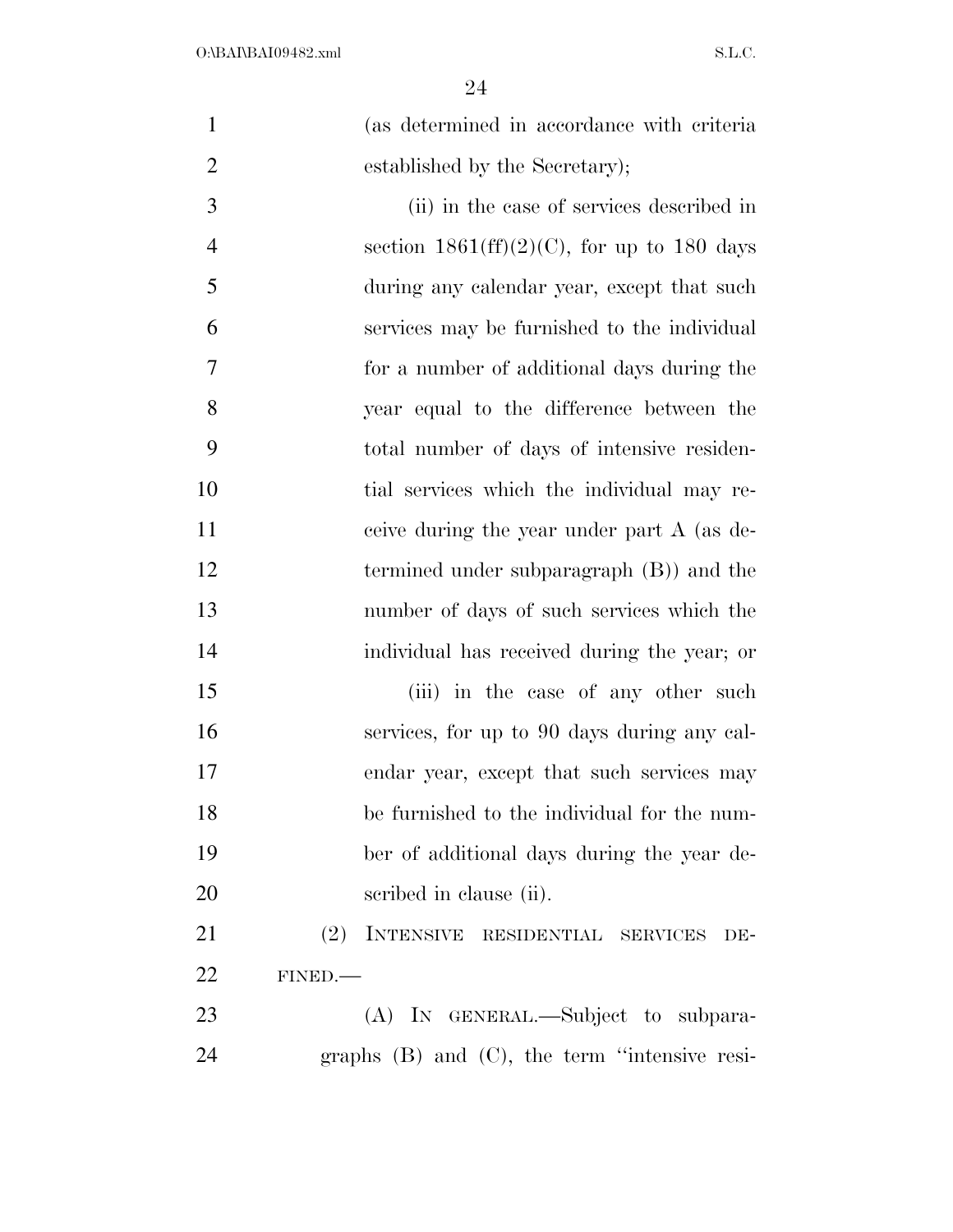| $\mathbf{1}$   | (as determined in accordance with criteria           |
|----------------|------------------------------------------------------|
| $\overline{2}$ | established by the Secretary);                       |
| 3              | (ii) in the case of services described in            |
| $\overline{4}$ | section $1861\text{(ff)}(2)(C)$ , for up to 180 days |
| 5              | during any calendar year, except that such           |
| 6              | services may be furnished to the individual          |
| 7              | for a number of additional days during the           |
| $8\,$          | year equal to the difference between the             |
| 9              | total number of days of intensive residen-           |
| 10             | tial services which the individual may re-           |
| 11             | ceive during the year under part A (as de-           |
| 12             | termined under subparagraph $(B)$ and the            |
| 13             | number of days of such services which the            |
| 14             | individual has received during the year; or          |
| 15             | (iii) in the case of any other such                  |
| 16             | services, for up to 90 days during any cal-          |
| 17             | endar year, except that such services may            |
| 18             | be furnished to the individual for the num-          |
| 19             | ber of additional days during the year de-           |
| 20             | scribed in clause (ii).                              |
| 21             | (2)<br>INTENSIVE RESIDENTIAL SERVICES<br>DE-         |
| 22             | FINED.                                               |
| 23             | (A) IN GENERAL.—Subject to subpara-                  |
| 24             | graphs $(B)$ and $(C)$ , the term "intensive resi-   |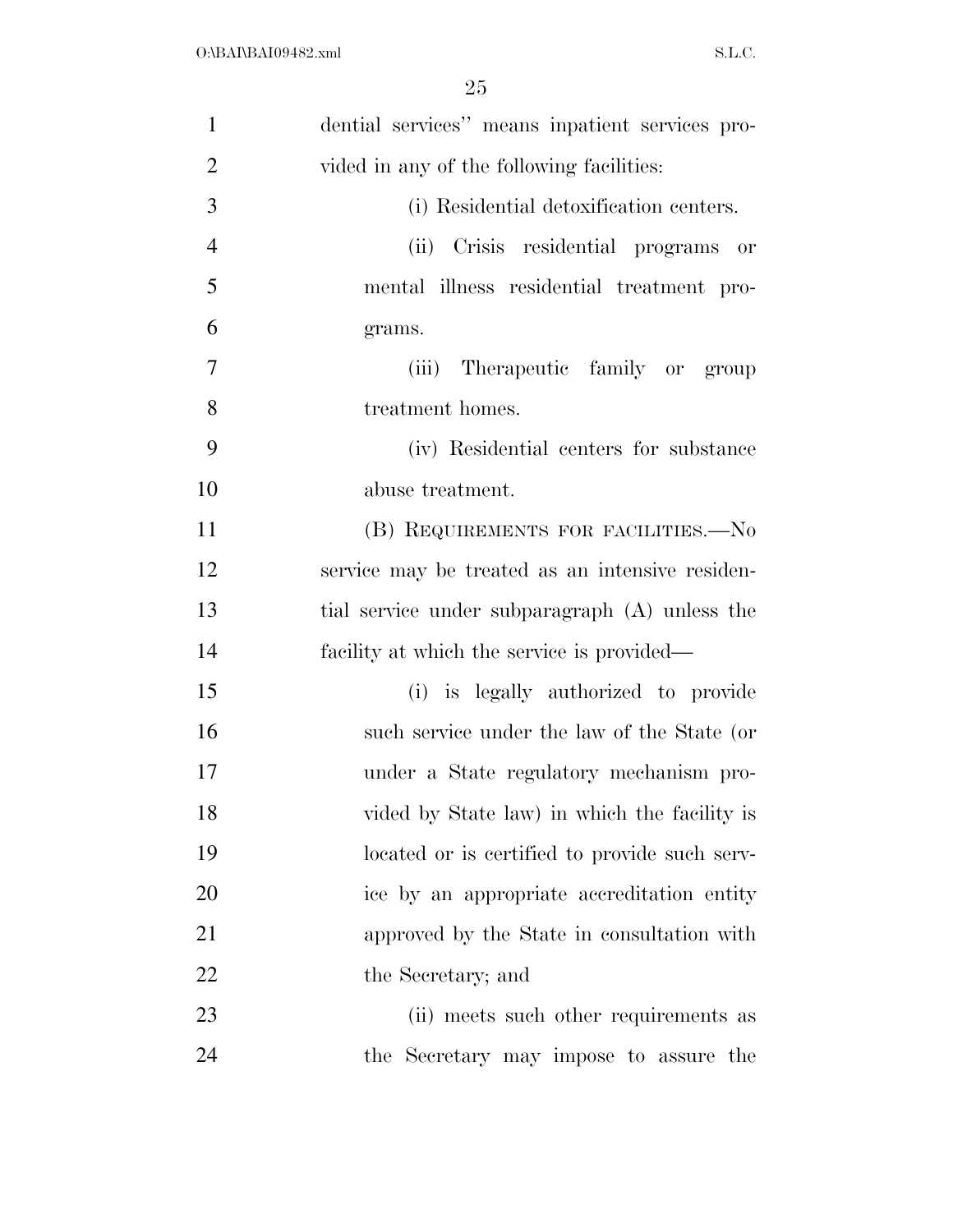| $\mathbf{1}$   | dential services" means inpatient services pro- |
|----------------|-------------------------------------------------|
| $\overline{2}$ | vided in any of the following facilities:       |
| 3              | (i) Residential detoxification centers.         |
| $\overline{4}$ | (ii) Crisis residential programs or             |
| 5              | mental illness residential treatment pro-       |
| 6              | grams.                                          |
| 7              | Therapeutic family or group<br>(iii)            |
| 8              | treatment homes.                                |
| 9              | (iv) Residential centers for substance          |
| 10             | abuse treatment.                                |
| 11             | (B) REQUIREMENTS FOR FACILITIES.-No             |
| 12             | service may be treated as an intensive residen- |
| 13             | tial service under subparagraph (A) unless the  |
| 14             | facility at which the service is provided—      |
| 15             | (i) is legally authorized to provide            |
| 16             | such service under the law of the State (or     |
| 17             | under a State regulatory mechanism pro-         |
| 18             | vided by State law) in which the facility is    |
| 19             | located or is certified to provide such serv-   |
| 20             | ice by an appropriate accreditation entity      |
| 21             | approved by the State in consultation with      |
| 22             | the Secretary; and                              |
| 23             | (ii) meets such other requirements as           |
| 24             | the Secretary may impose to assure the          |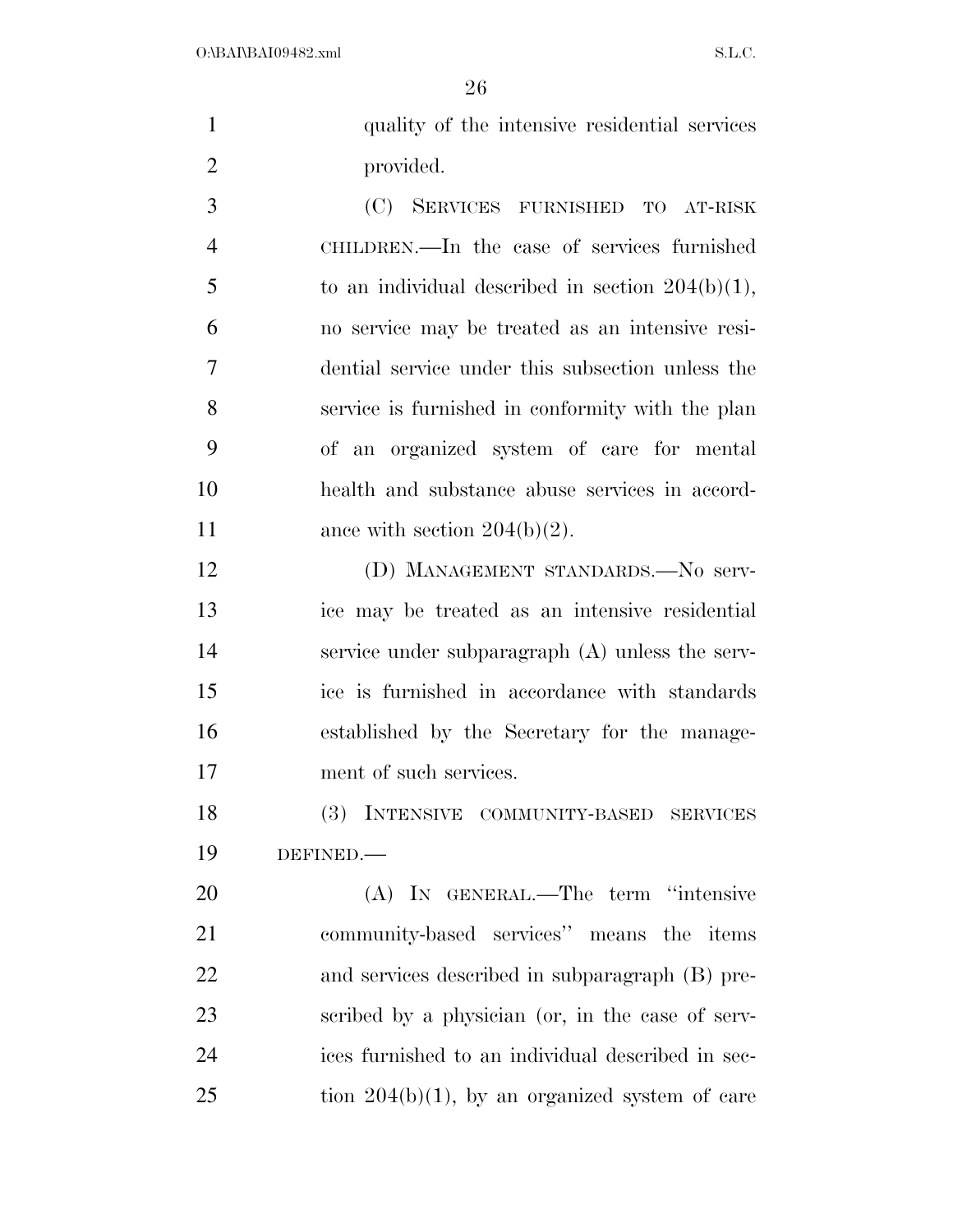| $\mathbf{1}$   | quality of the intensive residential services       |
|----------------|-----------------------------------------------------|
| $\overline{2}$ | provided.                                           |
| 3              | (C)<br>SERVICES FURNISHED TO AT-RISK                |
| $\overline{4}$ | CHILDREN.—In the case of services furnished         |
| 5              | to an individual described in section $204(b)(1)$ , |
| 6              | no service may be treated as an intensive resi-     |
| 7              | dential service under this subsection unless the    |
| 8              | service is furnished in conformity with the plan    |
| 9              | of an organized system of care for mental           |
| 10             | health and substance abuse services in accord-      |
| 11             | ance with section $204(b)(2)$ .                     |
| 12             | (D) MANAGEMENT STANDARDS.—No serv-                  |
| 13             | ice may be treated as an intensive residential      |
| 14             | service under subparagraph (A) unless the serv-     |
| 15             | ice is furnished in accordance with standards       |
| 16             | established by the Secretary for the manage-        |
| 17             | ment of such services.                              |
| 18             | (3) INTENSIVE COMMUNITY-BASED<br><b>SERVICES</b>    |
| 19             | DEFINED.                                            |
| 20             | (A) IN GENERAL.—The term "intensive                 |
| 21             | community-based services" means the items           |
| 22             | and services described in subparagraph (B) pre-     |
| 23             | scribed by a physician (or, in the case of serv-    |
| 24             | ices furnished to an individual described in sec-   |
| 25             | tion $204(b)(1)$ , by an organized system of care   |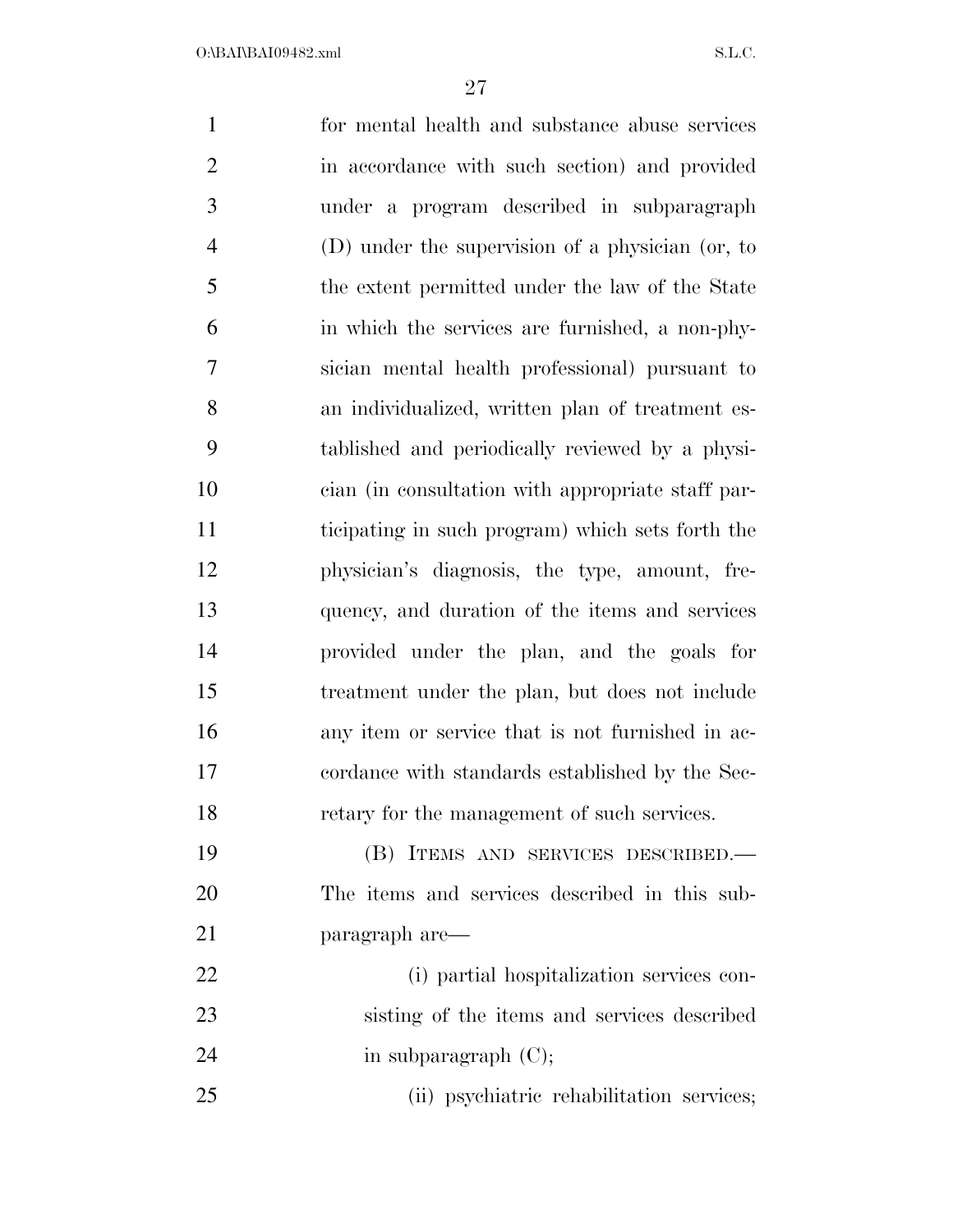for mental health and substance abuse services in accordance with such section) and provided under a program described in subparagraph (D) under the supervision of a physician (or, to the extent permitted under the law of the State in which the services are furnished, a non-phy- sician mental health professional) pursuant to an individualized, written plan of treatment es- tablished and periodically reviewed by a physi- cian (in consultation with appropriate staff par- ticipating in such program) which sets forth the physician's diagnosis, the type, amount, fre- quency, and duration of the items and services provided under the plan, and the goals for treatment under the plan, but does not include any item or service that is not furnished in ac- cordance with standards established by the Sec- retary for the management of such services. (B) ITEMS AND SERVICES DESCRIBED.— The items and services described in this sub- paragraph are— (i) partial hospitalization services con- sisting of the items and services described 24 in subparagraph (C); (ii) psychiatric rehabilitation services;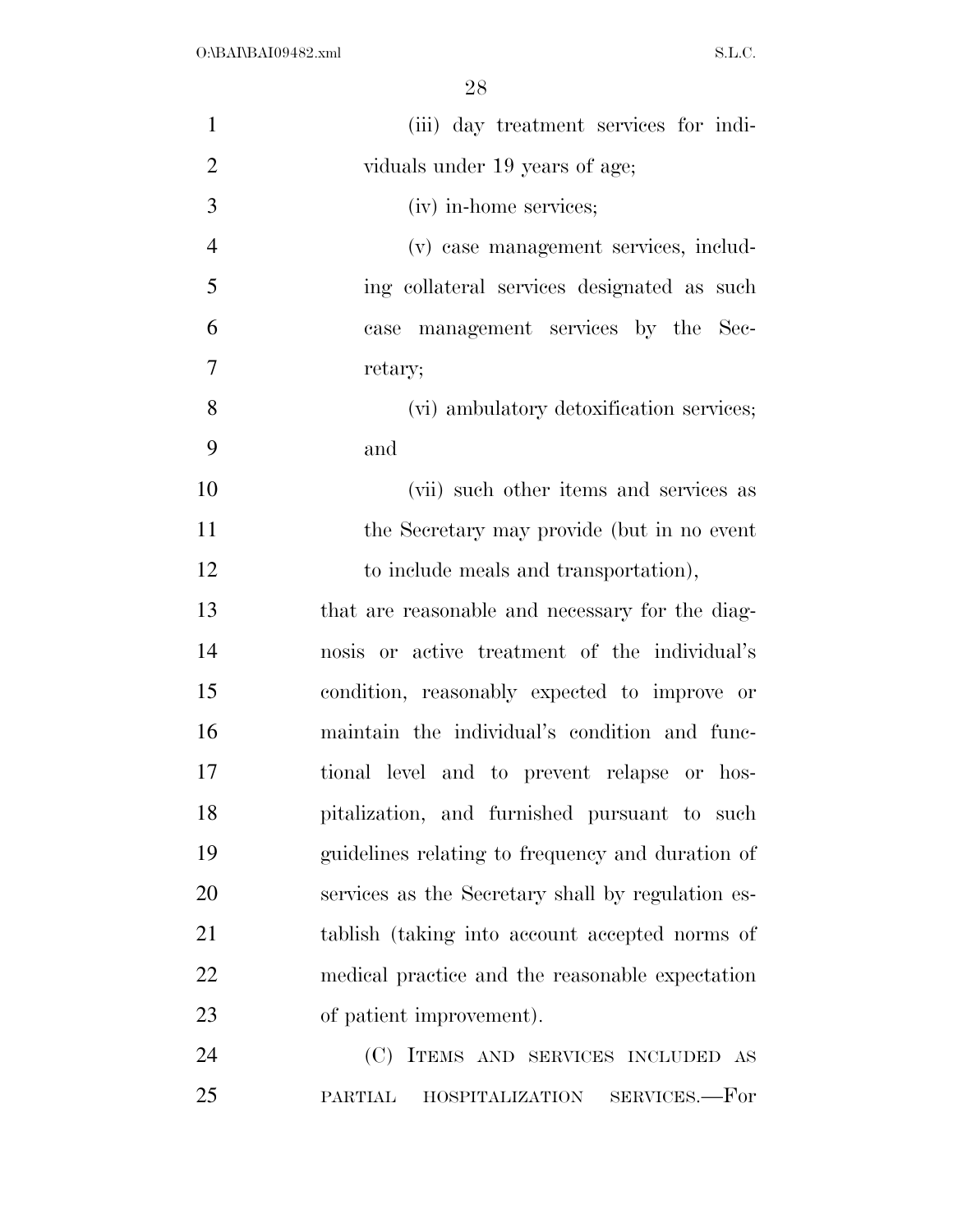| $\mathbf{1}$   | (iii) day treatment services for indi-            |
|----------------|---------------------------------------------------|
| $\overline{2}$ | viduals under 19 years of age;                    |
| 3              | (iv) in-home services;                            |
| $\overline{4}$ | (v) case management services, includ-             |
| 5              | ing collateral services designated as such        |
| 6              | case management services by the Sec-              |
| $\overline{7}$ | retary;                                           |
| 8              | (vi) ambulatory detoxification services;          |
| 9              | and                                               |
| 10             | (vii) such other items and services as            |
| 11             | the Secretary may provide (but in no event        |
| 12             | to include meals and transportation),             |
| 13             | that are reasonable and necessary for the diag-   |
| 14             | nosis or active treatment of the individual's     |
| 15             | condition, reasonably expected to improve or      |
| 16             | maintain the individual's condition and func-     |
| 17             | tional level and to prevent relapse or hos-       |
| 18             | pitalization, and furnished pursuant to such      |
| 19             | guidelines relating to frequency and duration of  |
| 20             | services as the Secretary shall by regulation es- |
| 21             | tablish (taking into account accepted norms of    |
| 22             | medical practice and the reasonable expectation   |
| 23             | of patient improvement).                          |
| 24             | (C) ITEMS AND SERVICES INCLUDED AS                |
| 25             | HOSPITALIZATION SERVICES.—For<br><b>PARTIAL</b>   |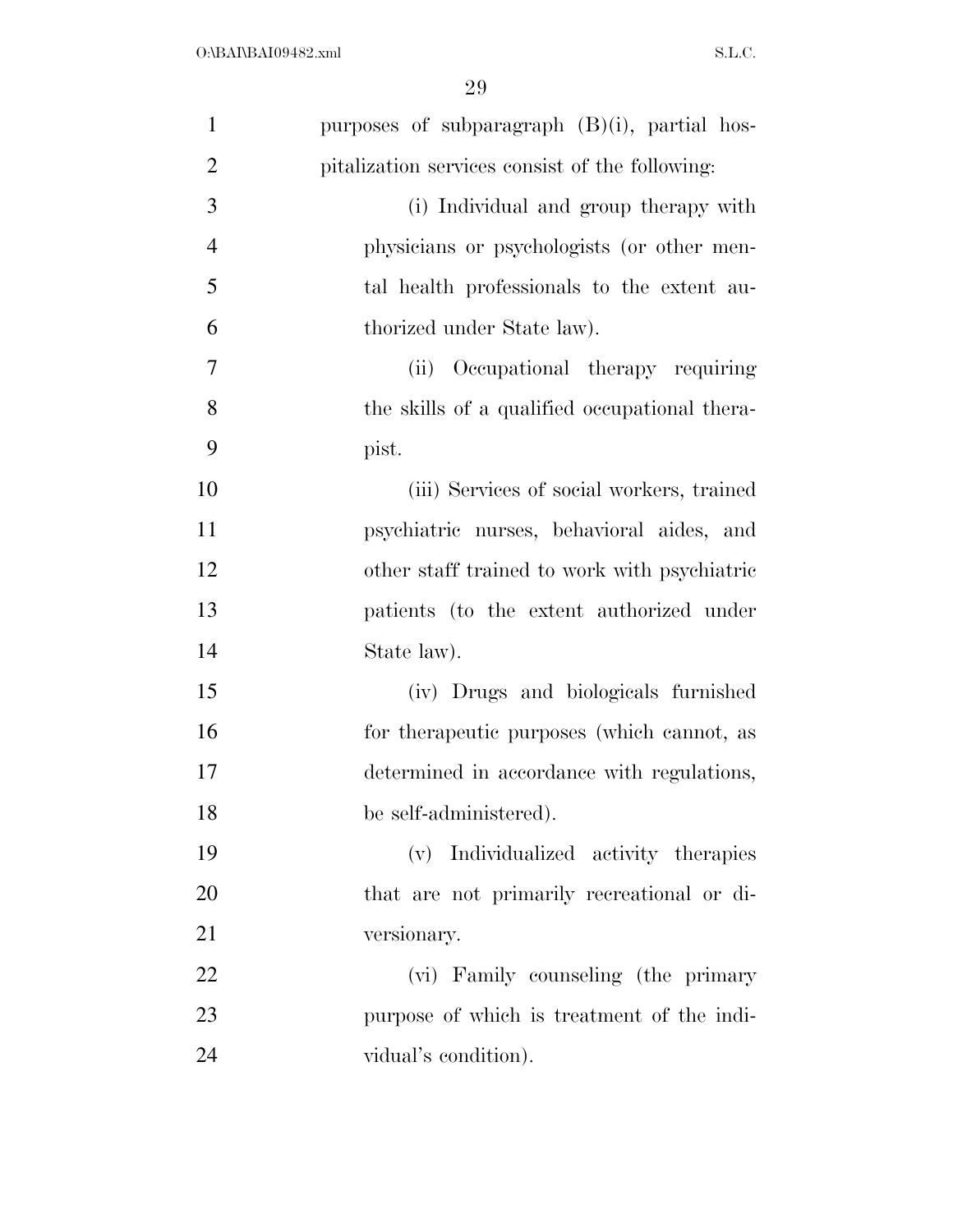| $\mathbf{1}$   | purposes of subparagraph (B)(i), partial hos-   |
|----------------|-------------------------------------------------|
| $\overline{2}$ | pitalization services consist of the following: |
| 3              | (i) Individual and group therapy with           |
| $\overline{4}$ | physicians or psychologists (or other men-      |
| 5              | tal health professionals to the extent au-      |
| 6              | thorized under State law).                      |
| 7              | Occupational therapy requiring<br>(ii)          |
| 8              | the skills of a qualified occupational thera-   |
| 9              | pist.                                           |
| 10             | (iii) Services of social workers, trained       |
| 11             | psychiatric nurses, behavioral aides, and       |
| 12             | other staff trained to work with psychiatric    |
| 13             | patients (to the extent authorized under        |
| 14             | State law).                                     |
| 15             | (iv) Drugs and biologicals furnished            |
| 16             | for the rapeutic purposes (which cannot, as     |
| 17             | determined in accordance with regulations,      |
| 18             | be self-administered).                          |
| 19             | (v) Individualized activity therapies           |
| 20             | that are not primarily recreational or di-      |
| 21             | versionary.                                     |
| 22             | (vi) Family counseling (the primary             |
| 23             | purpose of which is treatment of the indi-      |
| 24             | vidual's condition).                            |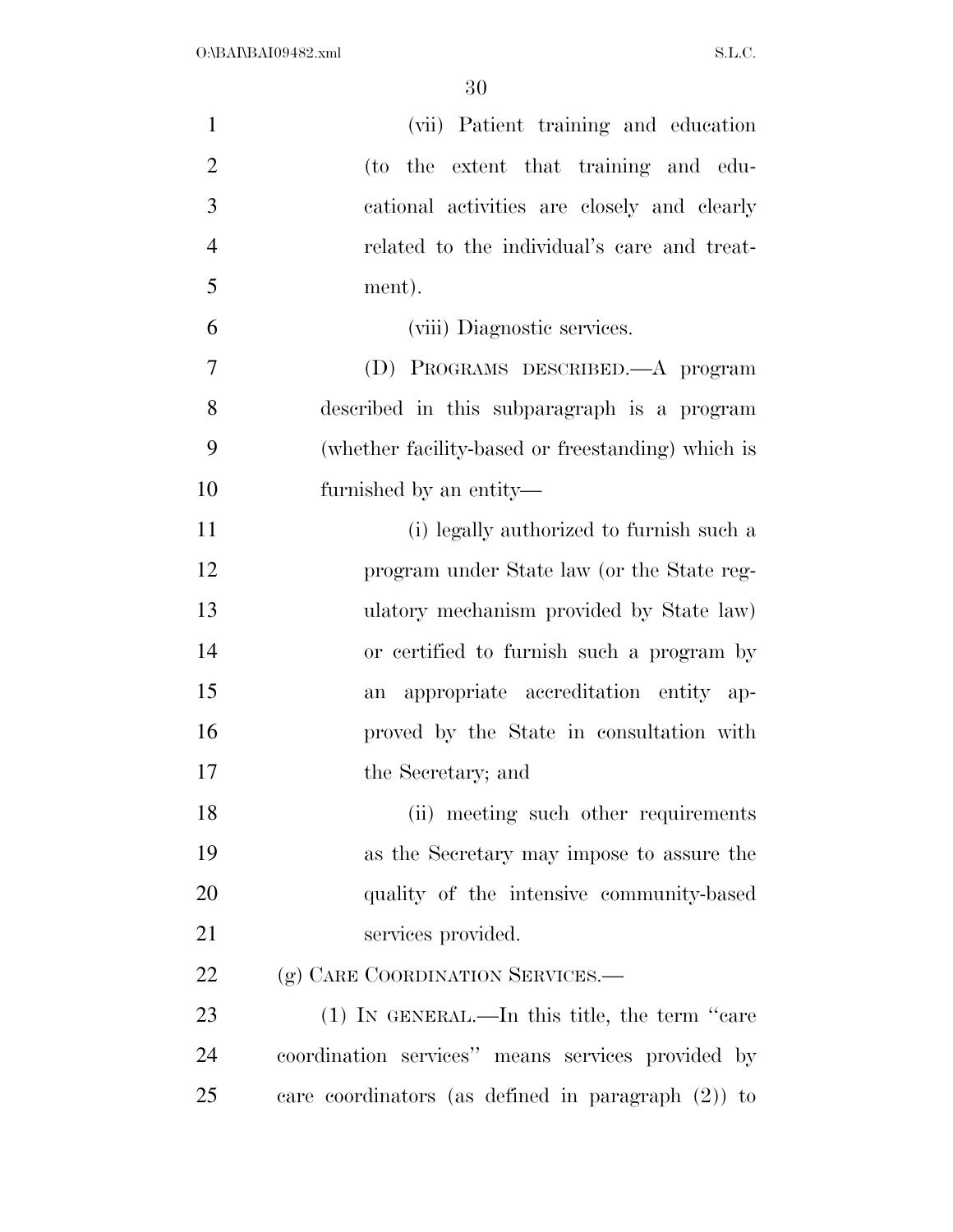| $\mathbf{1}$   | (vii) Patient training and education                  |
|----------------|-------------------------------------------------------|
| $\overline{2}$ | (to the extent that training and edu-                 |
| 3              | cational activities are closely and clearly           |
| $\overline{4}$ | related to the individual's care and treat-           |
| 5              | ment).                                                |
| 6              | (viii) Diagnostic services.                           |
| $\overline{7}$ | (D) PROGRAMS DESCRIBED.—A program                     |
| 8              | described in this subparagraph is a program           |
| 9              | (whether facility-based or freestanding) which is     |
| 10             | furnished by an entity—                               |
| 11             | (i) legally authorized to furnish such a              |
| 12             | program under State law (or the State reg-            |
| 13             | ulatory mechanism provided by State law)              |
| 14             | or certified to furnish such a program by             |
| 15             | appropriate accreditation entity ap-<br>an            |
| 16             | proved by the State in consultation with              |
| 17             | the Secretary; and                                    |
| 18             | (ii) meeting such other requirements                  |
| 19             | as the Secretary may impose to assure the             |
| 20             | quality of the intensive community-based              |
| 21             | services provided.                                    |
| 22             | (g) CARE COORDINATION SERVICES.—                      |
| 23             | $(1)$ IN GENERAL.—In this title, the term "care"      |
| 24             | coordination services" means services provided by     |
| 25             | care coordinators (as defined in paragraph $(2)$ ) to |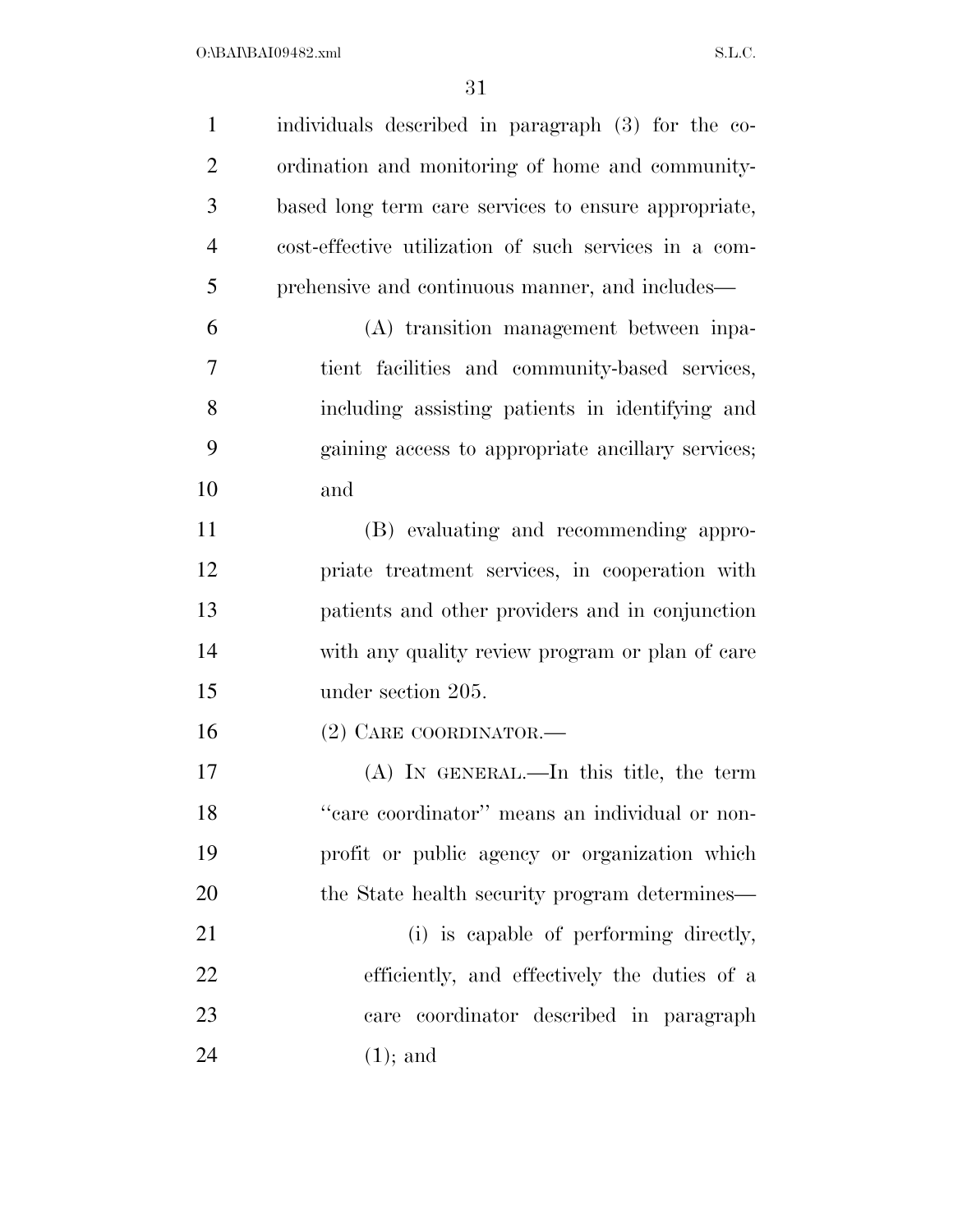| $\mathbf{1}$   | individuals described in paragraph (3) for the co-    |
|----------------|-------------------------------------------------------|
| $\overline{2}$ | ordination and monitoring of home and community-      |
| 3              | based long term care services to ensure appropriate,  |
| $\overline{4}$ | cost-effective utilization of such services in a com- |
| 5              | prehensive and continuous manner, and includes—       |
| 6              | (A) transition management between inpa-               |
| 7              | tient facilities and community-based services,        |
| 8              | including assisting patients in identifying and       |
| 9              | gaining access to appropriate ancillary services;     |
| 10             | and                                                   |
| 11             | (B) evaluating and recommending appro-                |
| 12             | priate treatment services, in cooperation with        |
| 13             | patients and other providers and in conjunction       |
| 14             | with any quality review program or plan of care       |
| 15             | under section 205.                                    |
| 16             | $(2)$ CARE COORDINATOR.—                              |
| 17             | $(A)$ In GENERAL.—In this title, the term             |
| 18             | "care coordinator" means an individual or non-        |
| 19             | profit or public agency or organization which         |
| 20             | the State health security program determines—         |
| 21             | (i) is capable of performing directly,                |
| 22             | efficiently, and effectively the duties of a          |
| 23             | coordinator described in paragraph<br>care            |
| 24             | $(1)$ ; and                                           |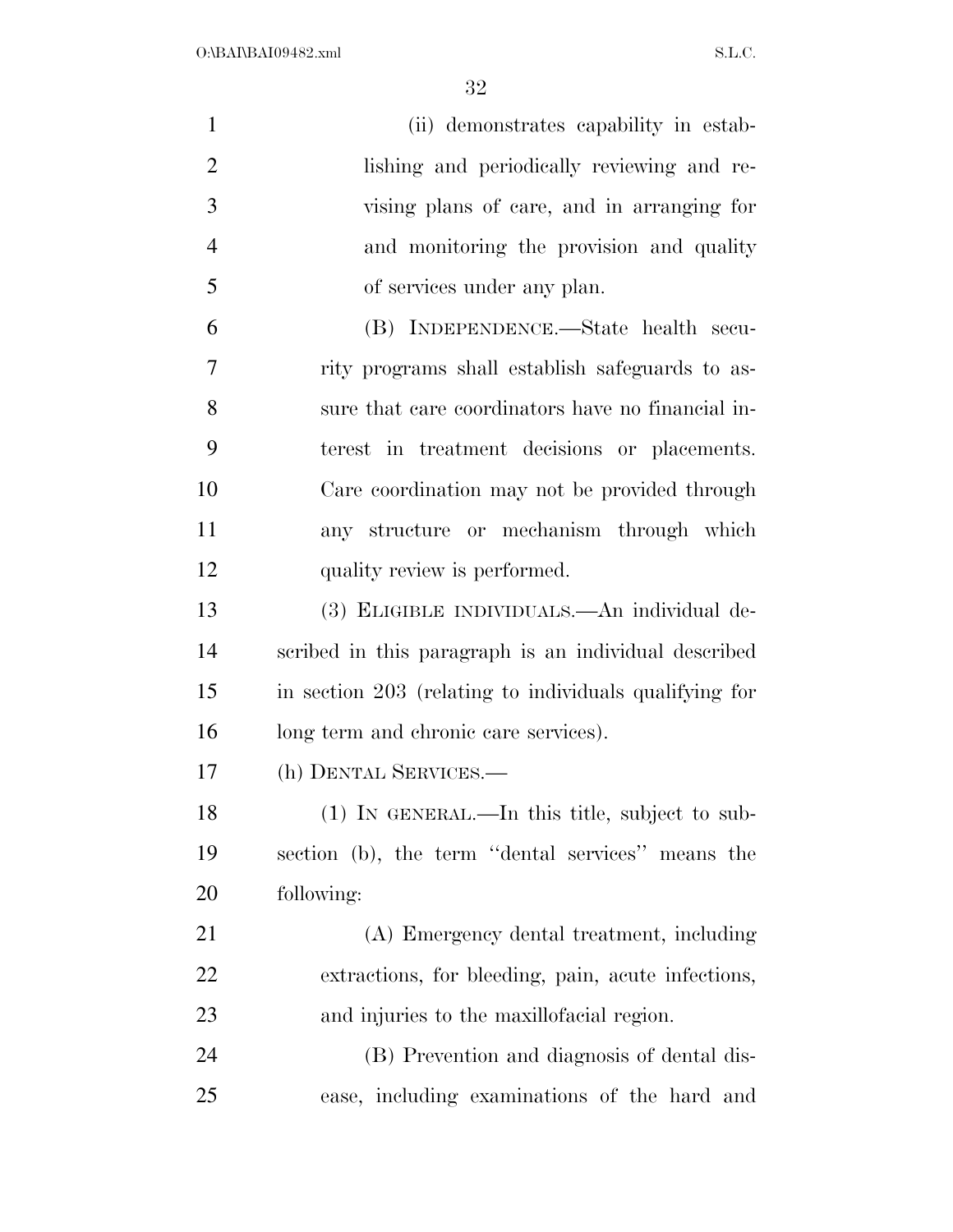$O:\bbox{BANBAI09482.xml}$  S.L.C.

| $\mathbf{1}$   | (ii) demonstrates capability in estab-                 |
|----------------|--------------------------------------------------------|
| $\overline{2}$ | lishing and periodically reviewing and re-             |
| 3              | vising plans of care, and in arranging for             |
| $\overline{4}$ | and monitoring the provision and quality               |
| 5              | of services under any plan.                            |
| 6              | (B) INDEPENDENCE.—State health secu-                   |
| 7              | rity programs shall establish safeguards to as-        |
| 8              | sure that care coordinators have no financial in-      |
| 9              | terest in treatment decisions or placements.           |
| 10             | Care coordination may not be provided through          |
| 11             | any structure or mechanism through which               |
| 12             | quality review is performed.                           |
| 13             | (3) ELIGIBLE INDIVIDUALS.—An individual de-            |
| 14             | scribed in this paragraph is an individual described   |
| 15             | in section 203 (relating to individuals qualifying for |
| 16             | long term and chronic care services).                  |
| 17             | (h) DENTAL SERVICES.—                                  |
| 18             | $(1)$ In GENERAL.—In this title, subject to sub-       |
| 19             | section (b), the term "dental services" means the      |
| 20             | following:                                             |
| 21             | (A) Emergency dental treatment, including              |
| <u>22</u>      | extractions, for bleeding, pain, acute infections,     |
| 23             | and injuries to the maxillofacial region.              |
| 24             | (B) Prevention and diagnosis of dental dis-            |
| 25             | ease, including examinations of the hard and           |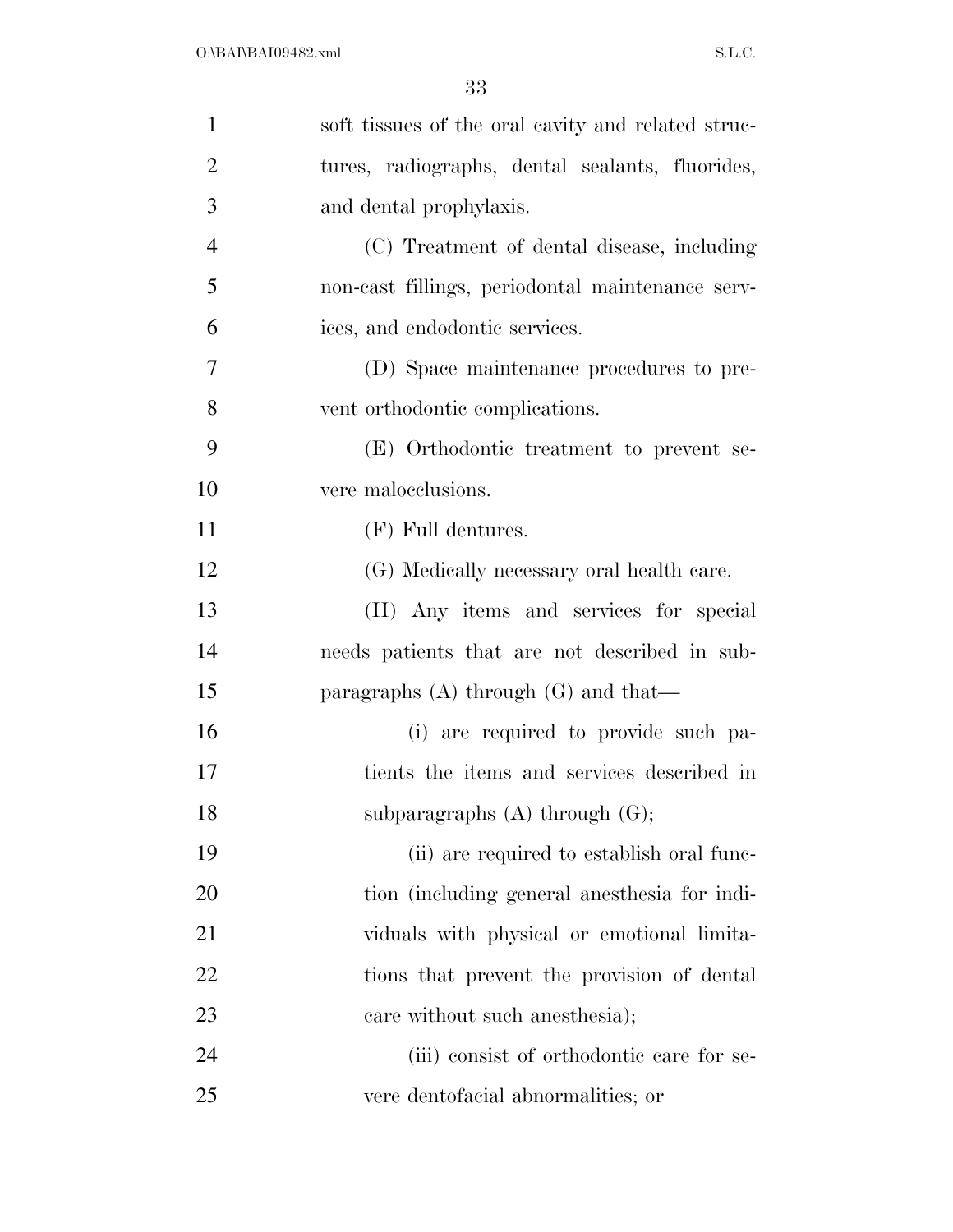| $\mathbf{1}$   | soft tissues of the oral cavity and related struc- |
|----------------|----------------------------------------------------|
| $\overline{2}$ | tures, radiographs, dental sealants, fluorides,    |
| 3              | and dental prophylaxis.                            |
| $\overline{4}$ | (C) Treatment of dental disease, including         |
| 5              | non-cast fillings, periodontal maintenance serv-   |
| 6              | ices, and endodontic services.                     |
| 7              | (D) Space maintenance procedures to pre-           |
| 8              | vent orthodontic complications.                    |
| 9              | (E) Orthodontic treatment to prevent se-           |
| 10             | vere malocclusions.                                |
| 11             | $(F)$ Full dentures.                               |
| 12             | (G) Medically necessary oral health care.          |
| 13             | (H) Any items and services for special             |
| 14             | needs patients that are not described in sub-      |
| 15             | paragraphs $(A)$ through $(G)$ and that—           |
| 16             | (i) are required to provide such pa-               |
| 17             | tients the items and services described in         |
| 18             | subparagraphs $(A)$ through $(G)$ ;                |
| 19             | (ii) are required to establish oral func-          |
| 20             | tion (including general anesthesia for indi-       |
| 21             | viduals with physical or emotional limita-         |
| 22             | tions that prevent the provision of dental         |
| 23             | care without such anosthesia);                     |
| 24             | (iii) consist of orthodontic care for se-          |
| 25             | vere dentofacial abnormalities; or                 |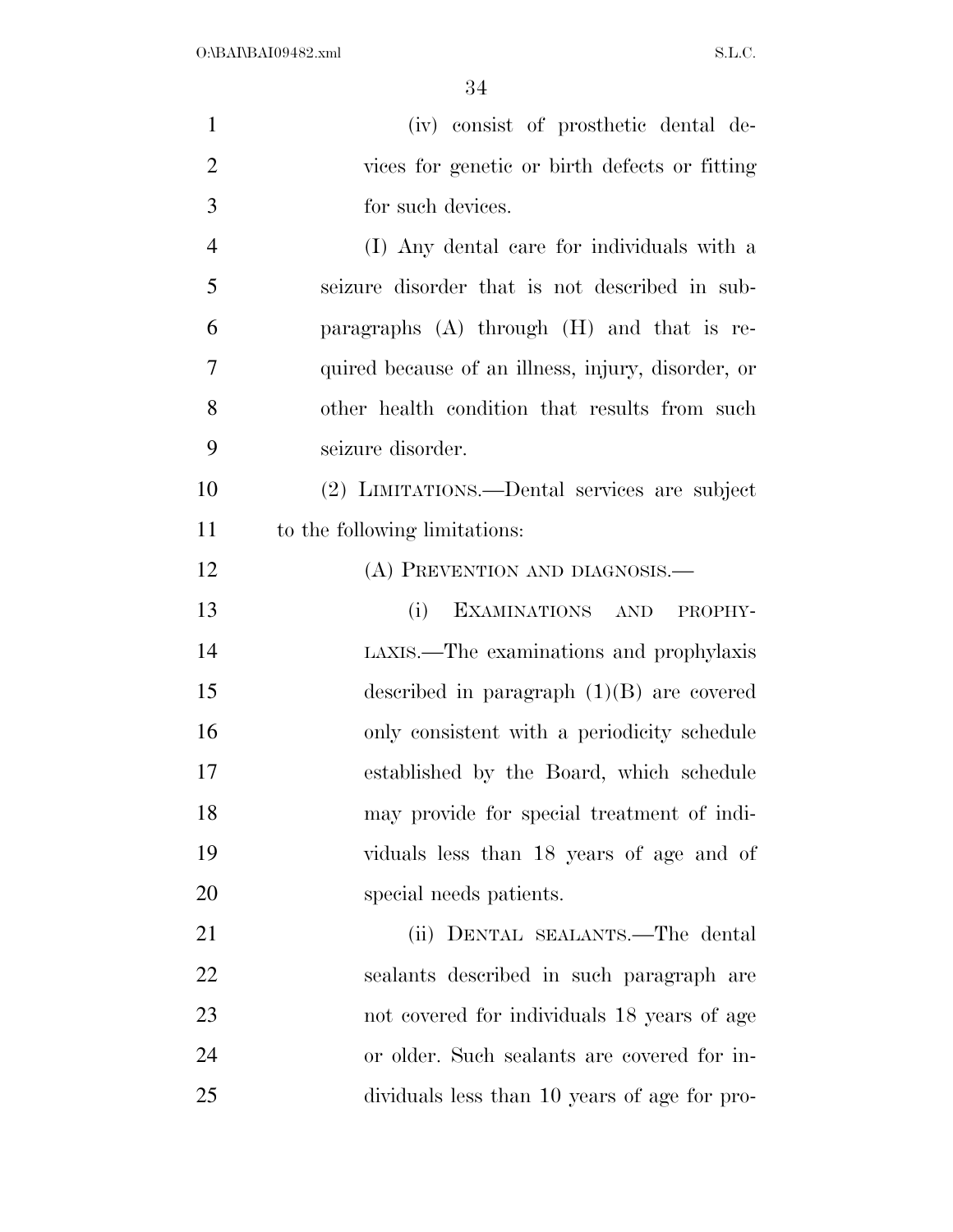| $\mathbf{1}$   | (iv) consist of prosthetic dental de-              |
|----------------|----------------------------------------------------|
| $\overline{2}$ | vices for genetic or birth defects or fitting      |
| 3              | for such devices.                                  |
| $\overline{4}$ | (I) Any dental care for individuals with a         |
| 5              | seizure disorder that is not described in sub-     |
| 6              | paragraphs $(A)$ through $(H)$ and that is re-     |
| 7              | quired because of an illness, injury, disorder, or |
| 8              | other health condition that results from such      |
| 9              | seizure disorder.                                  |
| 10             | (2) LIMITATIONS.—Dental services are subject       |
| 11             | to the following limitations:                      |
| 12             | (A) PREVENTION AND DIAGNOSIS.—                     |
| 13             | EXAMINATIONS AND<br>(i)<br>PROPHY-                 |
| 14             | LAXIS.—The examinations and prophylaxis            |
| 15             | described in paragraph $(1)(B)$ are covered        |
| 16             | only consistent with a periodicity schedule        |
| 17             | established by the Board, which schedule           |
| 18             | may provide for special treatment of indi-         |
| 19             | viduals less than 18 years of age and of           |
| 20             | special needs patients.                            |
| 21             | (ii) DENTAL SEALANTS.—The dental                   |
| 22             | sealants described in such paragraph are           |
| 23             | not covered for individuals 18 years of age        |
| 24             | or older. Such sealants are covered for in-        |
| 25             | dividuals less than 10 years of age for pro-       |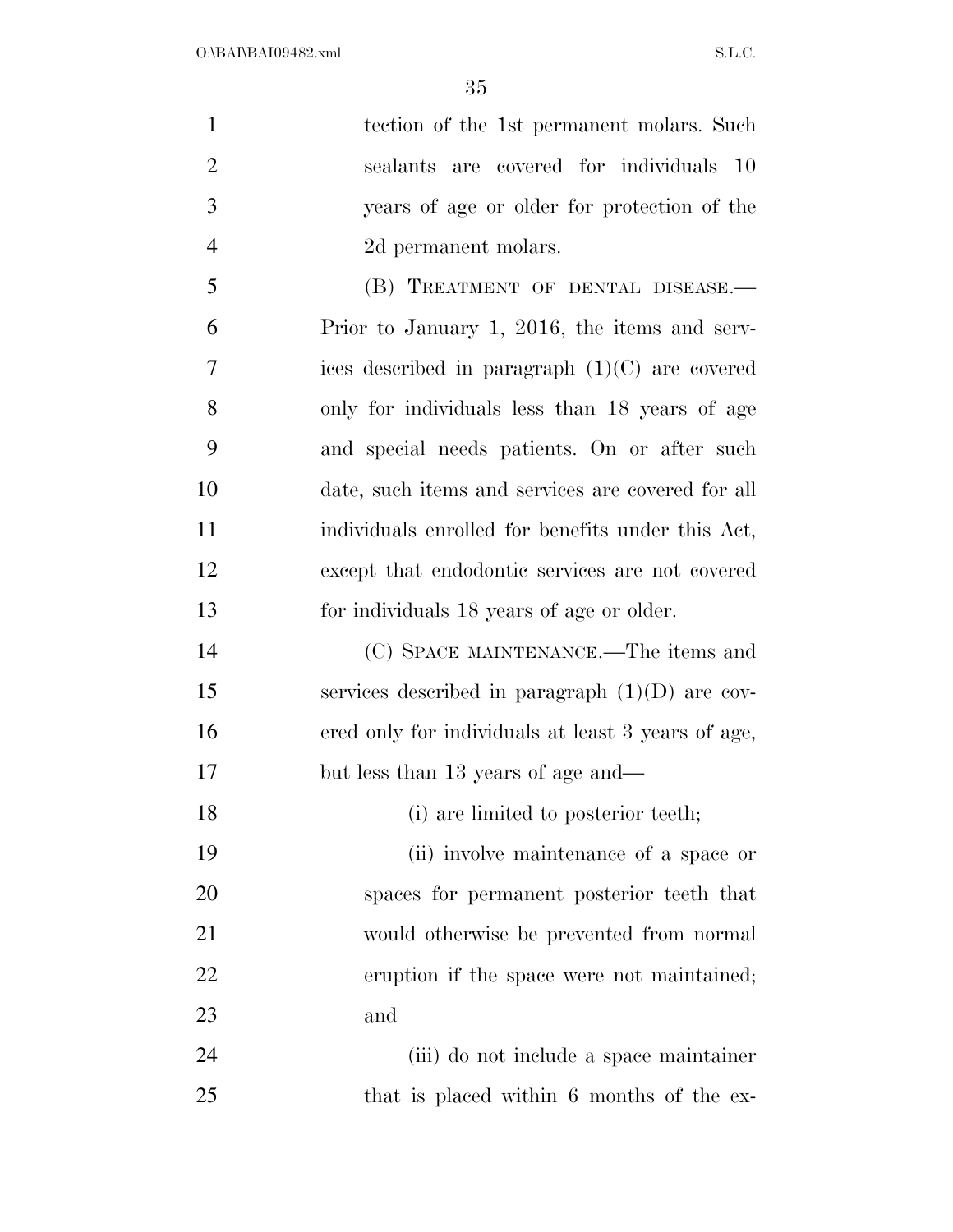| $\mathbf{1}$   | tection of the 1st permanent molars. Such          |
|----------------|----------------------------------------------------|
| $\overline{2}$ | sealants are covered for individuals 10            |
| 3              | years of age or older for protection of the        |
| $\overline{4}$ | 2d permanent molars.                               |
| 5              | (B) TREATMENT OF DENTAL DISEASE.-                  |
| 6              | Prior to January 1, 2016, the items and serv-      |
| 7              | ices described in paragraph $(1)(C)$ are covered   |
| 8              | only for individuals less than 18 years of age     |
| 9              | and special needs patients. On or after such       |
| 10             | date, such items and services are covered for all  |
| 11             | individuals enrolled for benefits under this Act,  |
| 12             | except that endodontic services are not covered    |
| 13             | for individuals 18 years of age or older.          |
| 14             | (C) SPACE MAINTENANCE.—The items and               |
| 15             | services described in paragraph $(1)(D)$ are cov-  |
| 16             | ered only for individuals at least 3 years of age, |
| 17             | but less than 13 years of age and—                 |
| 18             | (i) are limited to posterior teeth;                |
| 19             | (ii) involve maintenance of a space or             |
| 20             | spaces for permanent posterior teeth that          |
| 21             | would otherwise be prevented from normal           |
| 22             | eruption if the space were not maintained;         |
| 23             | and                                                |
| 24             | (iii) do not include a space maintainer            |

that is placed within 6 months of the ex-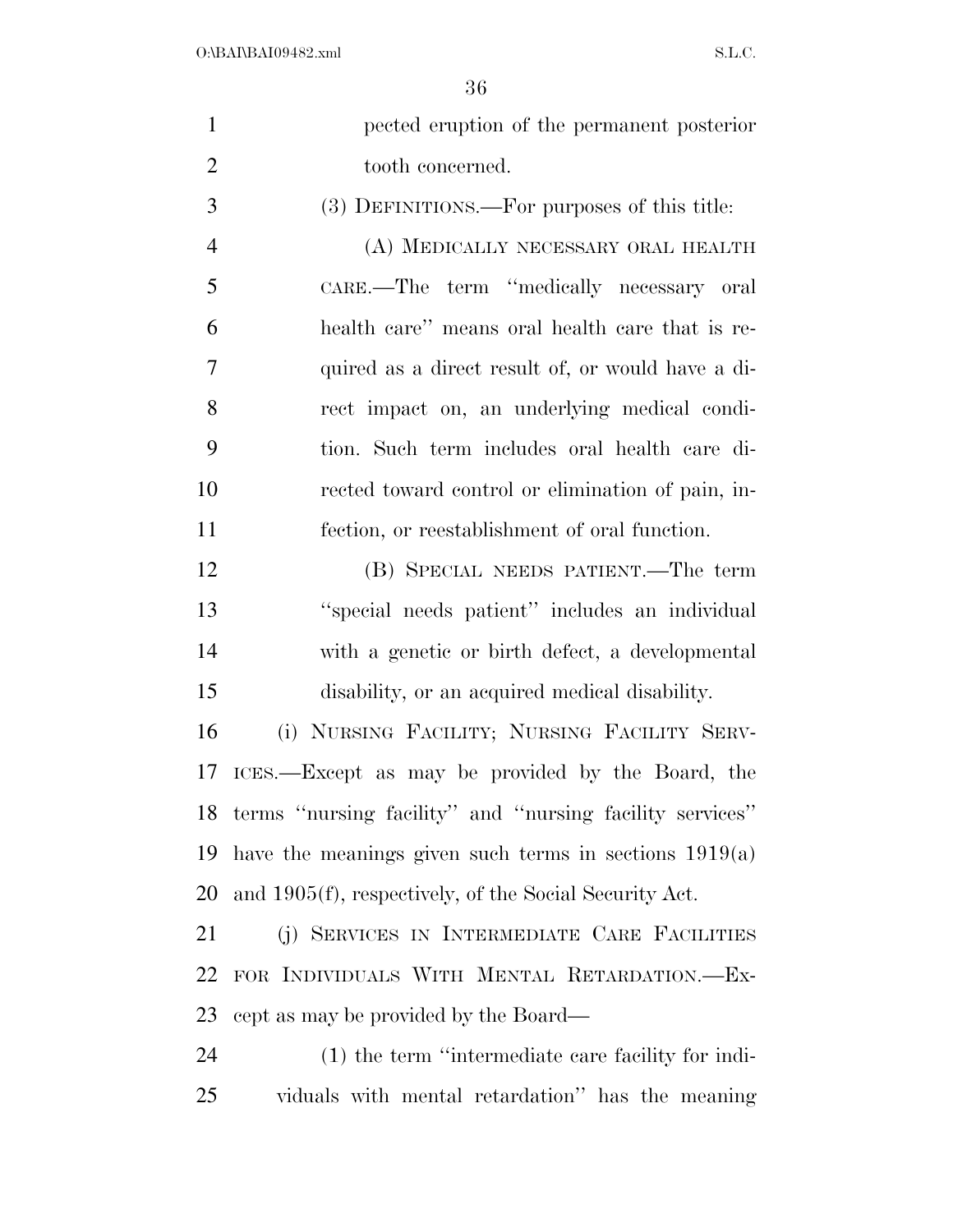| $\mathbf{1}$   | pected eruption of the permanent posterior                  |
|----------------|-------------------------------------------------------------|
| $\overline{2}$ | tooth concerned.                                            |
| 3              | (3) DEFINITIONS.—For purposes of this title:                |
| $\overline{4}$ | (A) MEDICALLY NECESSARY ORAL HEALTH                         |
| 5              | CARE.—The term "medically necessary oral                    |
| 6              | health care" means oral health care that is re-             |
| 7              | quired as a direct result of, or would have a di-           |
| 8              | rect impact on, an underlying medical condi-                |
| 9              | tion. Such term includes oral health care di-               |
| 10             | rected toward control or elimination of pain, in-           |
| 11             | fection, or reestablishment of oral function.               |
| 12             | (B) SPECIAL NEEDS PATIENT.—The term                         |
| 13             | "special needs patient" includes an individual              |
| 14             | with a genetic or birth defect, a developmental             |
| 15             | disability, or an acquired medical disability.              |
| 16             | (i) NURSING FACILITY; NURSING FACILITY SERV-                |
| 17             | ICES.—Except as may be provided by the Board, the           |
|                | 18 terms "nursing facility" and "nursing facility services" |
| 19             | have the meanings given such terms in sections $1919(a)$    |
| 20             | and 1905(f), respectively, of the Social Security Act.      |
| 21             | (j) SERVICES IN INTERMEDIATE CARE FACILITIES                |
| 22             | FOR INDIVIDUALS WITH MENTAL RETARDATION.-Ex-                |
| 23             | cept as may be provided by the Board—                       |
| 24             | $(1)$ the term "intermediate care facility for indi-        |
| 25             | viduals with mental retardation" has the meaning            |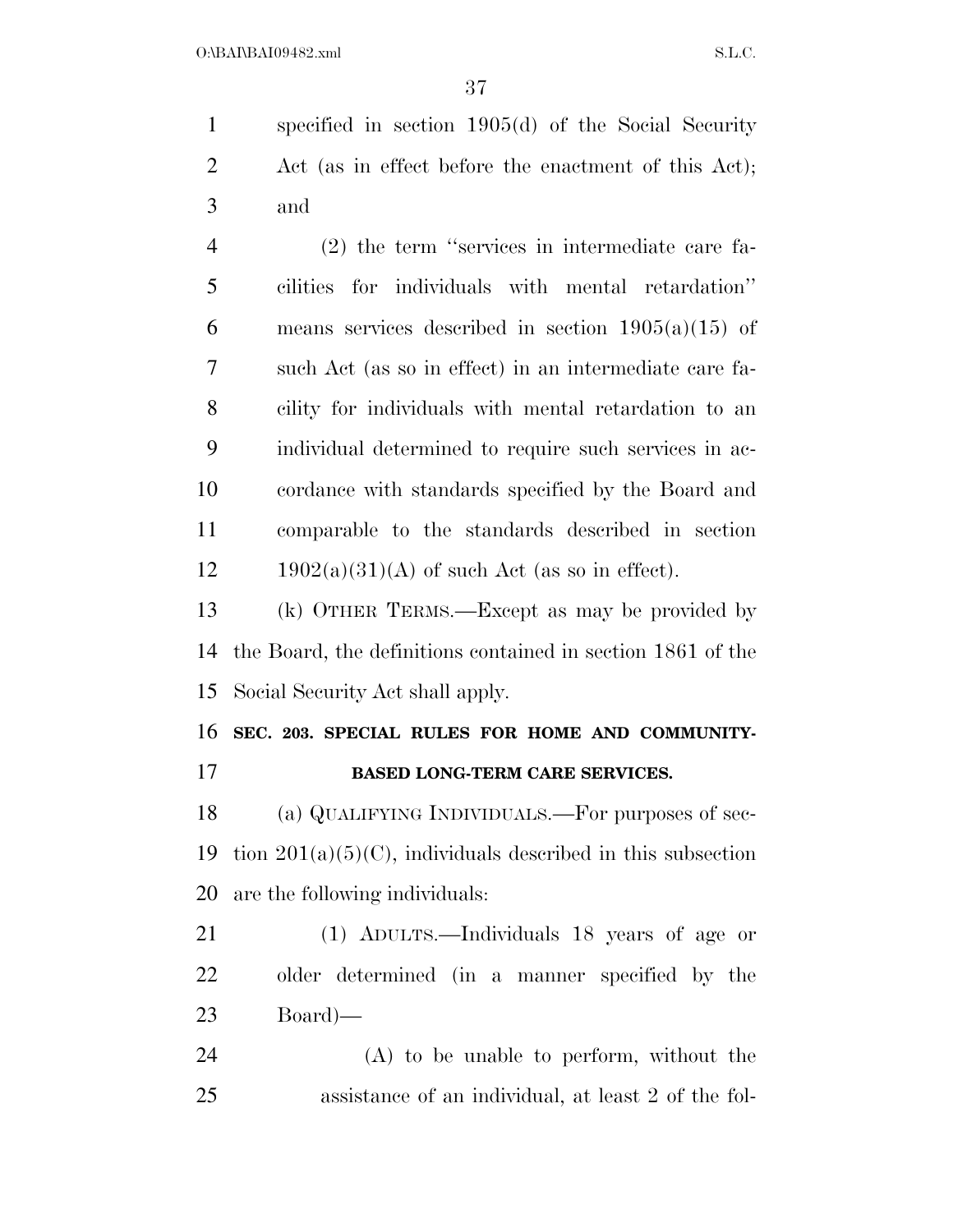specified in section 1905(d) of the Social Security Act (as in effect before the enactment of this Act); and (2) the term ''services in intermediate care fa-

 cilities for individuals with mental retardation'' 6 means services described in section  $1905(a)(15)$  of such Act (as so in effect) in an intermediate care fa- cility for individuals with mental retardation to an individual determined to require such services in ac- cordance with standards specified by the Board and comparable to the standards described in section 12 1902(a)(31)(A) of such Act (as so in effect).

 (k) OTHER TERMS.—Except as may be provided by the Board, the definitions contained in section 1861 of the Social Security Act shall apply.

**SEC. 203. SPECIAL RULES FOR HOME AND COMMUNITY-**

### **BASED LONG-TERM CARE SERVICES.**

 (a) QUALIFYING INDIVIDUALS.—For purposes of sec-19 tion  $201(a)(5)(C)$ , individuals described in this subsection are the following individuals:

 (1) ADULTS.—Individuals 18 years of age or older determined (in a manner specified by the Board)—

 (A) to be unable to perform, without the assistance of an individual, at least 2 of the fol-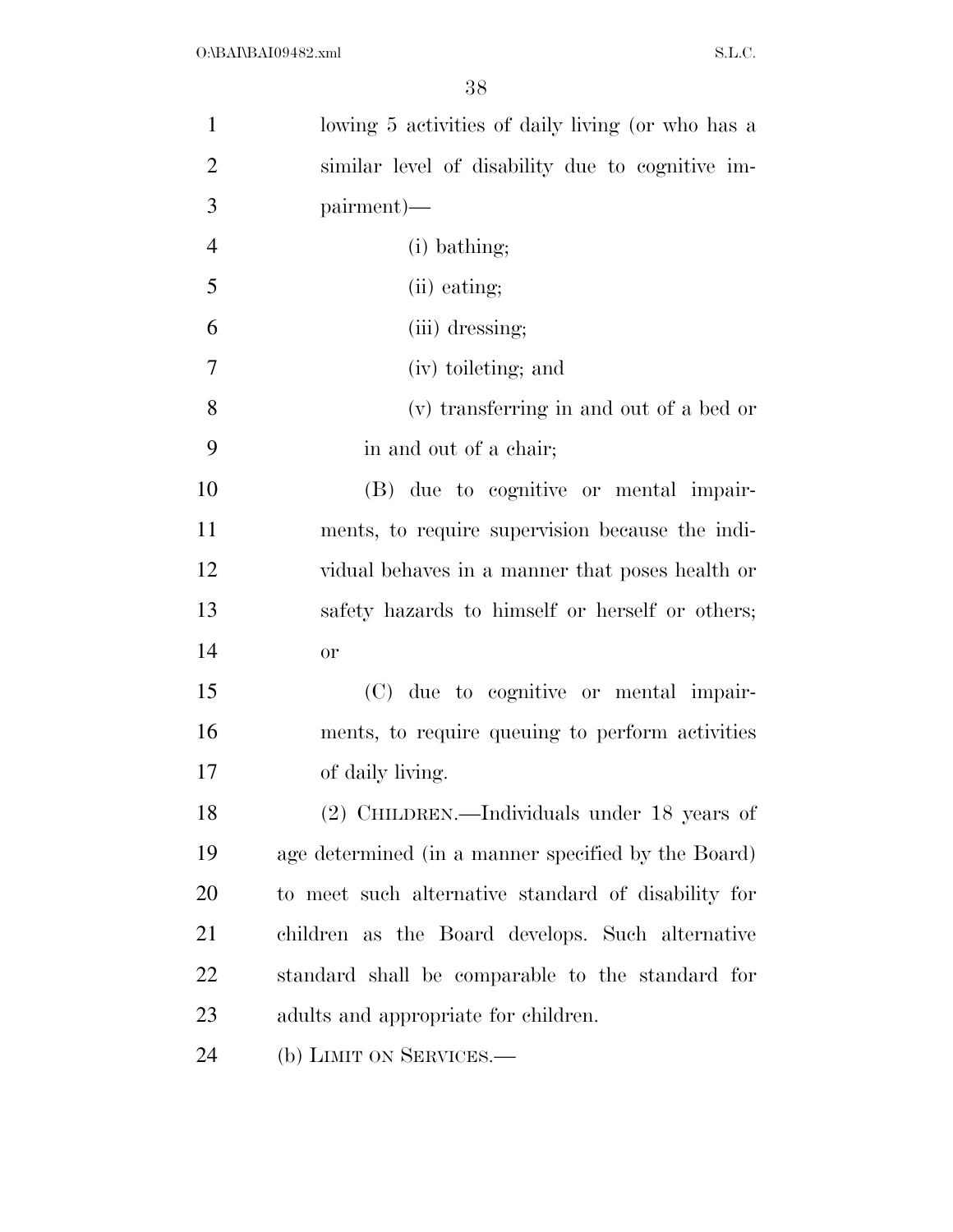| $\mathbf{1}$   | lowing 5 activities of daily living (or who has a   |
|----------------|-----------------------------------------------------|
| $\overline{2}$ | similar level of disability due to cognitive im-    |
| 3              | pairment)—                                          |
| $\overline{4}$ | (i) bathing;                                        |
| 5              | (ii) eating;                                        |
| 6              | (iii) dressing;                                     |
| 7              | (iv) toileting; and                                 |
| 8              | (v) transferring in and out of a bed or             |
| 9              | in and out of a chair;                              |
| 10             | (B) due to cognitive or mental impair-              |
| 11             | ments, to require supervision because the indi-     |
| 12             | vidual behaves in a manner that poses health or     |
| 13             | safety hazards to himself or herself or others;     |
| 14             | <b>or</b>                                           |
| 15             | (C) due to cognitive or mental impair-              |
| 16             | ments, to require queuing to perform activities     |
| 17             | of daily living.                                    |
| 18             | (2) CHILDREN.—Individuals under 18 years of         |
| 19             | age determined (in a manner specified by the Board) |
| 20             | to meet such alternative standard of disability for |
| 21             | children as the Board develops. Such alternative    |
| 22             | standard shall be comparable to the standard for    |
| 23             | adults and appropriate for children.                |
| 24             | (b) LIMIT ON SERVICES.                              |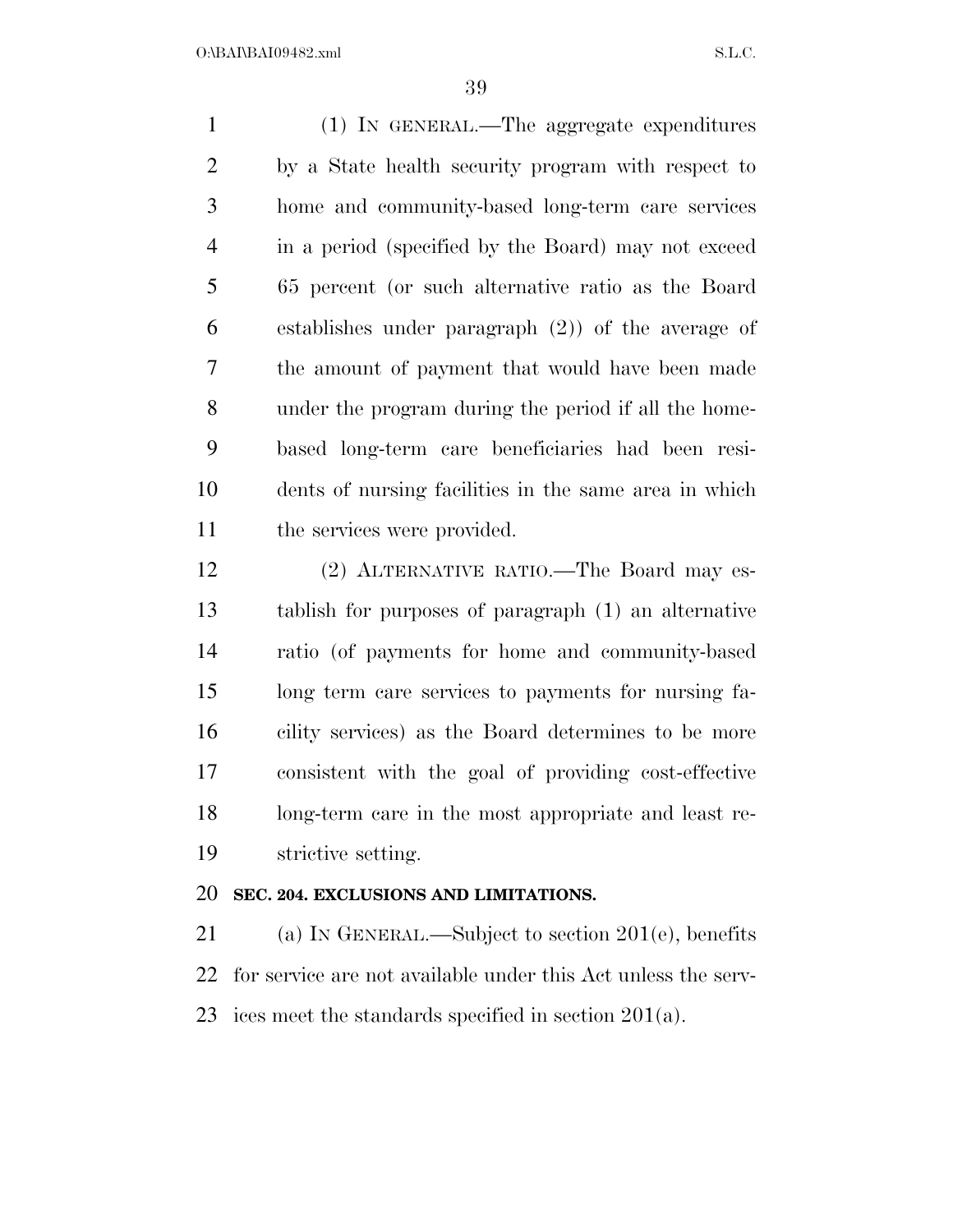(1) IN GENERAL.—The aggregate expenditures by a State health security program with respect to home and community-based long-term care services in a period (specified by the Board) may not exceed 65 percent (or such alternative ratio as the Board establishes under paragraph (2)) of the average of the amount of payment that would have been made under the program during the period if all the home- based long-term care beneficiaries had been resi- dents of nursing facilities in the same area in which the services were provided.

 (2) ALTERNATIVE RATIO.—The Board may es- tablish for purposes of paragraph (1) an alternative ratio (of payments for home and community-based long term care services to payments for nursing fa- cility services) as the Board determines to be more consistent with the goal of providing cost-effective long-term care in the most appropriate and least re-strictive setting.

#### **SEC. 204. EXCLUSIONS AND LIMITATIONS.**

 (a) IN GENERAL.—Subject to section 201(e), benefits for service are not available under this Act unless the serv-ices meet the standards specified in section 201(a).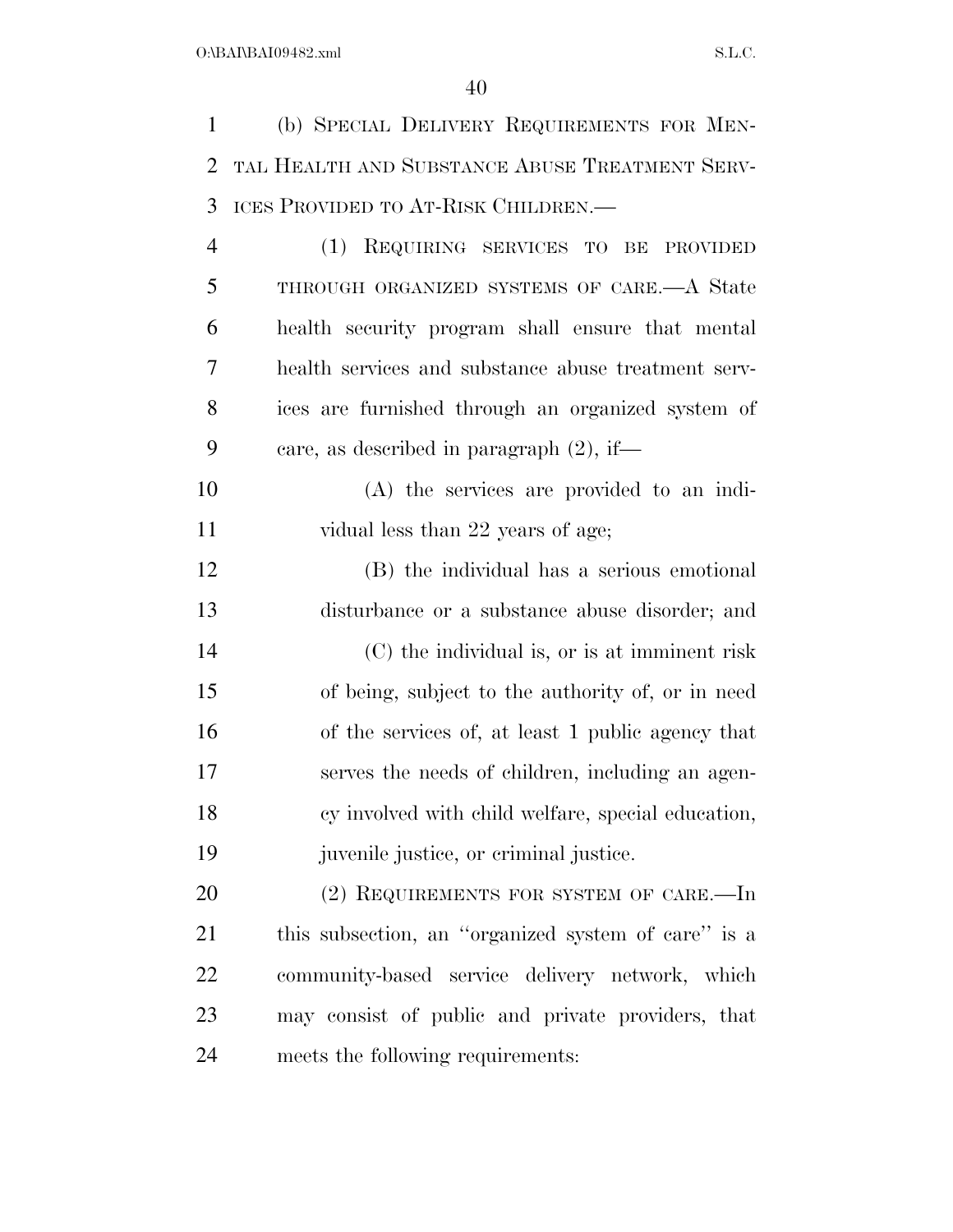(b) SPECIAL DELIVERY REQUIREMENTS FOR MEN- TAL HEALTH AND SUBSTANCE ABUSE TREATMENT SERV- ICES PROVIDED TO AT-RISK CHILDREN.— (1) REQUIRING SERVICES TO BE PROVIDED THROUGH ORGANIZED SYSTEMS OF CARE.—A State health security program shall ensure that mental health services and substance abuse treatment serv- ices are furnished through an organized system of care, as described in paragraph (2), if— (A) the services are provided to an indi-11 vidual less than 22 years of age; (B) the individual has a serious emotional disturbance or a substance abuse disorder; and (C) the individual is, or is at imminent risk of being, subject to the authority of, or in need of the services of, at least 1 public agency that serves the needs of children, including an agen- cy involved with child welfare, special education, juvenile justice, or criminal justice. 20 (2) REQUIREMENTS FOR SYSTEM OF CARE.—In this subsection, an ''organized system of care'' is a community-based service delivery network, which may consist of public and private providers, that meets the following requirements: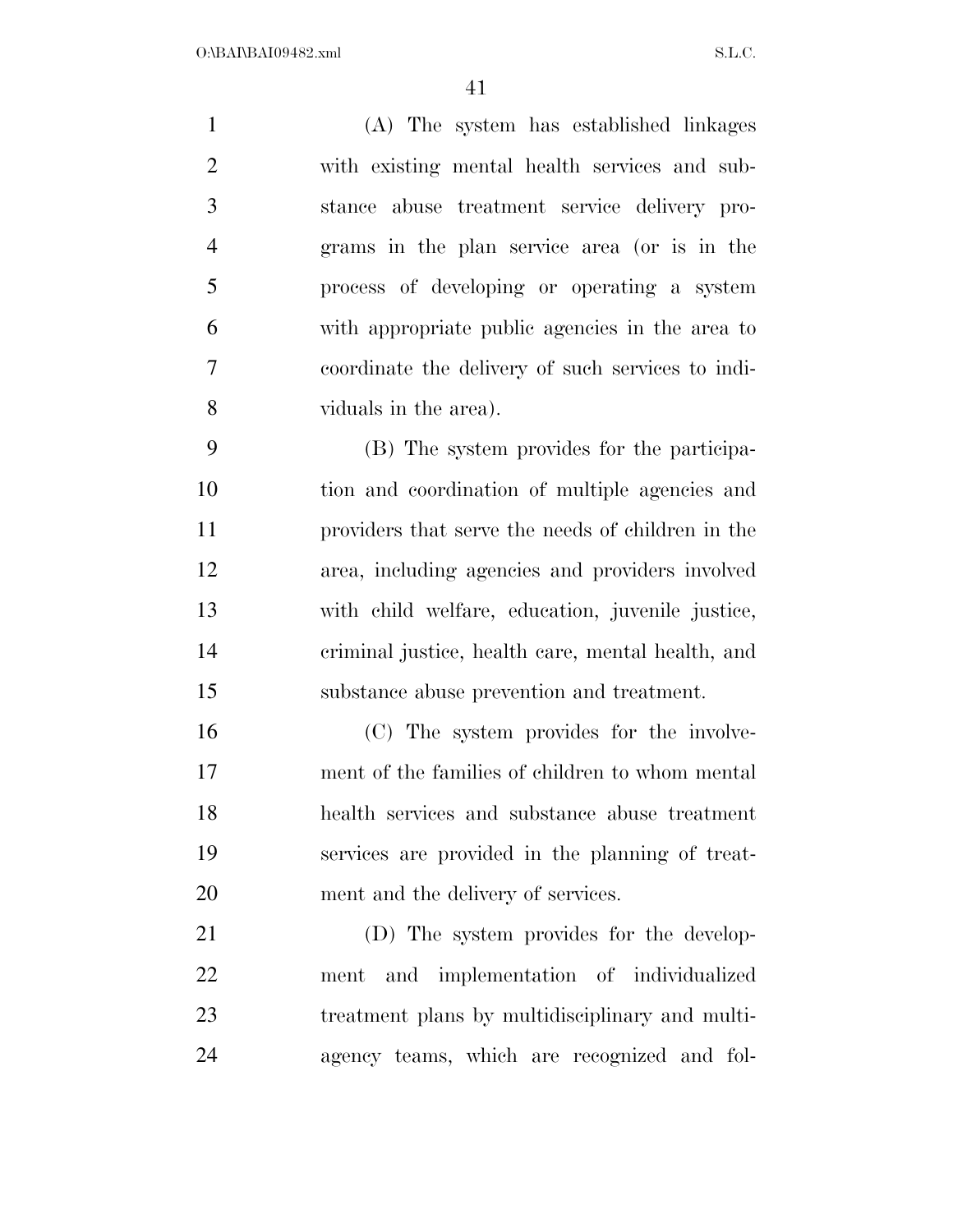(A) The system has established linkages with existing mental health services and sub- stance abuse treatment service delivery pro- grams in the plan service area (or is in the process of developing or operating a system with appropriate public agencies in the area to coordinate the delivery of such services to indi- viduals in the area). (B) The system provides for the participa- tion and coordination of multiple agencies and providers that serve the needs of children in the area, including agencies and providers involved with child welfare, education, juvenile justice, criminal justice, health care, mental health, and substance abuse prevention and treatment. (C) The system provides for the involve- ment of the families of children to whom mental health services and substance abuse treatment services are provided in the planning of treat-ment and the delivery of services.

 (D) The system provides for the develop- ment and implementation of individualized treatment plans by multidisciplinary and multi-agency teams, which are recognized and fol-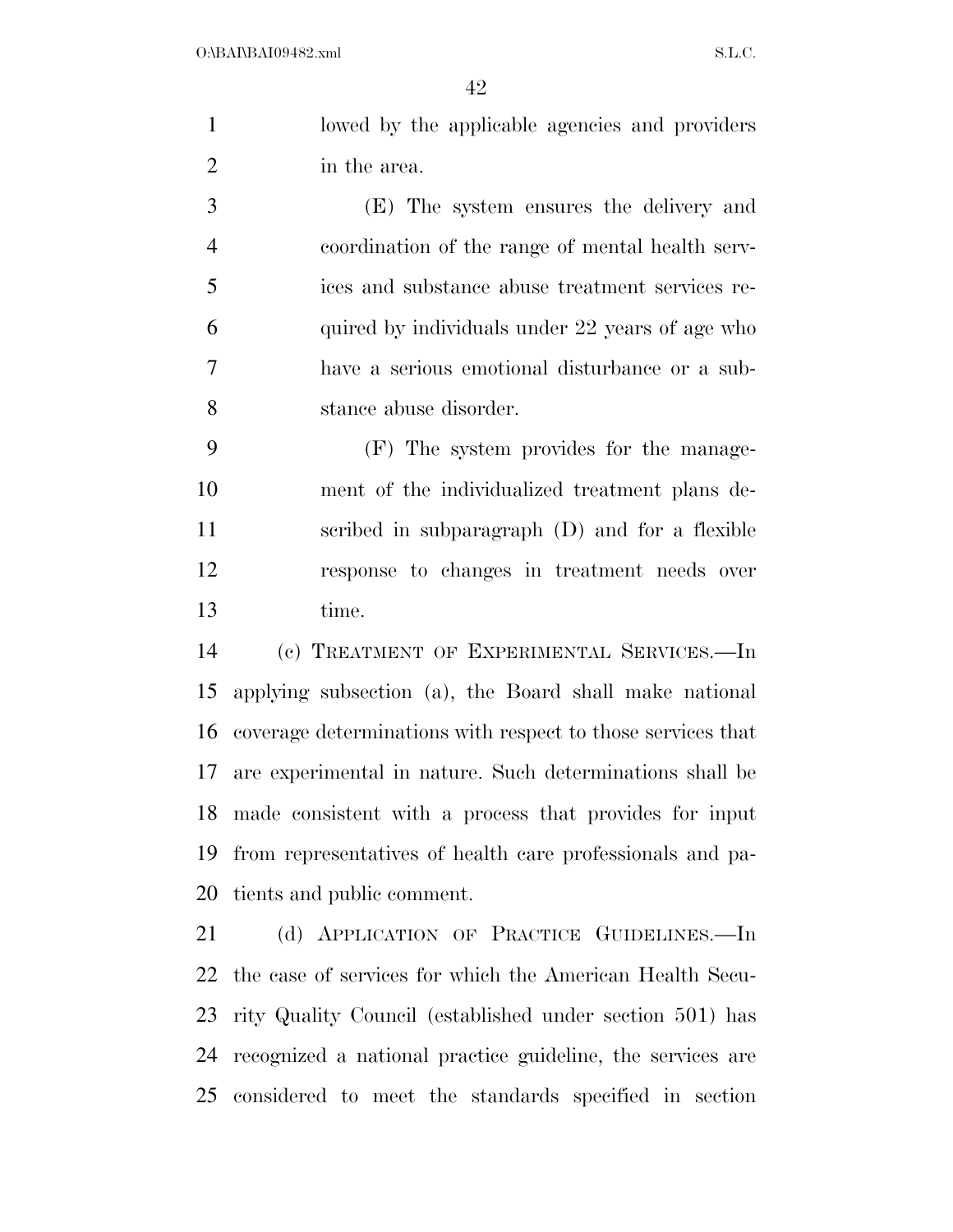lowed by the applicable agencies and providers in the area.

 (E) The system ensures the delivery and coordination of the range of mental health serv- ices and substance abuse treatment services re- quired by individuals under 22 years of age who have a serious emotional disturbance or a sub-stance abuse disorder.

 (F) The system provides for the manage- ment of the individualized treatment plans de- scribed in subparagraph (D) and for a flexible response to changes in treatment needs over time.

 (c) TREATMENT OF EXPERIMENTAL SERVICES.—In applying subsection (a), the Board shall make national coverage determinations with respect to those services that are experimental in nature. Such determinations shall be made consistent with a process that provides for input from representatives of health care professionals and pa-tients and public comment.

 (d) APPLICATION OF PRACTICE GUIDELINES.—In the case of services for which the American Health Secu- rity Quality Council (established under section 501) has recognized a national practice guideline, the services are considered to meet the standards specified in section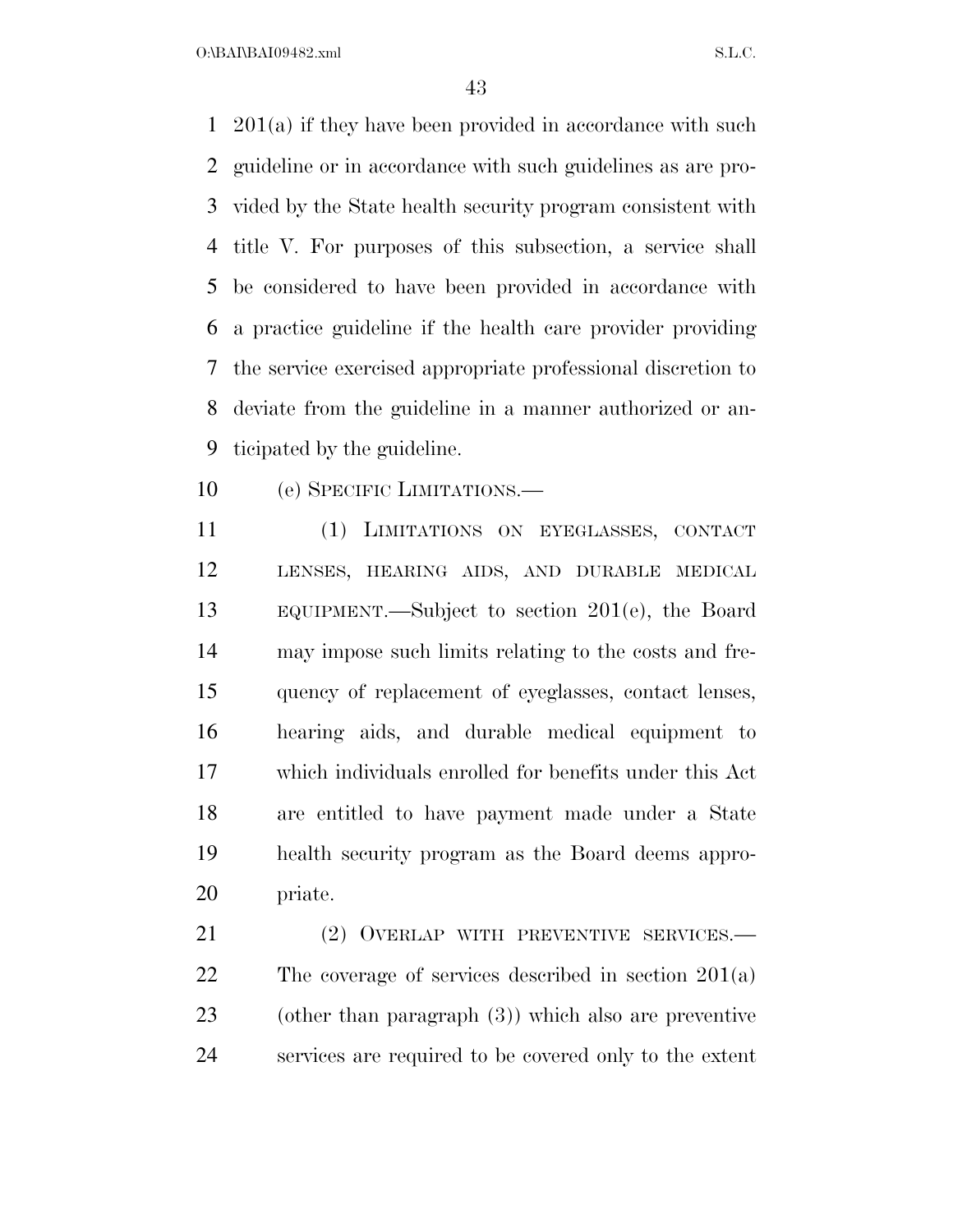$O:\beta A \Gamma \beta A 109482 \ldots$  S.L.C.

 201(a) if they have been provided in accordance with such guideline or in accordance with such guidelines as are pro- vided by the State health security program consistent with title V. For purposes of this subsection, a service shall be considered to have been provided in accordance with a practice guideline if the health care provider providing the service exercised appropriate professional discretion to deviate from the guideline in a manner authorized or an-ticipated by the guideline.

(e) SPECIFIC LIMITATIONS.—

 (1) LIMITATIONS ON EYEGLASSES, CONTACT LENSES, HEARING AIDS, AND DURABLE MEDICAL EQUIPMENT.—Subject to section 201(e), the Board may impose such limits relating to the costs and fre- quency of replacement of eyeglasses, contact lenses, hearing aids, and durable medical equipment to which individuals enrolled for benefits under this Act are entitled to have payment made under a State health security program as the Board deems appro-priate.

 (2) OVERLAP WITH PREVENTIVE SERVICES.— The coverage of services described in section 201(a) (other than paragraph (3)) which also are preventive services are required to be covered only to the extent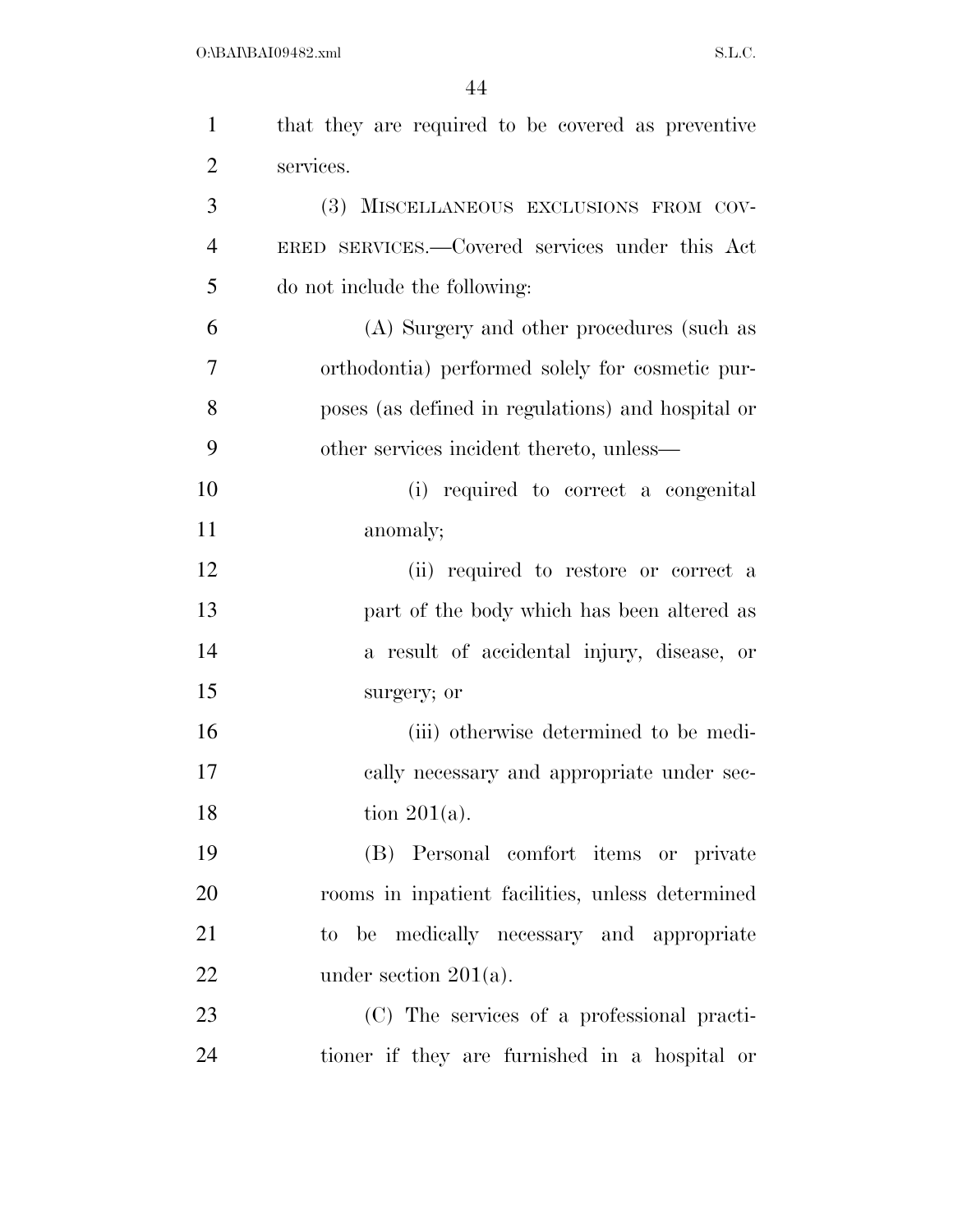| $\mathbf{1}$   | that they are required to be covered as preventive |
|----------------|----------------------------------------------------|
| $\overline{2}$ | services.                                          |
| 3              | (3) MISCELLANEOUS EXCLUSIONS FROM COV-             |
| $\overline{4}$ | ERED SERVICES.—Covered services under this Act     |
| 5              | do not include the following:                      |
| 6              | (A) Surgery and other procedures (such as          |
| $\overline{7}$ | orthodontia) performed solely for cosmetic pur-    |
| 8              | poses (as defined in regulations) and hospital or  |
| 9              | other services incident thereto, unless—           |
| 10             | (i) required to correct a congenital               |
| 11             | anomaly;                                           |
| 12             | (ii) required to restore or correct a              |
| 13             | part of the body which has been altered as         |
| 14             | a result of accidental injury, disease, or         |
| 15             | surgery; or                                        |
| 16             | (iii) otherwise determined to be medi-             |
| 17             | cally necessary and appropriate under sec-         |
| 18             | tion $201(a)$ .                                    |
| 19             | (B) Personal comfort items or private              |
| 20             | rooms in inpatient facilities, unless determined   |
| 21             | to be medically necessary and appropriate          |
| 22             | under section $201(a)$ .                           |
| 23             | (C) The services of a professional practi-         |
| 24             | tioner if they are furnished in a hospital or      |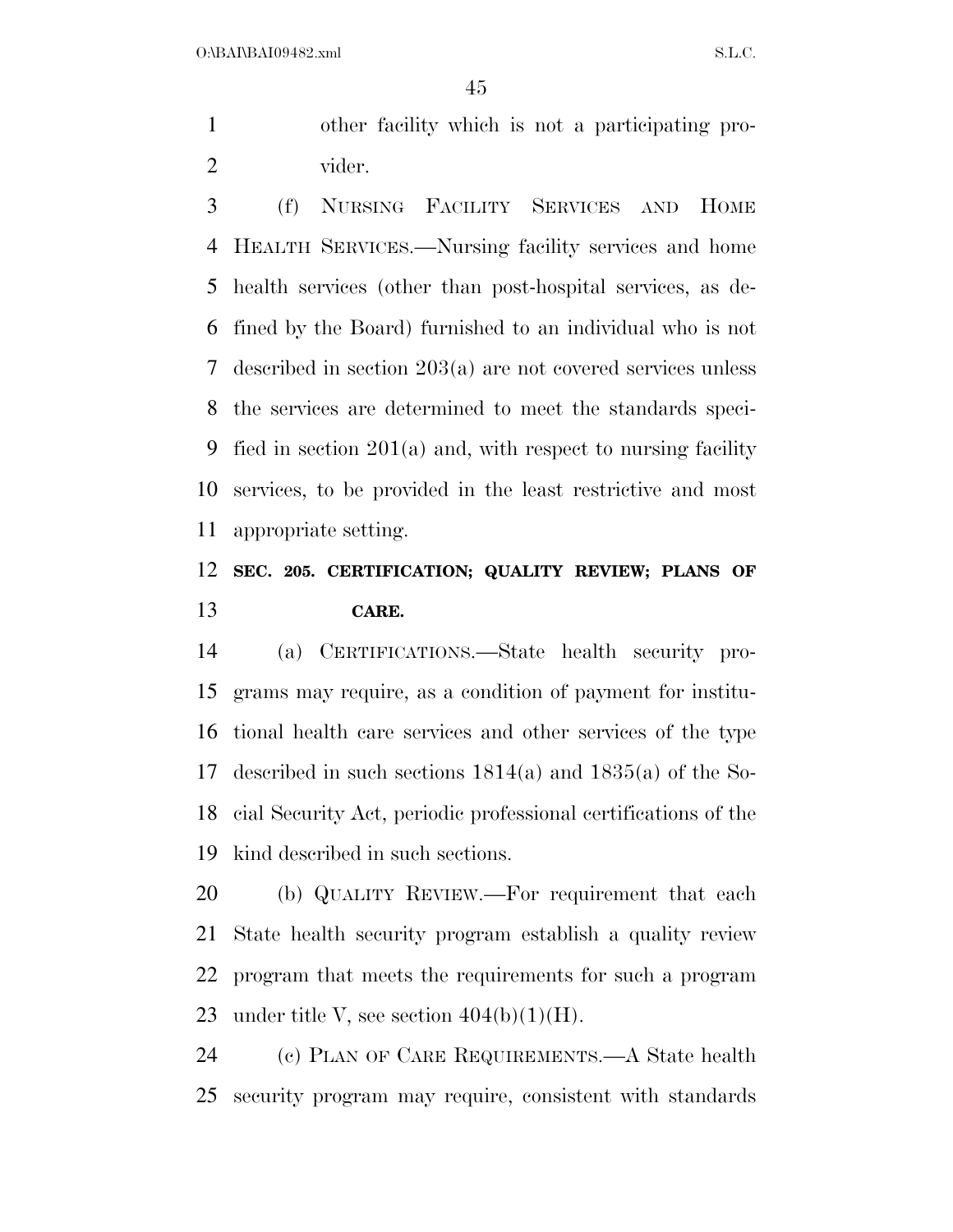$O:\beta A \Gamma \beta A 109482 \ldots$  S.L.C.

 other facility which is not a participating pro-vider.

 (f) NURSING FACILITY SERVICES AND HOME HEALTH SERVICES.—Nursing facility services and home health services (other than post-hospital services, as de- fined by the Board) furnished to an individual who is not described in section 203(a) are not covered services unless the services are determined to meet the standards speci- fied in section 201(a) and, with respect to nursing facility services, to be provided in the least restrictive and most appropriate setting.

### **SEC. 205. CERTIFICATION; QUALITY REVIEW; PLANS OF CARE.**

 (a) CERTIFICATIONS.—State health security pro- grams may require, as a condition of payment for institu- tional health care services and other services of the type described in such sections 1814(a) and 1835(a) of the So- cial Security Act, periodic professional certifications of the kind described in such sections.

 (b) QUALITY REVIEW.—For requirement that each State health security program establish a quality review program that meets the requirements for such a program 23 under title V, see section  $404(b)(1)(H)$ .

 (c) PLAN OF CARE REQUIREMENTS.—A State health security program may require, consistent with standards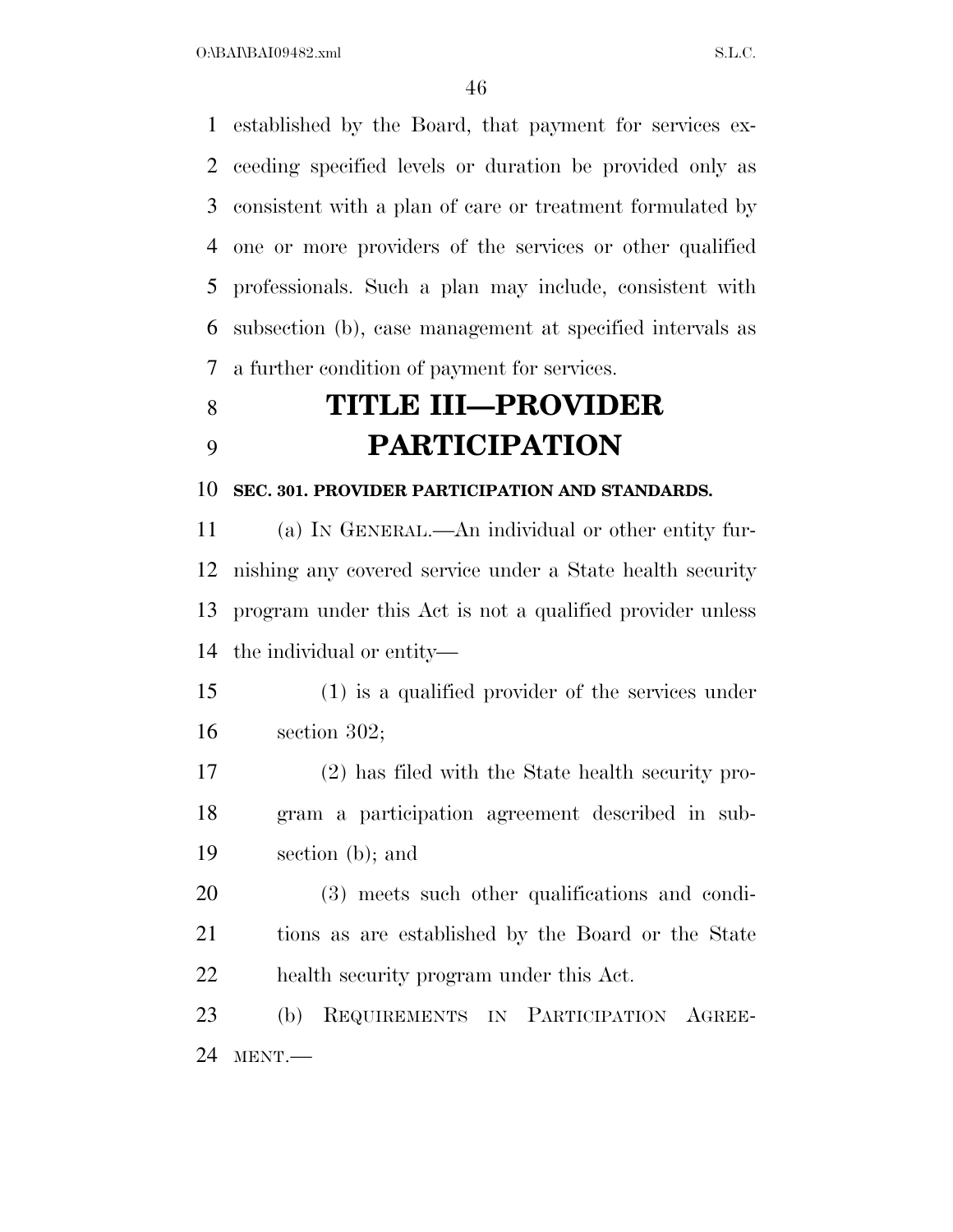established by the Board, that payment for services ex- ceeding specified levels or duration be provided only as consistent with a plan of care or treatment formulated by one or more providers of the services or other qualified professionals. Such a plan may include, consistent with subsection (b), case management at specified intervals as a further condition of payment for services.

# **TITLE III—PROVIDER PARTICIPATION**

#### **SEC. 301. PROVIDER PARTICIPATION AND STANDARDS.**

 (a) IN GENERAL.—An individual or other entity fur- nishing any covered service under a State health security program under this Act is not a qualified provider unless the individual or entity—

 (1) is a qualified provider of the services under section 302;

 (2) has filed with the State health security pro- gram a participation agreement described in sub-section (b); and

 (3) meets such other qualifications and condi- tions as are established by the Board or the State health security program under this Act.

 (b) REQUIREMENTS IN PARTICIPATION AGREE-MENT.—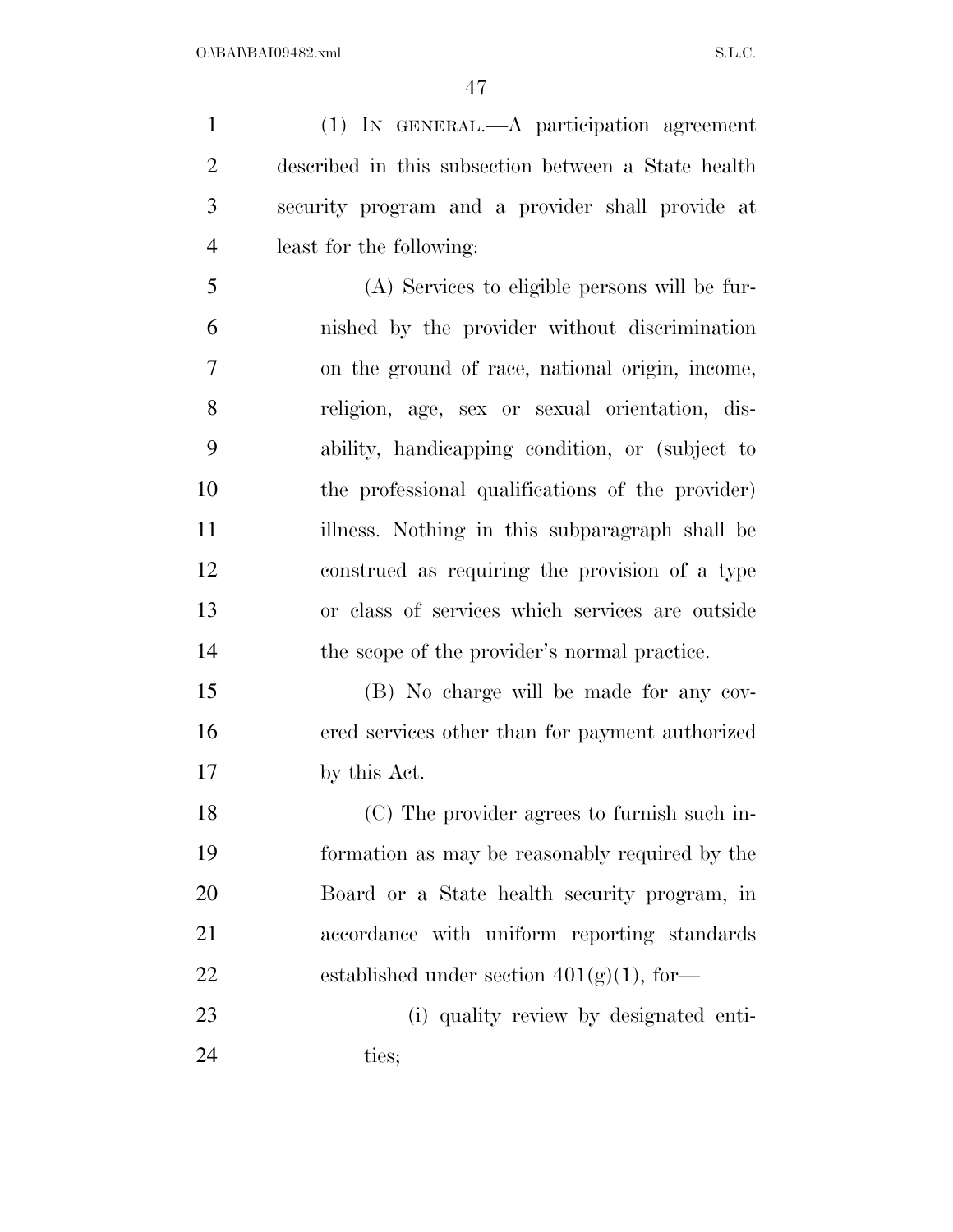(1) IN GENERAL.—A participation agreement described in this subsection between a State health security program and a provider shall provide at least for the following:

 (A) Services to eligible persons will be fur- nished by the provider without discrimination on the ground of race, national origin, income, religion, age, sex or sexual orientation, dis- ability, handicapping condition, or (subject to the professional qualifications of the provider) illness. Nothing in this subparagraph shall be construed as requiring the provision of a type or class of services which services are outside 14 the scope of the provider's normal practice.

 (B) No charge will be made for any cov- ered services other than for payment authorized by this Act.

 (C) The provider agrees to furnish such in- formation as may be reasonably required by the Board or a State health security program, in accordance with uniform reporting standards 22 established under section  $401(g)(1)$ , for

 (i) quality review by designated enti-24 ties;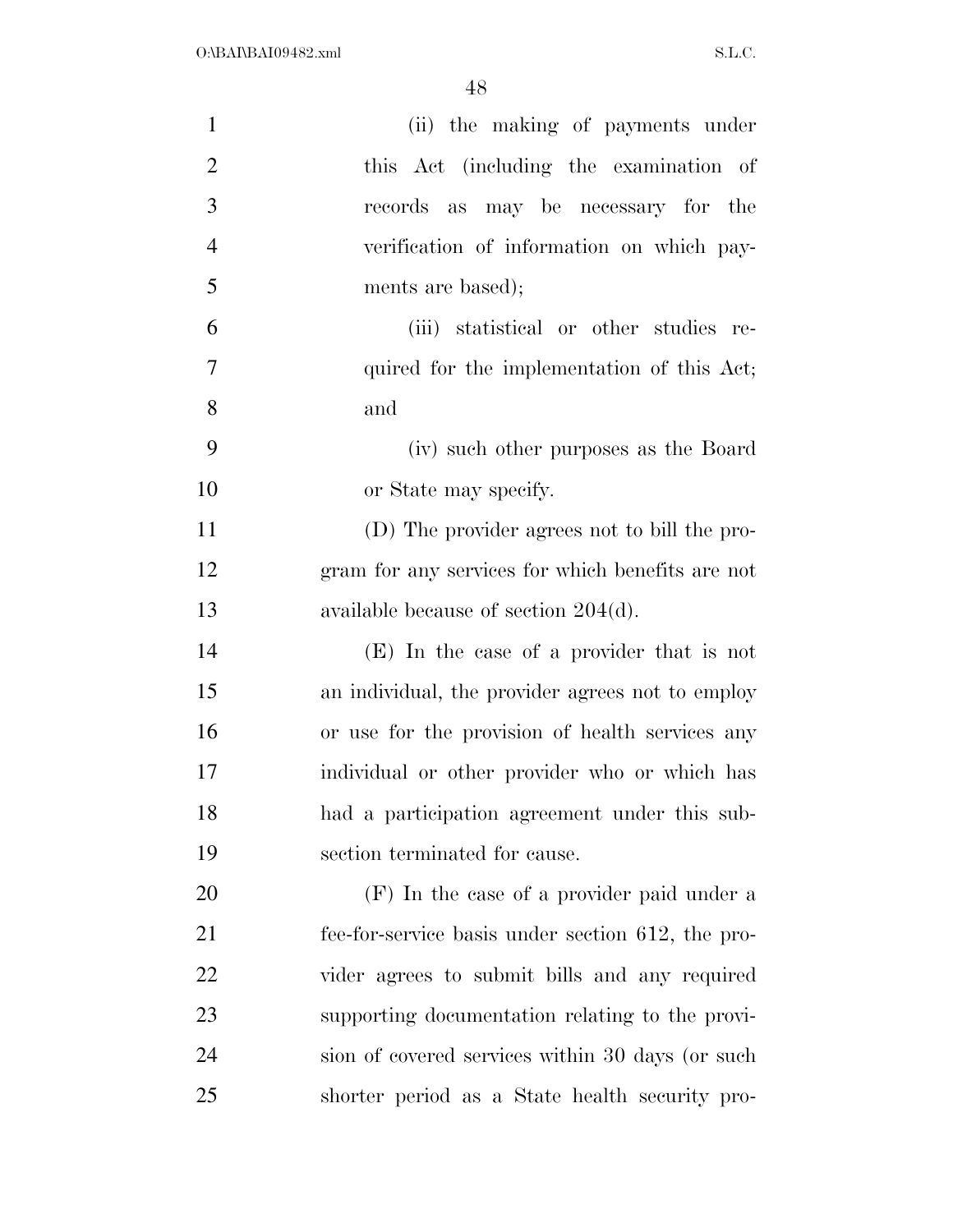| $\mathbf{1}$   | (ii) the making of payments under                 |
|----------------|---------------------------------------------------|
| $\overline{2}$ | this Act (including the examination of            |
| 3              | records as may be necessary for the               |
| $\overline{4}$ | verification of information on which pay-         |
| 5              | ments are based);                                 |
| 6              | (iii) statistical or other studies re-            |
| 7              | quired for the implementation of this Act;        |
| 8              | and                                               |
| 9              | (iv) such other purposes as the Board             |
| 10             | or State may specify.                             |
| 11             | (D) The provider agrees not to bill the pro-      |
| 12             | gram for any services for which benefits are not  |
| 13             | available because of section $204(d)$ .           |
| 14             | (E) In the case of a provider that is not         |
| 15             | an individual, the provider agrees not to employ  |
| 16             | or use for the provision of health services any   |
| 17             | individual or other provider who or which has     |
| 18             | had a participation agreement under this sub-     |
| 19             | section terminated for cause.                     |
| 20             | (F) In the case of a provider paid under a        |
| 21             | fee-for-service basis under section 612, the pro- |
| 22             | vider agrees to submit bills and any required     |
| 23             | supporting documentation relating to the provi-   |
| 24             | sion of covered services within 30 days (or such  |
| 25             | shorter period as a State health security pro-    |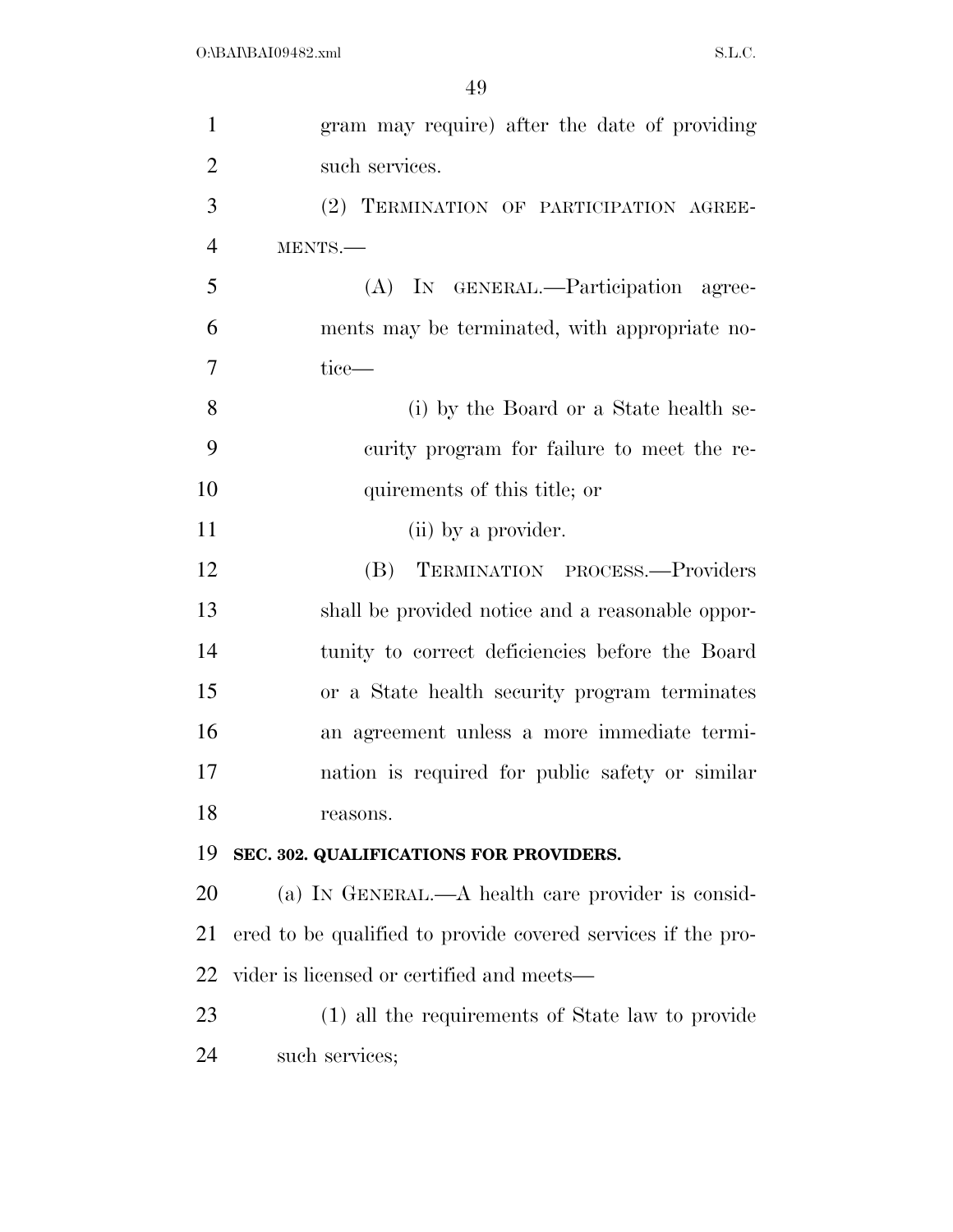| $\mathbf{1}$   | gram may require) after the date of providing                |
|----------------|--------------------------------------------------------------|
| $\overline{2}$ | such services.                                               |
| 3              | (2) TERMINATION OF PARTICIPATION AGREE-                      |
| $\overline{4}$ | MENTS.-                                                      |
| 5              | (A) IN GENERAL.—Participation agree-                         |
| 6              | ments may be terminated, with appropriate no-                |
| $\overline{7}$ | tice—                                                        |
| 8              | (i) by the Board or a State health se-                       |
| 9              | curity program for failure to meet the re-                   |
| 10             | quirements of this title; or                                 |
| 11             | (ii) by a provider.                                          |
| 12             | TERMINATION PROCESS.-Providers<br>(B)                        |
| 13             | shall be provided notice and a reasonable oppor-             |
| 14             | tunity to correct deficiencies before the Board              |
| 15             | or a State health security program terminates                |
| 16             | an agreement unless a more immediate termi-                  |
| 17             | nation is required for public safety or similar              |
| 18             | reasons.                                                     |
| 19             | SEC. 302. QUALIFICATIONS FOR PROVIDERS.                      |
| 20             | (a) IN GENERAL.—A health care provider is consid-            |
| 21             | ered to be qualified to provide covered services if the pro- |
| 22             | vider is licensed or certified and meets—                    |
| 23             | (1) all the requirements of State law to provide             |
| 24             | such services;                                               |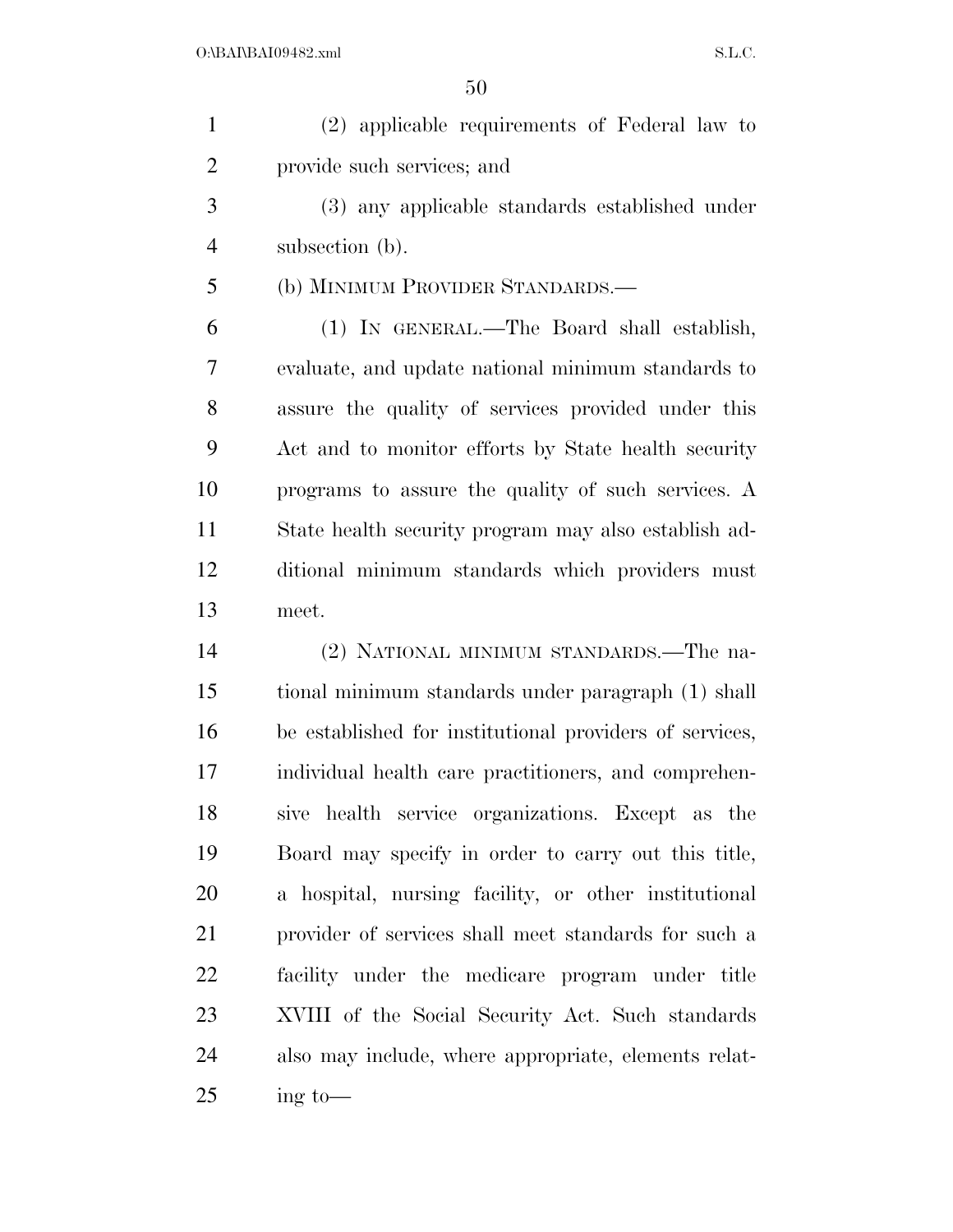| $\mathbf{1}$   | (2) applicable requirements of Federal law to           |
|----------------|---------------------------------------------------------|
| $\overline{2}$ | provide such services; and                              |
| 3              | (3) any applicable standards established under          |
| $\overline{4}$ | subsection (b).                                         |
| 5              | (b) MINIMUM PROVIDER STANDARDS.—                        |
| 6              | (1) IN GENERAL.—The Board shall establish,              |
| 7              | evaluate, and update national minimum standards to      |
| 8              | assure the quality of services provided under this      |
| 9              | Act and to monitor efforts by State health security     |
| 10             | programs to assure the quality of such services. A      |
| 11             | State health security program may also establish ad-    |
| 12             | ditional minimum standards which providers must         |
| 13             | meet.                                                   |
| 14             | (2) NATIONAL MINIMUM STANDARDS.—The na-                 |
| 15             | tional minimum standards under paragraph (1) shall      |
| 16             | be established for institutional providers of services, |
| 17             | individual health care practitioners, and comprehen-    |
| 18             | sive health service organizations. Except as the        |
| 19             | Board may specify in order to carry out this title,     |
| 20             | a hospital, nursing facility, or other institutional    |
| 21             | provider of services shall meet standards for such a    |
| 22             | facility under the medicare program under title         |
| 23             | XVIII of the Social Security Act. Such standards        |
| 24             | also may include, where appropriate, elements relat-    |
| 25             | $\frac{1}{2}$ to —                                      |
|                |                                                         |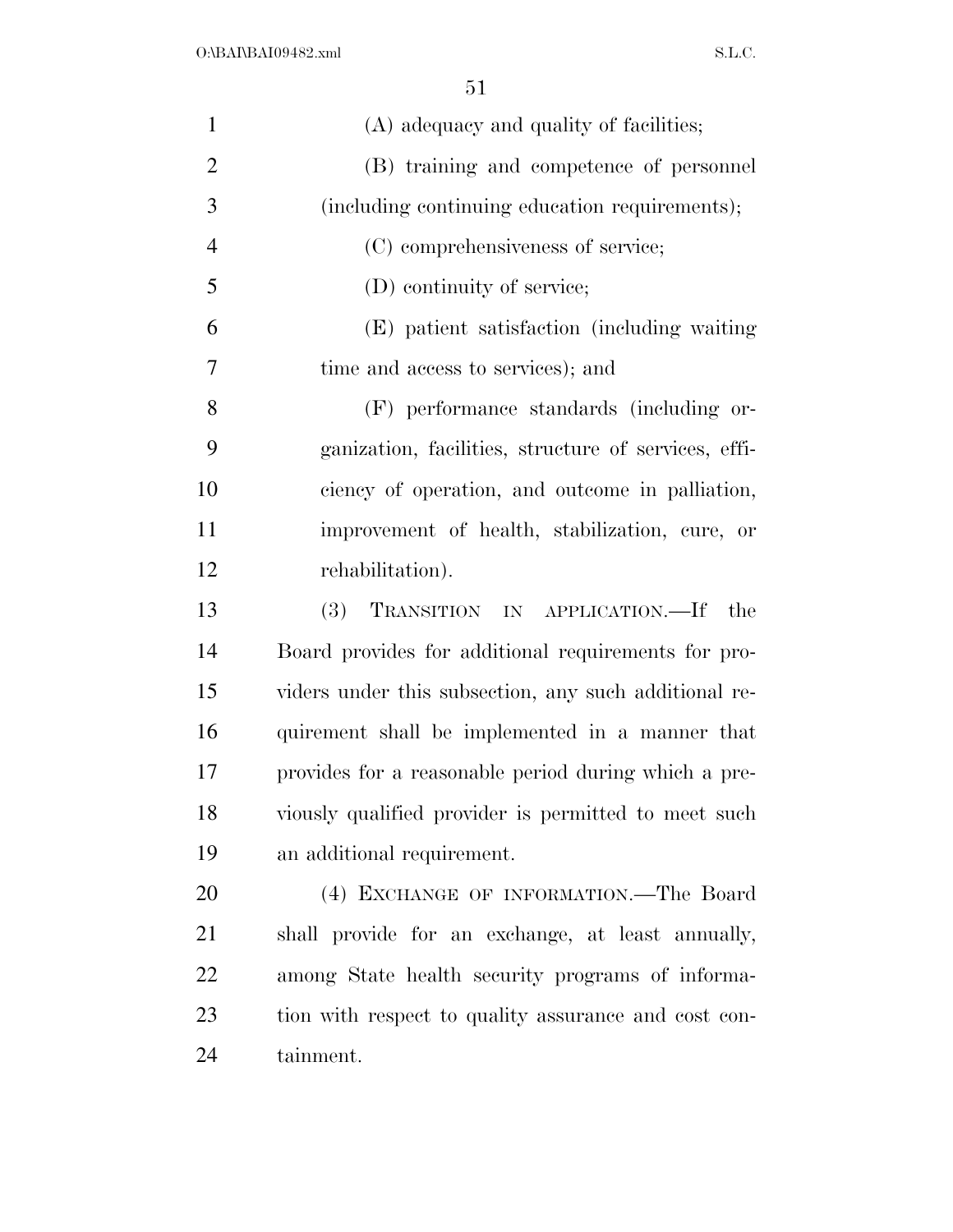| $\mathbf{1}$   | (A) adequacy and quality of facilities;               |
|----------------|-------------------------------------------------------|
| $\overline{2}$ | (B) training and competence of personnel              |
| 3              | (including continuing education requirements);        |
| $\overline{4}$ | (C) comprehensiveness of service;                     |
| 5              | (D) continuity of service;                            |
| 6              | (E) patient satisfaction (including waiting           |
| 7              | time and access to services); and                     |
| 8              | (F) performance standards (including or-              |
| 9              | ganization, facilities, structure of services, effi-  |
| 10             | ciency of operation, and outcome in palliation,       |
| 11             | improvement of health, stabilization, cure, or        |
| 12             | rehabilitation).                                      |
| 13             | <b>(3)</b><br>TRANSITION IN APPLICATION.—If<br>the    |
| 14             | Board provides for additional requirements for pro-   |
| 15             | viders under this subsection, any such additional re- |
| 16             | quirement shall be implemented in a manner that       |
| 17             | provides for a reasonable period during which a pre-  |
| 18             | viously qualified provider is permitted to meet such  |
| 19             | an additional requirement.                            |
| 20             | (4) EXCHANGE OF INFORMATION.—The Board                |
| 21             | shall provide for an exchange, at least annually,     |
| 22             | among State health security programs of informa-      |
| 23             | tion with respect to quality assurance and cost con-  |
| 24             | tainment.                                             |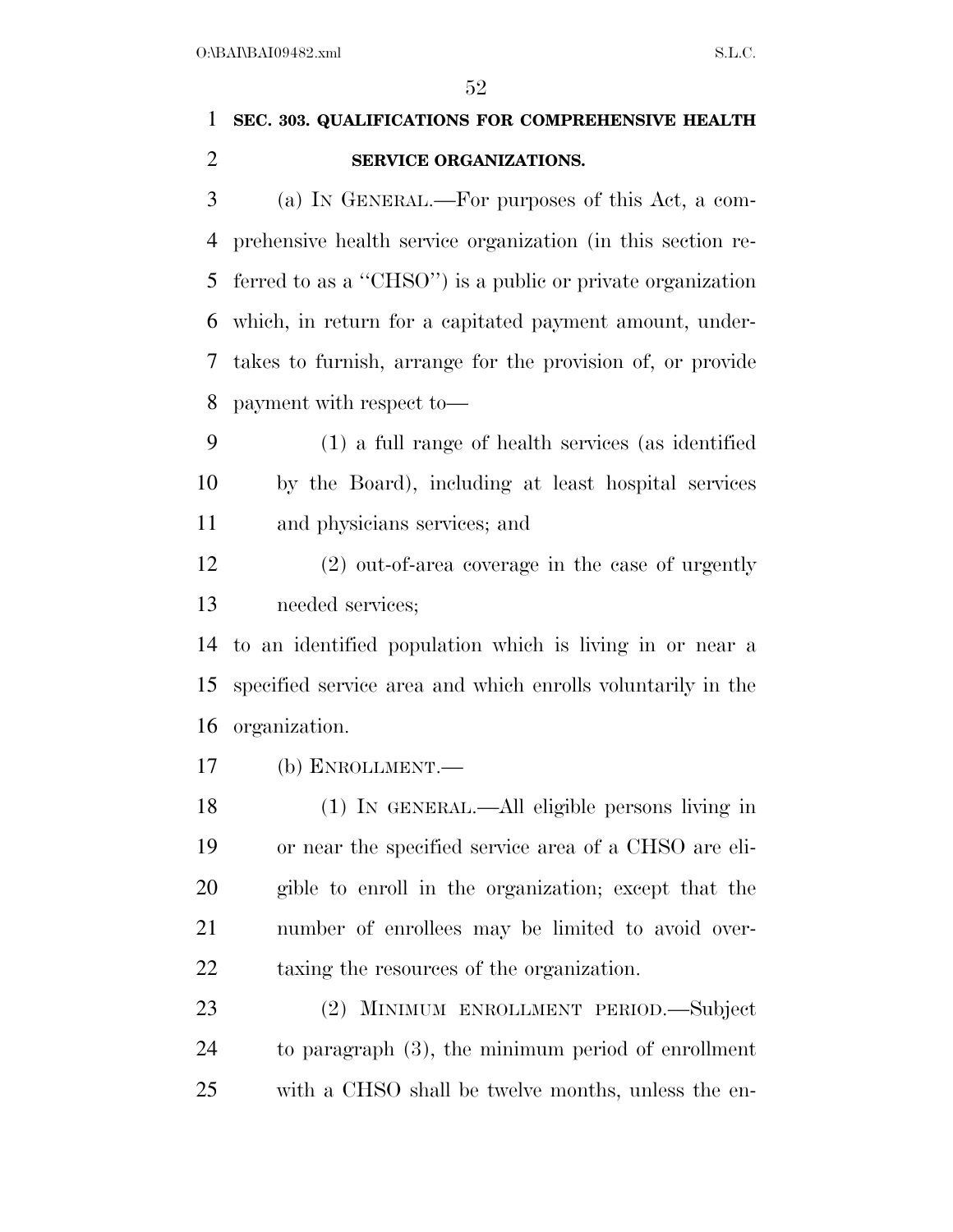## **SEC. 303. QUALIFICATIONS FOR COMPREHENSIVE HEALTH SERVICE ORGANIZATIONS.**

 (a) IN GENERAL.—For purposes of this Act, a com- prehensive health service organization (in this section re- ferred to as a ''CHSO'') is a public or private organization which, in return for a capitated payment amount, under- takes to furnish, arrange for the provision of, or provide payment with respect to—

 (1) a full range of health services (as identified by the Board), including at least hospital services and physicians services; and

 (2) out-of-area coverage in the case of urgently needed services;

 to an identified population which is living in or near a specified service area and which enrolls voluntarily in the organization.

(b) ENROLLMENT.—

 (1) IN GENERAL.—All eligible persons living in or near the specified service area of a CHSO are eli- gible to enroll in the organization; except that the number of enrollees may be limited to avoid over-taxing the resources of the organization.

 (2) MINIMUM ENROLLMENT PERIOD.—Subject to paragraph (3), the minimum period of enrollment with a CHSO shall be twelve months, unless the en-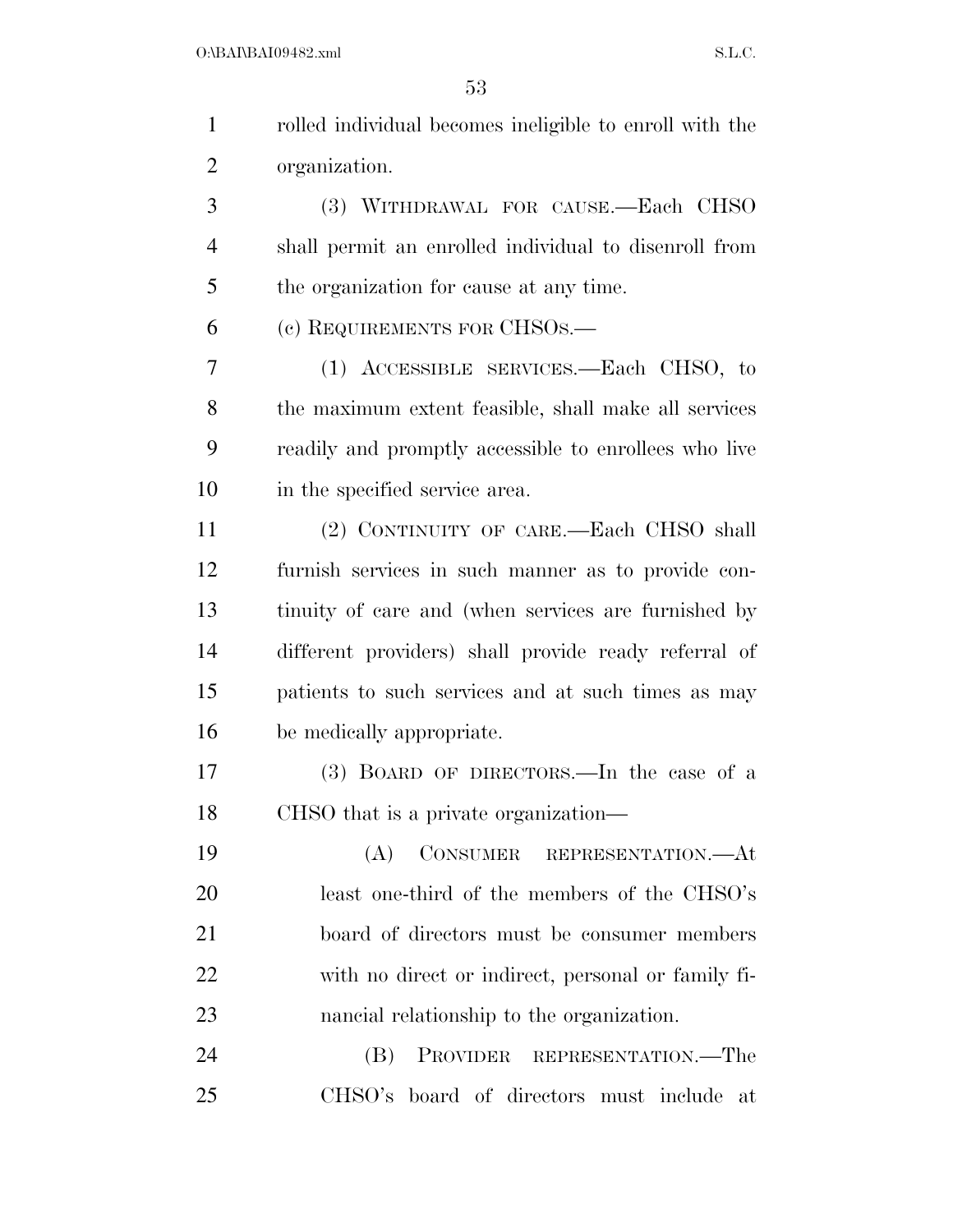| $\mathbf{1}$   | rolled individual becomes ineligible to enroll with the |
|----------------|---------------------------------------------------------|
| $\overline{2}$ | organization.                                           |
| 3              | (3) WITHDRAWAL FOR CAUSE.-Each CHSO                     |
| $\overline{4}$ | shall permit an enrolled individual to disenroll from   |
| 5              | the organization for cause at any time.                 |
| 6              | (c) REQUIREMENTS FOR CHSOS.—                            |
| 7              | (1) ACCESSIBLE SERVICES.—Each CHSO, to                  |
| 8              | the maximum extent feasible, shall make all services    |
| 9              | readily and promptly accessible to enrollees who live   |
| 10             | in the specified service area.                          |
| 11             | (2) CONTINUITY OF CARE.—Each CHSO shall                 |
| 12             | furnish services in such manner as to provide con-      |
| 13             | tinuity of care and (when services are furnished by     |
| 14             | different providers) shall provide ready referral of    |
| 15             | patients to such services and at such times as may      |
| 16             | be medically appropriate.                               |
| 17             | (3) BOARD OF DIRECTORS.—In the case of a                |
| 18             | CHSO that is a private organization—                    |
| 19             | CONSUMER REPRESENTATION.- At<br>(A)                     |
| 20             | least one-third of the members of the CHSO's            |
| 21             | board of directors must be consumer members             |
| 22             | with no direct or indirect, personal or family fi-      |
| 23             | nancial relationship to the organization.               |
| 24             | PROVIDER REPRESENTATION.—The<br>(B)                     |
| 25             | CHSO's board of directors must include<br>at            |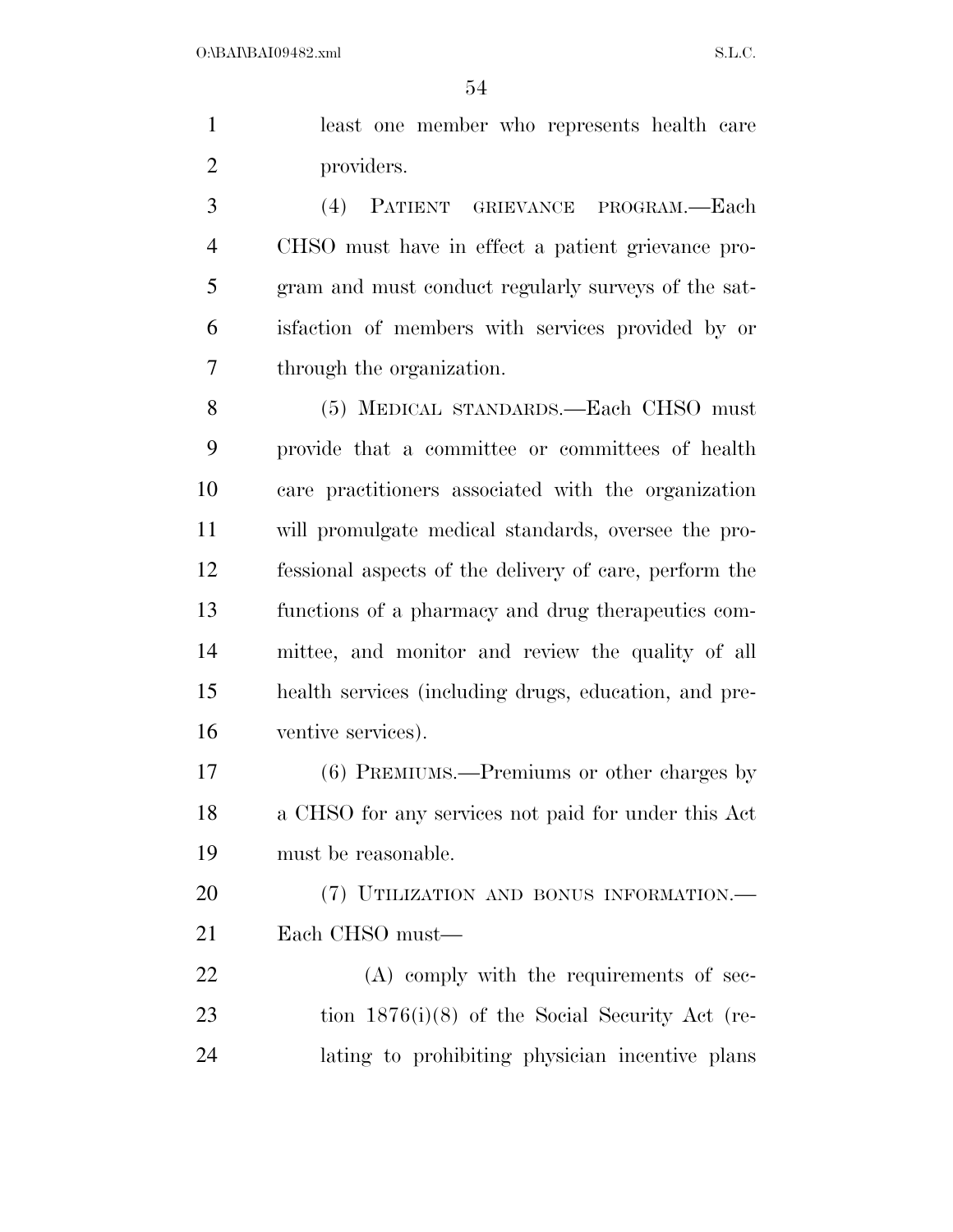|            |  | least one member who represents health care |  |
|------------|--|---------------------------------------------|--|
| providers. |  |                                             |  |

 (4) PATIENT GRIEVANCE PROGRAM.—Each CHSO must have in effect a patient grievance pro- gram and must conduct regularly surveys of the sat- isfaction of members with services provided by or through the organization.

 (5) MEDICAL STANDARDS.—Each CHSO must provide that a committee or committees of health care practitioners associated with the organization will promulgate medical standards, oversee the pro- fessional aspects of the delivery of care, perform the functions of a pharmacy and drug therapeutics com- mittee, and monitor and review the quality of all health services (including drugs, education, and pre-ventive services).

 (6) PREMIUMS.—Premiums or other charges by a CHSO for any services not paid for under this Act must be reasonable.

20 (7) UTILIZATION AND BONUS INFORMATION.— Each CHSO must—

22 (A) comply with the requirements of sec- tion 1876(i)(8) of the Social Security Act (re-lating to prohibiting physician incentive plans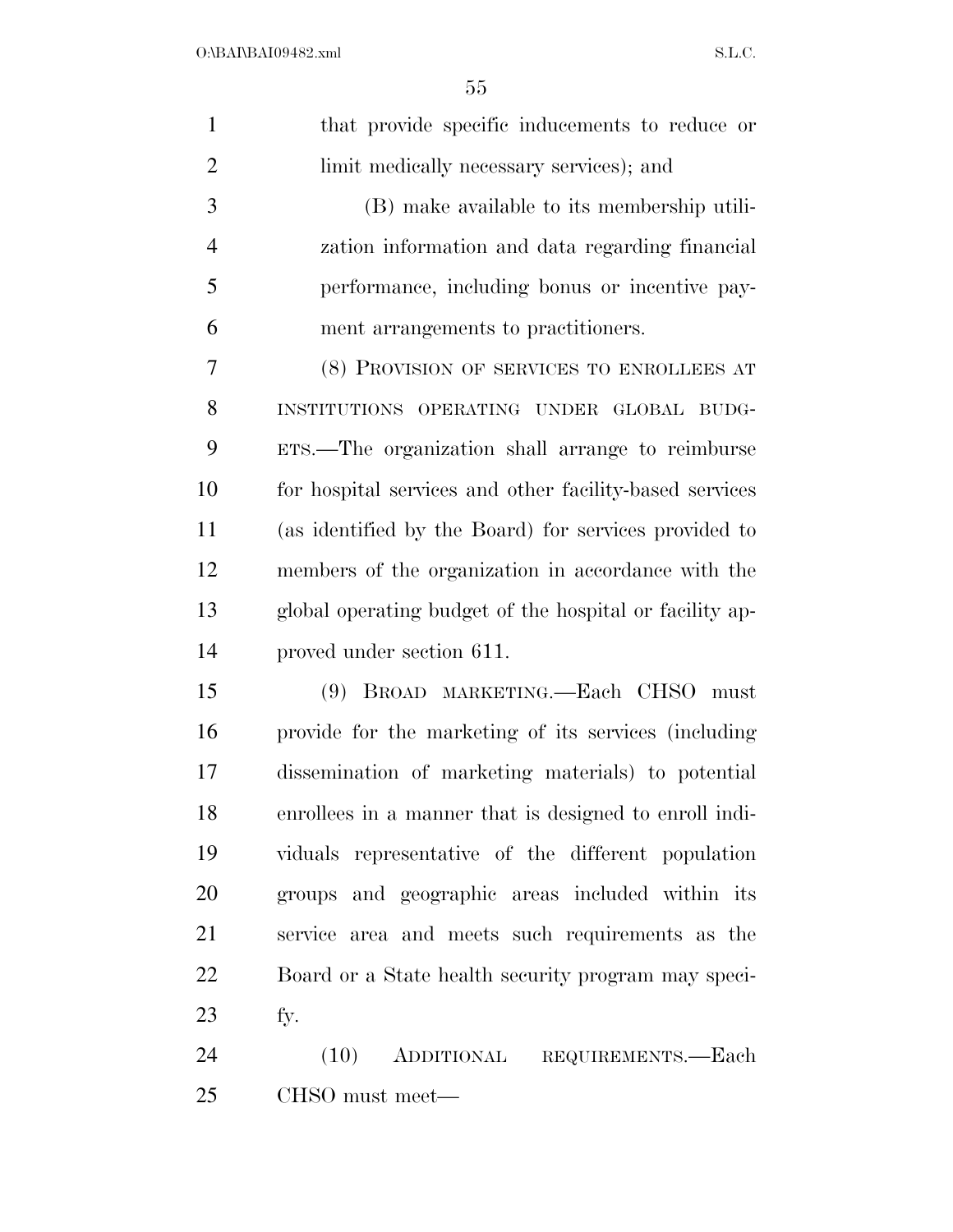| $\mathbf{1}$   | that provide specific inducements to reduce or          |
|----------------|---------------------------------------------------------|
| $\overline{2}$ | limit medically necessary services); and                |
| 3              | (B) make available to its membership utili-             |
| $\overline{4}$ | zation information and data regarding financial         |
| 5              | performance, including bonus or incentive pay-          |
| 6              | ment arrangements to practitioners.                     |
| 7              | (8) PROVISION OF SERVICES TO ENROLLEES AT               |
| 8              | INSTITUTIONS OPERATING UNDER GLOBAL BUDG-               |
| 9              | ETS.—The organization shall arrange to reimburse        |
| 10             | for hospital services and other facility-based services |
| 11             | (as identified by the Board) for services provided to   |
| 12             | members of the organization in accordance with the      |
| 13             | global operating budget of the hospital or facility ap- |
| 14             | proved under section 611.                               |
| 15             | (9) BROAD MARKETING.—Each CHSO must                     |
| 16             | provide for the marketing of its services (including    |
| 17             | dissemination of marketing materials) to potential      |
| 18             | enrollees in a manner that is designed to enroll indi-  |
| 19             | viduals representative of the different population      |
| 20             | groups and geographic areas included within its         |
| 21             | service area and meets such requirements as the         |
| 22             | Board or a State health security program may speci-     |
| 23             | fy.                                                     |
| 24             | (10)<br>ADDITIONAL<br>REQUIREMENTS.—Each                |
|                |                                                         |

CHSO must meet—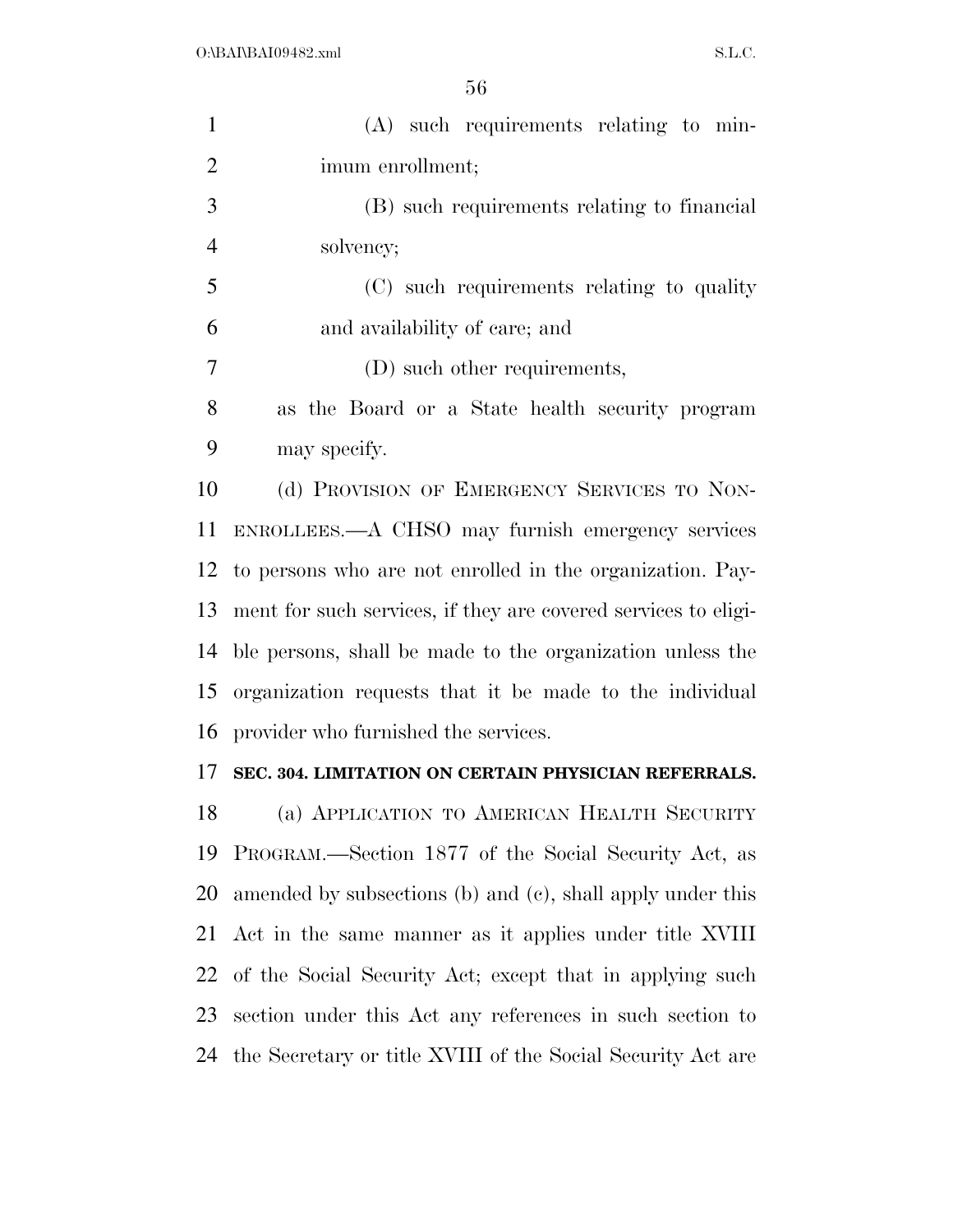| $\mathbf{1}$   | $(A)$ such requirements relating to min-                       |
|----------------|----------------------------------------------------------------|
| $\overline{2}$ | imum enrollment;                                               |
| 3              | (B) such requirements relating to financial                    |
| $\overline{4}$ | solvency;                                                      |
| 5              | (C) such requirements relating to quality                      |
| 6              | and availability of care; and                                  |
| 7              | (D) such other requirements,                                   |
| 8              | as the Board or a State health security program                |
| 9              | may specify.                                                   |
| 10             | (d) PROVISION OF EMERGENCY SERVICES TO NON-                    |
| 11             | ENROLLEES.—A CHSO may furnish emergency services               |
| 12             | to persons who are not enrolled in the organization. Pay-      |
| 13             | ment for such services, if they are covered services to eligi- |
| 14             | ble persons, shall be made to the organization unless the      |
| 15             | organization requests that it be made to the individual        |
| 16             | provider who furnished the services.                           |
| 17             | SEC. 304. LIMITATION ON CERTAIN PHYSICIAN REFERRALS.           |
| 18             | (a) APPLICATION TO AMERICAN HEALTH SECURITY                    |
| 19             | PROGRAM.—Section 1877 of the Social Security Act, as           |
| 20             | amended by subsections (b) and (c), shall apply under this     |
| 21             | Act in the same manner as it applies under title XVIII         |
| 22             | of the Social Security Act; except that in applying such       |
| 23             | section under this Act any references in such section to       |
| 24             | the Secretary or title XVIII of the Social Security Act are    |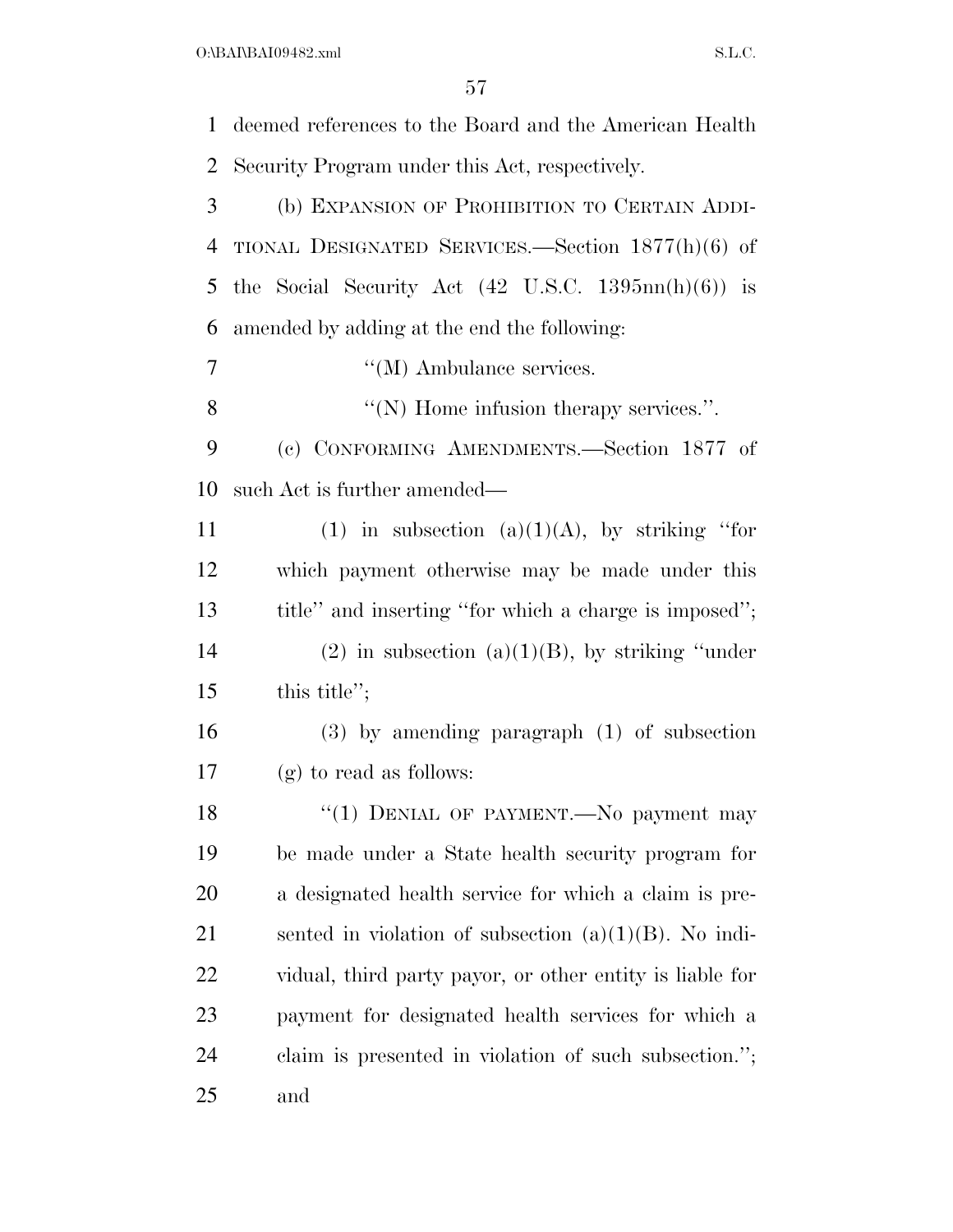$O:\beta A \Gamma \beta A 109482 \ldots$  S.L.C.

 deemed references to the Board and the American Health Security Program under this Act, respectively. (b) EXPANSION OF PROHIBITION TO CERTAIN ADDI- TIONAL DESIGNATED SERVICES.—Section 1877(h)(6) of the Social Security Act (42 U.S.C. 1395nn(h)(6)) is amended by adding at the end the following:  $''(M)$  Ambulance services. ''(N) Home infusion therapy services.''. (c) CONFORMING AMENDMENTS.—Section 1877 of such Act is further amended— 11 (1) in subsection (a)(1)(A), by striking "for which payment otherwise may be made under this title'' and inserting ''for which a charge is imposed''; 14 (2) in subsection (a)(1)(B), by striking "under 15 this title"; (3) by amending paragraph (1) of subsection (g) to read as follows: 18 "(1) DENIAL OF PAYMENT.—No payment may be made under a State health security program for a designated health service for which a claim is pre-21 sented in violation of subsection  $(a)(1)(B)$ . No indi- vidual, third party payor, or other entity is liable for payment for designated health services for which a claim is presented in violation of such subsection.''; and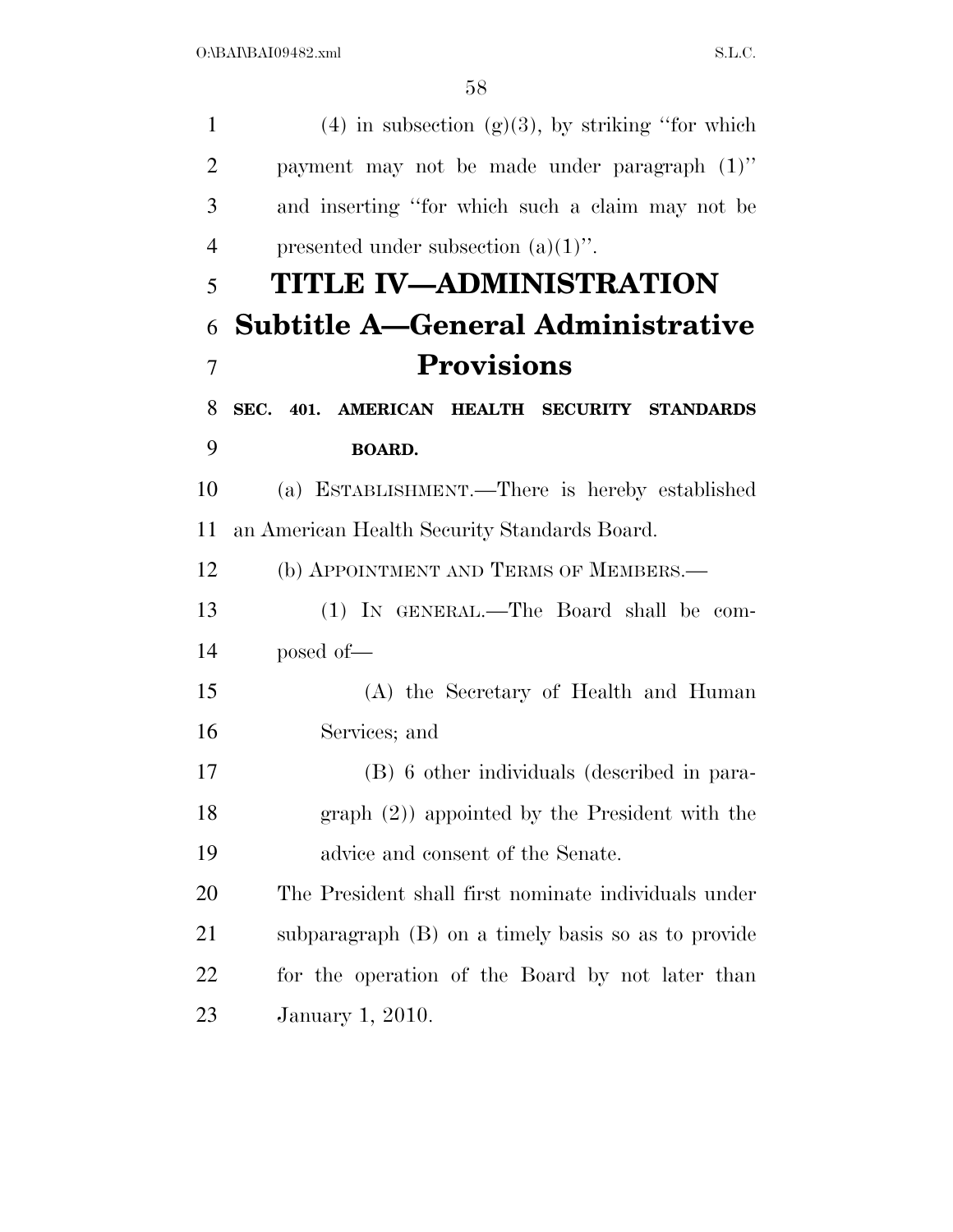| $\mathbf{1}$   | $(4)$ in subsection $(g)(3)$ , by striking "for which |
|----------------|-------------------------------------------------------|
| $\overline{2}$ | payment may not be made under paragraph (1)"          |
| 3              | and inserting "for which such a claim may not be      |
| $\overline{4}$ | presented under subsection $(a)(1)$ .                 |
| 5              | TITLE IV—ADMINISTRATION                               |
| 6              | <b>Subtitle A-General Administrative</b>              |
| $\overline{7}$ | <b>Provisions</b>                                     |
| 8              | SEC. 401. AMERICAN HEALTH SECURITY STANDARDS          |
| 9              | <b>BOARD.</b>                                         |
| 10             | (a) ESTABLISHMENT.—There is hereby established        |
| 11             | an American Health Security Standards Board.          |
| 12             | (b) APPOINTMENT AND TERMS OF MEMBERS.—                |
| 13             | (1) IN GENERAL.—The Board shall be com-               |
| 14             | posed of-                                             |
| 15             | (A) the Secretary of Health and Human                 |
| 16             | Services; and                                         |
| 17             | (B) 6 other individuals (described in para-           |
| 18             | graph $(2)$ ) appointed by the President with the     |
| 19             | advice and consent of the Senate.                     |
| 20             | The President shall first nominate individuals under  |
| 21             | subparagraph (B) on a timely basis so as to provide   |
| 22             | for the operation of the Board by not later than      |
| 23             | January 1, 2010.                                      |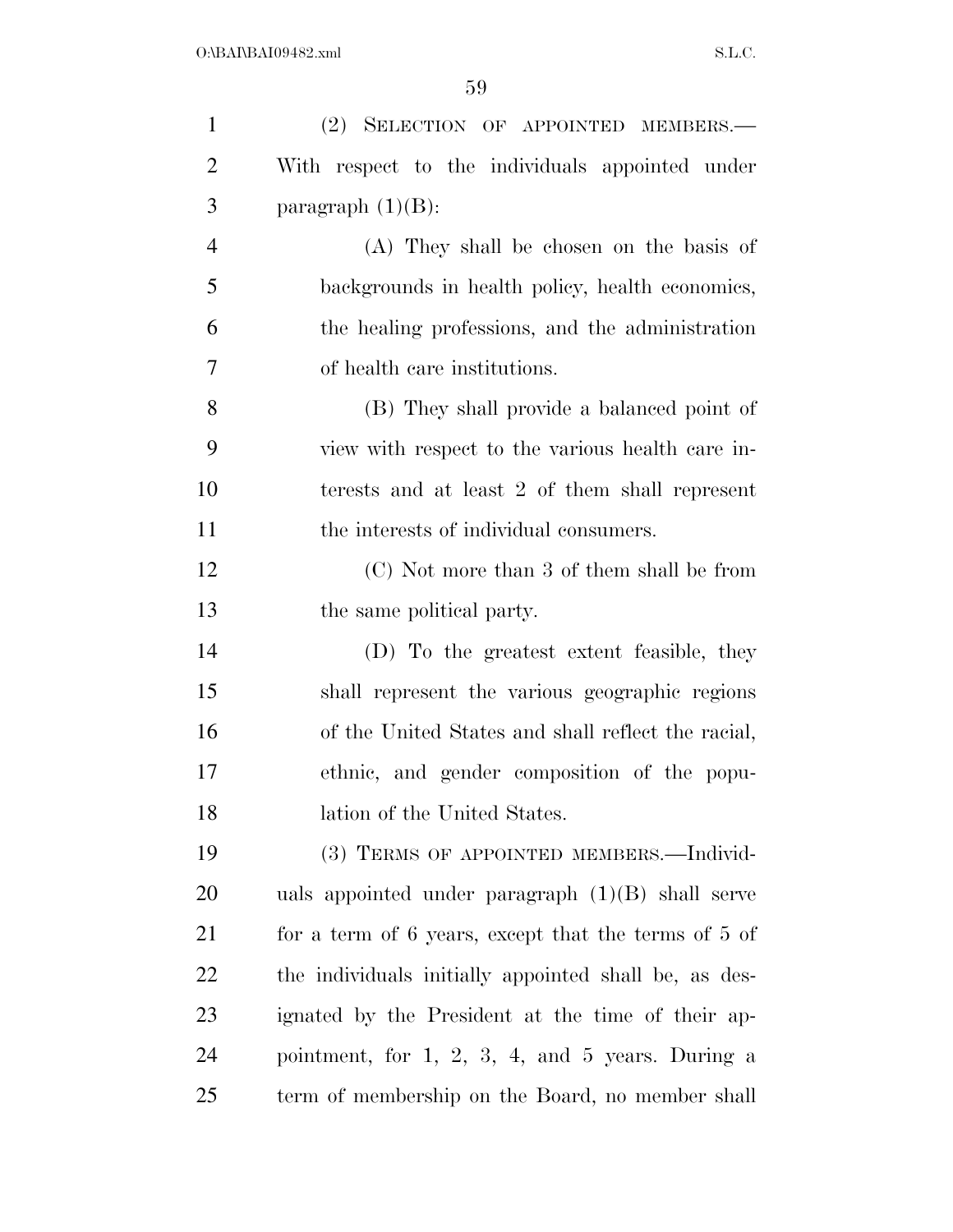| $\mathbf{1}$   | (2) SELECTION OF APPOINTED MEMBERS.-                  |
|----------------|-------------------------------------------------------|
| $\overline{2}$ | With respect to the individuals appointed under       |
| 3              | paragraph $(1)(B)$ :                                  |
| $\overline{4}$ | (A) They shall be chosen on the basis of              |
| 5              | backgrounds in health policy, health economics,       |
| 6              | the healing professions, and the administration       |
| 7              | of health care institutions.                          |
| 8              | (B) They shall provide a balanced point of            |
| 9              | view with respect to the various health care in-      |
| 10             | terests and at least 2 of them shall represent        |
| 11             | the interests of individual consumers.                |
| 12             | (C) Not more than 3 of them shall be from             |
| 13             | the same political party.                             |
| 14             | (D) To the greatest extent feasible, they             |
| 15             | shall represent the various geographic regions        |
| 16             | of the United States and shall reflect the racial,    |
| 17             | ethnic, and gender composition of the popu-           |
| 18             | lation of the United States.                          |
| 19             | (3) TERMS OF APPOINTED MEMBERS.—Individ-              |
| 20             | uals appointed under paragraph $(1)(B)$ shall serve   |
| 21             | for a term of 6 years, except that the terms of 5 of  |
| 22             | the individuals initially appointed shall be, as des- |
| 23             | ignated by the President at the time of their ap-     |
| 24             | pointment, for $1, 2, 3, 4,$ and $5$ years. During a  |
| 25             | term of membership on the Board, no member shall      |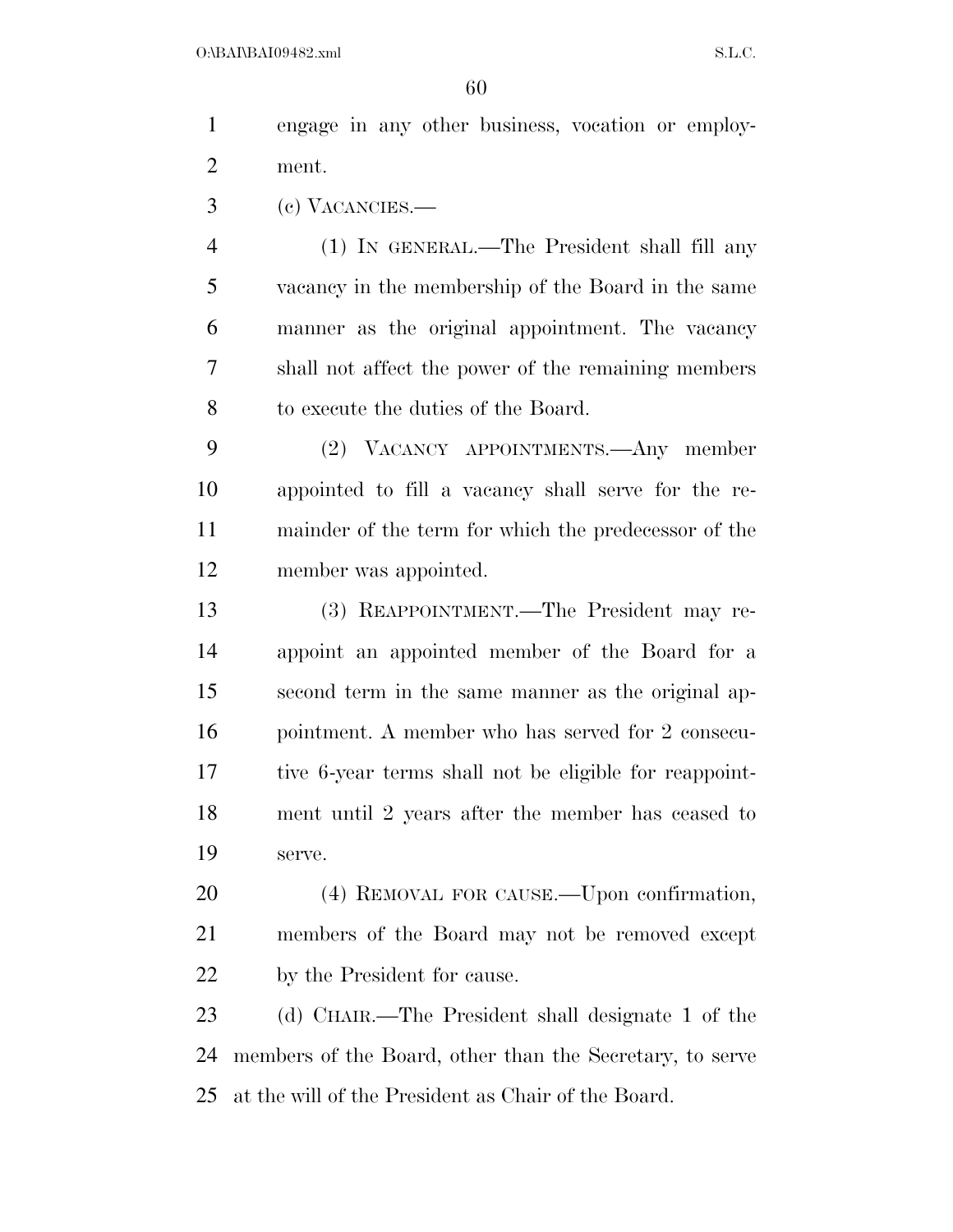engage in any other business, vocation or employ-ment.

(c) VACANCIES.—

 (1) IN GENERAL.—The President shall fill any vacancy in the membership of the Board in the same manner as the original appointment. The vacancy shall not affect the power of the remaining members to execute the duties of the Board.

 (2) VACANCY APPOINTMENTS.—Any member appointed to fill a vacancy shall serve for the re- mainder of the term for which the predecessor of the member was appointed.

 (3) REAPPOINTMENT.—The President may re- appoint an appointed member of the Board for a second term in the same manner as the original ap- pointment. A member who has served for 2 consecu- tive 6-year terms shall not be eligible for reappoint- ment until 2 years after the member has ceased to serve.

 (4) REMOVAL FOR CAUSE.—Upon confirmation, members of the Board may not be removed except by the President for cause.

 (d) CHAIR.—The President shall designate 1 of the members of the Board, other than the Secretary, to serve at the will of the President as Chair of the Board.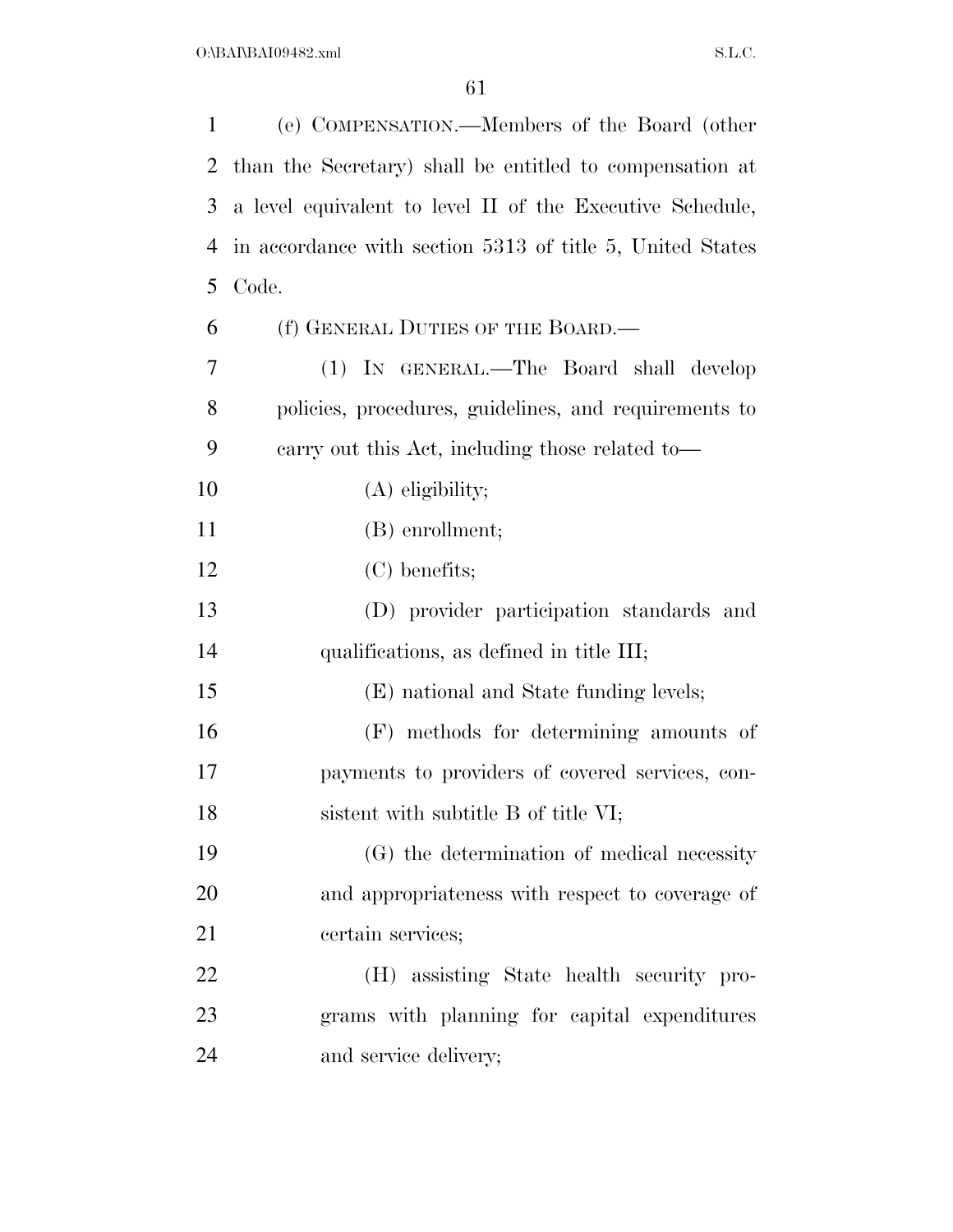| $\mathbf{1}$ | (e) COMPENSATION.—Members of the Board (other             |
|--------------|-----------------------------------------------------------|
| 2            | than the Secretary) shall be entitled to compensation at  |
| 3            | a level equivalent to level II of the Executive Schedule, |
| 4            | in accordance with section 5313 of title 5, United States |
| 5            | Code.                                                     |
| 6            | (f) GENERAL DUTIES OF THE BOARD.—                         |
| 7            | (1) IN GENERAL.—The Board shall develop                   |
| 8            | policies, procedures, guidelines, and requirements to     |
| 9            | carry out this Act, including those related to—           |
| 10           | $(A)$ eligibility;                                        |
| 11           | (B) enrollment;                                           |
| 12           | $(C)$ benefits;                                           |
| 13           | (D) provider participation standards and                  |
| 14           | qualifications, as defined in title III;                  |
| 15           | (E) national and State funding levels;                    |
| 16           | (F) methods for determining amounts of                    |
| 17           | payments to providers of covered services, con-           |
| 18           | sistent with subtitle B of title VI;                      |
| 19           | (G) the determination of medical necessity                |
| 20           | and appropriateness with respect to coverage of           |
| 21           | certain services;                                         |
| 22           | (H) assisting State health security pro-                  |
| 23           | grams with planning for capital expenditures              |
| 24           | and service delivery;                                     |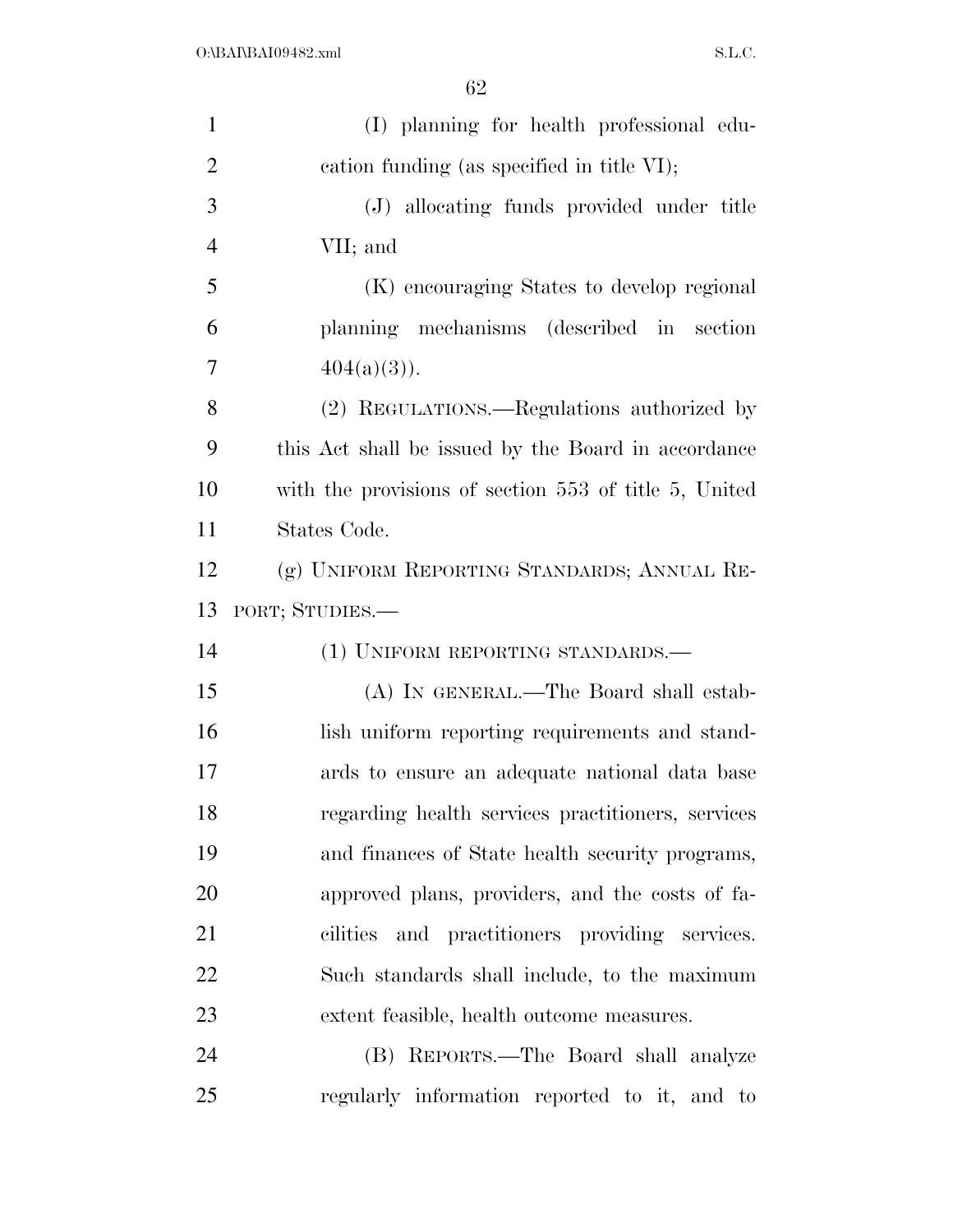| $\mathbf{1}$   | (I) planning for health professional edu-             |
|----------------|-------------------------------------------------------|
| $\overline{2}$ | cation funding (as specified in title VI);            |
| 3              | (J) allocating funds provided under title             |
| $\overline{4}$ | VII; and                                              |
| 5              | (K) encouraging States to develop regional            |
| 6              | planning mechanisms (described in section             |
| 7              | $404(a)(3)$ .                                         |
| 8              | (2) REGULATIONS.—Regulations authorized by            |
| 9              | this Act shall be issued by the Board in accordance   |
| 10             | with the provisions of section 553 of title 5, United |
| 11             | States Code.                                          |
| 12             | (g) UNIFORM REPORTING STANDARDS; ANNUAL RE-           |
|                |                                                       |
| 13             | PORT; STUDIES.—                                       |
| 14             | (1) UNIFORM REPORTING STANDARDS.—                     |
| 15             | (A) IN GENERAL.—The Board shall estab-                |
| 16             | lish uniform reporting requirements and stand-        |
| 17             | ards to ensure an adequate national data base         |
| 18             | regarding health services practitioners, services     |
| 19             | and finances of State health security programs,       |
| 20             | approved plans, providers, and the costs of fa-       |
| 21             | cilities and practitioners providing services.        |
| 22             | Such standards shall include, to the maximum          |
| 23             | extent feasible, health outcome measures.             |
| 24             | (B) REPORTS.—The Board shall analyze                  |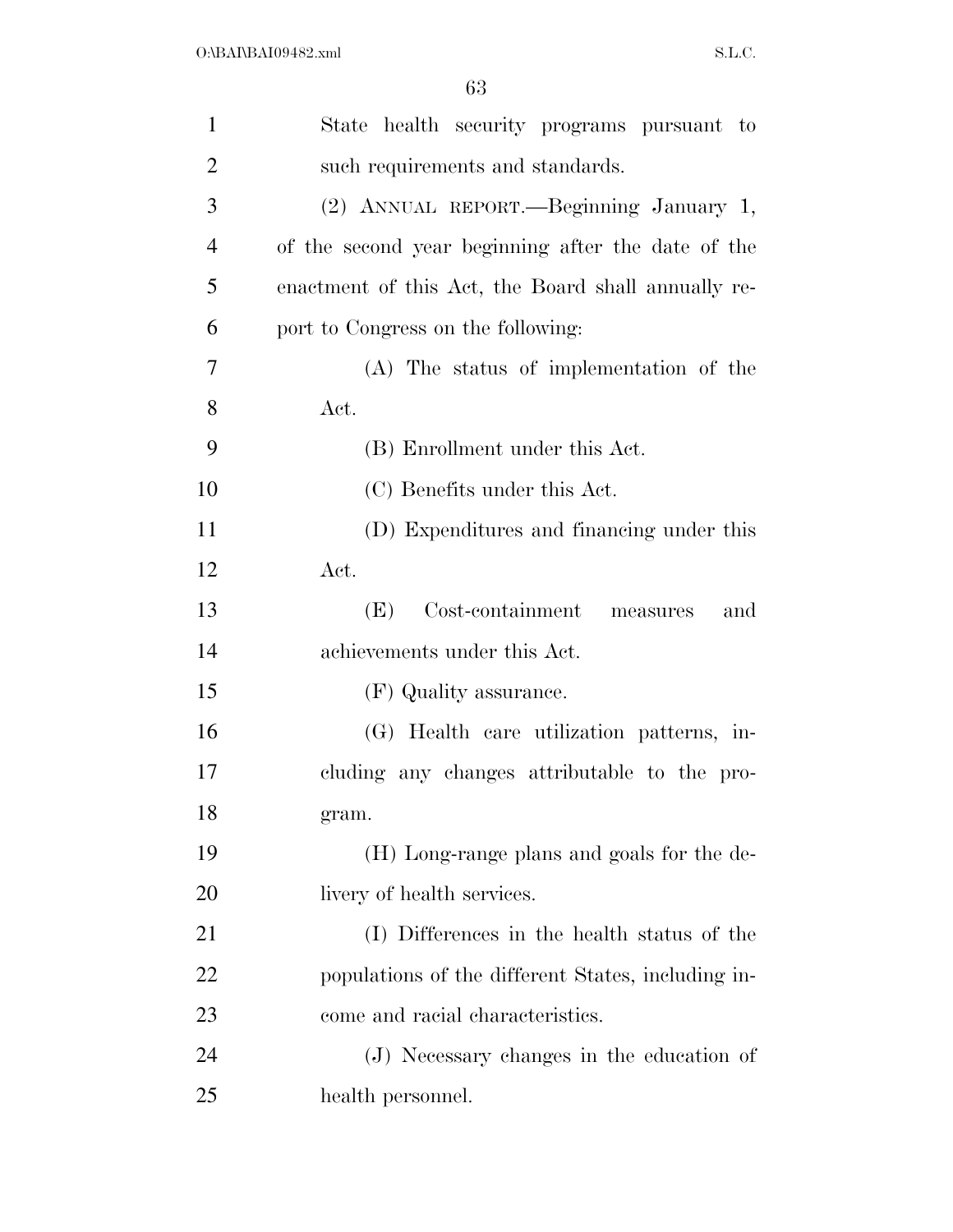| $\mathbf{1}$   | State health security programs pursuant to          |
|----------------|-----------------------------------------------------|
| $\overline{2}$ | such requirements and standards.                    |
| 3              | (2) ANNUAL REPORT. - Beginning January 1,           |
| $\overline{4}$ | of the second year beginning after the date of the  |
| 5              | enactment of this Act, the Board shall annually re- |
| 6              | port to Congress on the following:                  |
| 7              | (A) The status of implementation of the             |
| 8              | Act.                                                |
| 9              | (B) Enrollment under this Act.                      |
| 10             | (C) Benefits under this Act.                        |
| 11             | (D) Expenditures and financing under this           |
| 12             | Act.                                                |
| 13             | Cost-containment measures<br>(E)<br>and             |
| 14             | achievements under this Act.                        |
| 15             | (F) Quality assurance.                              |
| 16             | (G) Health care utilization patterns, in-           |
| 17             | cluding any changes attributable to the pro-        |
| 18             | gram.                                               |
| 19             | (H) Long-range plans and goals for the de-          |
| 20             | livery of health services.                          |
| 21             | (I) Differences in the health status of the         |
| 22             | populations of the different States, including in-  |
| 23             | come and racial characteristics.                    |
| 24             | (J) Necessary changes in the education of           |
| 25             | health personnel.                                   |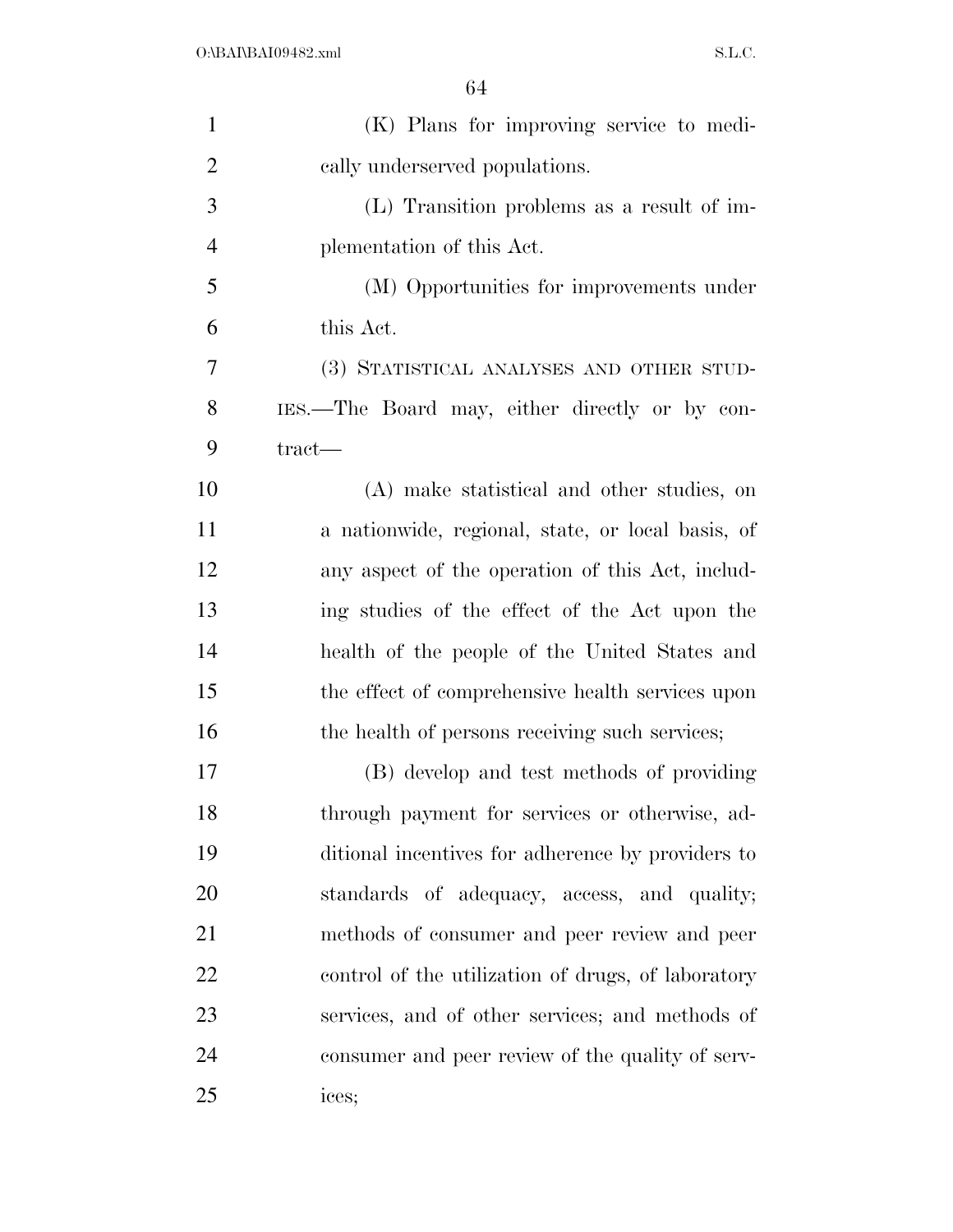| $\mathbf{1}$   | (K) Plans for improving service to medi-           |
|----------------|----------------------------------------------------|
| $\overline{2}$ | cally underserved populations.                     |
| 3              | $(L)$ Transition problems as a result of im-       |
| $\overline{4}$ | plementation of this Act.                          |
| 5              | (M) Opportunities for improvements under           |
| 6              | this Act.                                          |
| 7              | (3) STATISTICAL ANALYSES AND OTHER STUD-           |
| 8              | IES.—The Board may, either directly or by con-     |
| 9              | $\text{tract}$ —                                   |
| 10             | (A) make statistical and other studies, on         |
| 11             | a nationwide, regional, state, or local basis, of  |
| 12             | any aspect of the operation of this Act, includ-   |
| 13             | ing studies of the effect of the Act upon the      |
| 14             | health of the people of the United States and      |
| 15             | the effect of comprehensive health services upon   |
| 16             | the health of persons receiving such services;     |
| 17             | (B) develop and test methods of providing          |
| 18             | through payment for services or otherwise, ad-     |
| 19             | ditional incentives for adherence by providers to  |
| 20             | standards of adequacy, access, and quality;        |
| 21             | methods of consumer and peer review and peer       |
| 22             | control of the utilization of drugs, of laboratory |
| 23             | services, and of other services; and methods of    |
| 24             | consumer and peer review of the quality of serv-   |
| 25             | ices;                                              |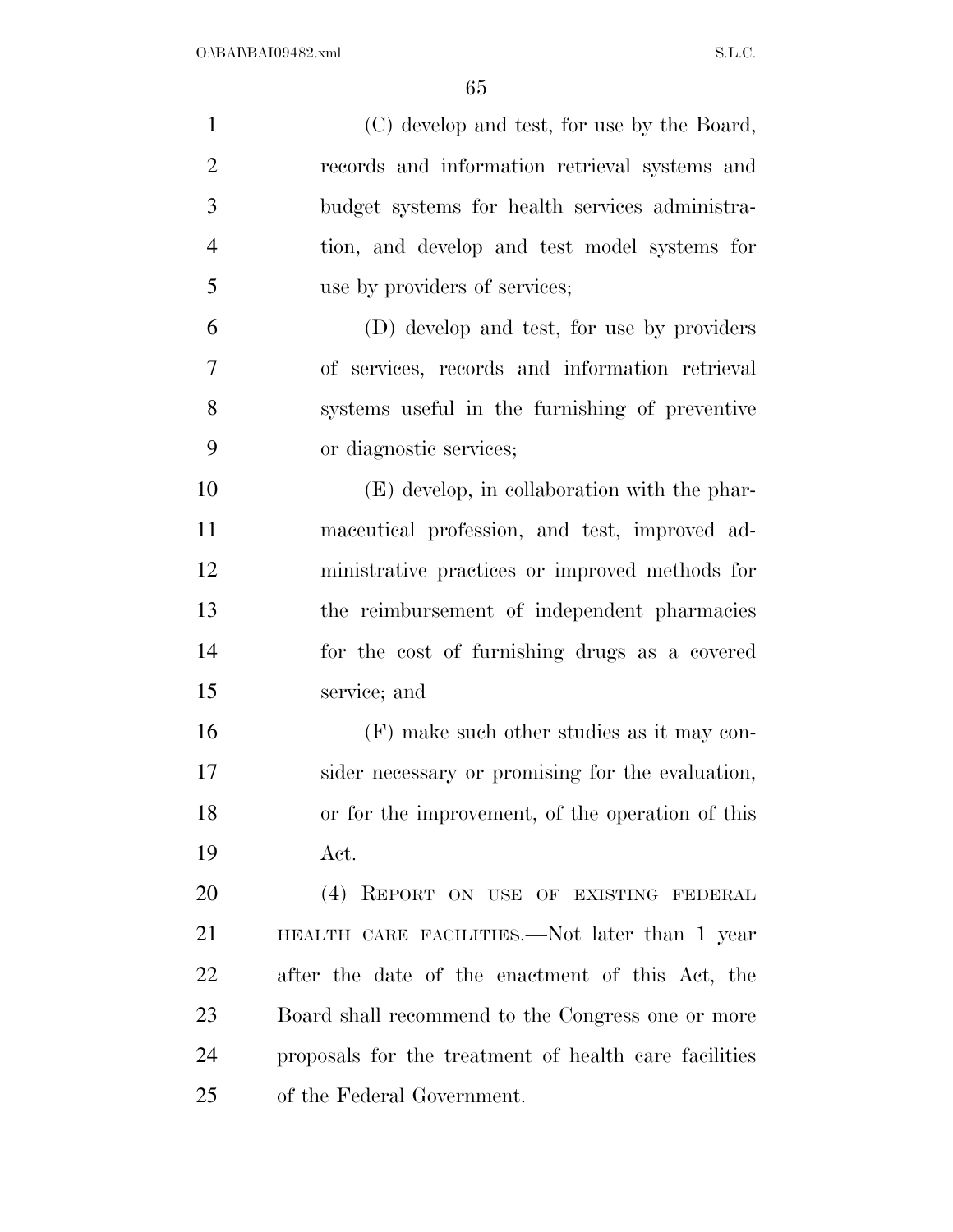| $\mathbf{1}$   | (C) develop and test, for use by the Board,           |
|----------------|-------------------------------------------------------|
| $\overline{2}$ | records and information retrieval systems and         |
| 3              | budget systems for health services administra-        |
| $\overline{4}$ | tion, and develop and test model systems for          |
| 5              | use by providers of services;                         |
| 6              | (D) develop and test, for use by providers            |
| 7              | of services, records and information retrieval        |
| 8              | systems useful in the furnishing of preventive        |
| 9              | or diagnostic services;                               |
| 10             | (E) develop, in collaboration with the phar-          |
| 11             | maceutical profession, and test, improved ad-         |
| 12             | ministrative practices or improved methods for        |
| 13             | the reimbursement of independent pharmacies           |
| 14             | for the cost of furnishing drugs as a covered         |
| 15             | service; and                                          |
| 16             | (F) make such other studies as it may con-            |
| 17             | sider necessary or promising for the evaluation,      |
| 18             | or for the improvement, of the operation of this      |
| 19             | Act.                                                  |
| 20             | (4) REPORT ON USE OF EXISTING FEDERAL                 |
| 21             | HEALTH CARE FACILITIES.—Not later than 1 year         |
| 22             | after the date of the enactment of this Act, the      |
| 23             | Board shall recommend to the Congress one or more     |
| 24             | proposals for the treatment of health care facilities |
| 25             | of the Federal Government.                            |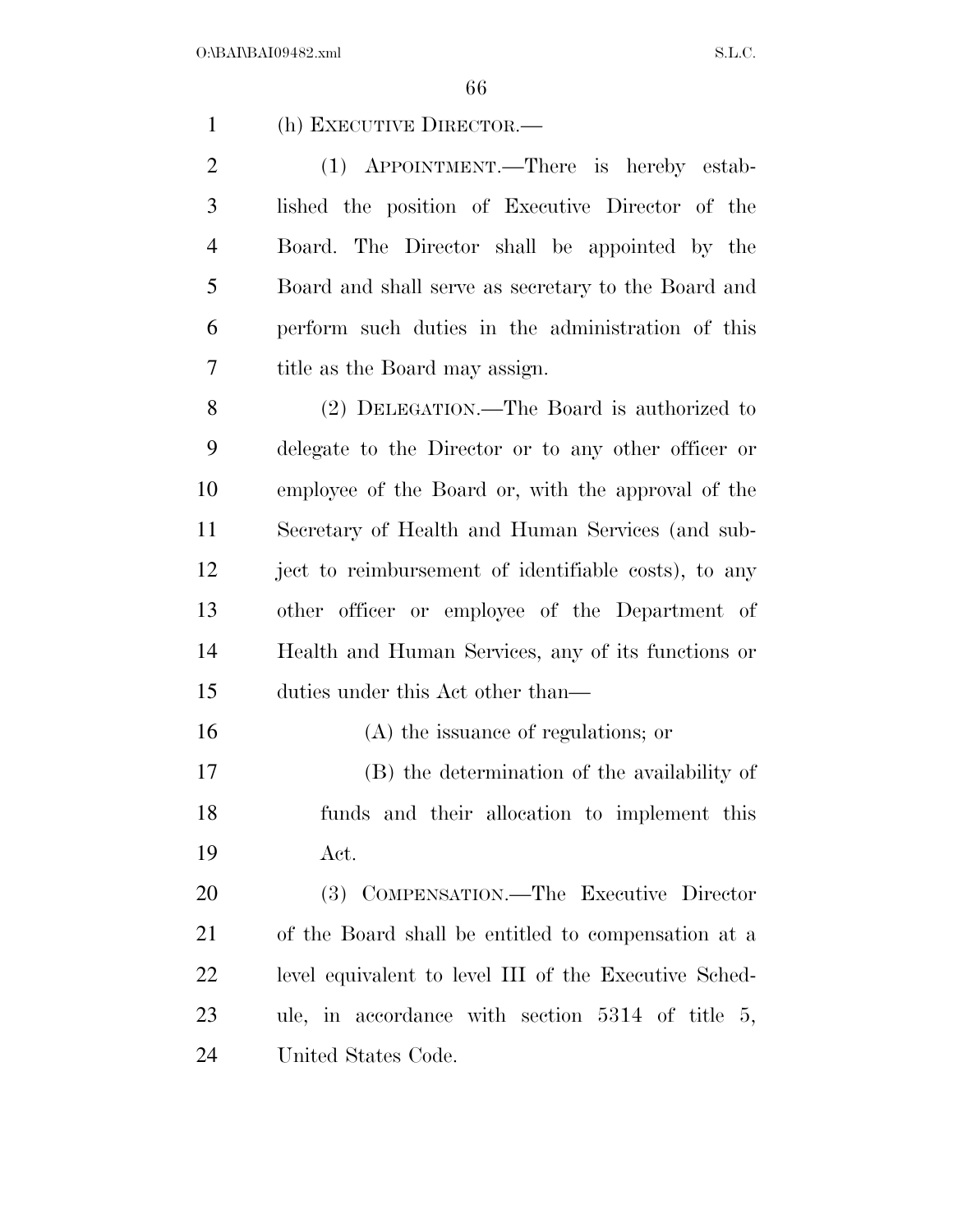(h) EXECUTIVE DIRECTOR.—

 (1) APPOINTMENT.—There is hereby estab- lished the position of Executive Director of the Board. The Director shall be appointed by the Board and shall serve as secretary to the Board and perform such duties in the administration of this title as the Board may assign.

 (2) DELEGATION.—The Board is authorized to delegate to the Director or to any other officer or employee of the Board or, with the approval of the Secretary of Health and Human Services (and sub- ject to reimbursement of identifiable costs), to any other officer or employee of the Department of Health and Human Services, any of its functions or duties under this Act other than—

 (A) the issuance of regulations; or (B) the determination of the availability of funds and their allocation to implement this Act.

 (3) COMPENSATION.—The Executive Director of the Board shall be entitled to compensation at a level equivalent to level III of the Executive Sched- ule, in accordance with section 5314 of title 5, United States Code.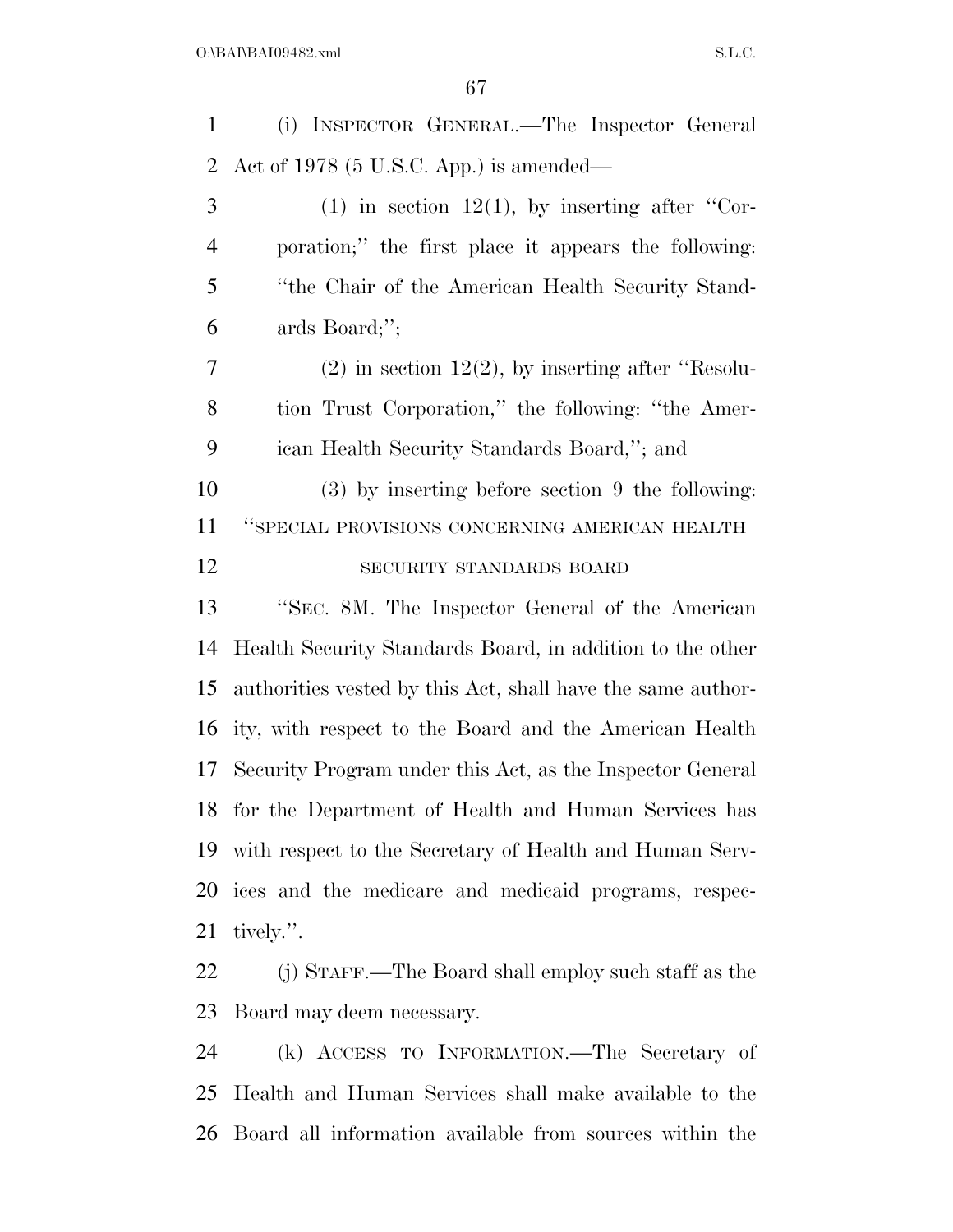(i) INSPECTOR GENERAL.—The Inspector General Act of 1978 (5 U.S.C. App.) is amended— (1) in section 12(1), by inserting after "Cor- poration;'' the first place it appears the following: ''the Chair of the American Health Security Stand- ards Board;''; (2) in section 12(2), by inserting after "Resolu- tion Trust Corporation,'' the following: ''the Amer- ican Health Security Standards Board,''; and (3) by inserting before section 9 the following: ''SPECIAL PROVISIONS CONCERNING AMERICAN HEALTH SECURITY STANDARDS BOARD ''SEC. 8M. The Inspector General of the American Health Security Standards Board, in addition to the other authorities vested by this Act, shall have the same author- ity, with respect to the Board and the American Health Security Program under this Act, as the Inspector General for the Department of Health and Human Services has with respect to the Secretary of Health and Human Serv- ices and the medicare and medicaid programs, respec- tively.''. (j) STAFF.—The Board shall employ such staff as the Board may deem necessary.

 (k) ACCESS TO INFORMATION.—The Secretary of Health and Human Services shall make available to the Board all information available from sources within the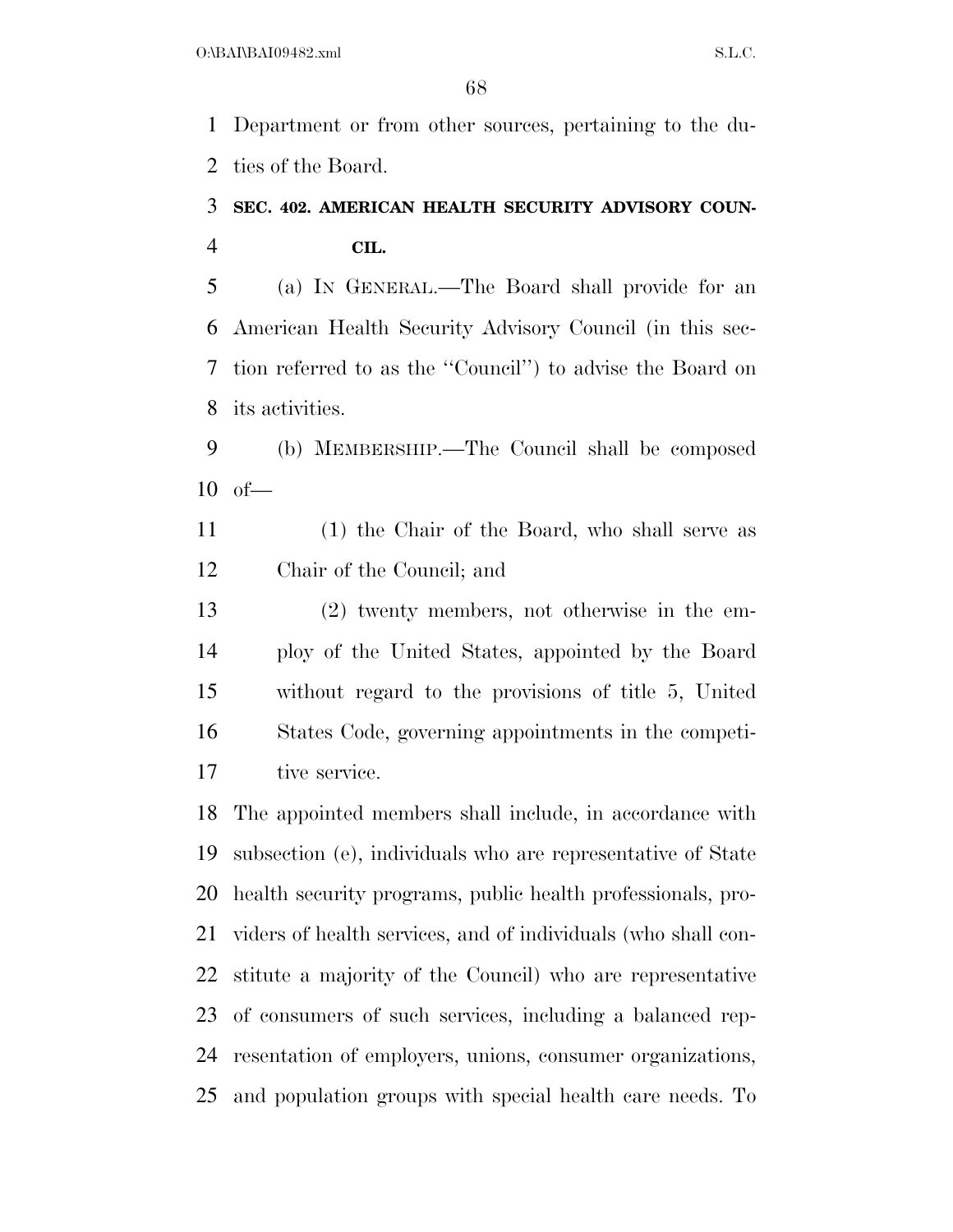Department or from other sources, pertaining to the du-ties of the Board.

### **SEC. 402. AMERICAN HEALTH SECURITY ADVISORY COUN-CIL.**

 (a) IN GENERAL.—The Board shall provide for an American Health Security Advisory Council (in this sec- tion referred to as the ''Council'') to advise the Board on its activities.

 (b) MEMBERSHIP.—The Council shall be composed of—

 (1) the Chair of the Board, who shall serve as Chair of the Council; and

 (2) twenty members, not otherwise in the em- ploy of the United States, appointed by the Board without regard to the provisions of title 5, United States Code, governing appointments in the competi-tive service.

 The appointed members shall include, in accordance with subsection (e), individuals who are representative of State health security programs, public health professionals, pro- viders of health services, and of individuals (who shall con- stitute a majority of the Council) who are representative of consumers of such services, including a balanced rep- resentation of employers, unions, consumer organizations, and population groups with special health care needs. To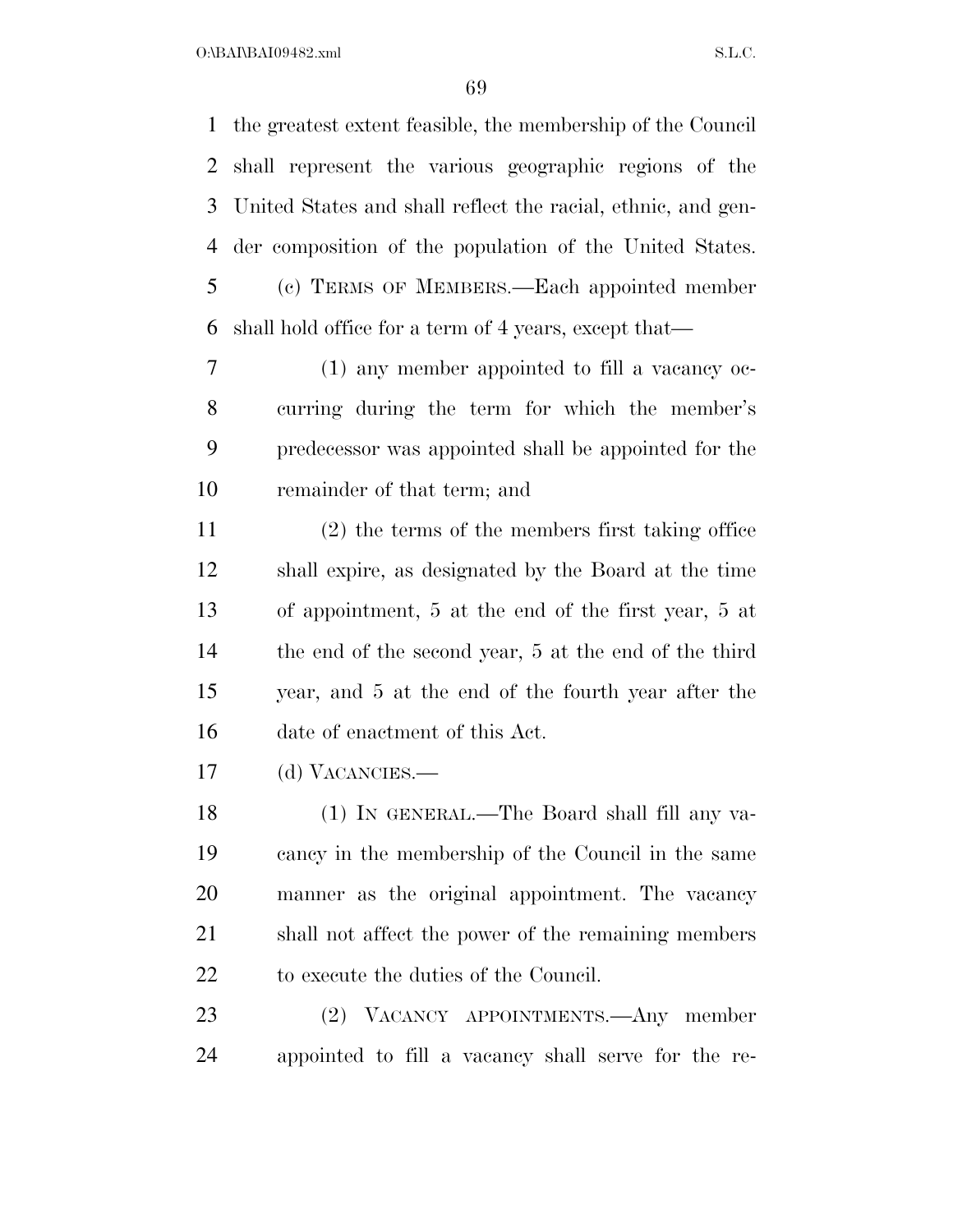$O:\beta A \Gamma \beta A 109482 \ldots$  S.L.C.

 the greatest extent feasible, the membership of the Council shall represent the various geographic regions of the United States and shall reflect the racial, ethnic, and gen- der composition of the population of the United States. (c) TERMS OF MEMBERS.—Each appointed member shall hold office for a term of 4 years, except that—

 (1) any member appointed to fill a vacancy oc- curring during the term for which the member's predecessor was appointed shall be appointed for the remainder of that term; and

 (2) the terms of the members first taking office shall expire, as designated by the Board at the time of appointment, 5 at the end of the first year, 5 at the end of the second year, 5 at the end of the third year, and 5 at the end of the fourth year after the date of enactment of this Act.

(d) VACANCIES.—

 (1) IN GENERAL.—The Board shall fill any va- cancy in the membership of the Council in the same manner as the original appointment. The vacancy shall not affect the power of the remaining members to execute the duties of the Council.

 (2) VACANCY APPOINTMENTS.—Any member appointed to fill a vacancy shall serve for the re-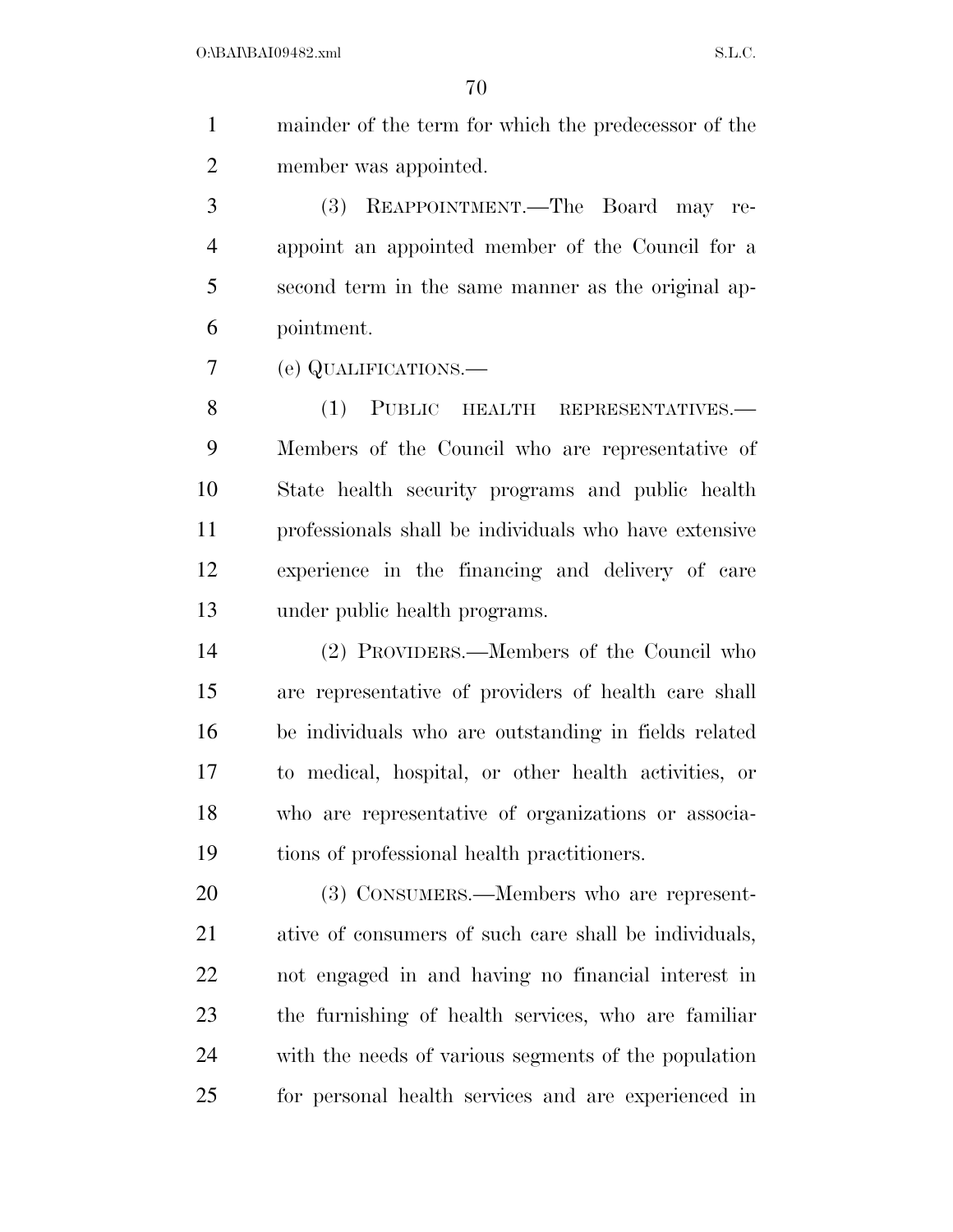mainder of the term for which the predecessor of the member was appointed.

 (3) REAPPOINTMENT.—The Board may re- appoint an appointed member of the Council for a second term in the same manner as the original ap-pointment.

(e) QUALIFICATIONS.—

8 (1) PUBLIC HEALTH REPRESENTATIVES.— Members of the Council who are representative of State health security programs and public health professionals shall be individuals who have extensive experience in the financing and delivery of care under public health programs.

 (2) PROVIDERS.—Members of the Council who are representative of providers of health care shall be individuals who are outstanding in fields related to medical, hospital, or other health activities, or who are representative of organizations or associa-tions of professional health practitioners.

 (3) CONSUMERS.—Members who are represent- ative of consumers of such care shall be individuals, not engaged in and having no financial interest in the furnishing of health services, who are familiar with the needs of various segments of the population for personal health services and are experienced in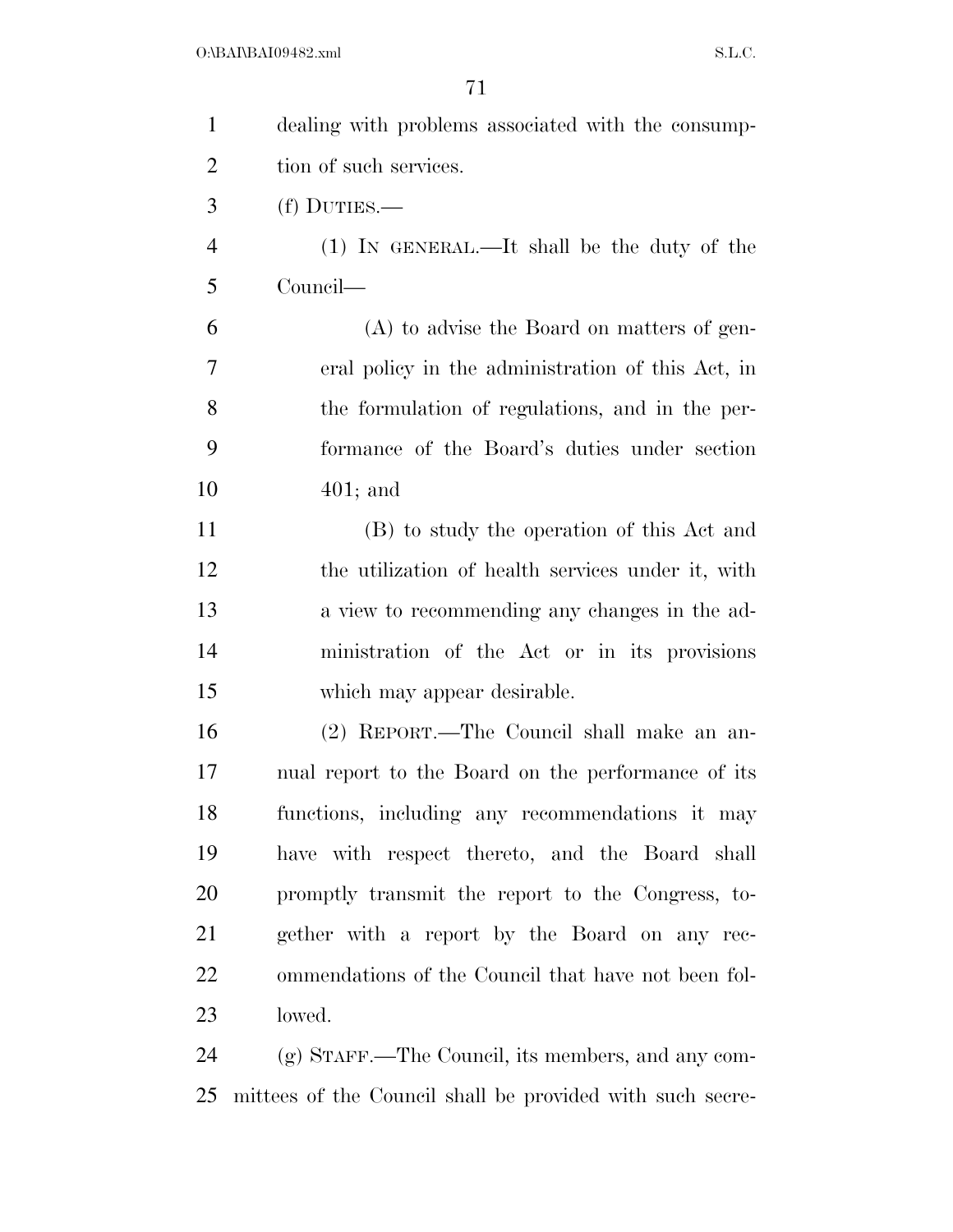| $\mathbf{1}$   | dealing with problems associated with the consump-        |
|----------------|-----------------------------------------------------------|
| $\overline{2}$ | tion of such services.                                    |
| 3              | $(f)$ DUTIES.—                                            |
| $\overline{4}$ | (1) IN GENERAL.—It shall be the duty of the               |
| 5              | Council—                                                  |
| 6              | (A) to advise the Board on matters of gen-                |
| $\tau$         | eral policy in the administration of this Act, in         |
| 8              | the formulation of regulations, and in the per-           |
| 9              | formance of the Board's duties under section              |
| 10             | $401;$ and                                                |
| 11             | (B) to study the operation of this Act and                |
| 12             | the utilization of health services under it, with         |
| 13             | a view to recommending any changes in the ad-             |
| 14             | ministration of the Act or in its provisions              |
| 15             | which may appear desirable.                               |
| 16             | (2) REPORT.—The Council shall make an an-                 |
| 17             | nual report to the Board on the performance of its        |
| 18             | functions, including any recommendations it may           |
| 19             | have with respect thereto, and the Board shall            |
| 20             | promptly transmit the report to the Congress, to-         |
| 21             | gether with a report by the Board on any rec-             |
| 22             | ommendations of the Council that have not been fol-       |
| 23             | lowed.                                                    |
| 24             | $(g)$ STAFF.—The Council, its members, and any com-       |
| 25             | mittees of the Council shall be provided with such secre- |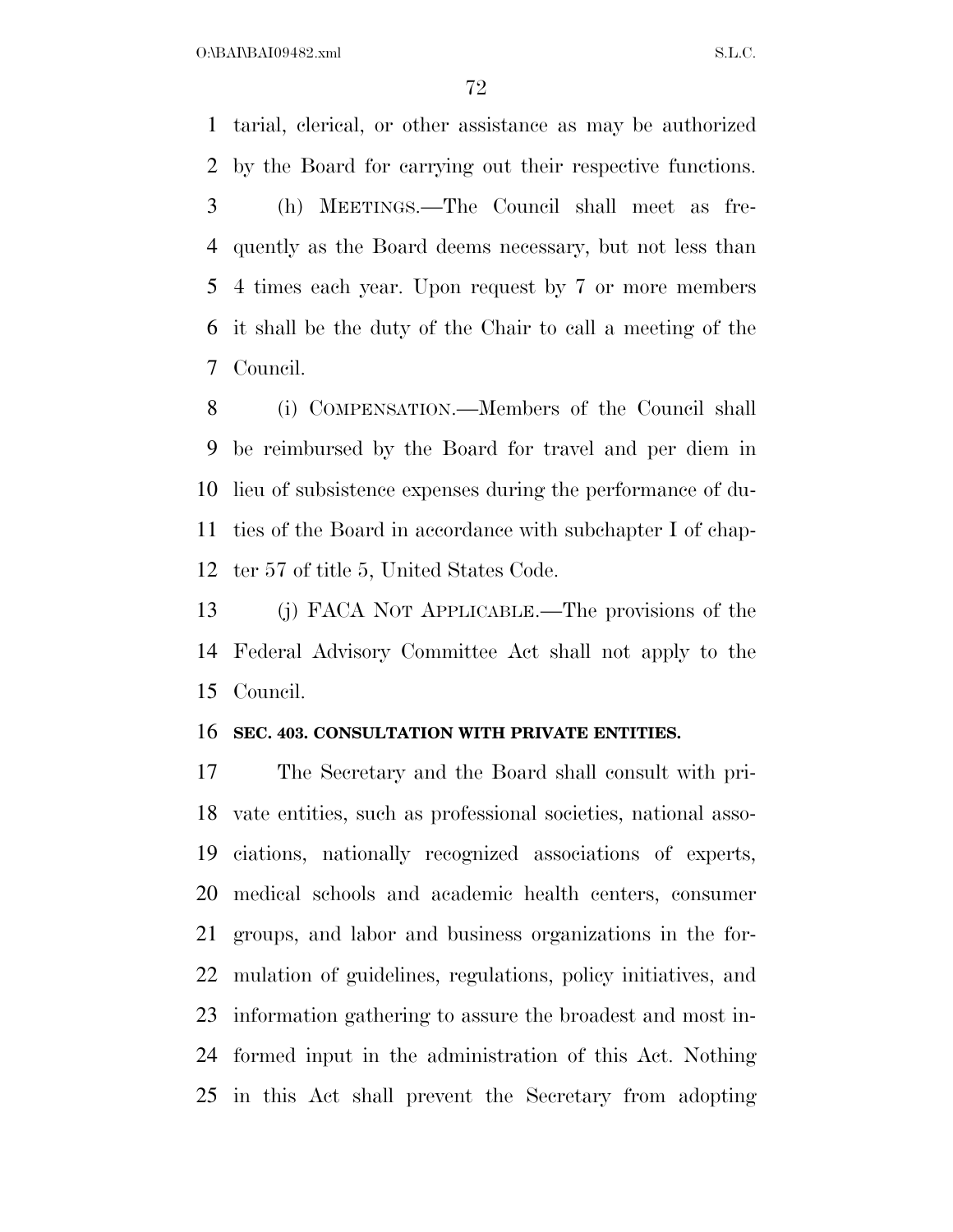$O:\beta A \Gamma \beta A 109482 \ldots$  S.L.C.

 tarial, clerical, or other assistance as may be authorized by the Board for carrying out their respective functions. (h) MEETINGS.—The Council shall meet as fre- quently as the Board deems necessary, but not less than 4 times each year. Upon request by 7 or more members it shall be the duty of the Chair to call a meeting of the Council.

 (i) COMPENSATION.—Members of the Council shall be reimbursed by the Board for travel and per diem in lieu of subsistence expenses during the performance of du- ties of the Board in accordance with subchapter I of chap-ter 57 of title 5, United States Code.

 (j) FACA NOT APPLICABLE.—The provisions of the Federal Advisory Committee Act shall not apply to the Council.

#### **SEC. 403. CONSULTATION WITH PRIVATE ENTITIES.**

 The Secretary and the Board shall consult with pri- vate entities, such as professional societies, national asso- ciations, nationally recognized associations of experts, medical schools and academic health centers, consumer groups, and labor and business organizations in the for- mulation of guidelines, regulations, policy initiatives, and information gathering to assure the broadest and most in- formed input in the administration of this Act. Nothing in this Act shall prevent the Secretary from adopting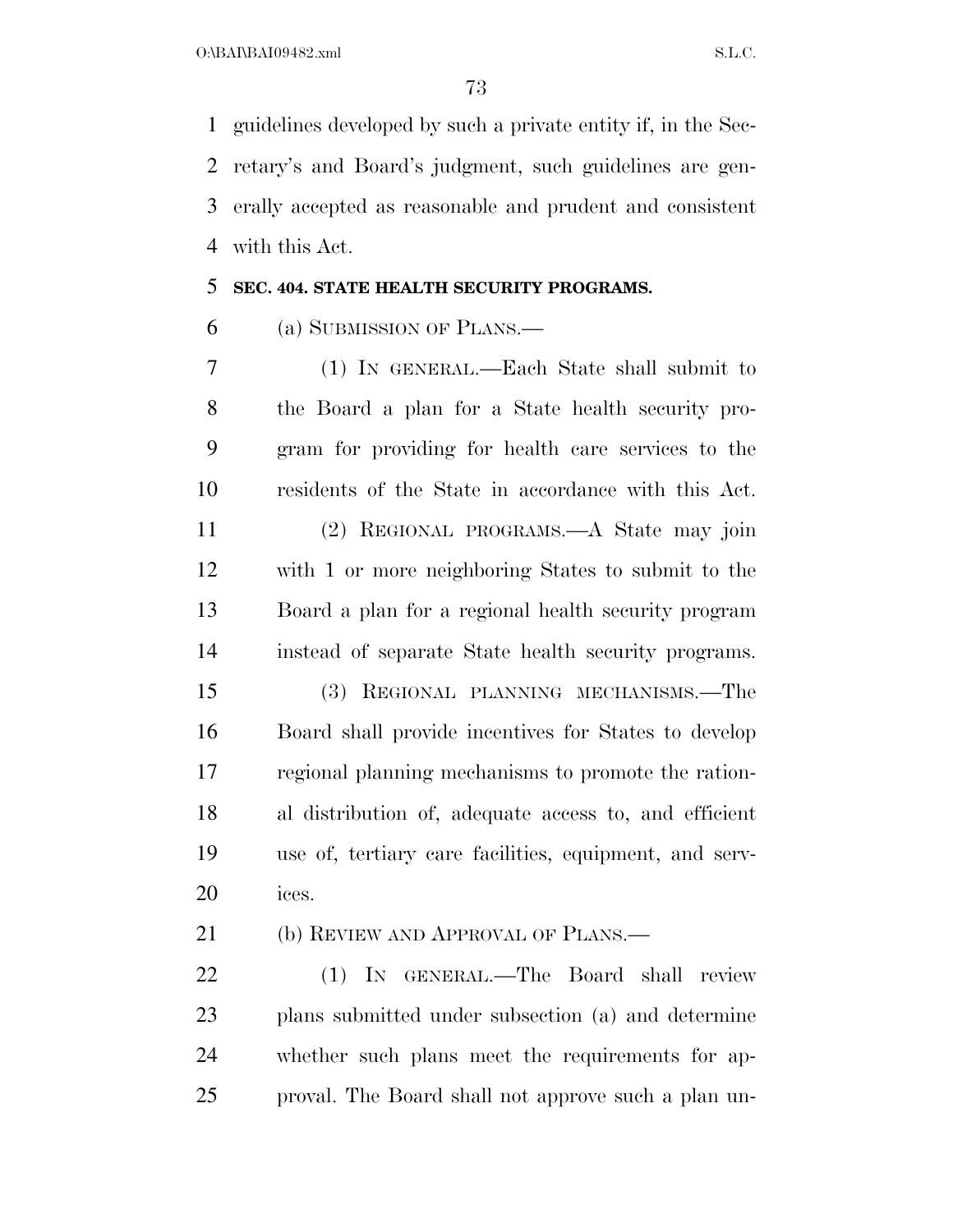guidelines developed by such a private entity if, in the Sec- retary's and Board's judgment, such guidelines are gen- erally accepted as reasonable and prudent and consistent with this Act.

#### **SEC. 404. STATE HEALTH SECURITY PROGRAMS.**

(a) SUBMISSION OF PLANS.—

 (1) IN GENERAL.—Each State shall submit to the Board a plan for a State health security pro- gram for providing for health care services to the residents of the State in accordance with this Act.

 (2) REGIONAL PROGRAMS.—A State may join with 1 or more neighboring States to submit to the Board a plan for a regional health security program instead of separate State health security programs.

 (3) REGIONAL PLANNING MECHANISMS.—The Board shall provide incentives for States to develop regional planning mechanisms to promote the ration- al distribution of, adequate access to, and efficient use of, tertiary care facilities, equipment, and serv-ices.

21 (b) REVIEW AND APPROVAL OF PLANS.—

 (1) IN GENERAL.—The Board shall review plans submitted under subsection (a) and determine whether such plans meet the requirements for ap-proval. The Board shall not approve such a plan un-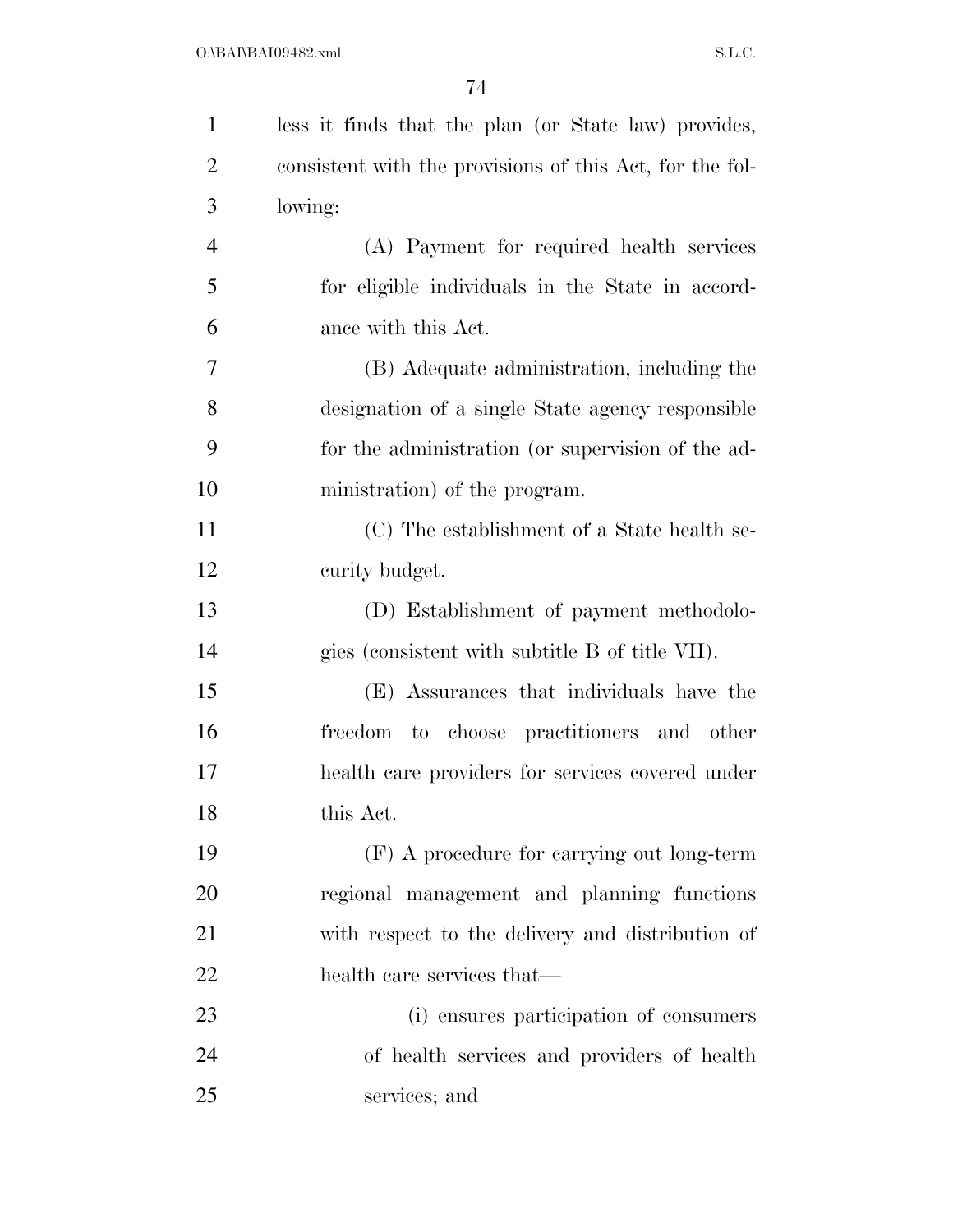| $\mathbf{1}$   | less it finds that the plan (or State law) provides,     |
|----------------|----------------------------------------------------------|
| $\overline{2}$ | consistent with the provisions of this Act, for the fol- |
| 3              | lowing:                                                  |
| $\overline{4}$ | (A) Payment for required health services                 |
| 5              | for eligible individuals in the State in accord-         |
| 6              | ance with this Act.                                      |
| 7              | (B) Adequate administration, including the               |
| 8              | designation of a single State agency responsible         |
| 9              | for the administration (or supervision of the ad-        |
| 10             | ministration) of the program.                            |
| 11             | (C) The establishment of a State health se-              |
| 12             | curity budget.                                           |
| 13             | (D) Establishment of payment methodolo-                  |
| 14             | gies (consistent with subtitle B of title VII).          |
| 15             | (E) Assurances that individuals have the                 |
| 16             | freedom to choose practitioners and other                |
| 17             | health care providers for services covered under         |
| 18             | this Act.                                                |
| 19             | $(F)$ A procedure for carrying out long-term             |
| 20             | regional management and planning functions               |
| 21             | with respect to the delivery and distribution of         |
| 22             | health care services that—                               |
| 23             | (i) ensures participation of consumers                   |
| 24             | of health services and providers of health               |
| 25             | services; and                                            |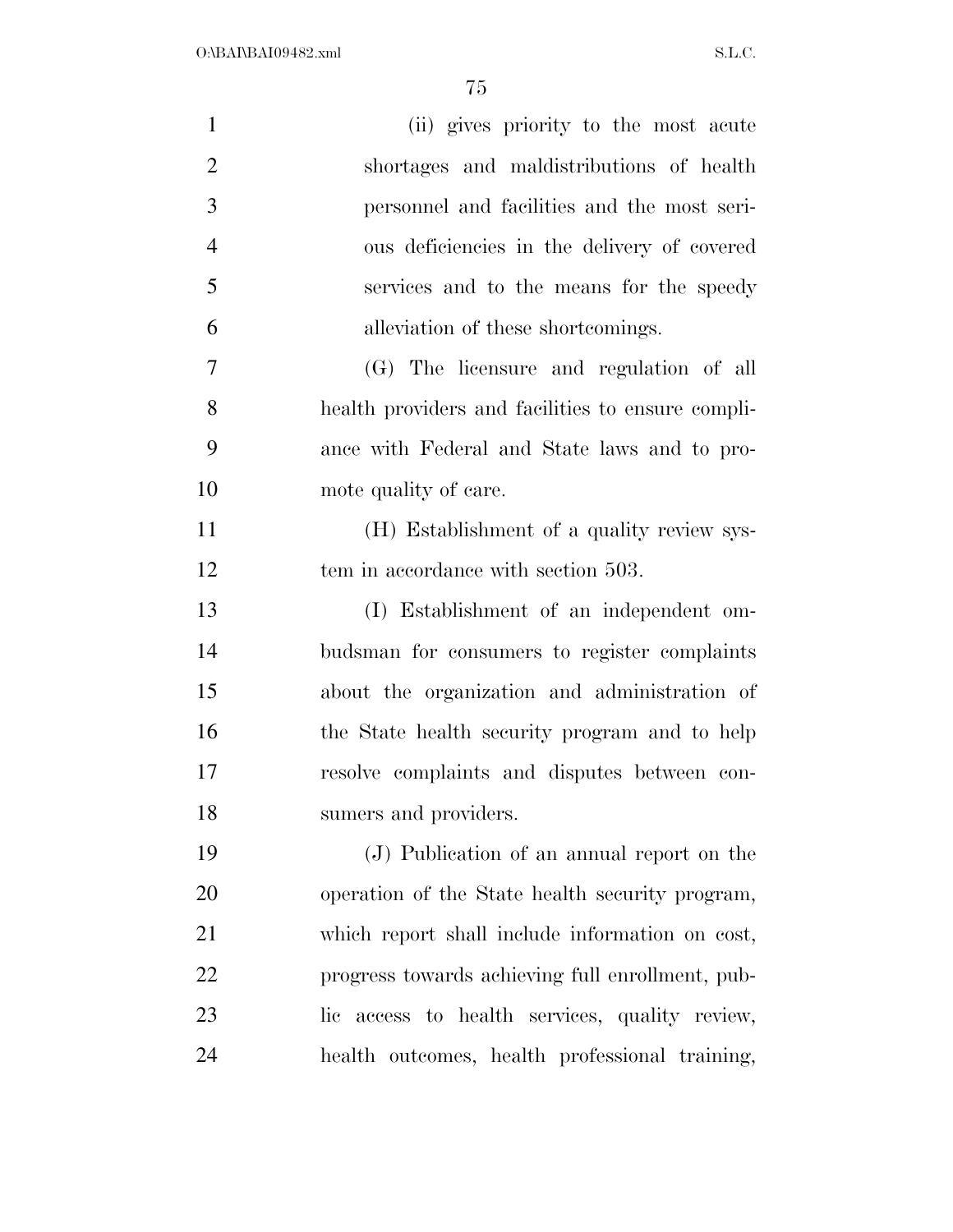| $\mathbf{1}$   | (ii) gives priority to the most acute             |
|----------------|---------------------------------------------------|
| $\overline{2}$ | shortages and maldistributions of health          |
| 3              | personnel and facilities and the most seri-       |
| $\overline{4}$ | ous deficiencies in the delivery of covered       |
| 5              | services and to the means for the speedy          |
| 6              | alleviation of these shortcomings.                |
| 7              | (G) The licensure and regulation of all           |
| 8              | health providers and facilities to ensure compli- |
| 9              | ance with Federal and State laws and to pro-      |
| 10             | mote quality of care.                             |
| 11             | (H) Establishment of a quality review sys-        |
| 12             | tem in accordance with section 503.               |
| 13             | (I) Establishment of an independent om-           |
| 14             | budsman for consumers to register complaints      |
| 15             | about the organization and administration of      |
| 16             | the State health security program and to help     |
| 17             | resolve complaints and disputes between con-      |
| 18             | sumers and providers.                             |
| 19             | (J) Publication of an annual report on the        |
| 20             | operation of the State health security program,   |
| 21             | which report shall include information on cost,   |
| 22             | progress towards achieving full enrollment, pub-  |
| 23             | lic access to health services, quality review,    |
| 24             | health outcomes, health professional training,    |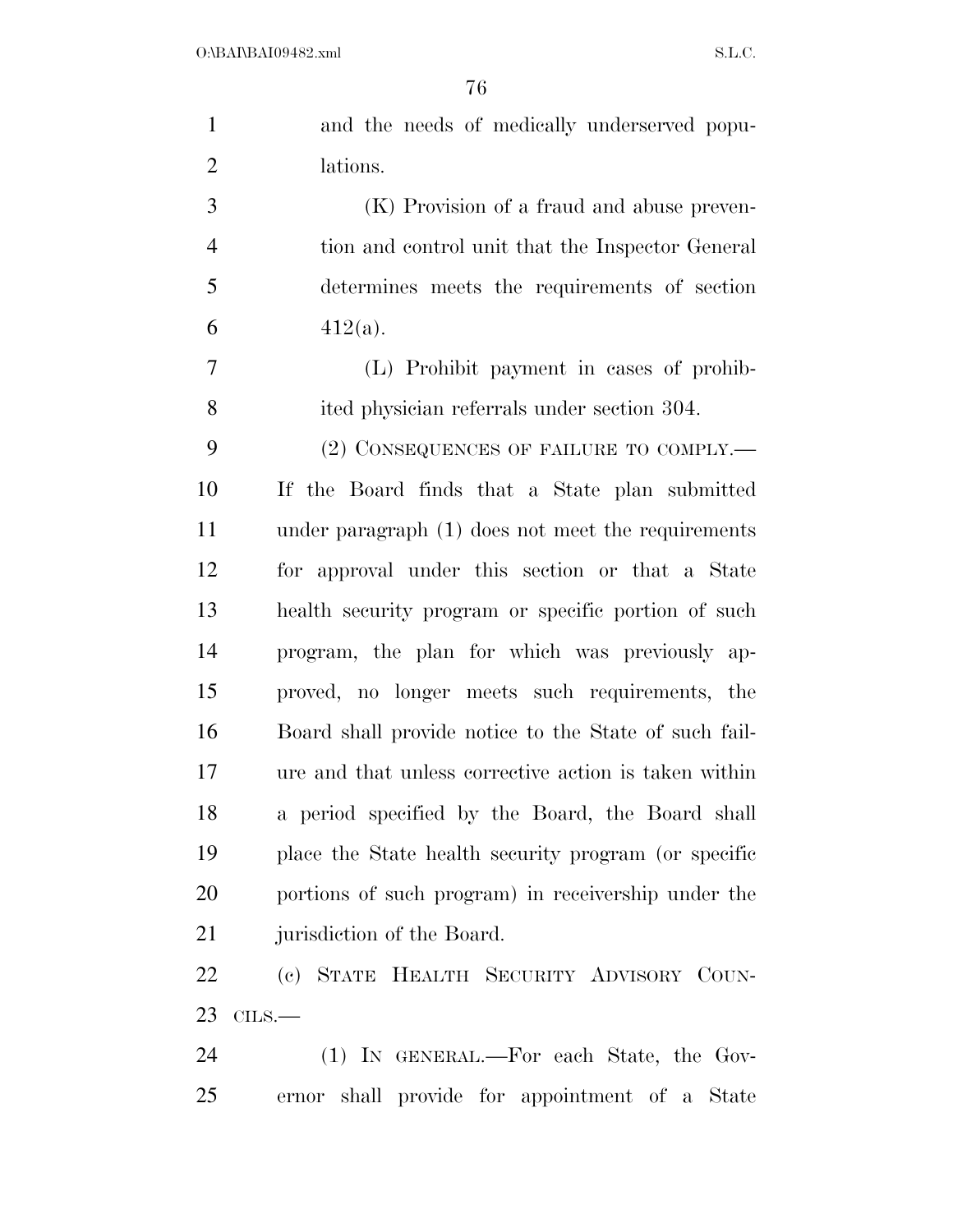| $\mathbf{1}$   | and the needs of medically underserved popu-          |
|----------------|-------------------------------------------------------|
| $\overline{2}$ | lations.                                              |
| 3              | (K) Provision of a fraud and abuse preven-            |
| $\overline{4}$ | tion and control unit that the Inspector General      |
| 5              | determines meets the requirements of section          |
| 6              | $412(a)$ .                                            |
| 7              | (L) Prohibit payment in cases of prohib-              |
| 8              | ited physician referrals under section 304.           |
| 9              | $(2)$ CONSEQUENCES OF FAILURE TO COMPLY.—             |
| 10             | If the Board finds that a State plan submitted        |
| 11             | under paragraph $(1)$ does not meet the requirements  |
| 12             | for approval under this section or that a State       |
| 13             | health security program or specific portion of such   |
| 14             | program, the plan for which was previously ap-        |
| 15             | proved, no longer meets such requirements, the        |
| 16             | Board shall provide notice to the State of such fail- |
| 17             | ure and that unless corrective action is taken within |
| 18             | a period specified by the Board, the Board shall      |
| 19             | place the State health security program (or specific  |
| 20             | portions of such program) in receivership under the   |
| 21             | jurisdiction of the Board.                            |
| 22             | (c) STATE HEALTH SECURITY ADVISORY COUN-              |
| 23             | $CLLS$ .                                              |

 (1) IN GENERAL.—For each State, the Gov-ernor shall provide for appointment of a State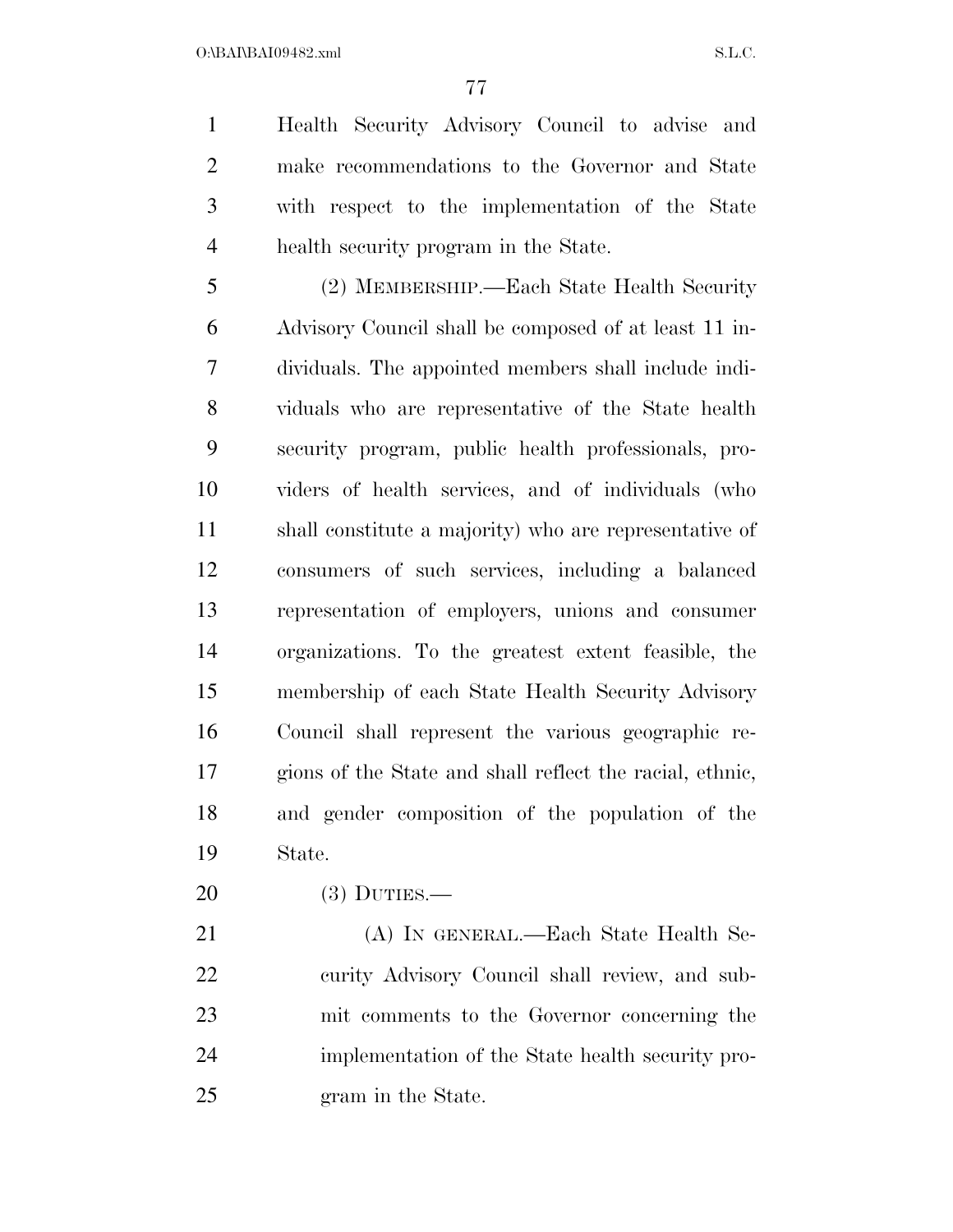$O:\beta A \Gamma B A109482.xml$  S.L.C.

 Health Security Advisory Council to advise and make recommendations to the Governor and State with respect to the implementation of the State health security program in the State.

 (2) MEMBERSHIP.—Each State Health Security Advisory Council shall be composed of at least 11 in- dividuals. The appointed members shall include indi- viduals who are representative of the State health security program, public health professionals, pro- viders of health services, and of individuals (who shall constitute a majority) who are representative of consumers of such services, including a balanced representation of employers, unions and consumer organizations. To the greatest extent feasible, the membership of each State Health Security Advisory Council shall represent the various geographic re- gions of the State and shall reflect the racial, ethnic, and gender composition of the population of the State.

(3) DUTIES.—

 (A) IN GENERAL.—Each State Health Se- curity Advisory Council shall review, and sub- mit comments to the Governor concerning the implementation of the State health security pro-gram in the State.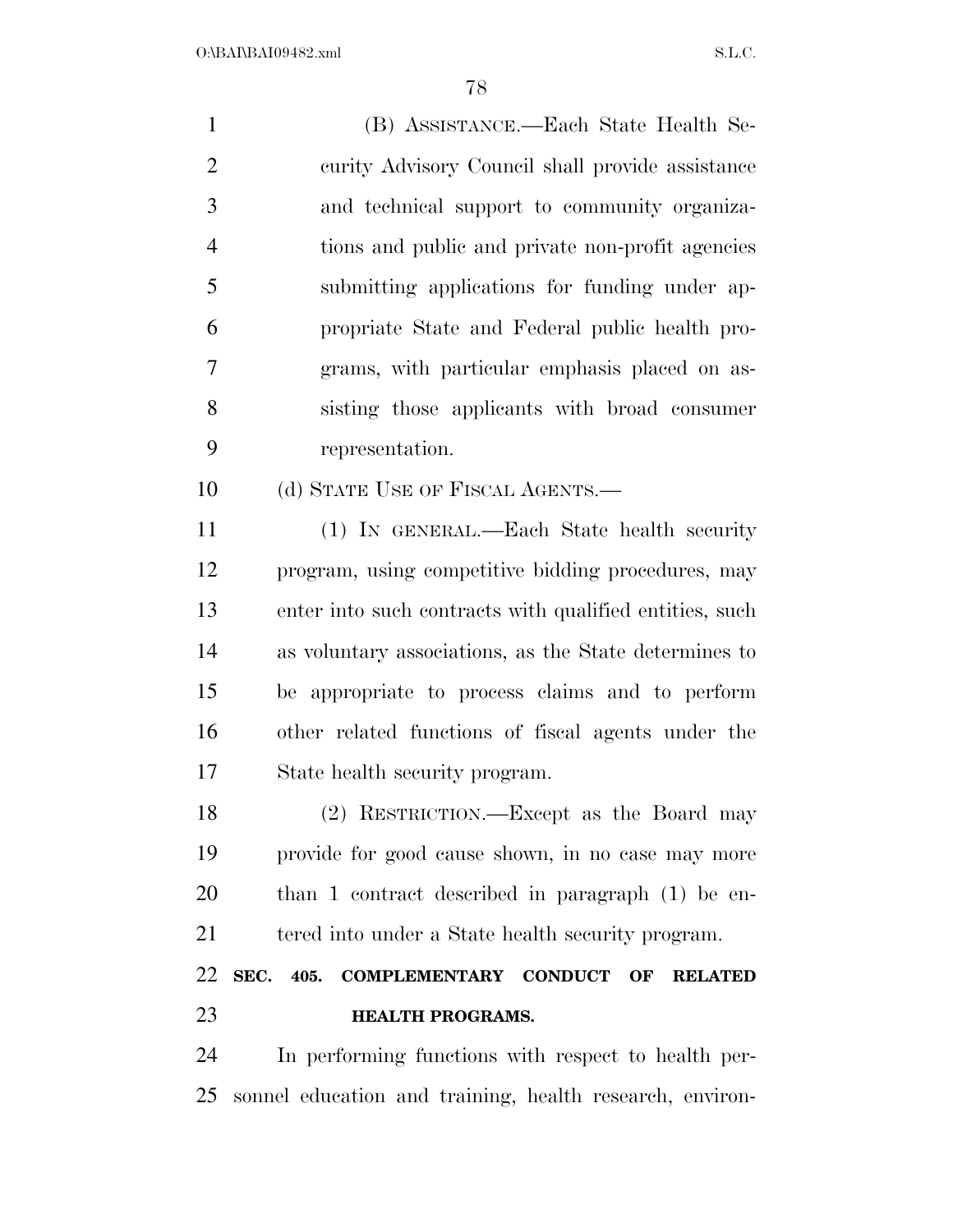| $\mathbf{1}$   | (B) ASSISTANCE.—Each State Health Se-                                          |
|----------------|--------------------------------------------------------------------------------|
| $\overline{2}$ | curity Advisory Council shall provide assistance                               |
| 3              | and technical support to community organiza-                                   |
| $\overline{4}$ | tions and public and private non-profit agencies                               |
| 5              | submitting applications for funding under ap-                                  |
| 6              | propriate State and Federal public health pro-                                 |
| 7              | grams, with particular emphasis placed on as-                                  |
| 8              | sisting those applicants with broad consumer                                   |
| 9              | representation.                                                                |
| 10             | (d) STATE USE OF FISCAL AGENTS.—                                               |
| 11             | (1) IN GENERAL.—Each State health security                                     |
| 12             | program, using competitive bidding procedures, may                             |
| 13             | enter into such contracts with qualified entities, such                        |
| 14             | as voluntary associations, as the State determines to                          |
| 15             | be appropriate to process claims and to perform                                |
| 16             | other related functions of fiscal agents under the                             |
| 17             | State health security program.                                                 |
| 18             | (2) RESTRICTION.—Except as the Board may                                       |
| 19             | provide for good cause shown, in no case may more                              |
| 20             | than 1 contract described in paragraph (1) be en-                              |
| 21             | tered into under a State health security program.                              |
| 22             | SEC.<br>405.<br><b>CONDUCT</b><br><b>COMPLEMENTARY</b><br>OF<br><b>RELATED</b> |

### **HEALTH PROGRAMS.**

 In performing functions with respect to health per-sonnel education and training, health research, environ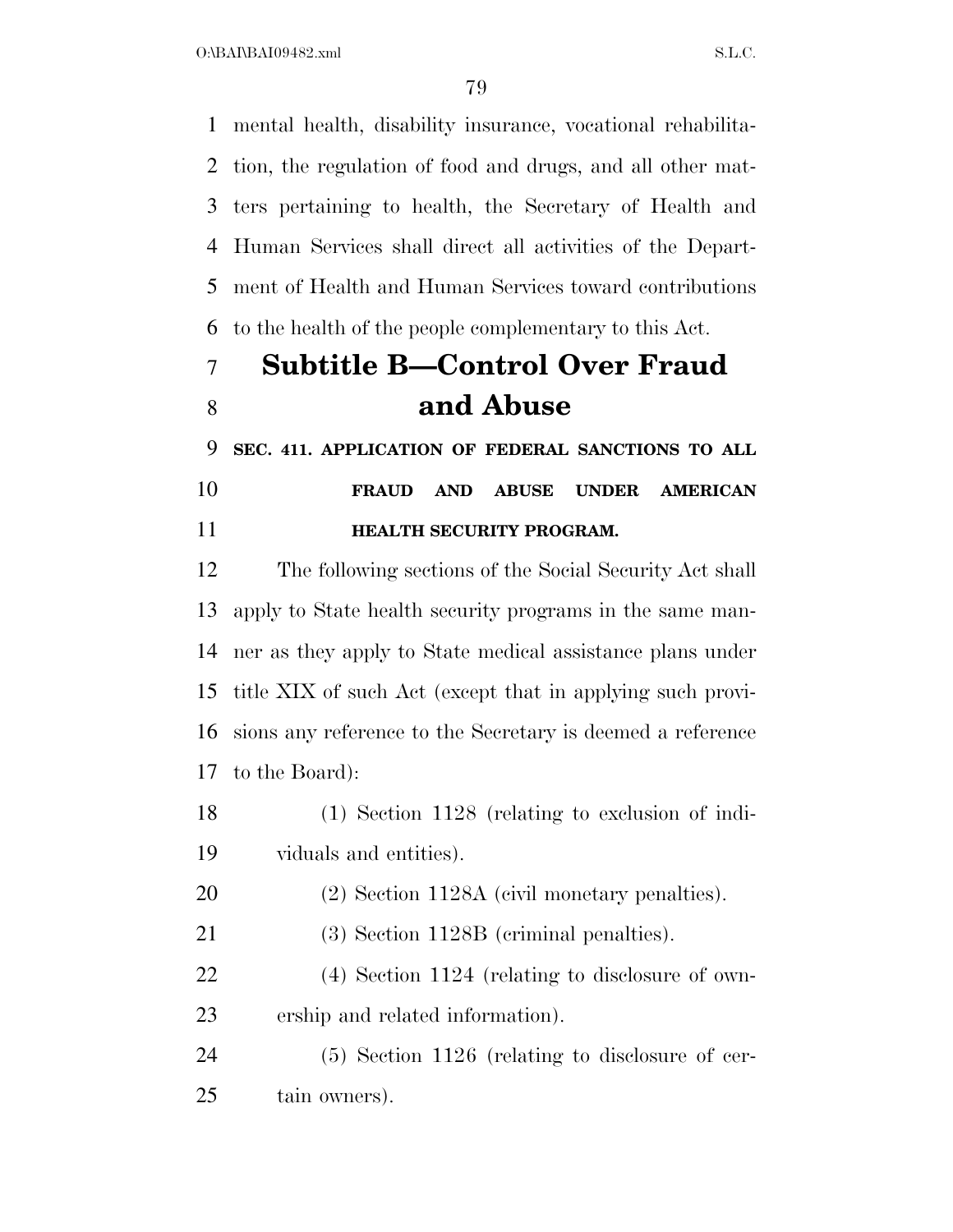$O:\beta A \Gamma \beta A 109482 \ldots$  S.L.C.

 mental health, disability insurance, vocational rehabilita- tion, the regulation of food and drugs, and all other mat- ters pertaining to health, the Secretary of Health and Human Services shall direct all activities of the Depart- ment of Health and Human Services toward contributions to the health of the people complementary to this Act.

# **Subtitle B—Control Over Fraud and Abuse**

 **SEC. 411. APPLICATION OF FEDERAL SANCTIONS TO ALL FRAUD AND ABUSE UNDER AMERICAN HEALTH SECURITY PROGRAM.** 

 The following sections of the Social Security Act shall apply to State health security programs in the same man- ner as they apply to State medical assistance plans under title XIX of such Act (except that in applying such provi- sions any reference to the Secretary is deemed a reference to the Board):

 (1) Section 1128 (relating to exclusion of indi-viduals and entities).

(2) Section 1128A (civil monetary penalties).

(3) Section 1128B (criminal penalties).

 (4) Section 1124 (relating to disclosure of own-ership and related information).

 (5) Section 1126 (relating to disclosure of cer-tain owners).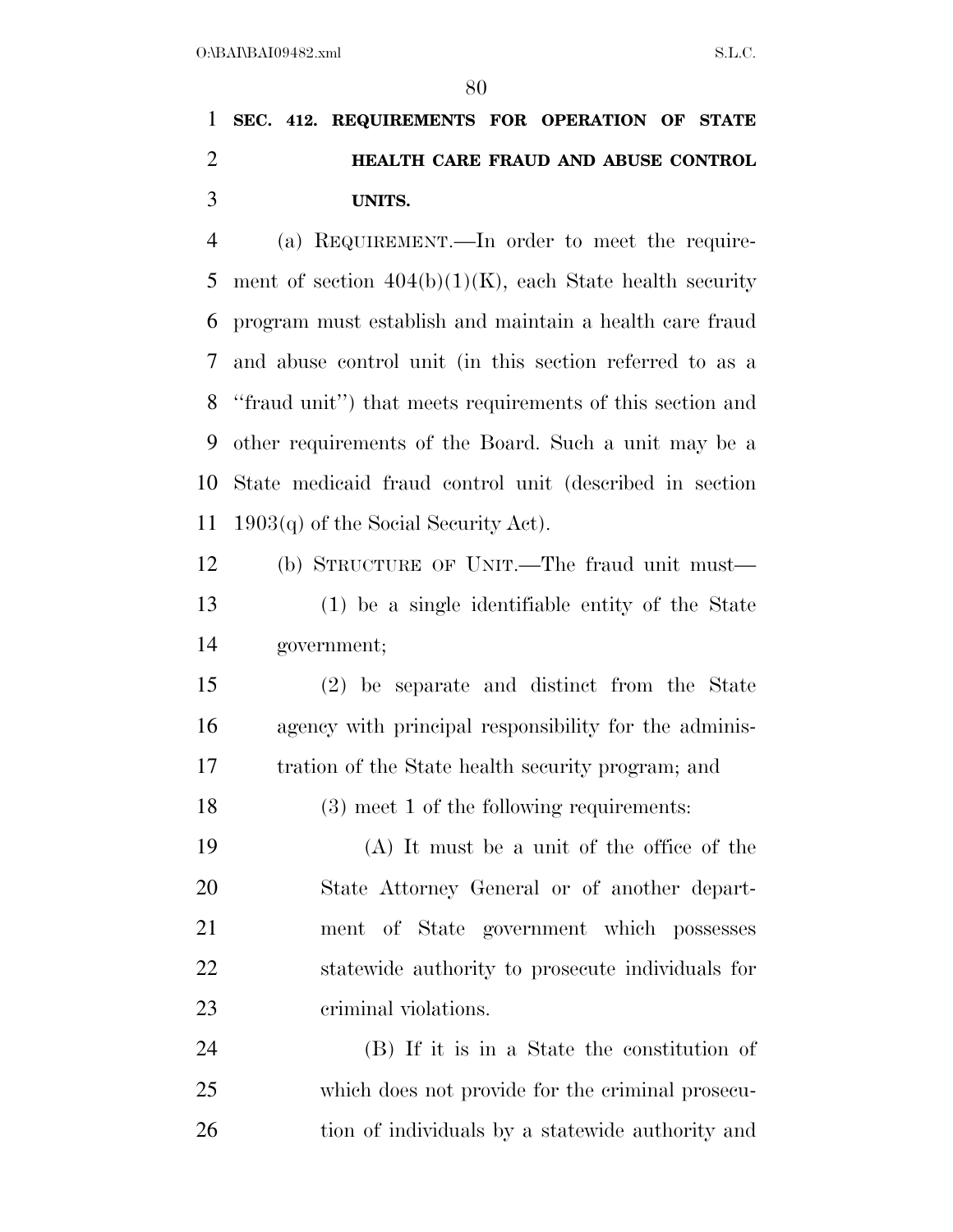## **SEC. 412. REQUIREMENTS FOR OPERATION OF STATE HEALTH CARE FRAUD AND ABUSE CONTROL UNITS.**

 (a) REQUIREMENT.—In order to meet the require-5 ment of section  $404(b)(1)(K)$ , each State health security program must establish and maintain a health care fraud and abuse control unit (in this section referred to as a ''fraud unit'') that meets requirements of this section and other requirements of the Board. Such a unit may be a State medicaid fraud control unit (described in section 1903(q) of the Social Security Act).

 (b) STRUCTURE OF UNIT.—The fraud unit must— (1) be a single identifiable entity of the State government;

 (2) be separate and distinct from the State agency with principal responsibility for the adminis-tration of the State health security program; and

(3) meet 1 of the following requirements:

 (A) It must be a unit of the office of the State Attorney General or of another depart- ment of State government which possesses statewide authority to prosecute individuals for criminal violations.

 (B) If it is in a State the constitution of which does not provide for the criminal prosecu-26 tion of individuals by a statewide authority and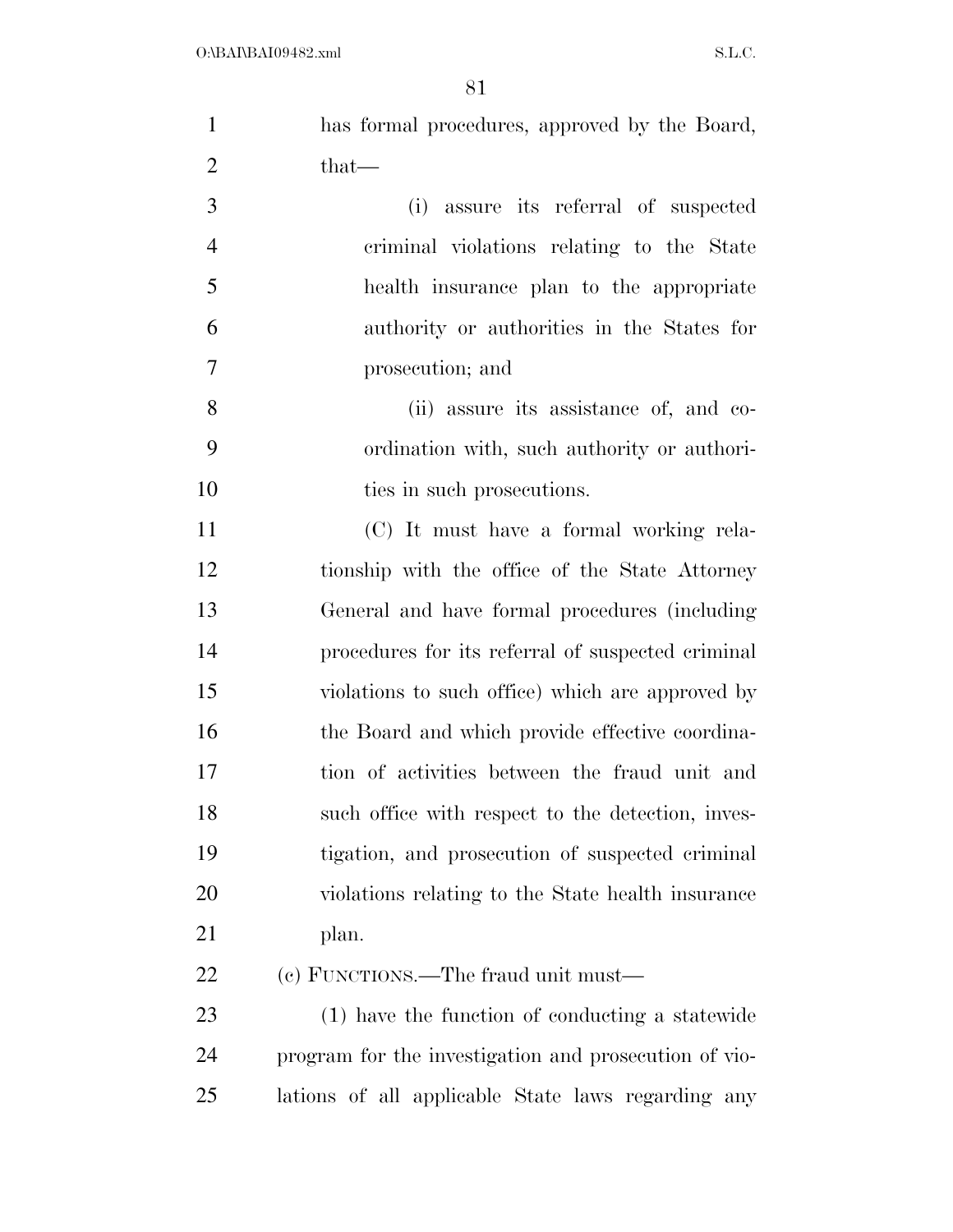| $\mathbf{1}$   | has formal procedures, approved by the Board,         |
|----------------|-------------------------------------------------------|
| $\overline{2}$ | $that-$                                               |
| 3              | assure its referral of suspected<br>(i)               |
| $\overline{4}$ | criminal violations relating to the State             |
| 5              | health insurance plan to the appropriate              |
| 6              | authority or authorities in the States for            |
| 7              | prosecution; and                                      |
| $8\,$          | (ii) assure its assistance of, and co-                |
| 9              | ordination with, such authority or authori-           |
| 10             | ties in such prosecutions.                            |
| 11             | (C) It must have a formal working rela-               |
| 12             | tionship with the office of the State Attorney        |
| 13             | General and have formal procedures (including         |
| 14             | procedures for its referral of suspected criminal     |
| 15             | violations to such office) which are approved by      |
| 16             | the Board and which provide effective coordina-       |
| 17             | tion of activities between the fraud unit and         |
| 18             | such office with respect to the detection, inves-     |
| 19             | tigation, and prosecution of suspected criminal       |
| <b>20</b>      | violations relating to the State health insurance     |
| 21             | plan.                                                 |
| 22             | (c) FUNCTIONS.—The fraud unit must—                   |
| 23             | (1) have the function of conducting a statewide       |
| 24             | program for the investigation and prosecution of vio- |
| 25             | lations of all applicable State laws regarding any    |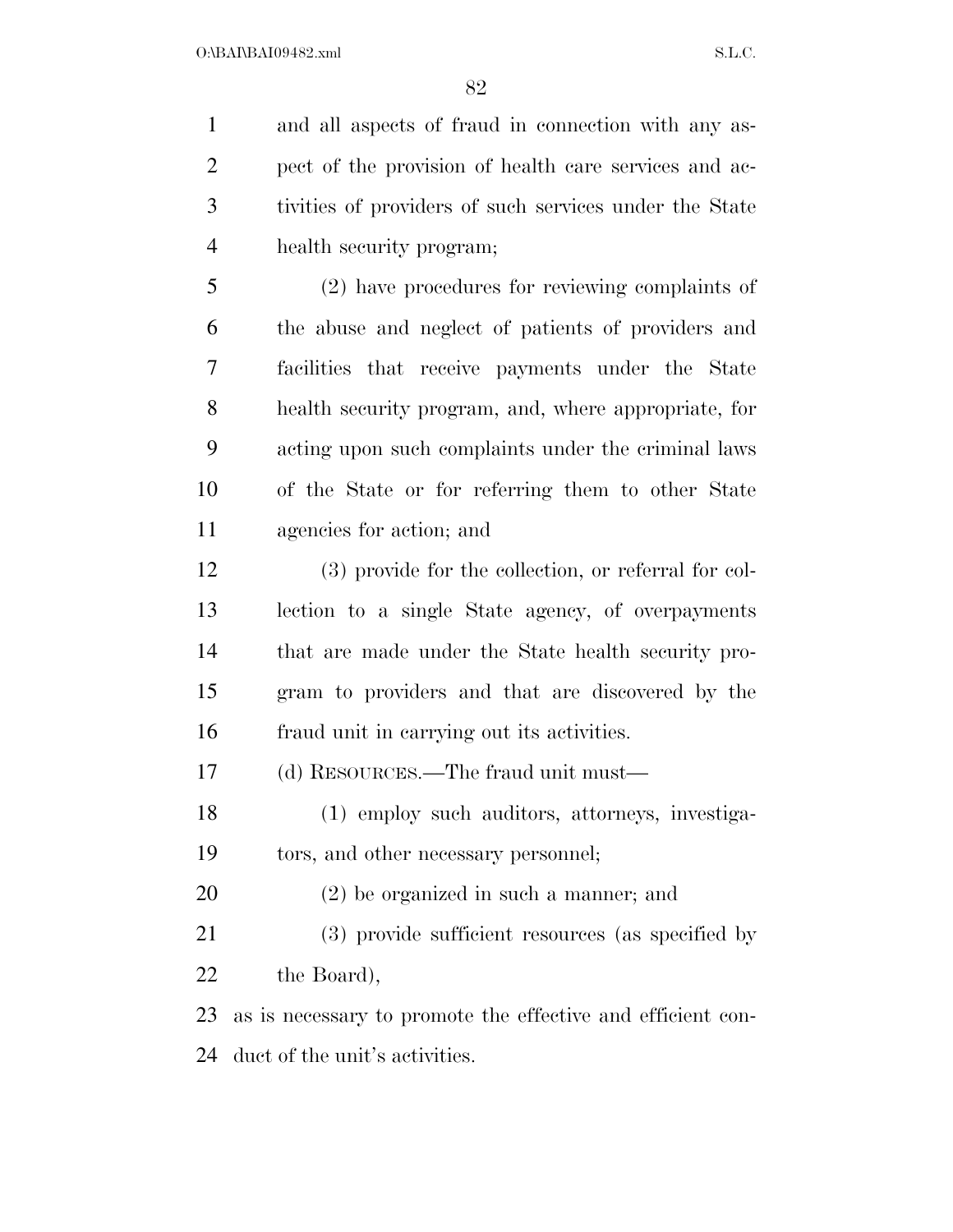and all aspects of fraud in connection with any as- pect of the provision of health care services and ac- tivities of providers of such services under the State health security program; (2) have procedures for reviewing complaints of the abuse and neglect of patients of providers and facilities that receive payments under the State health security program, and, where appropriate, for

 acting upon such complaints under the criminal laws of the State or for referring them to other State agencies for action; and

 (3) provide for the collection, or referral for col- lection to a single State agency, of overpayments that are made under the State health security pro- gram to providers and that are discovered by the fraud unit in carrying out its activities.

(d) RESOURCES.—The fraud unit must—

 (1) employ such auditors, attorneys, investiga-tors, and other necessary personnel;

(2) be organized in such a manner; and

 (3) provide sufficient resources (as specified by 22 the Board),

 as is necessary to promote the effective and efficient con-duct of the unit's activities.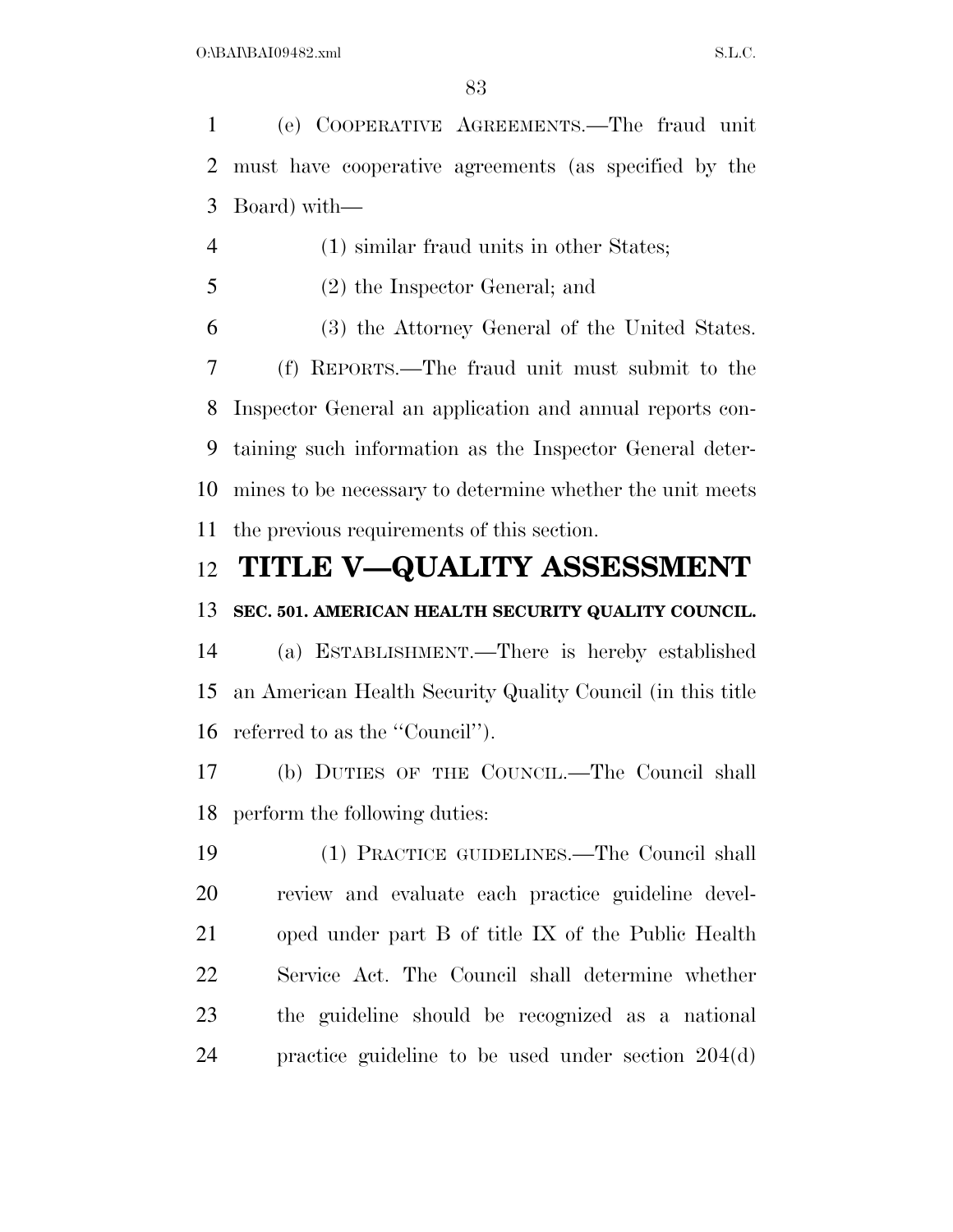(e) COOPERATIVE AGREEMENTS.—The fraud unit must have cooperative agreements (as specified by the Board) with—

- (1) similar fraud units in other States;
- (2) the Inspector General; and

 (3) the Attorney General of the United States. (f) REPORTS.—The fraud unit must submit to the Inspector General an application and annual reports con- taining such information as the Inspector General deter- mines to be necessary to determine whether the unit meets the previous requirements of this section.

### **TITLE V—QUALITY ASSESSMENT**

#### **SEC. 501. AMERICAN HEALTH SECURITY QUALITY COUNCIL.**

 (a) ESTABLISHMENT.—There is hereby established an American Health Security Quality Council (in this title referred to as the ''Council'').

 (b) DUTIES OF THE COUNCIL.—The Council shall perform the following duties:

 (1) PRACTICE GUIDELINES.—The Council shall review and evaluate each practice guideline devel- oped under part B of title IX of the Public Health Service Act. The Council shall determine whether the guideline should be recognized as a national practice guideline to be used under section 204(d)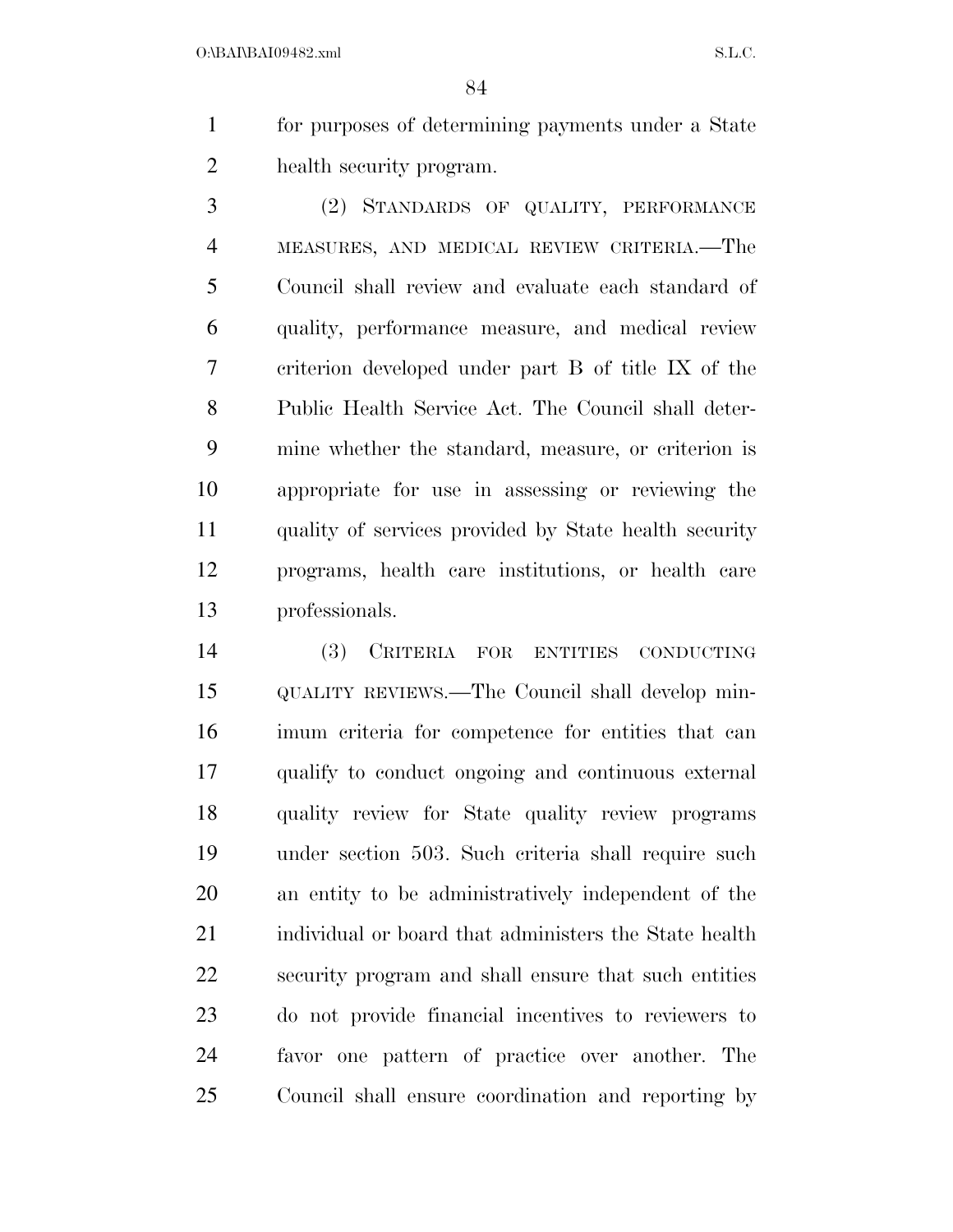for purposes of determining payments under a State health security program.

 (2) STANDARDS OF QUALITY, PERFORMANCE MEASURES, AND MEDICAL REVIEW CRITERIA.—The Council shall review and evaluate each standard of quality, performance measure, and medical review criterion developed under part B of title IX of the Public Health Service Act. The Council shall deter- mine whether the standard, measure, or criterion is appropriate for use in assessing or reviewing the quality of services provided by State health security programs, health care institutions, or health care professionals.

 (3) CRITERIA FOR ENTITIES CONDUCTING QUALITY REVIEWS.—The Council shall develop min- imum criteria for competence for entities that can qualify to conduct ongoing and continuous external quality review for State quality review programs under section 503. Such criteria shall require such an entity to be administratively independent of the 21 individual or board that administers the State health security program and shall ensure that such entities do not provide financial incentives to reviewers to favor one pattern of practice over another. The Council shall ensure coordination and reporting by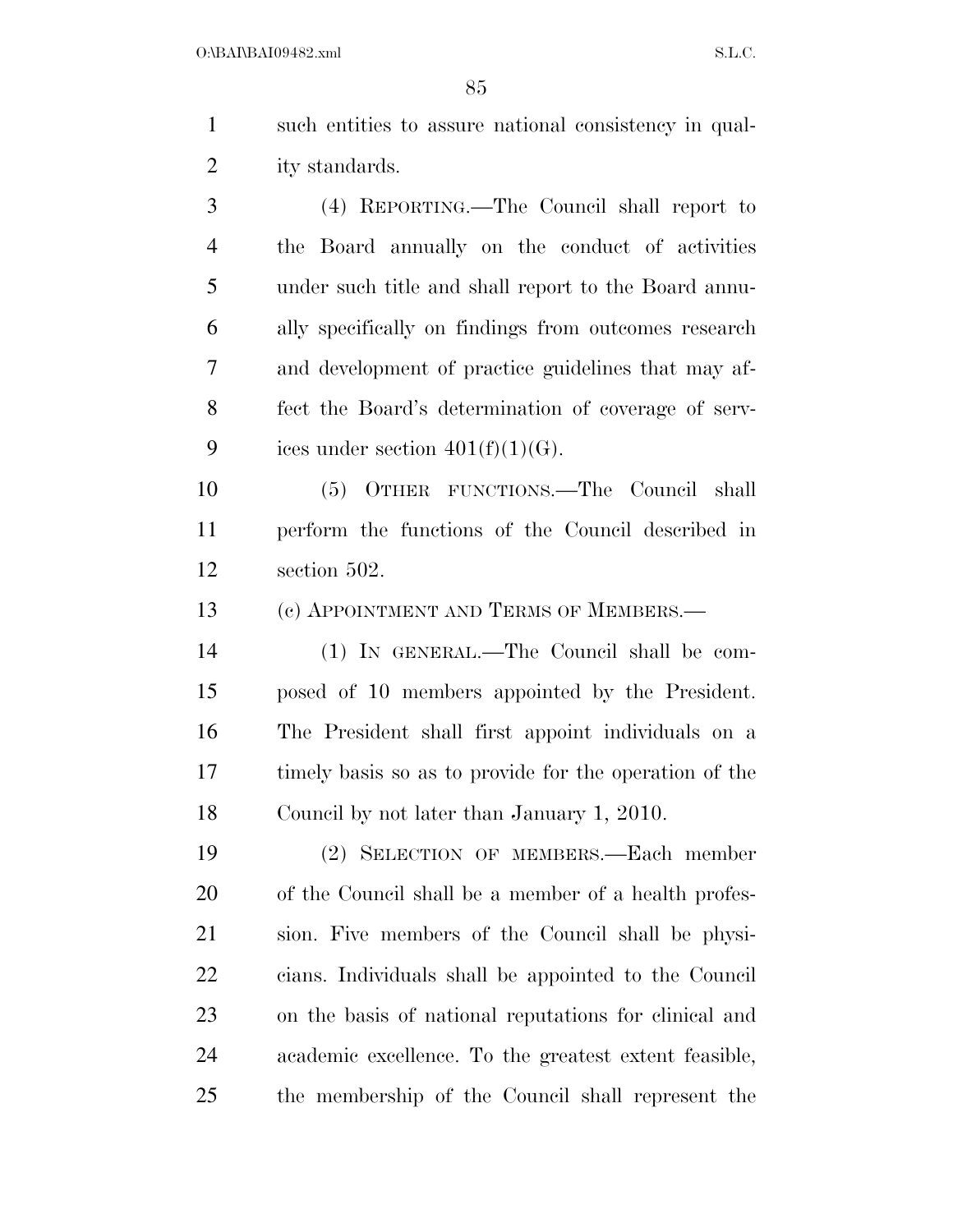| $\mathbf{1}$   | such entities to assure national consistency in qual- |
|----------------|-------------------------------------------------------|
| 2              | ity standards.                                        |
| 3              | (4) REPORTING.—The Council shall report to            |
| $\overline{4}$ | the Board annually on the conduct of activities       |
| 5              | under such title and shall report to the Board annu-  |
| 6              | ally specifically on findings from outcomes research  |
| 7              | and development of practice guidelines that may af-   |
| 8              | fect the Board's determination of coverage of serv-   |
| 9              | ices under section $401(f)(1)(G)$ .                   |

 (5) OTHER FUNCTIONS.—The Council shall perform the functions of the Council described in section 502.

(c) APPOINTMENT AND TERMS OF MEMBERS.—

 (1) IN GENERAL.—The Council shall be com- posed of 10 members appointed by the President. The President shall first appoint individuals on a timely basis so as to provide for the operation of the Council by not later than January 1, 2010.

 (2) SELECTION OF MEMBERS.—Each member of the Council shall be a member of a health profes- sion. Five members of the Council shall be physi- cians. Individuals shall be appointed to the Council on the basis of national reputations for clinical and academic excellence. To the greatest extent feasible, the membership of the Council shall represent the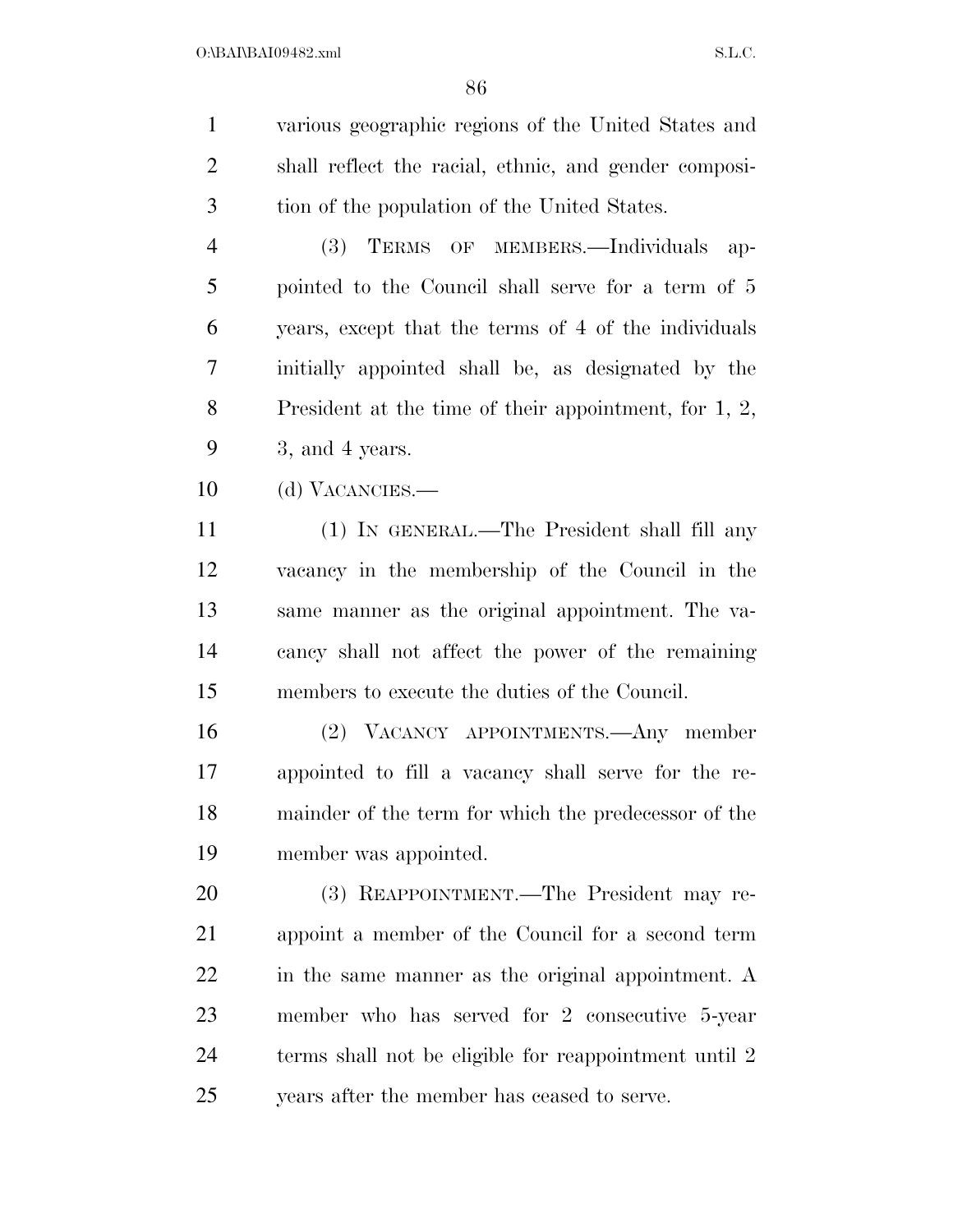various geographic regions of the United States and shall reflect the racial, ethnic, and gender composi-tion of the population of the United States.

 (3) TERMS OF MEMBERS.—Individuals ap- pointed to the Council shall serve for a term of 5 years, except that the terms of 4 of the individuals initially appointed shall be, as designated by the President at the time of their appointment, for 1, 2, 3, and 4 years.

(d) VACANCIES.—

 (1) IN GENERAL.—The President shall fill any vacancy in the membership of the Council in the same manner as the original appointment. The va- cancy shall not affect the power of the remaining members to execute the duties of the Council.

 (2) VACANCY APPOINTMENTS.—Any member appointed to fill a vacancy shall serve for the re- mainder of the term for which the predecessor of the member was appointed.

 (3) REAPPOINTMENT.—The President may re- appoint a member of the Council for a second term in the same manner as the original appointment. A member who has served for 2 consecutive 5-year terms shall not be eligible for reappointment until 2 years after the member has ceased to serve.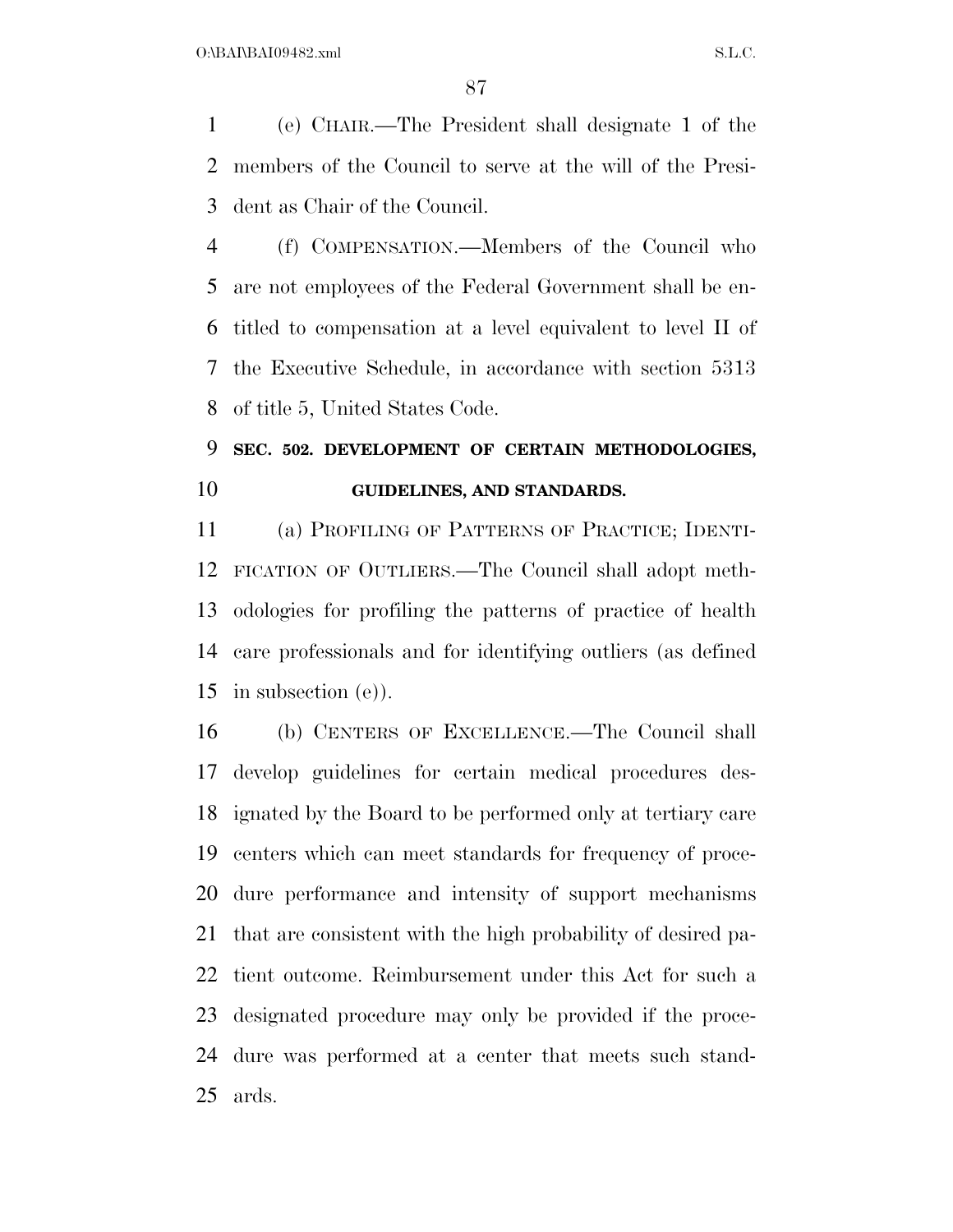(e) CHAIR.—The President shall designate 1 of the members of the Council to serve at the will of the Presi-dent as Chair of the Council.

 (f) COMPENSATION.—Members of the Council who are not employees of the Federal Government shall be en- titled to compensation at a level equivalent to level II of the Executive Schedule, in accordance with section 5313 of title 5, United States Code.

## **SEC. 502. DEVELOPMENT OF CERTAIN METHODOLOGIES, GUIDELINES, AND STANDARDS.**

 (a) PROFILING OF PATTERNS OF PRACTICE; IDENTI- FICATION OF OUTLIERS.—The Council shall adopt meth- odologies for profiling the patterns of practice of health care professionals and for identifying outliers (as defined in subsection (e)).

 (b) CENTERS OF EXCELLENCE.—The Council shall develop guidelines for certain medical procedures des- ignated by the Board to be performed only at tertiary care centers which can meet standards for frequency of proce- dure performance and intensity of support mechanisms that are consistent with the high probability of desired pa- tient outcome. Reimbursement under this Act for such a designated procedure may only be provided if the proce- dure was performed at a center that meets such stand-ards.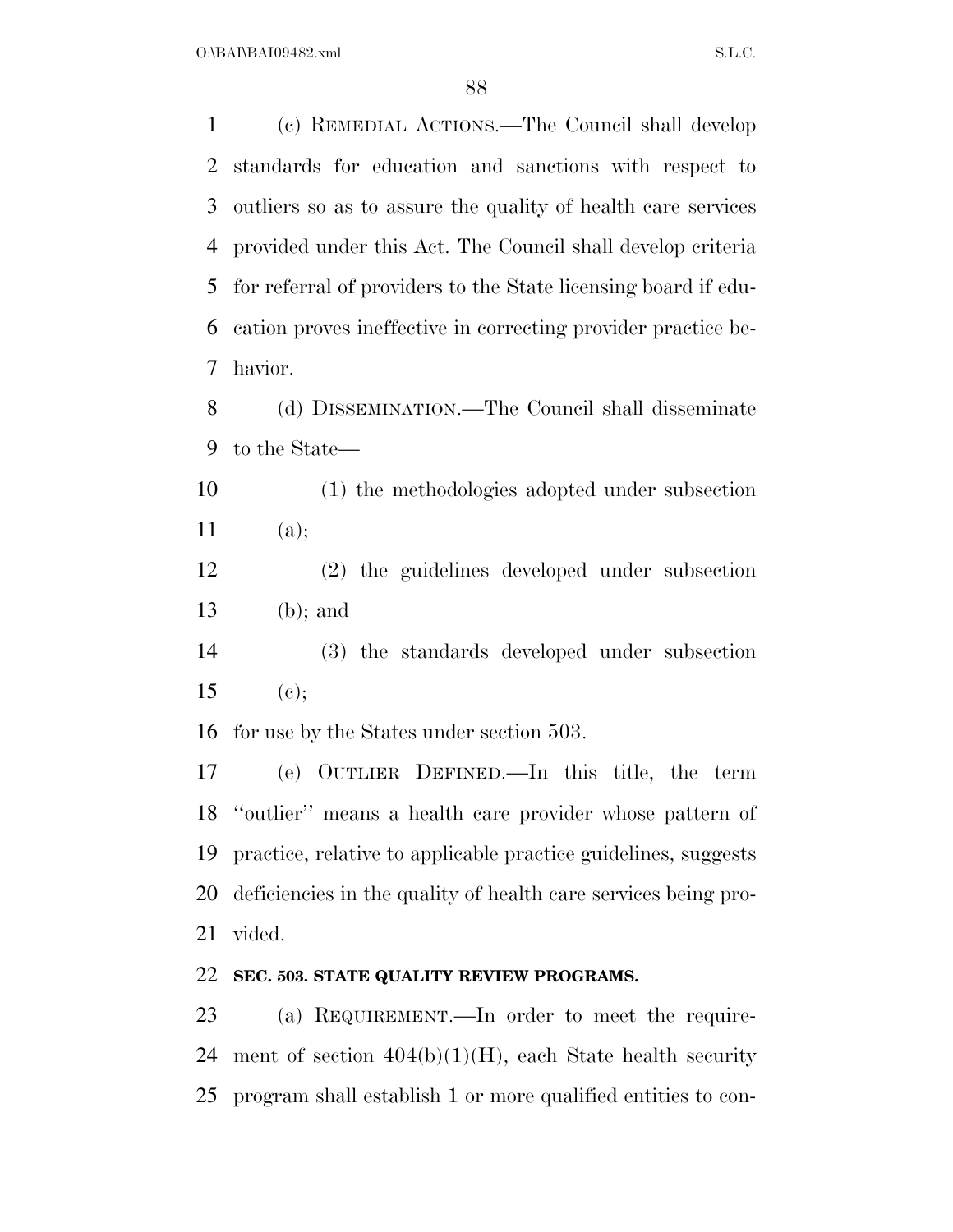O:\BAI\BAI09482.xml S.L.C.

 (c) REMEDIAL ACTIONS.—The Council shall develop standards for education and sanctions with respect to outliers so as to assure the quality of health care services provided under this Act. The Council shall develop criteria for referral of providers to the State licensing board if edu- cation proves ineffective in correcting provider practice be-havior.

 (d) DISSEMINATION.—The Council shall disseminate to the State—

 (1) the methodologies adopted under subsection (a);

 (2) the guidelines developed under subsection (b); and

 (3) the standards developed under subsection 15 (e);

for use by the States under section 503.

 (e) OUTLIER DEFINED.—In this title, the term ''outlier'' means a health care provider whose pattern of practice, relative to applicable practice guidelines, suggests deficiencies in the quality of health care services being pro-vided.

#### **SEC. 503. STATE QUALITY REVIEW PROGRAMS.**

 (a) REQUIREMENT.—In order to meet the require-24 ment of section  $404(b)(1)(H)$ , each State health security program shall establish 1 or more qualified entities to con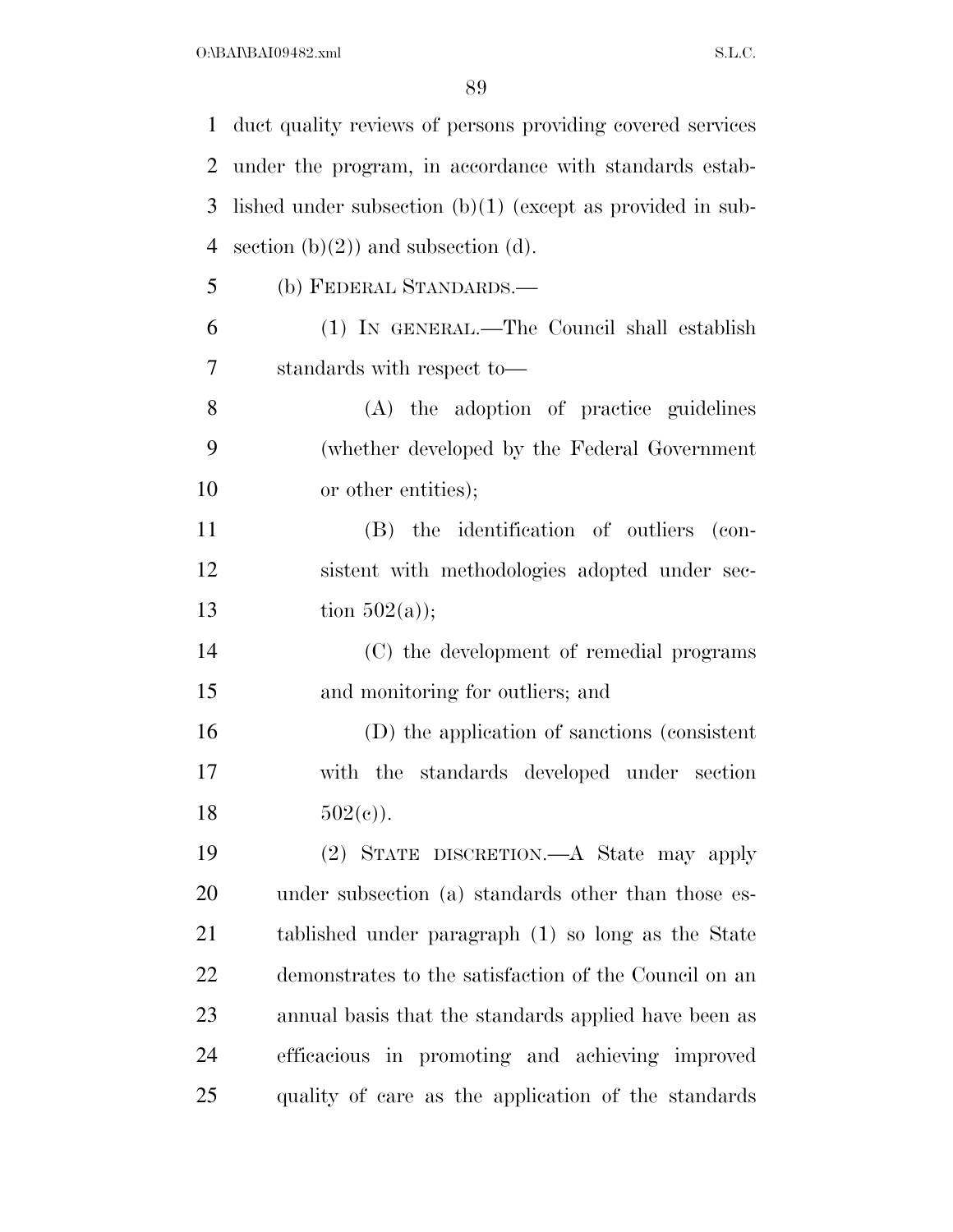$O:\bbox{BAI\`BAI09482.xml}$  S.L.C.

| $\mathbf{1}$   | duct quality reviews of persons providing covered services   |
|----------------|--------------------------------------------------------------|
| 2              | under the program, in accordance with standards estab-       |
| 3              | lished under subsection $(b)(1)$ (except as provided in sub- |
| $\overline{4}$ | section $(b)(2)$ and subsection $(d)$ .                      |
| 5              | (b) FEDERAL STANDARDS.-                                      |
| 6              | (1) IN GENERAL.—The Council shall establish                  |
| 7              | standards with respect to-                                   |
| 8              | (A) the adoption of practice guidelines                      |
| 9              | (whether developed by the Federal Government                 |
| 10             | or other entities);                                          |
| 11             | (B) the identification of outliers (con-                     |
| 12             | sistent with methodologies adopted under sec-                |
| 13             | tion $502(a)$ ;                                              |
| 14             | (C) the development of remedial programs                     |
| 15             | and monitoring for outliers; and                             |
| 16             | (D) the application of sanctions (consistent                 |
| 17             | with the standards developed under section                   |
| 18             | $502(e)$ ).                                                  |
| 19             | (2) STATE DISCRETION.—A State may apply                      |
| 20             | under subsection (a) standards other than those es-          |
| 21             | tablished under paragraph (1) so long as the State           |
| 22             | demonstrates to the satisfaction of the Council on an        |
| 23             | annual basis that the standards applied have been as         |
| 24             | efficacious in promoting and achieving improved              |
| 25             | quality of care as the application of the standards          |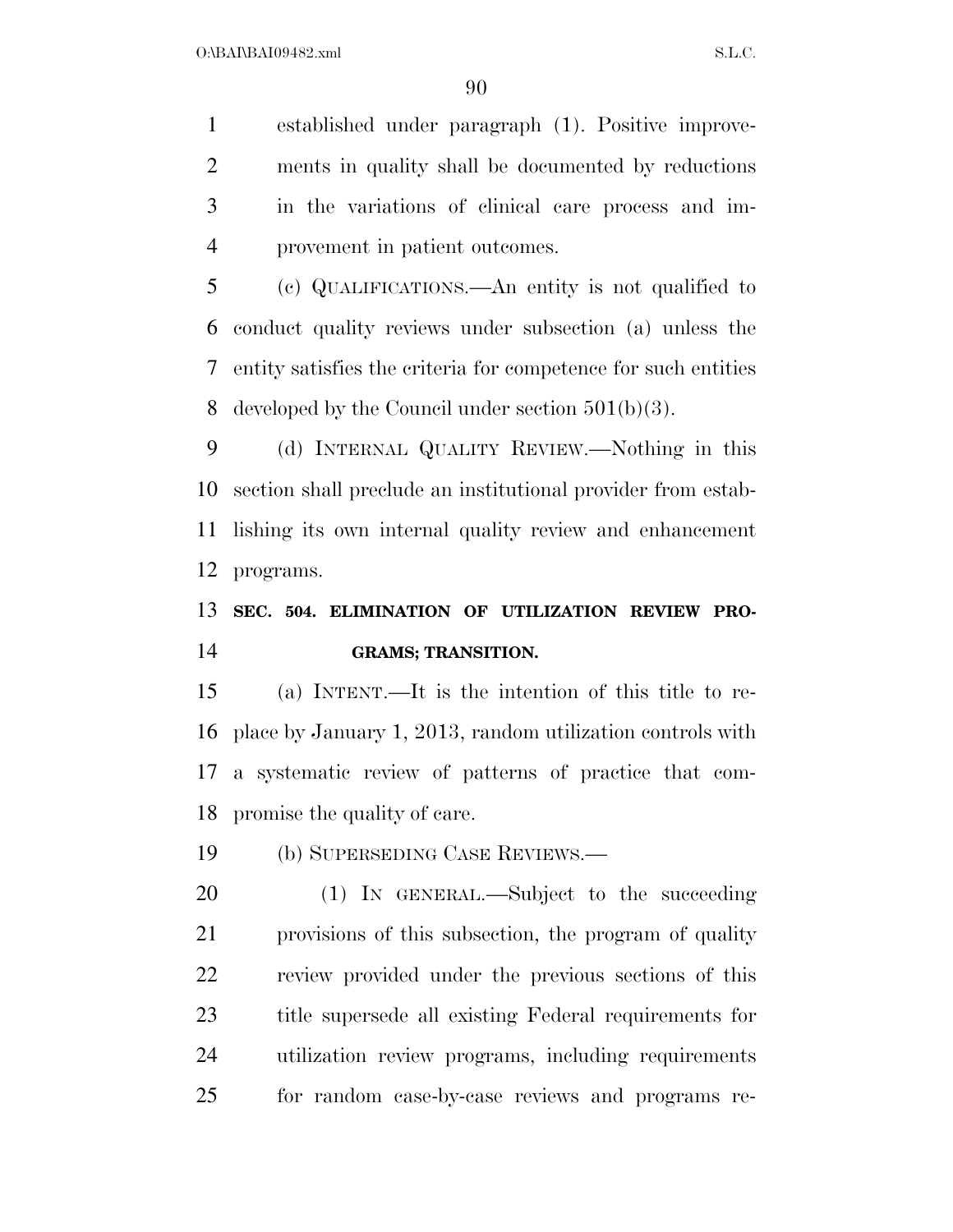established under paragraph (1). Positive improve- ments in quality shall be documented by reductions in the variations of clinical care process and im-provement in patient outcomes.

 (c) QUALIFICATIONS.—An entity is not qualified to conduct quality reviews under subsection (a) unless the entity satisfies the criteria for competence for such entities developed by the Council under section 501(b)(3).

 (d) INTERNAL QUALITY REVIEW.—Nothing in this section shall preclude an institutional provider from estab- lishing its own internal quality review and enhancement programs.

### **SEC. 504. ELIMINATION OF UTILIZATION REVIEW PRO-GRAMS; TRANSITION.**

 (a) INTENT.—It is the intention of this title to re- place by January 1, 2013, random utilization controls with a systematic review of patterns of practice that com-promise the quality of care.

(b) SUPERSEDING CASE REVIEWS.—

 (1) IN GENERAL.—Subject to the succeeding provisions of this subsection, the program of quality review provided under the previous sections of this title supersede all existing Federal requirements for utilization review programs, including requirements for random case-by-case reviews and programs re-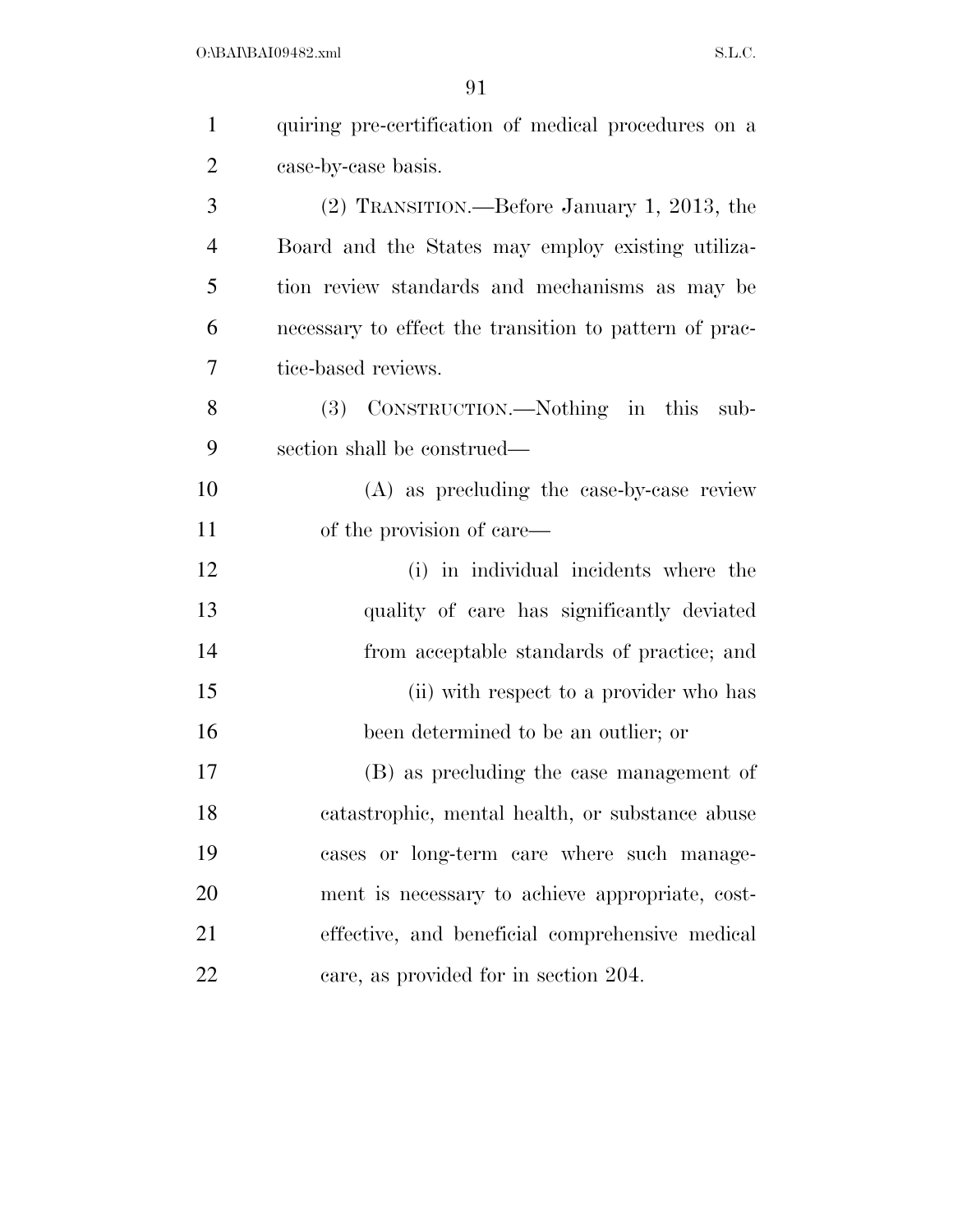| $\mathbf{1}$   | quiring pre-certification of medical procedures on a   |
|----------------|--------------------------------------------------------|
| $\overline{2}$ | case-by-case basis.                                    |
| 3              | (2) TRANSITION.—Before January 1, 2013, the            |
| $\overline{4}$ | Board and the States may employ existing utiliza-      |
| 5              | tion review standards and mechanisms as may be         |
| 6              | necessary to effect the transition to pattern of prac- |
| 7              | tice-based reviews.                                    |
| 8              | (3) CONSTRUCTION.—Nothing in this<br>sub-              |
| 9              | section shall be construed—                            |
| 10             | (A) as precluding the case-by-case review              |
| 11             | of the provision of care—                              |
| 12             | (i) in individual incidents where the                  |
| 13             | quality of care has significantly deviated             |
| 14             | from acceptable standards of practice; and             |
| 15             | (ii) with respect to a provider who has                |
| 16             | been determined to be an outlier; or                   |
| 17             | (B) as precluding the case management of               |
| 18             | catastrophic, mental health, or substance abuse        |
| 19             | cases or long-term care where such manage-             |
| 20             | ment is necessary to achieve appropriate, cost-        |
| 21             | effective, and beneficial comprehensive medical        |
| 22             | care, as provided for in section 204.                  |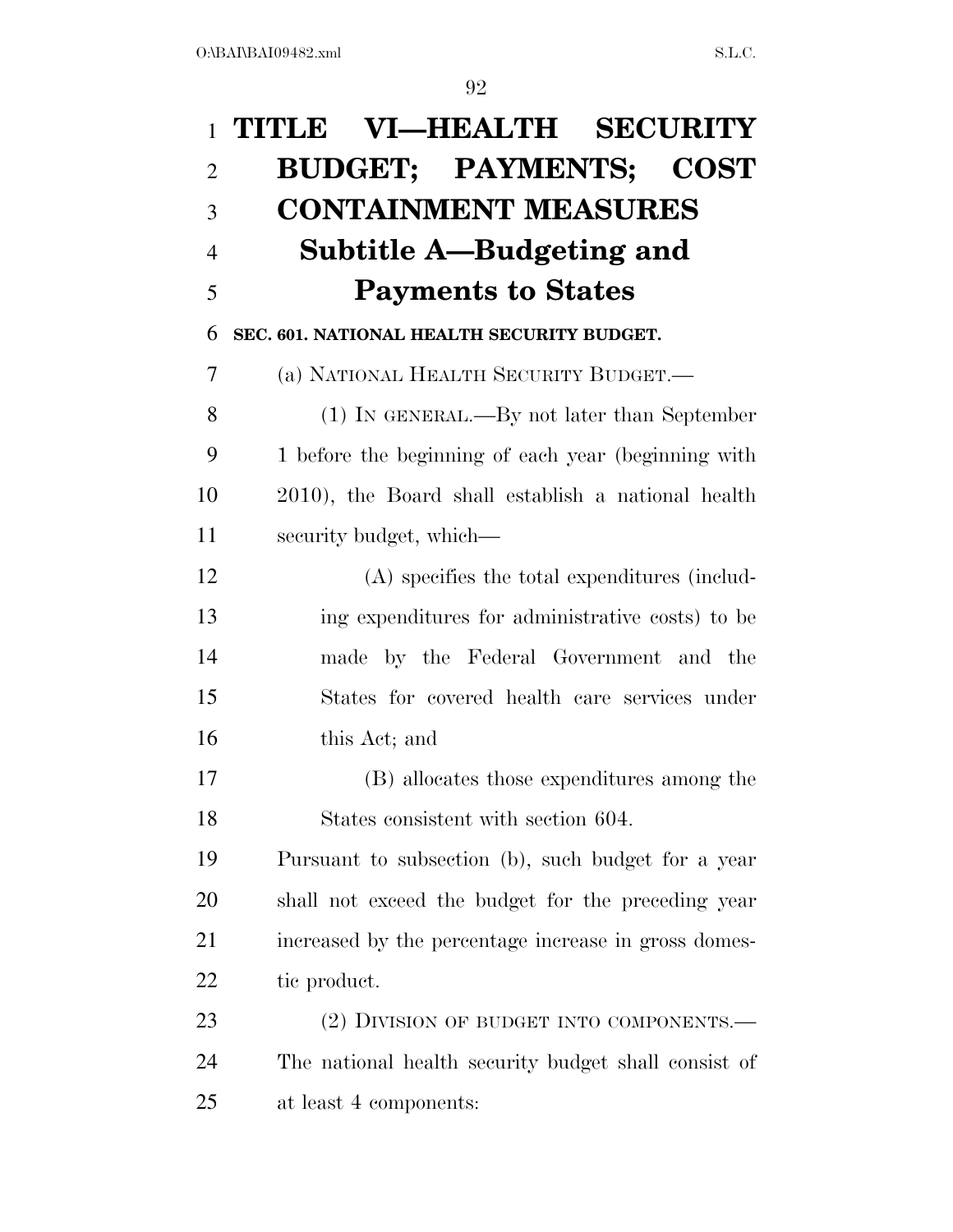| $\mathbf{1}$   | TITLE VI-HEALTH SECURITY                             |
|----------------|------------------------------------------------------|
| $\overline{2}$ | <b>BUDGET; PAYMENTS; COST</b>                        |
| 3              | <b>CONTAINMENT MEASURES</b>                          |
| $\overline{4}$ | Subtitle A—Budgeting and                             |
| 5              | <b>Payments to States</b>                            |
| 6              | SEC. 601. NATIONAL HEALTH SECURITY BUDGET.           |
| 7              | (a) NATIONAL HEALTH SECURITY BUDGET.—                |
| 8              | (1) IN GENERAL.—By not later than September          |
| 9              | 1 before the beginning of each year (beginning with  |
| 10             | 2010), the Board shall establish a national health   |
| 11             | security budget, which—                              |
| 12             | (A) specifies the total expenditures (includ-        |
| 13             | ing expenditures for administrative costs) to be     |
| 14             | made by the Federal Government and the               |
| 15             | States for covered health care services under        |
| 16             | this Act; and                                        |
| 17             | (B) allocates those expenditures among the           |
| 18             | States consistent with section 604.                  |
| 19             | Pursuant to subsection (b), such budget for a year   |
| 20             | shall not exceed the budget for the preceding year   |
| 21             | increased by the percentage increase in gross domes- |
| 22             | tic product.                                         |
| 23             | (2) DIVISION OF BUDGET INTO COMPONENTS.—             |
| 24             | The national health security budget shall consist of |
| 25             | at least 4 components:                               |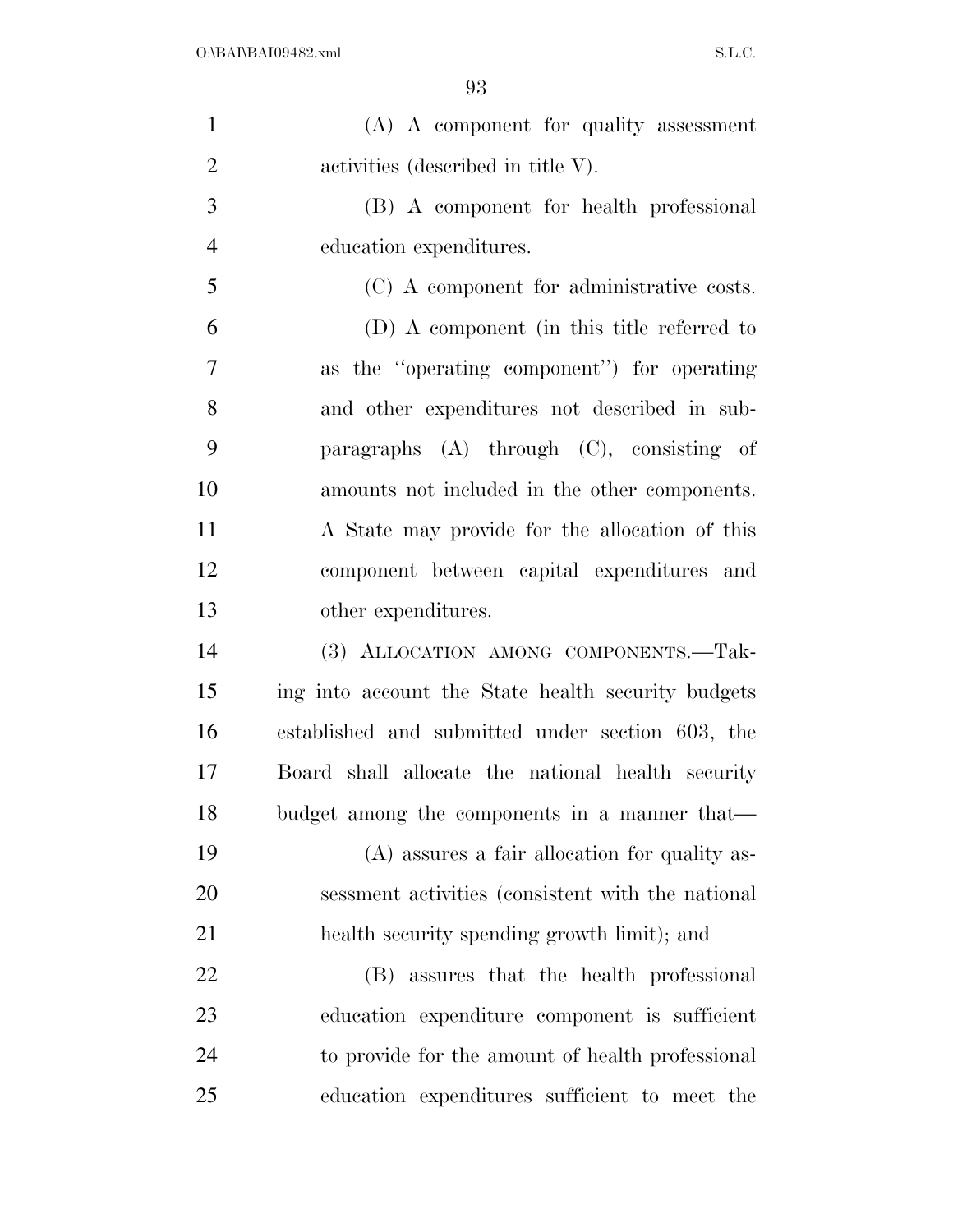| $\mathbf{1}$   | (A) A component for quality assessment             |
|----------------|----------------------------------------------------|
| $\overline{2}$ | activities (described in title V).                 |
| 3              | (B) A component for health professional            |
| $\overline{4}$ | education expenditures.                            |
| 5              | (C) A component for administrative costs.          |
| 6              | (D) A component (in this title referred to         |
| 7              | as the "operating component") for operating        |
| 8              | and other expenditures not described in sub-       |
| 9              | paragraphs $(A)$ through $(C)$ , consisting of     |
| 10             | amounts not included in the other components.      |
| 11             | A State may provide for the allocation of this     |
| 12             | component between capital expenditures and         |
| 13             | other expenditures.                                |
| 14             | (3) ALLOCATION AMONG COMPONENTS.-Tak-              |
| 15             | ing into account the State health security budgets |
| 16             | established and submitted under section 603, the   |
| 17             | Board shall allocate the national health security  |
| 18             | budget among the components in a manner that—      |
| 19             | (A) assures a fair allocation for quality as-      |
| 20             | sessment activities (consistent with the national  |
| 21             | health security spending growth limit); and        |
| 22             | assures that the health professional<br>(B)        |
| 23             | education expenditure component is sufficient      |
| 24             | to provide for the amount of health professional   |
| 25             | education expenditures sufficient to meet the      |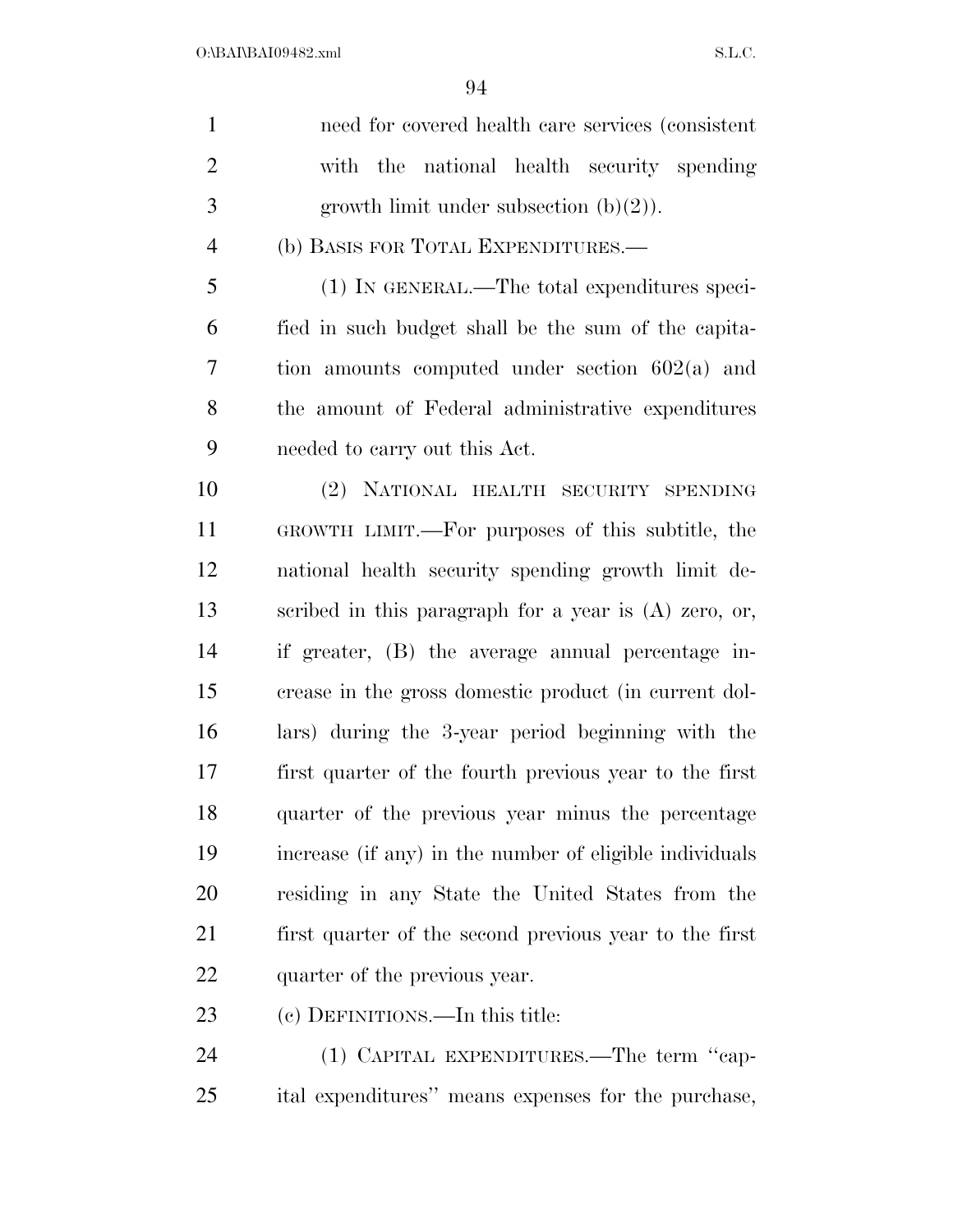| $\mathbf{1}$   | need for covered health care services (consistent       |
|----------------|---------------------------------------------------------|
| $\overline{2}$ | with the national health security spending              |
| 3              | growth limit under subsection $(b)(2)$ ).               |
| $\overline{4}$ | (b) BASIS FOR TOTAL EXPENDITURES.—                      |
| 5              | (1) IN GENERAL.—The total expenditures speci-           |
| 6              | fied in such budget shall be the sum of the capita-     |
| 7              | tion amounts computed under section $602(a)$ and        |
| 8              | the amount of Federal administrative expenditures       |
| 9              | needed to carry out this Act.                           |
| 10             | (2) NATIONAL HEALTH SECURITY SPENDING                   |
| 11             | GROWTH LIMIT.—For purposes of this subtitle, the        |
| 12             | national health security spending growth limit de-      |
| 13             | scribed in this paragraph for a year is (A) zero, or,   |
| 14             | if greater, (B) the average annual percentage in-       |
| 15             | crease in the gross domestic product (in current dol-   |
| 16             | lars) during the 3-year period beginning with the       |
| 17             | first quarter of the fourth previous year to the first  |
| 18             | quarter of the previous year minus the percentage       |
| 19             | increase (if any) in the number of eligible individuals |
| 20             | residing in any State the United States from the        |
| 21             | first quarter of the second previous year to the first  |
| 22             | quarter of the previous year.                           |
| 23             | (c) DEFINITIONS.—In this title:                         |
| 24             | (1) CAPITAL EXPENDITURES.—The term "cap-                |
| 25             | ital expenditures" means expenses for the purchase,     |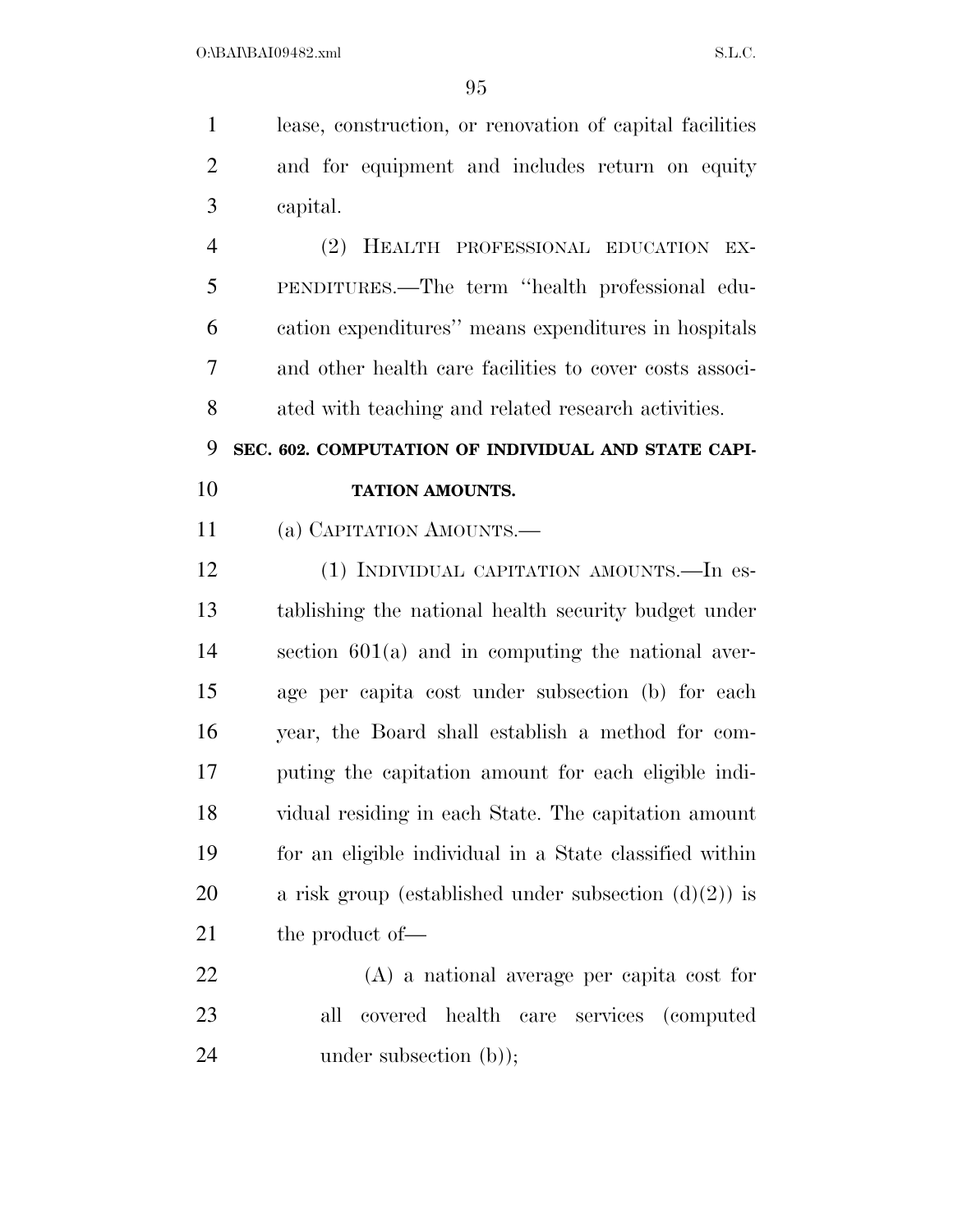lease, construction, or renovation of capital facilities and for equipment and includes return on equity capital. (2) HEALTH PROFESSIONAL EDUCATION EX- PENDITURES.—The term ''health professional edu- cation expenditures'' means expenditures in hospitals and other health care facilities to cover costs associ- ated with teaching and related research activities. **SEC. 602. COMPUTATION OF INDIVIDUAL AND STATE CAPI-TATION AMOUNTS.** 

(a) CAPITATION AMOUNTS.—

 (1) INDIVIDUAL CAPITATION AMOUNTS.—In es- tablishing the national health security budget under section 601(a) and in computing the national aver- age per capita cost under subsection (b) for each year, the Board shall establish a method for com- puting the capitation amount for each eligible indi- vidual residing in each State. The capitation amount for an eligible individual in a State classified within 20 a risk group (established under subsection  $(d)(2)$ ) is 21 the product of —

 (A) a national average per capita cost for all covered health care services (computed 24 under subsection (b));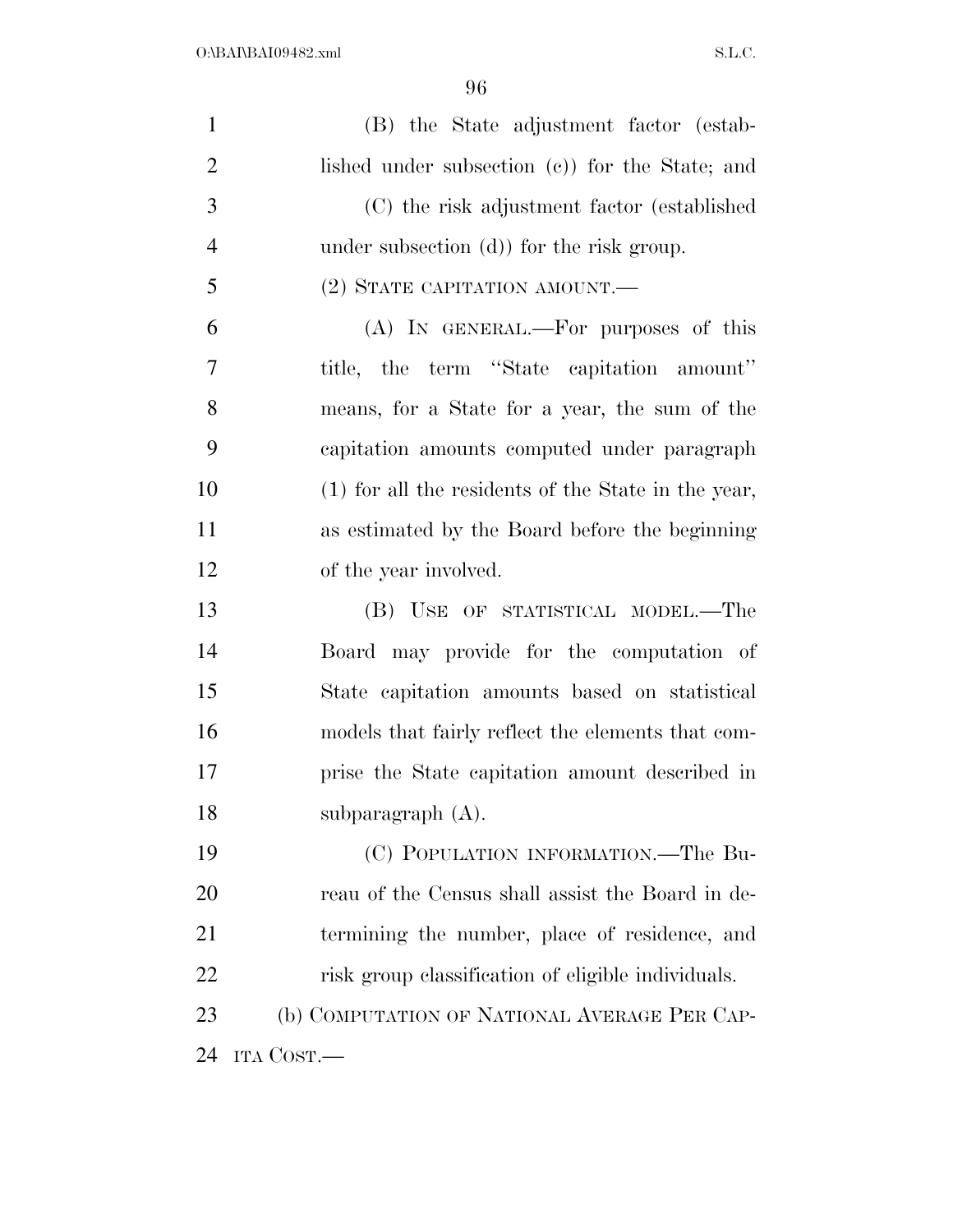| $\mathbf{1}$   | (B) the State adjustment factor (estab-             |
|----------------|-----------------------------------------------------|
| $\overline{2}$ | lished under subsection (c)) for the State; and     |
| 3              | (C) the risk adjustment factor (established         |
| $\overline{4}$ | under subsection $(d)$ for the risk group.          |
| 5              | $(2)$ STATE CAPITATION AMOUNT.—                     |
| 6              | (A) IN GENERAL.—For purposes of this                |
| 7              | title, the term "State capitation amount"           |
| 8              | means, for a State for a year, the sum of the       |
| 9              | capitation amounts computed under paragraph         |
| 10             | (1) for all the residents of the State in the year, |
| 11             | as estimated by the Board before the beginning      |
| 12             | of the year involved.                               |
| 13             | (B) USE OF STATISTICAL MODEL.—The                   |
| 14             | Board may provide for the computation of            |
| 15             | State capitation amounts based on statistical       |
| 16             | models that fairly reflect the elements that com-   |
| 17             | prise the State capitation amount described in      |
| 18             | subparagraph $(A)$ .                                |
| 19             | (C) POPULATION INFORMATION.—The Bu-                 |
| 20             | reau of the Census shall assist the Board in de-    |
| 21             | termining the number, place of residence, and       |
| 22             | risk group classification of eligible individuals.  |
| 23             | (b) COMPUTATION OF NATIONAL AVERAGE PER CAP-        |
| 24             | ITA COST.—                                          |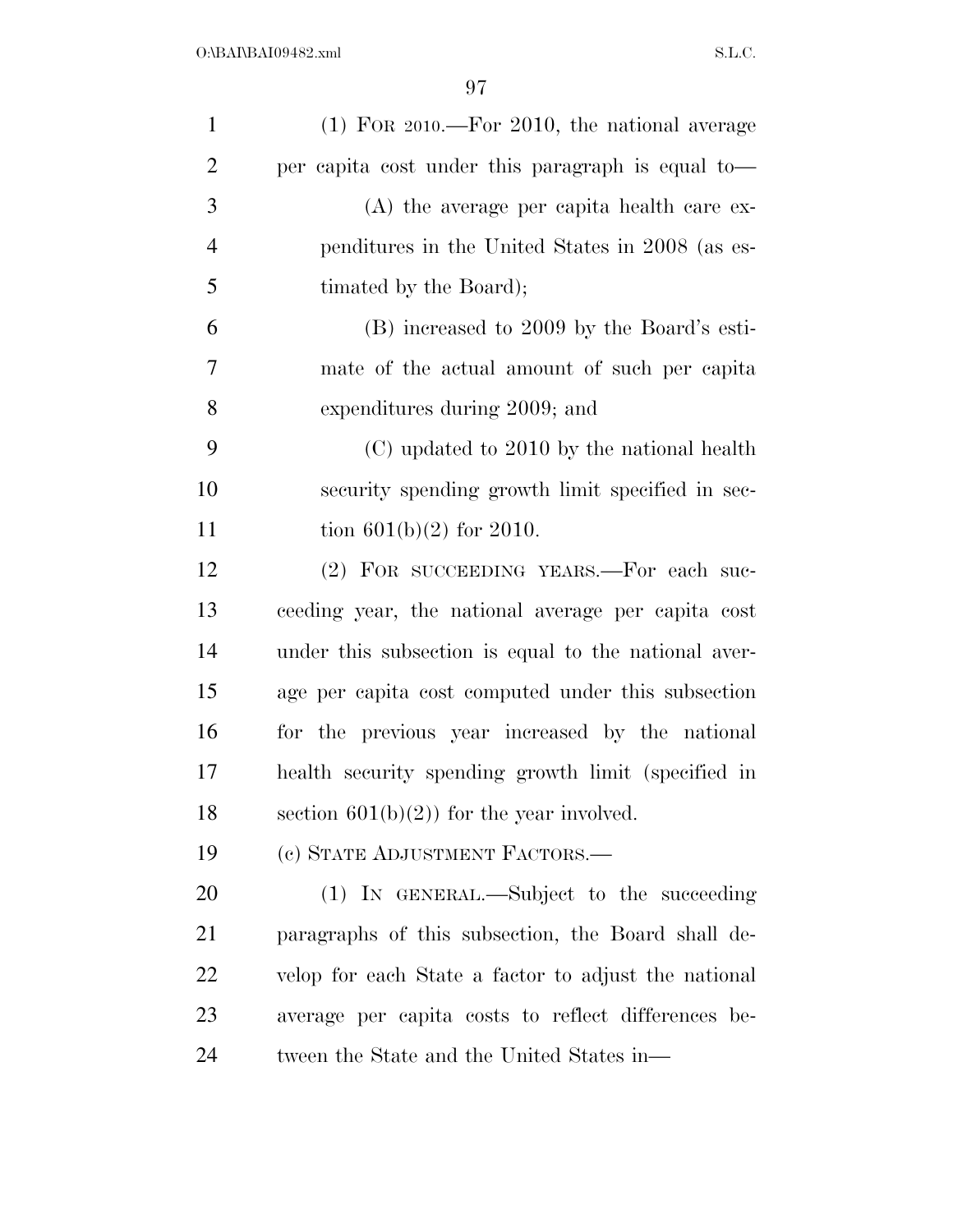| $\mathbf{1}$   | $(1)$ For 2010.—For 2010, the national average       |
|----------------|------------------------------------------------------|
| $\overline{2}$ | per capita cost under this paragraph is equal to-    |
| 3              | $(A)$ the average per capita health care ex-         |
| $\overline{4}$ | penditures in the United States in 2008 (as es-      |
| 5              | timated by the Board);                               |
| 6              | (B) increased to 2009 by the Board's esti-           |
| 7              | mate of the actual amount of such per capita         |
| 8              | expenditures during 2009; and                        |
| 9              | (C) updated to 2010 by the national health           |
| 10             | security spending growth limit specified in sec-     |
| 11             | tion $601(b)(2)$ for 2010.                           |
| 12             | (2) FOR SUCCEEDING YEARS.—For each suc-              |
| 13             | ceeding year, the national average per capita cost   |
| 14             | under this subsection is equal to the national aver- |
| 15             | age per capita cost computed under this subsection   |
| 16             | for the previous year increased by the national      |
| 17             | health security spending growth limit (specified in  |
| 18             | section $601(b)(2)$ for the year involved.           |
| 19             | (c) STATE ADJUSTMENT FACTORS.—                       |
| 20             | (1) IN GENERAL.—Subject to the succeeding            |
| 21             | paragraphs of this subsection, the Board shall de-   |
| 22             | velop for each State a factor to adjust the national |
| 23             | average per capita costs to reflect differences be-  |
| 24             | tween the State and the United States in—            |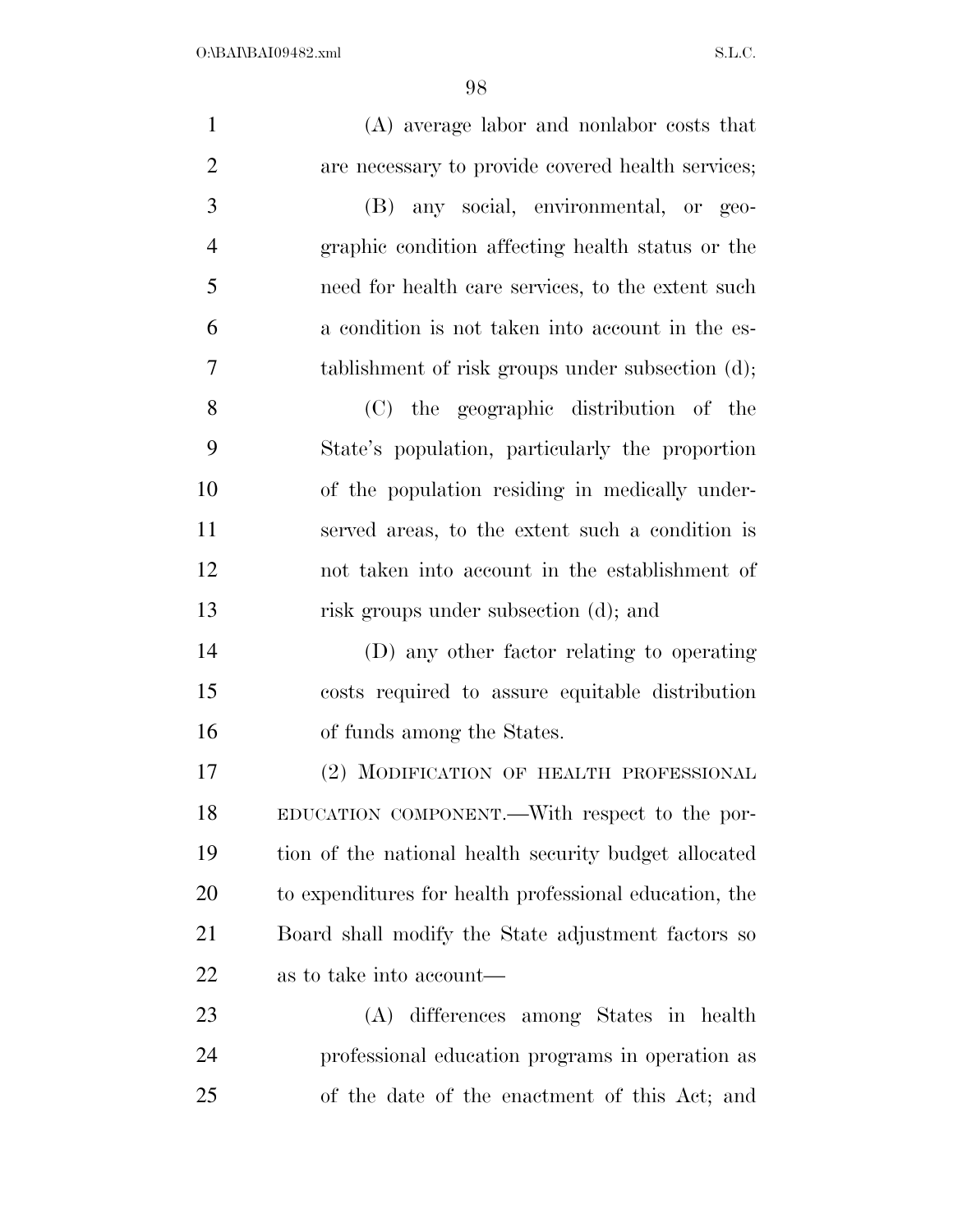| $\mathbf{1}$   | (A) average labor and nonlabor costs that              |
|----------------|--------------------------------------------------------|
| $\overline{2}$ | are necessary to provide covered health services;      |
| 3              | (B) any social, environmental, or geo-                 |
| $\overline{4}$ | graphic condition affecting health status or the       |
| 5              | need for health care services, to the extent such      |
| 6              | a condition is not taken into account in the es-       |
| 7              | tablishment of risk groups under subsection (d);       |
| 8              | (C) the geographic distribution of the                 |
| 9              | State's population, particularly the proportion        |
| 10             | of the population residing in medically under-         |
| 11             | served areas, to the extent such a condition is        |
| 12             | not taken into account in the establishment of         |
| 13             | risk groups under subsection (d); and                  |
| 14             | (D) any other factor relating to operating             |
| 15             | costs required to assure equitable distribution        |
| 16             | of funds among the States.                             |
| 17             | (2) MODIFICATION OF HEALTH PROFESSIONAL                |
| 18             | EDUCATION COMPONENT.—With respect to the por-          |
| 19             | tion of the national health security budget allocated  |
| 20             | to expenditures for health professional education, the |
| 21             | Board shall modify the State adjustment factors so     |
| 22             | as to take into account—                               |
| 23             | (A) differences among States in health                 |
| 24             | professional education programs in operation as        |
| 25             | of the date of the enactment of this Act; and          |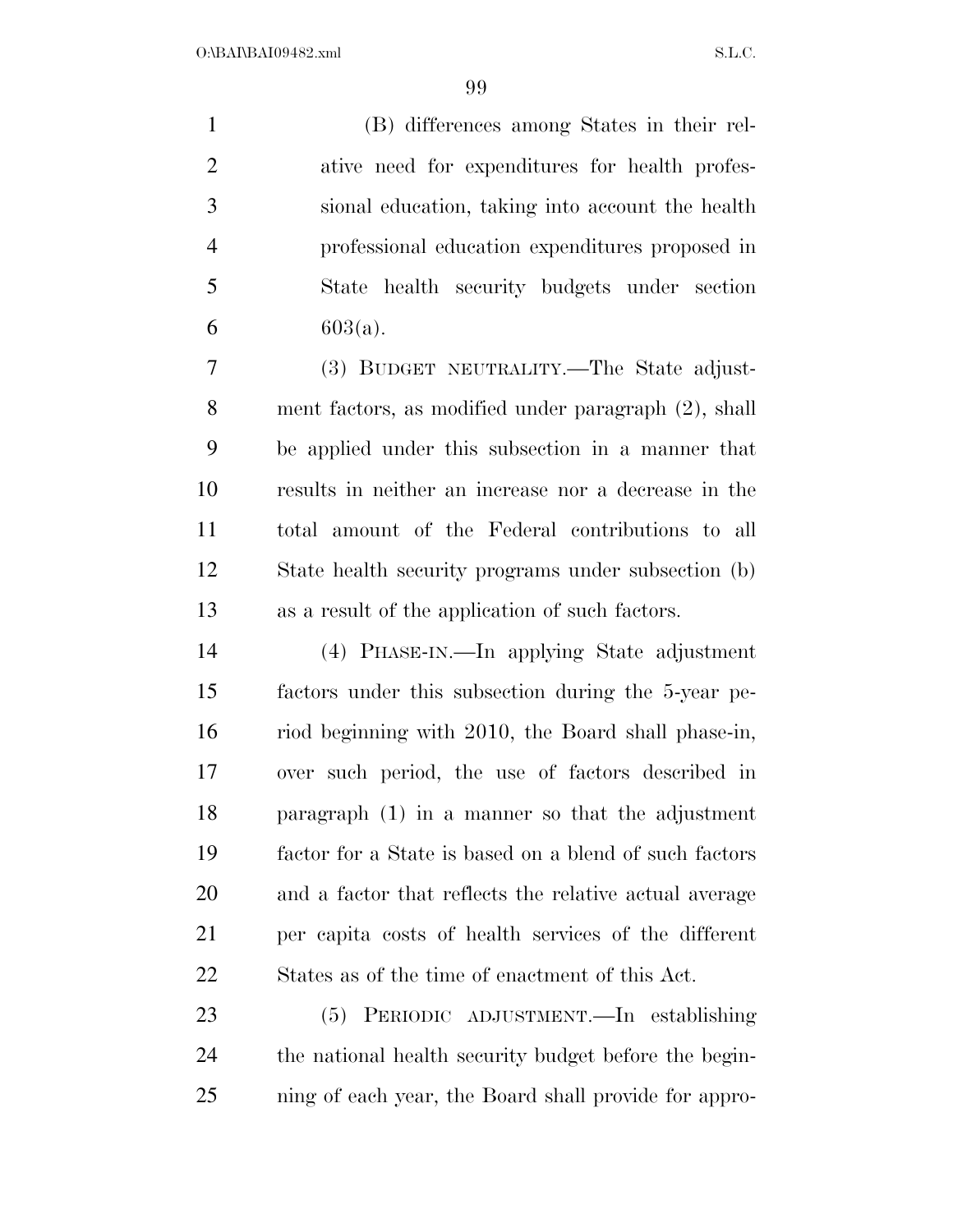(B) differences among States in their rel- ative need for expenditures for health profes- sional education, taking into account the health professional education expenditures proposed in State health security budgets under section 6 603(a).

 (3) BUDGET NEUTRALITY.—The State adjust- ment factors, as modified under paragraph (2), shall be applied under this subsection in a manner that results in neither an increase nor a decrease in the total amount of the Federal contributions to all State health security programs under subsection (b) as a result of the application of such factors.

 (4) PHASE-IN.—In applying State adjustment factors under this subsection during the 5-year pe- riod beginning with 2010, the Board shall phase-in, over such period, the use of factors described in paragraph (1) in a manner so that the adjustment factor for a State is based on a blend of such factors and a factor that reflects the relative actual average per capita costs of health services of the different States as of the time of enactment of this Act.

 (5) PERIODIC ADJUSTMENT.—In establishing the national health security budget before the begin-ning of each year, the Board shall provide for appro-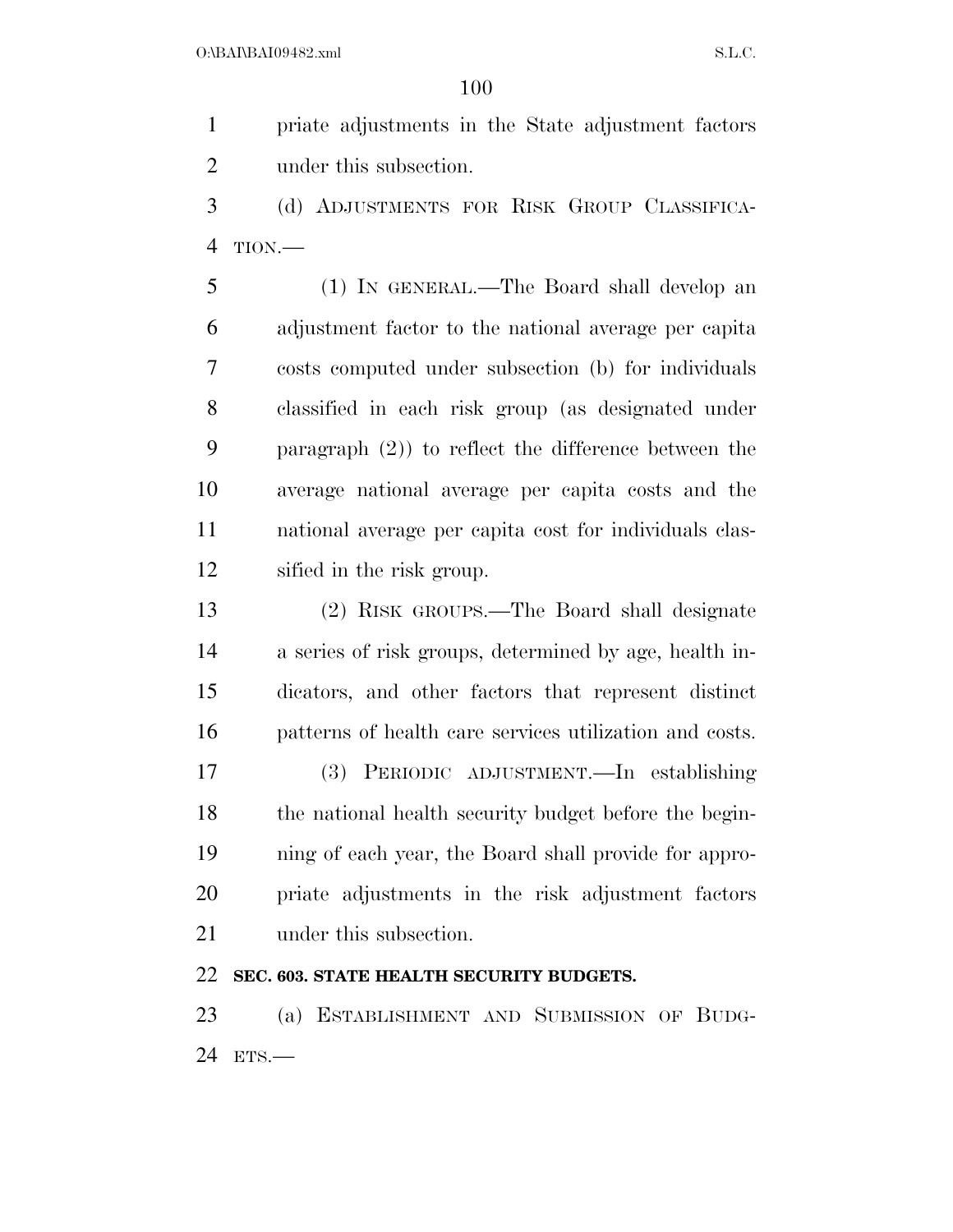priate adjustments in the State adjustment factors under this subsection.

 (d) ADJUSTMENTS FOR RISK GROUP CLASSIFICA-TION.—

 (1) IN GENERAL.—The Board shall develop an adjustment factor to the national average per capita costs computed under subsection (b) for individuals classified in each risk group (as designated under paragraph (2)) to reflect the difference between the average national average per capita costs and the national average per capita cost for individuals clas-sified in the risk group.

 (2) RISK GROUPS.—The Board shall designate a series of risk groups, determined by age, health in- dicators, and other factors that represent distinct patterns of health care services utilization and costs.

 (3) PERIODIC ADJUSTMENT.—In establishing 18 the national health security budget before the begin- ning of each year, the Board shall provide for appro- priate adjustments in the risk adjustment factors under this subsection.

### **SEC. 603. STATE HEALTH SECURITY BUDGETS.**

 (a) ESTABLISHMENT AND SUBMISSION OF BUDG-ETS.—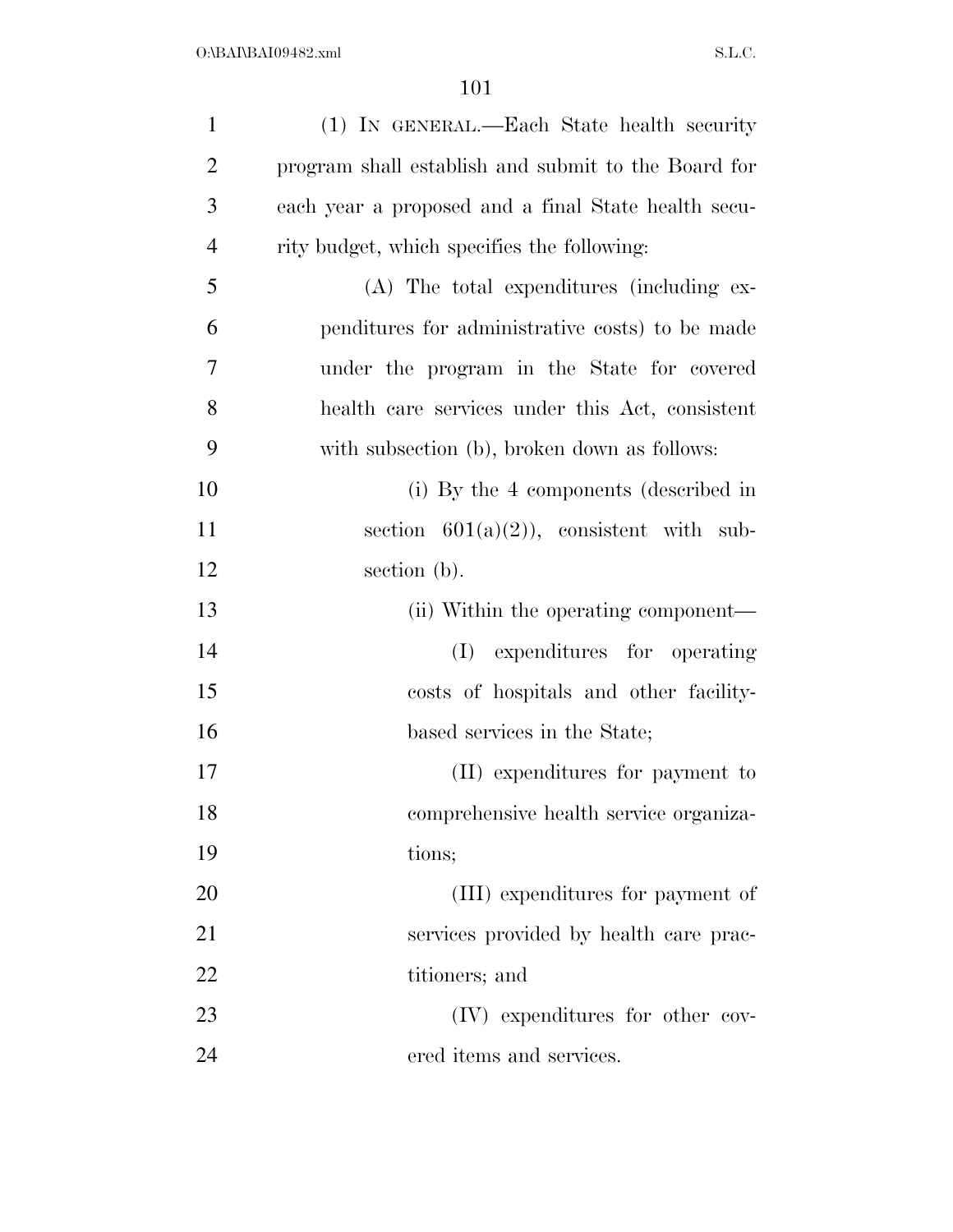| $\mathbf{1}$   | (1) IN GENERAL.—Each State health security          |
|----------------|-----------------------------------------------------|
| $\overline{2}$ | program shall establish and submit to the Board for |
| 3              | each year a proposed and a final State health secu- |
| $\overline{4}$ | rity budget, which specifies the following:         |
| 5              | (A) The total expenditures (including ex-           |
| 6              | penditures for administrative costs) to be made     |
| 7              | under the program in the State for covered          |
| 8              | health care services under this Act, consistent     |
| 9              | with subsection (b), broken down as follows:        |
| 10             | (i) By the 4 components (described in               |
| 11             | section $601(a)(2)$ , consistent with sub-          |
| 12             | section (b).                                        |
| 13             | (ii) Within the operating component—                |
| 14             | expenditures for operating<br>(I)                   |
| 15             | costs of hospitals and other facility-              |
| 16             | based services in the State;                        |
| 17             | (II) expenditures for payment to                    |
| 18             | comprehensive health service organiza-              |
| 19             | tions;                                              |
| 20             | (III) expenditures for payment of                   |
| 21             | services provided by health care prac-              |
| 22             | titioners; and                                      |
| 23             | (IV) expenditures for other cov-                    |
| 24             | ered items and services.                            |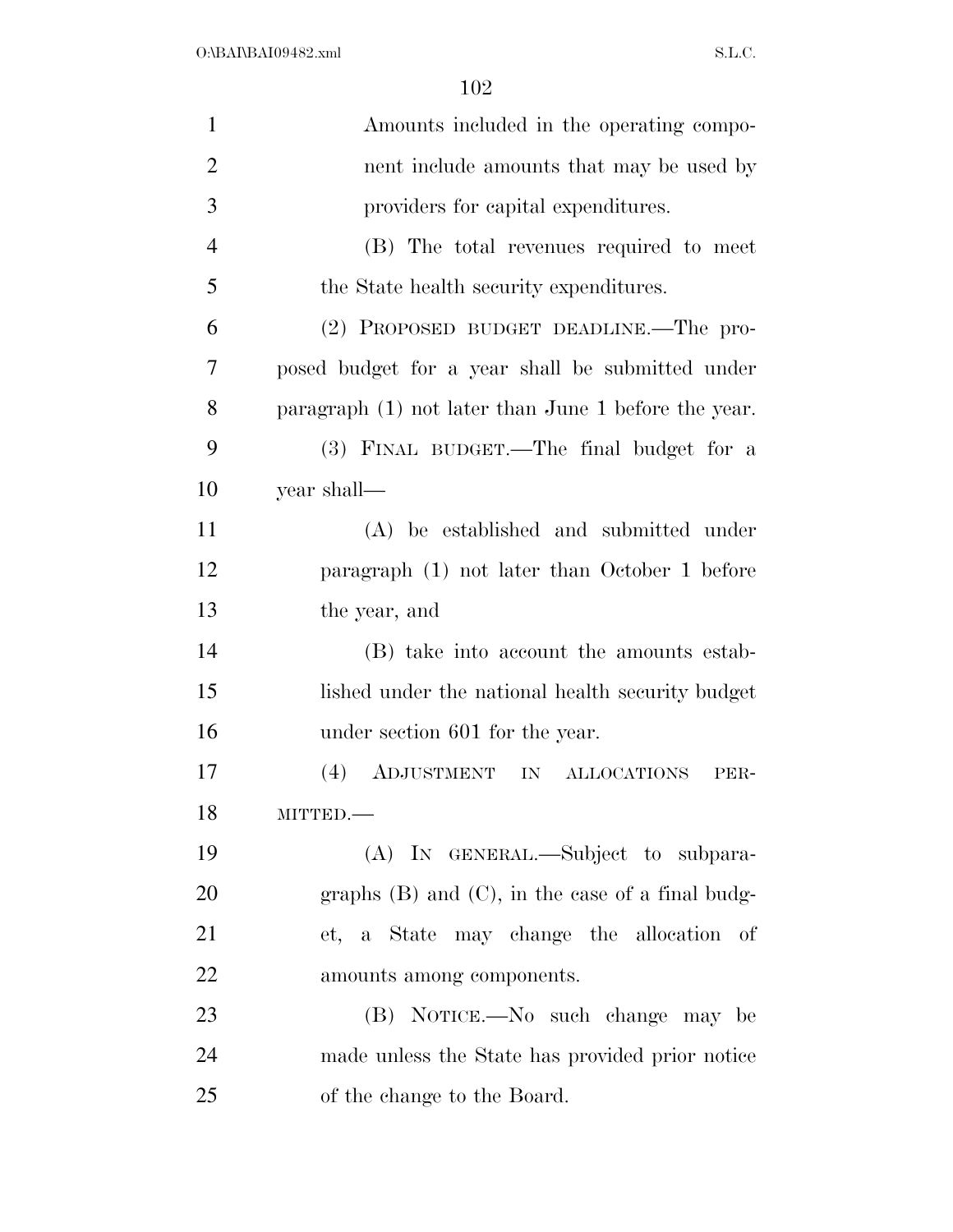| $\mathbf{1}$   | Amounts included in the operating compo-               |
|----------------|--------------------------------------------------------|
| $\overline{2}$ | nent include amounts that may be used by               |
| 3              | providers for capital expenditures.                    |
| $\overline{4}$ | (B) The total revenues required to meet                |
| 5              | the State health security expenditures.                |
| 6              | (2) PROPOSED BUDGET DEADLINE.—The pro-                 |
| 7              | posed budget for a year shall be submitted under       |
| 8              | paragraph $(1)$ not later than June 1 before the year. |
| 9              | (3) FINAL BUDGET.—The final budget for a               |
| 10             | year shall-                                            |
| 11             | (A) be established and submitted under                 |
| 12             | paragraph (1) not later than October 1 before          |
| 13             | the year, and                                          |
| 14             | (B) take into account the amounts estab-               |
| 15             | lished under the national health security budget       |
| 16             | under section 601 for the year.                        |
| 17             | ADJUSTMENT IN<br>(4)<br><b>ALLOCATIONS</b><br>PER-     |
| 18             | MITTED.                                                |
| 19             | (A) IN GENERAL.—Subject to subpara-                    |
| 20             | graphs $(B)$ and $(C)$ , in the case of a final budg-  |
| 21             | et, a State may change the allocation of               |
| 22             | amounts among components.                              |
| 23             | (B) NOTICE.—No such change may be                      |
| 24             | made unless the State has provided prior notice        |
| 25             | of the change to the Board.                            |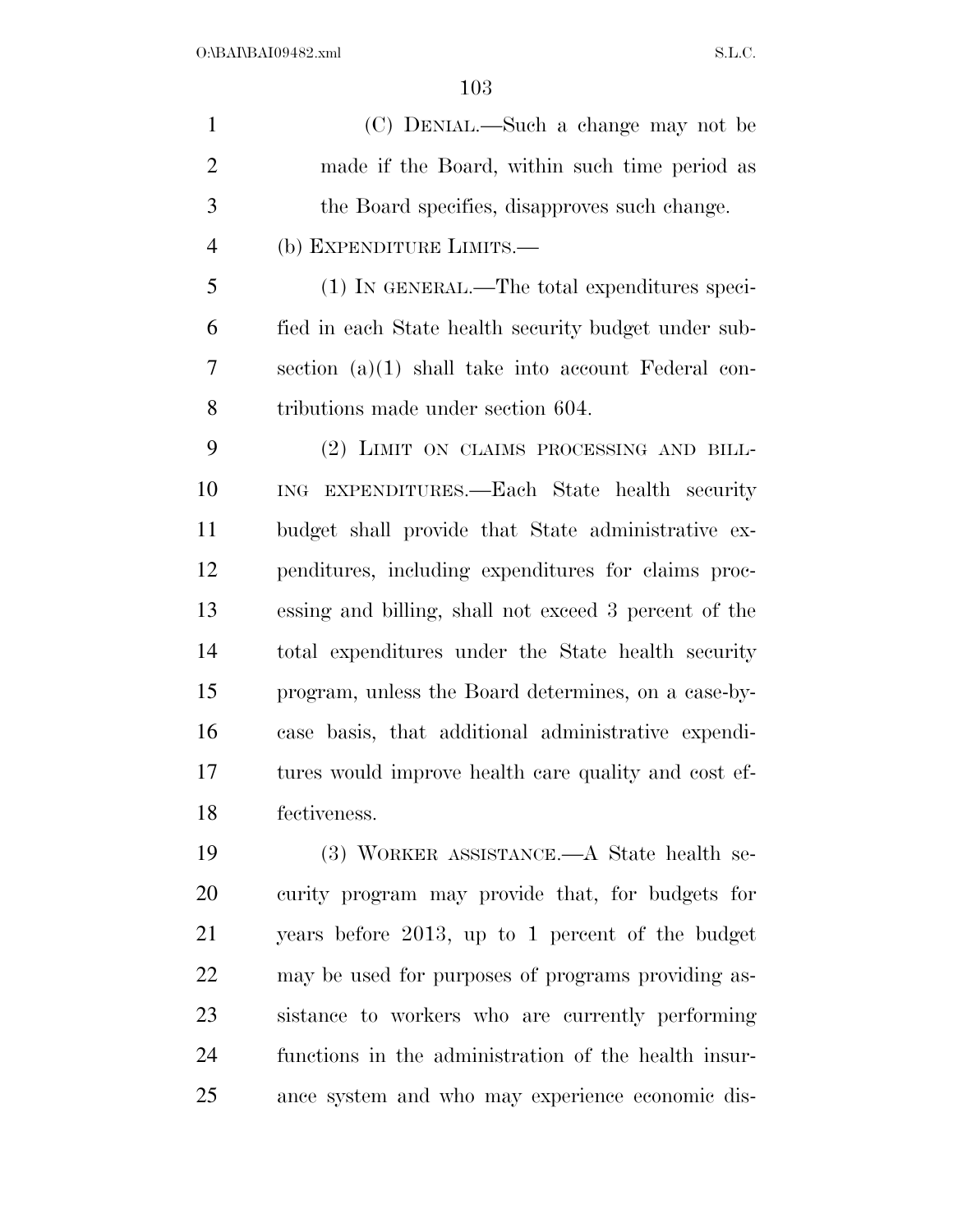(C) DENIAL.—Such a change may not be made if the Board, within such time period as the Board specifies, disapproves such change. (b) EXPENDITURE LIMITS.— (1) IN GENERAL.—The total expenditures speci- fied in each State health security budget under sub- section (a)(1) shall take into account Federal con- tributions made under section 604. (2) LIMIT ON CLAIMS PROCESSING AND BILL- ING EXPENDITURES.—Each State health security budget shall provide that State administrative ex- penditures, including expenditures for claims proc- essing and billing, shall not exceed 3 percent of the total expenditures under the State health security program, unless the Board determines, on a case-by- case basis, that additional administrative expendi- tures would improve health care quality and cost ef- fectiveness. (3) WORKER ASSISTANCE.—A State health se- curity program may provide that, for budgets for years before 2013, up to 1 percent of the budget may be used for purposes of programs providing as-sistance to workers who are currently performing

 functions in the administration of the health insur-ance system and who may experience economic dis-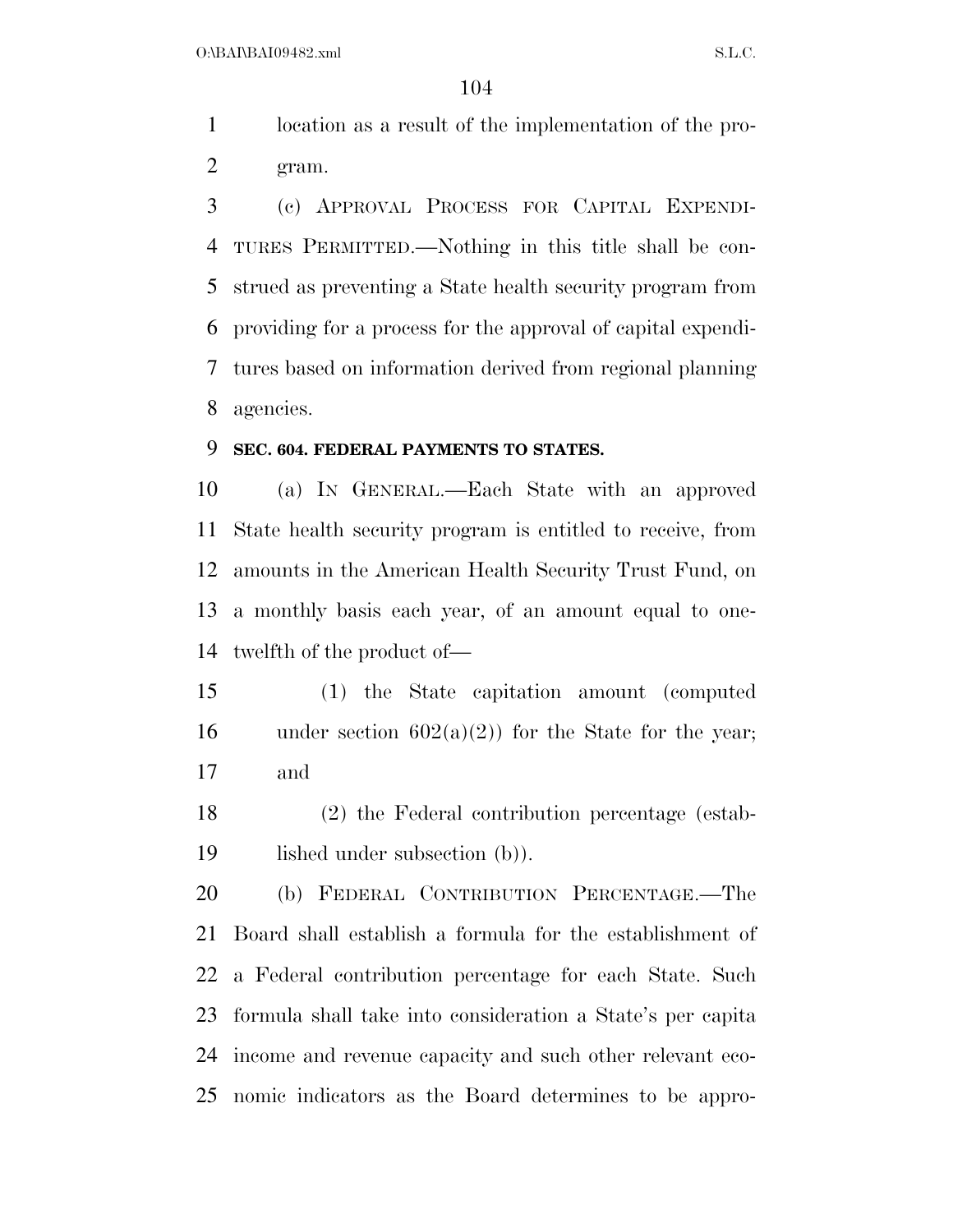location as a result of the implementation of the pro-gram.

 (c) APPROVAL PROCESS FOR CAPITAL EXPENDI- TURES PERMITTED.—Nothing in this title shall be con- strued as preventing a State health security program from providing for a process for the approval of capital expendi- tures based on information derived from regional planning agencies.

#### **SEC. 604. FEDERAL PAYMENTS TO STATES.**

 (a) IN GENERAL.—Each State with an approved State health security program is entitled to receive, from amounts in the American Health Security Trust Fund, on a monthly basis each year, of an amount equal to one-twelfth of the product of—

 (1) the State capitation amount (computed 16 under section  $602(a)(2)$  for the State for the year; and

 (2) the Federal contribution percentage (estab-lished under subsection (b)).

 (b) FEDERAL CONTRIBUTION PERCENTAGE.—The Board shall establish a formula for the establishment of a Federal contribution percentage for each State. Such formula shall take into consideration a State's per capita income and revenue capacity and such other relevant eco-nomic indicators as the Board determines to be appro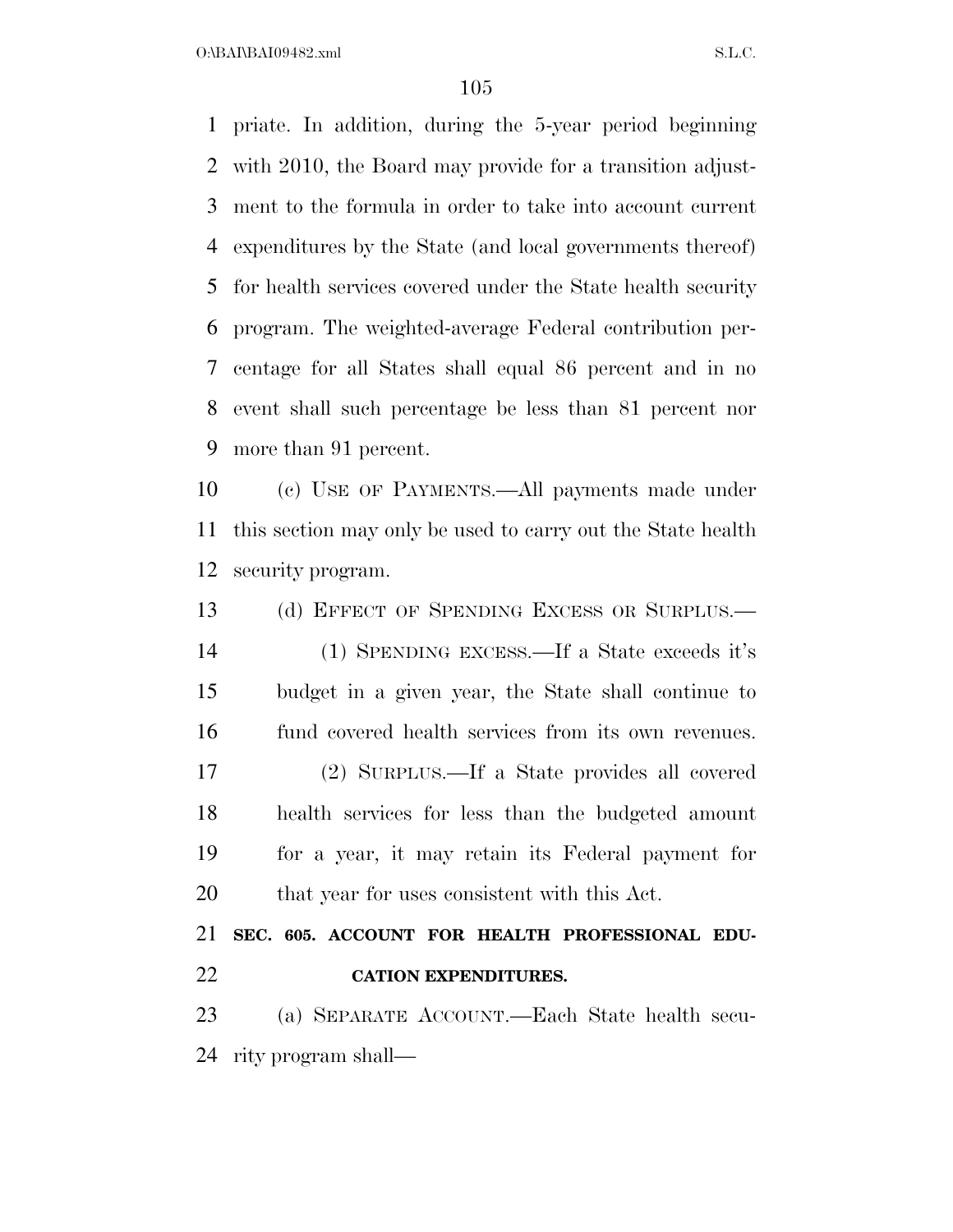$O:\beta A \Gamma \beta A 109482 \ldots$  S.L.C.

 priate. In addition, during the 5-year period beginning with 2010, the Board may provide for a transition adjust- ment to the formula in order to take into account current expenditures by the State (and local governments thereof) for health services covered under the State health security program. The weighted-average Federal contribution per- centage for all States shall equal 86 percent and in no event shall such percentage be less than 81 percent nor more than 91 percent.

 (c) USE OF PAYMENTS.—All payments made under this section may only be used to carry out the State health security program.

13 (d) EFFECT OF SPENDING EXCESS OR SURPLUS. (1) SPENDING EXCESS.—If a State exceeds it's budget in a given year, the State shall continue to fund covered health services from its own revenues. (2) SURPLUS.—If a State provides all covered health services for less than the budgeted amount for a year, it may retain its Federal payment for that year for uses consistent with this Act.

 **SEC. 605. ACCOUNT FOR HEALTH PROFESSIONAL EDU-CATION EXPENDITURES.** 

 (a) SEPARATE ACCOUNT.—Each State health secu-rity program shall—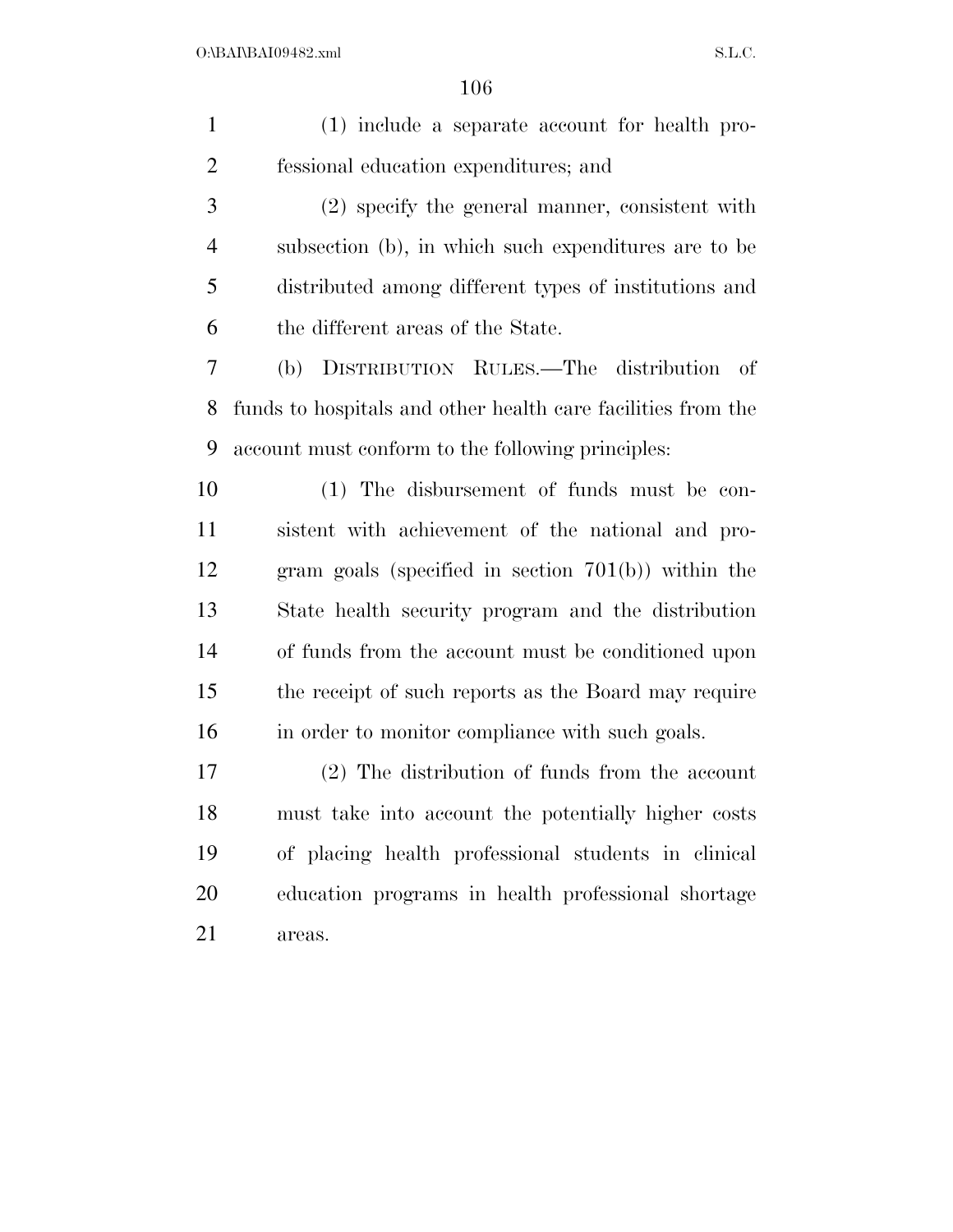| $\mathbf{1}$   | (1) include a separate account for health pro-               |
|----------------|--------------------------------------------------------------|
| $\overline{2}$ | fessional education expenditures; and                        |
| 3              | (2) specify the general manner, consistent with              |
| $\overline{4}$ | subsection (b), in which such expenditures are to be         |
| 5              | distributed among different types of institutions and        |
| 6              | the different areas of the State.                            |
| 7              | DISTRIBUTION RULES.—The distribution of<br>(b)               |
| 8              | funds to hospitals and other health care facilities from the |
| 9              | account must conform to the following principles:            |
| 10             | (1) The disbursement of funds must be con-                   |
| 11             | sistent with achievement of the national and pro-            |
| 12             | gram goals (specified in section $701(b)$ ) within the       |
| 13             | State health security program and the distribution           |
| 14             | of funds from the account must be conditioned upon           |
| 15             | the receipt of such reports as the Board may require         |
| 16             | in order to monitor compliance with such goals.              |
| 17             | $(2)$ The distribution of funds from the account             |
| 18             | must take into account the potentially higher costs          |
| 19             | of placing health professional students in clinical          |
| 20             | education programs in health professional shortage           |
| 21             | areas.                                                       |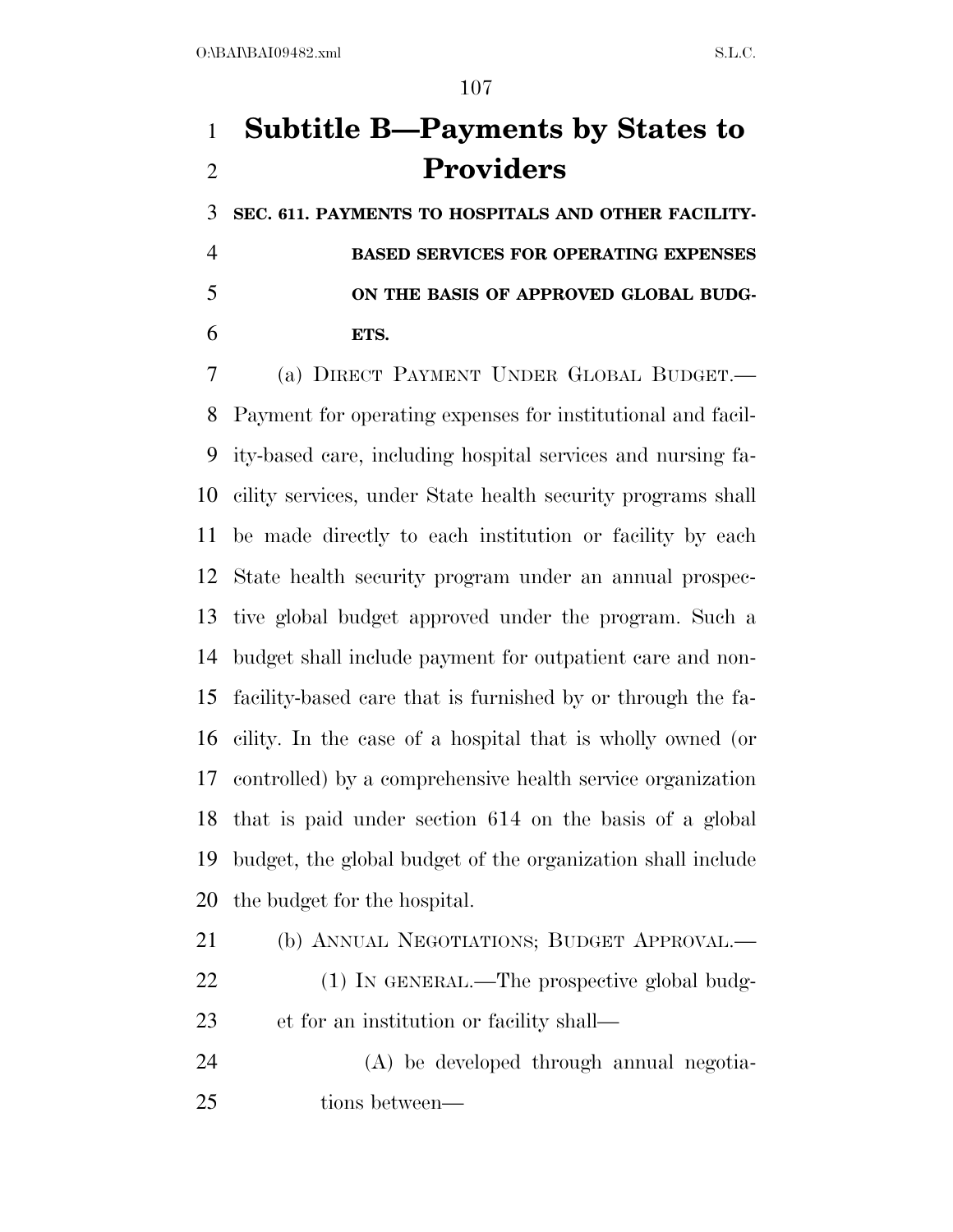# **Subtitle B—Payments by States to Providers**

 **SEC. 611. PAYMENTS TO HOSPITALS AND OTHER FACILITY- BASED SERVICES FOR OPERATING EXPENSES ON THE BASIS OF APPROVED GLOBAL BUDG-ETS.** 

 (a) DIRECT PAYMENT UNDER GLOBAL BUDGET.— Payment for operating expenses for institutional and facil- ity-based care, including hospital services and nursing fa- cility services, under State health security programs shall be made directly to each institution or facility by each State health security program under an annual prospec- tive global budget approved under the program. Such a budget shall include payment for outpatient care and non- facility-based care that is furnished by or through the fa- cility. In the case of a hospital that is wholly owned (or controlled) by a comprehensive health service organization that is paid under section 614 on the basis of a global budget, the global budget of the organization shall include the budget for the hospital.

 (b) ANNUAL NEGOTIATIONS; BUDGET APPROVAL.— 22 (1) IN GENERAL.—The prospective global budg-et for an institution or facility shall—

 (A) be developed through annual negotia-tions between—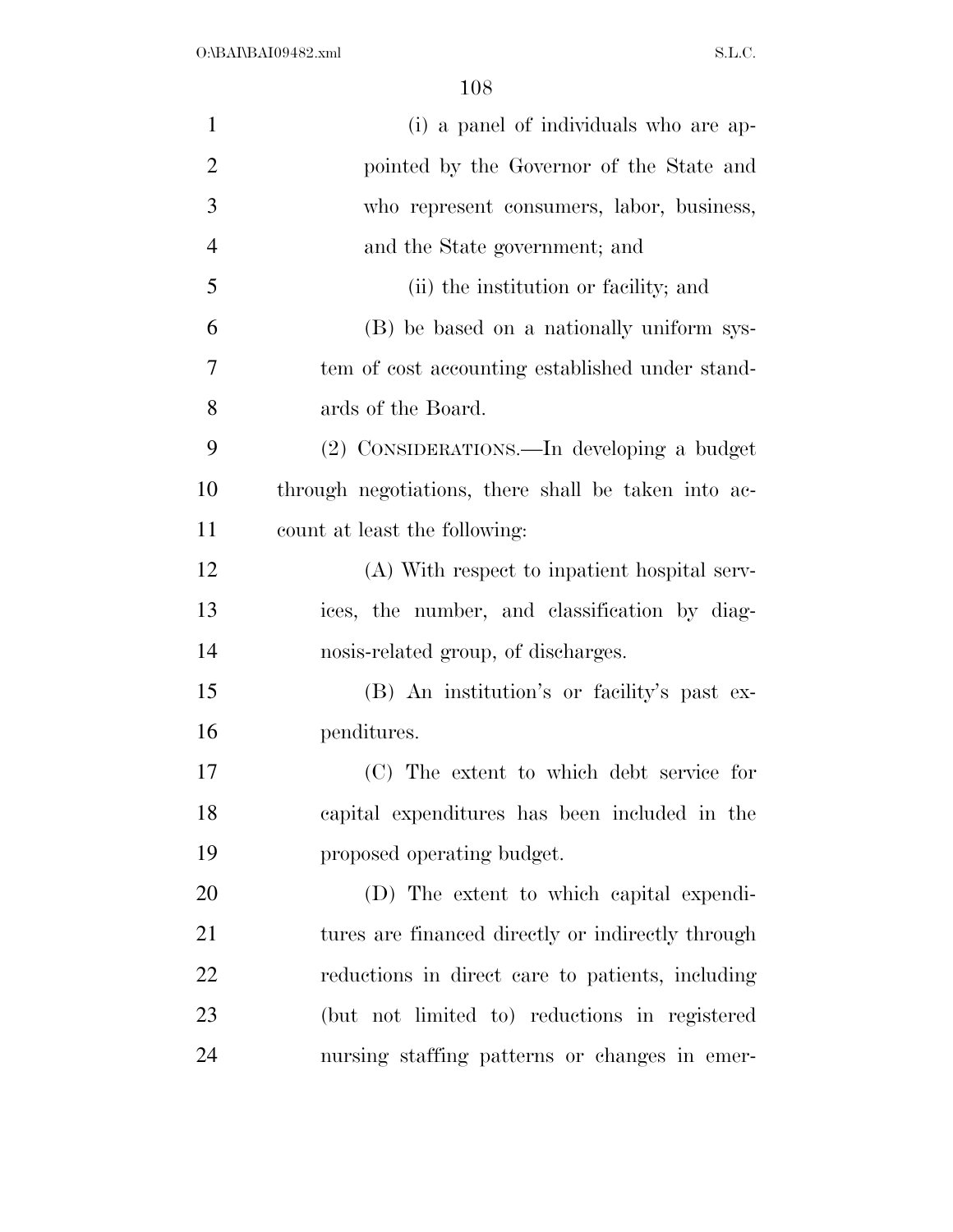| 1              | (i) a panel of individuals who are ap-              |
|----------------|-----------------------------------------------------|
| $\overline{2}$ | pointed by the Governor of the State and            |
| 3              | who represent consumers, labor, business,           |
| $\overline{4}$ | and the State government; and                       |
| 5              | (ii) the institution or facility; and               |
| 6              | (B) be based on a nationally uniform sys-           |
| 7              | tem of cost accounting established under stand-     |
| 8              | ards of the Board.                                  |
| 9              | (2) CONSIDERATIONS.—In developing a budget          |
| 10             | through negotiations, there shall be taken into ac- |
| 11             | count at least the following:                       |
| 12             | (A) With respect to inpatient hospital serv-        |
| 13             | ices, the number, and classification by diag-       |
| 14             | nosis-related group, of discharges.                 |
| 15             | (B) An institution's or facility's past ex-         |
| 16             | penditures.                                         |
| 17             | (C) The extent to which debt service for            |
| 18             | capital expenditures has been included in the       |
| 19             | proposed operating budget.                          |
| 20             | (D) The extent to which capital expendi-            |
| 21             | tures are financed directly or indirectly through   |
| 22             | reductions in direct care to patients, including    |
| 23             | (but not limited to) reductions in registered       |
| 24             | nursing staffing patterns or changes in emer-       |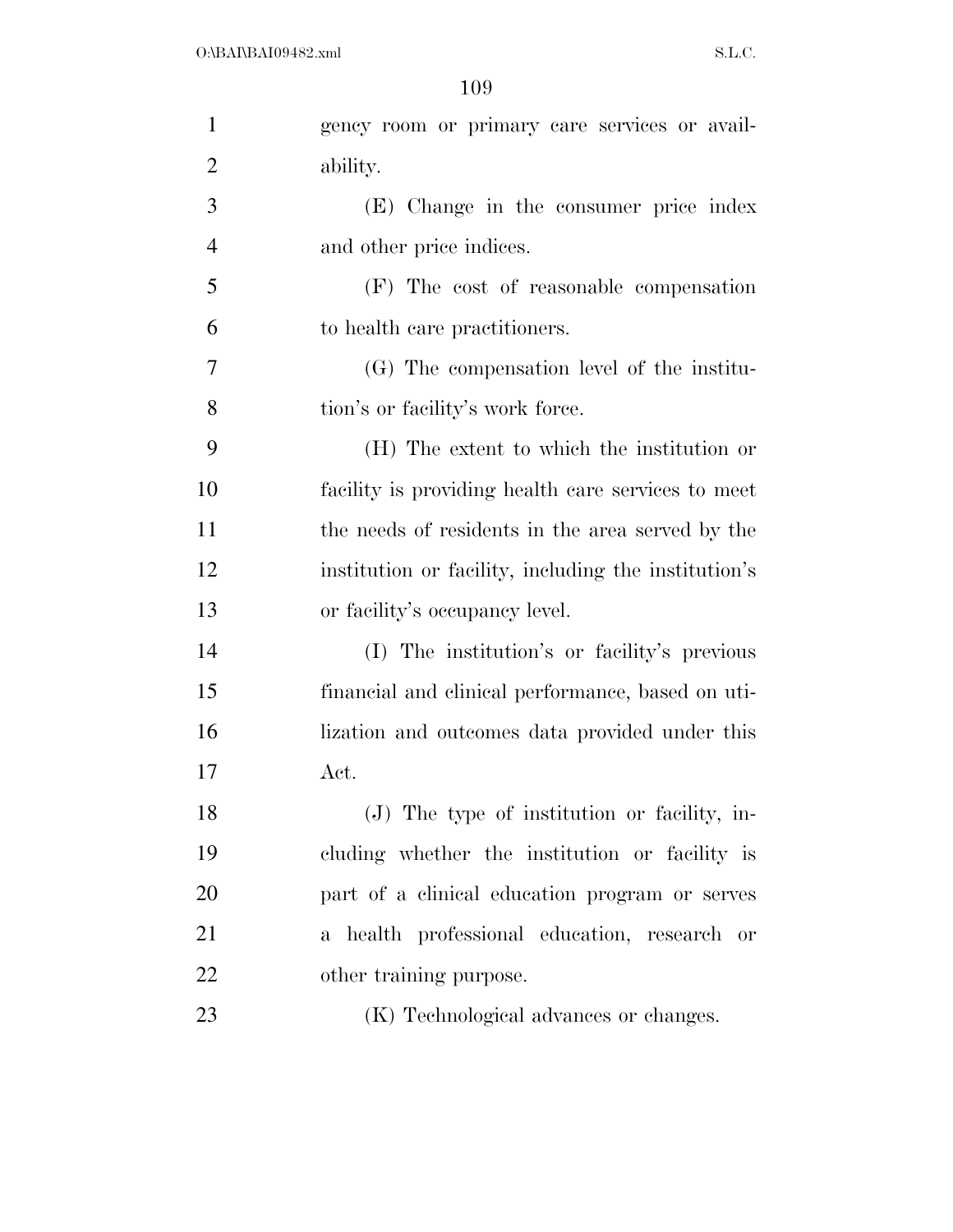| $\mathbf{1}$   | gency room or primary care services or avail-        |
|----------------|------------------------------------------------------|
| $\overline{2}$ | ability.                                             |
| 3              | (E) Change in the consumer price index               |
| $\overline{4}$ | and other price indices.                             |
| 5              | (F) The cost of reasonable compensation              |
| 6              | to health care practitioners.                        |
| 7              | (G) The compensation level of the institu-           |
| 8              | tion's or facility's work force.                     |
| 9              | (H) The extent to which the institution or           |
| 10             | facility is providing health care services to meet   |
| 11             | the needs of residents in the area served by the     |
| 12             | institution or facility, including the institution's |
| 13             | or facility's occupancy level.                       |
| 14             | (I) The institution's or facility's previous         |
| 15             | financial and clinical performance, based on uti-    |
| 16             | lization and outcomes data provided under this       |
| 17             | Act.                                                 |
| 18             | (J) The type of institution or facility, in-         |
| 19             | cluding whether the institution or facility is       |
| 20             | part of a clinical education program or serves       |
| 21             | a health professional education, research or         |
| 22             | other training purpose.                              |
| 23             | (K) Technological advances or changes.               |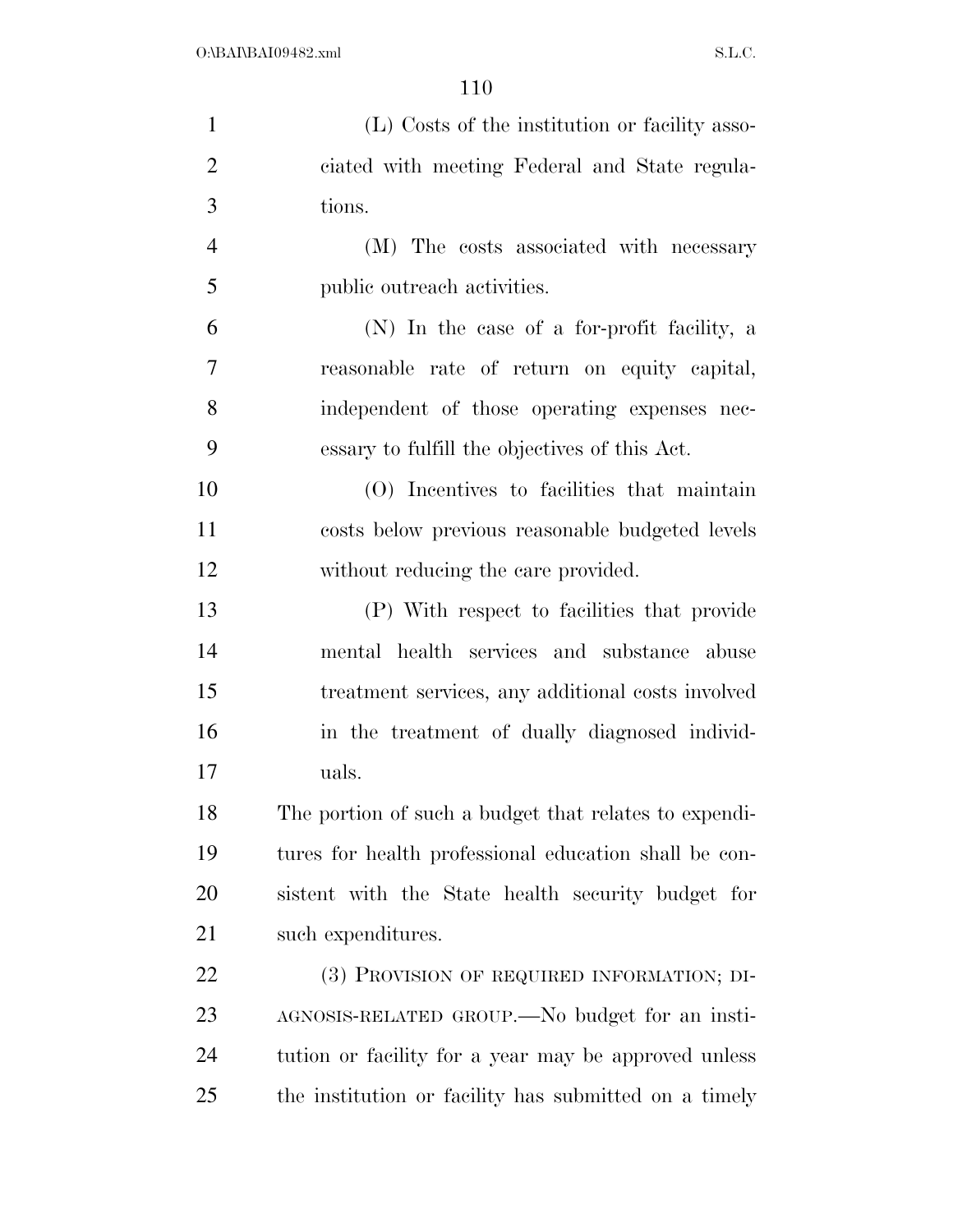| $\mathbf{1}$   | (L) Costs of the institution or facility asso-        |
|----------------|-------------------------------------------------------|
| $\overline{2}$ | ciated with meeting Federal and State regula-         |
| 3              | tions.                                                |
| $\overline{4}$ | (M) The costs associated with necessary               |
| 5              | public outreach activities.                           |
| 6              | (N) In the case of a for-profit facility, a           |
| 7              | reasonable rate of return on equity capital,          |
| 8              | independent of those operating expenses nec-          |
| 9              | essary to fulfill the objectives of this Act.         |
| 10             | (O) Incentives to facilities that maintain            |
| 11             | costs below previous reasonable budgeted levels       |
| 12             | without reducing the care provided.                   |
| 13             | (P) With respect to facilities that provide           |
| 14             | mental health services and substance abuse            |
| 15             | treatment services, any additional costs involved     |
| 16             | in the treatment of dually diagnosed individ-         |
| 17             | uals.                                                 |
| 18             | The portion of such a budget that relates to expendi- |
| 19             | tures for health professional education shall be con- |
| 20             | sistent with the State health security budget for     |
| 21             | such expenditures.                                    |
| <u>22</u>      | (3) PROVISION OF REQUIRED INFORMATION; DI-            |
| 23             | AGNOSIS-RELATED GROUP.—No budget for an insti-        |
| 24             | tution or facility for a year may be approved unless  |
| 25             | the institution or facility has submitted on a timely |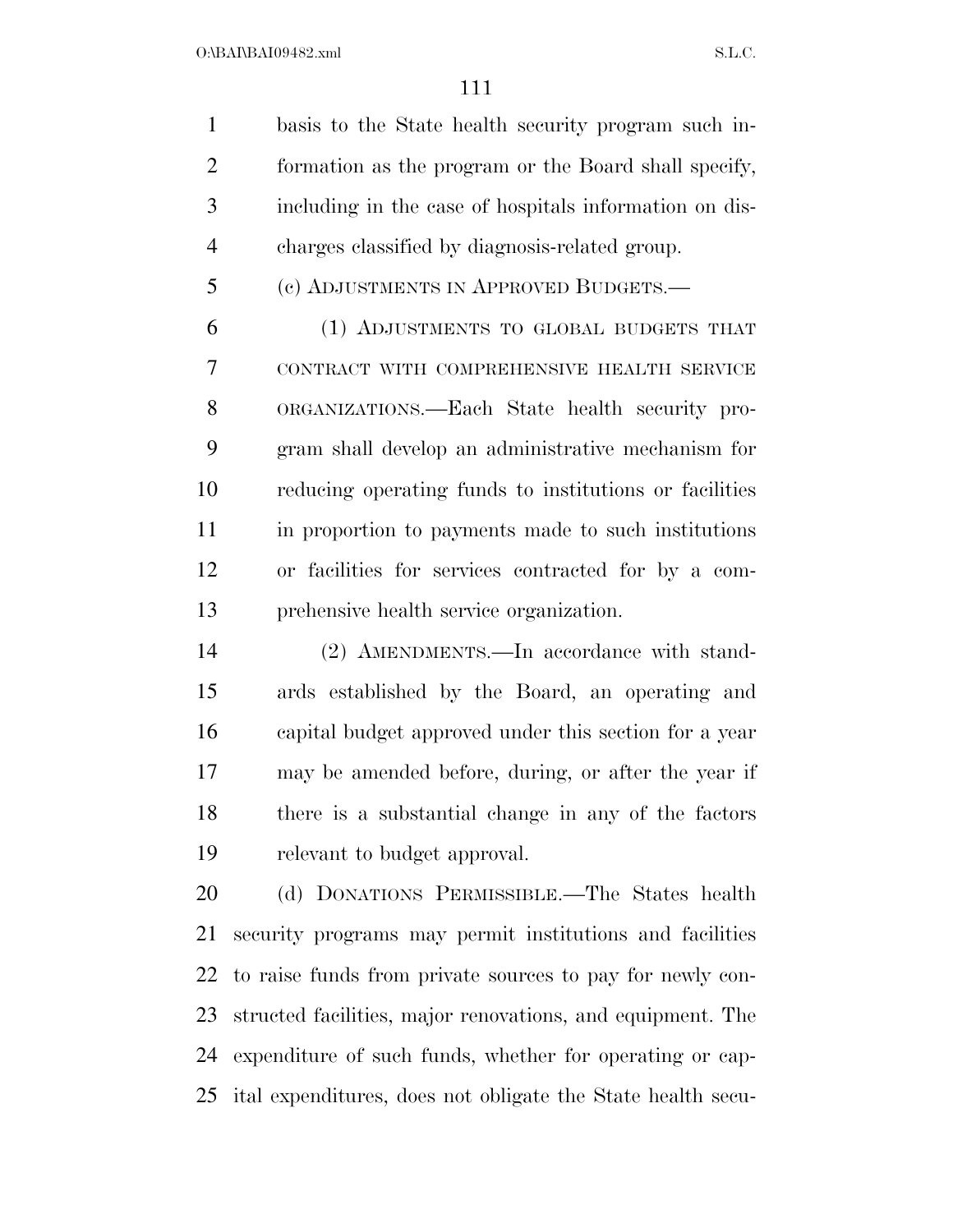$O:\beta A \Gamma \beta A109482 \ldots$  S.L.C.

 basis to the State health security program such in- formation as the program or the Board shall specify, including in the case of hospitals information on dis-charges classified by diagnosis-related group.

(c) ADJUSTMENTS IN APPROVED BUDGETS.—

 (1) ADJUSTMENTS TO GLOBAL BUDGETS THAT CONTRACT WITH COMPREHENSIVE HEALTH SERVICE ORGANIZATIONS.—Each State health security pro- gram shall develop an administrative mechanism for reducing operating funds to institutions or facilities in proportion to payments made to such institutions or facilities for services contracted for by a com-prehensive health service organization.

 (2) AMENDMENTS.—In accordance with stand- ards established by the Board, an operating and capital budget approved under this section for a year may be amended before, during, or after the year if there is a substantial change in any of the factors relevant to budget approval.

 (d) DONATIONS PERMISSIBLE.—The States health security programs may permit institutions and facilities to raise funds from private sources to pay for newly con- structed facilities, major renovations, and equipment. The expenditure of such funds, whether for operating or cap-ital expenditures, does not obligate the State health secu-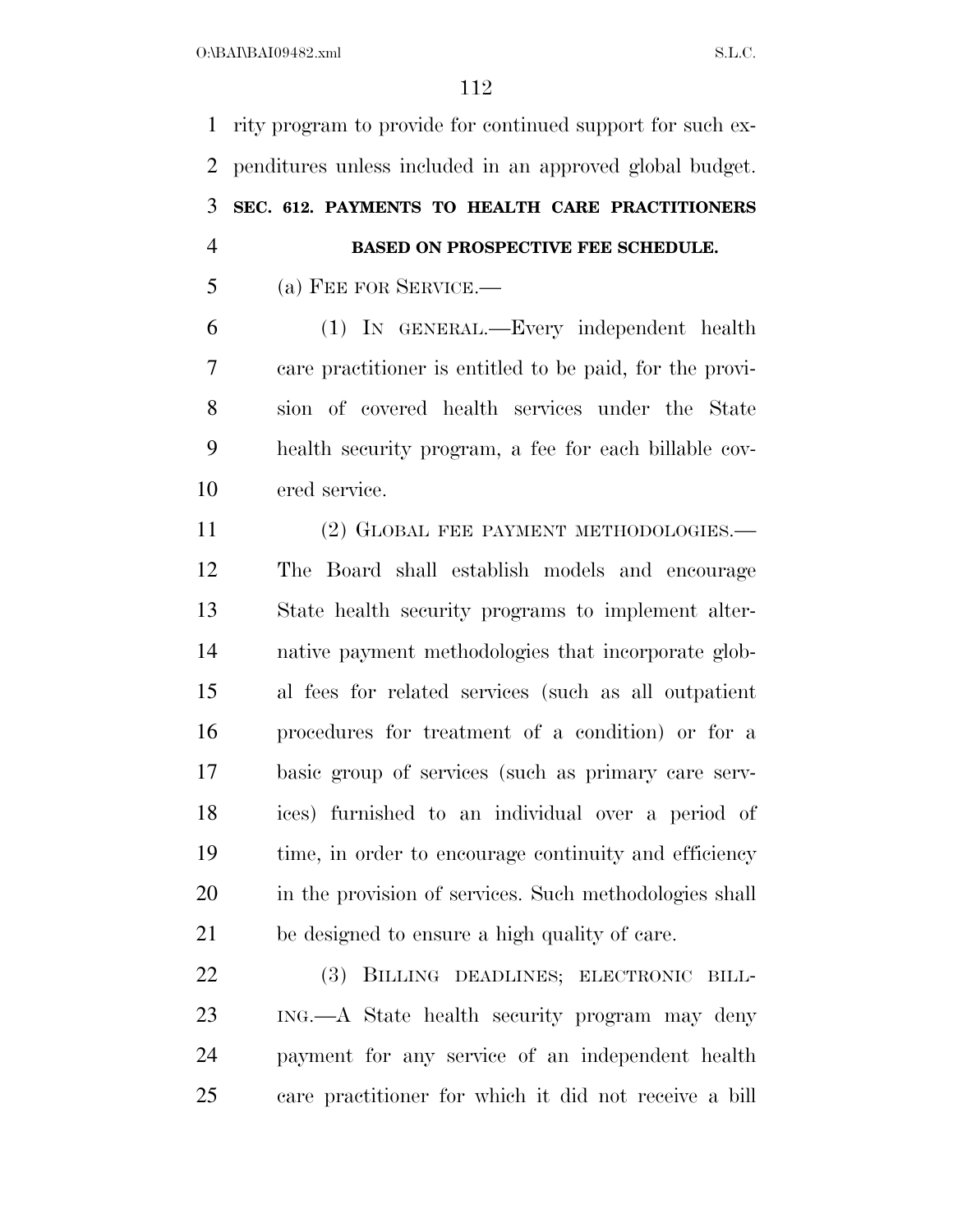rity program to provide for continued support for such ex- penditures unless included in an approved global budget. **SEC. 612. PAYMENTS TO HEALTH CARE PRACTITIONERS BASED ON PROSPECTIVE FEE SCHEDULE.** 

(a) FEE FOR SERVICE.—

 (1) IN GENERAL.—Every independent health care practitioner is entitled to be paid, for the provi- sion of covered health services under the State health security program, a fee for each billable cov-ered service.

11 (2) GLOBAL FEE PAYMENT METHODOLOGIES.— The Board shall establish models and encourage State health security programs to implement alter- native payment methodologies that incorporate glob- al fees for related services (such as all outpatient procedures for treatment of a condition) or for a basic group of services (such as primary care serv- ices) furnished to an individual over a period of time, in order to encourage continuity and efficiency 20 in the provision of services. Such methodologies shall be designed to ensure a high quality of care.

 (3) BILLING DEADLINES; ELECTRONIC BILL- ING.—A State health security program may deny payment for any service of an independent health care practitioner for which it did not receive a bill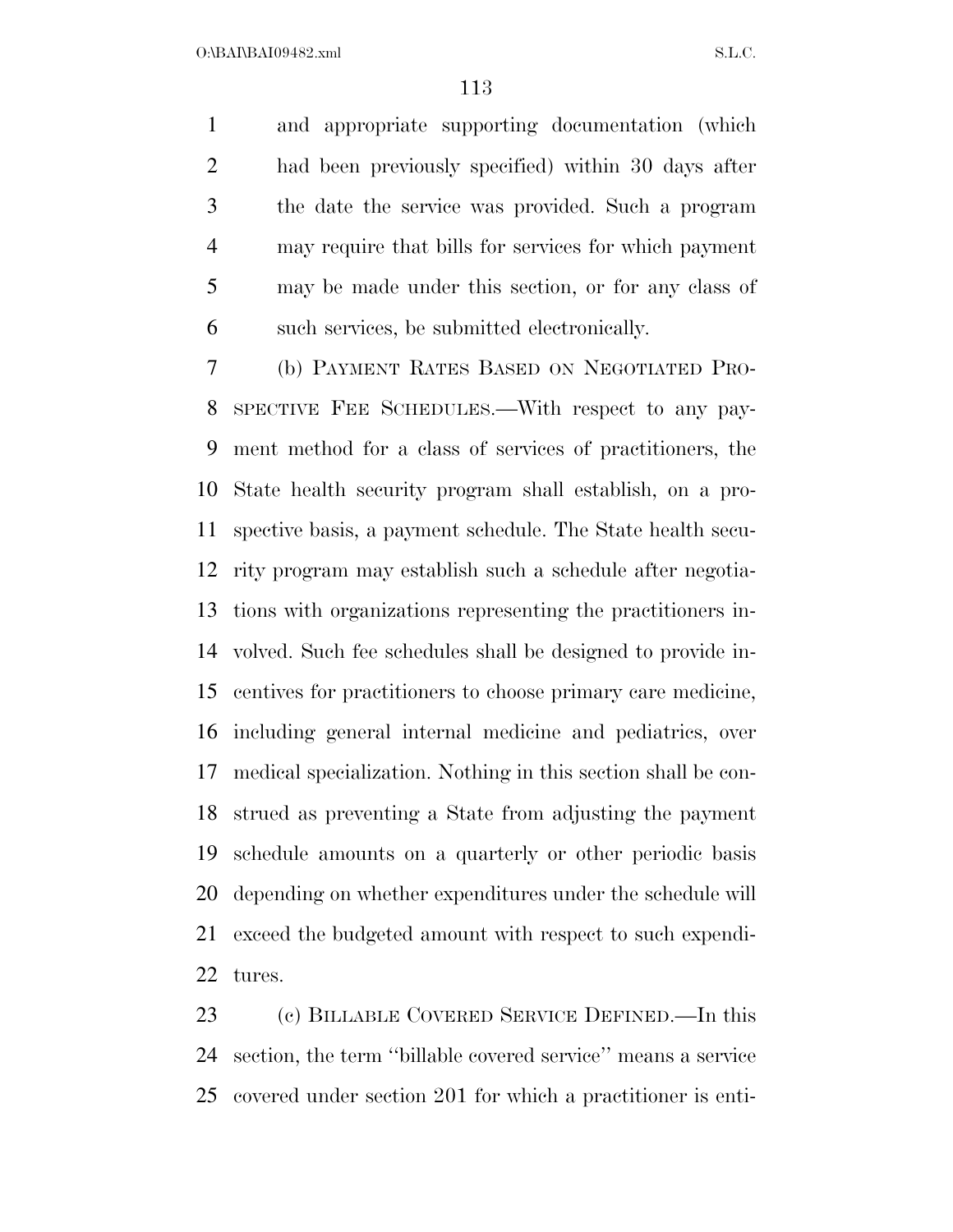and appropriate supporting documentation (which had been previously specified) within 30 days after the date the service was provided. Such a program may require that bills for services for which payment may be made under this section, or for any class of such services, be submitted electronically.

 (b) PAYMENT RATES BASED ON NEGOTIATED PRO- SPECTIVE FEE SCHEDULES.—With respect to any pay- ment method for a class of services of practitioners, the State health security program shall establish, on a pro- spective basis, a payment schedule. The State health secu- rity program may establish such a schedule after negotia- tions with organizations representing the practitioners in- volved. Such fee schedules shall be designed to provide in- centives for practitioners to choose primary care medicine, including general internal medicine and pediatrics, over medical specialization. Nothing in this section shall be con- strued as preventing a State from adjusting the payment schedule amounts on a quarterly or other periodic basis depending on whether expenditures under the schedule will exceed the budgeted amount with respect to such expendi-tures.

 (c) BILLABLE COVERED SERVICE DEFINED.—In this section, the term ''billable covered service'' means a service covered under section 201 for which a practitioner is enti-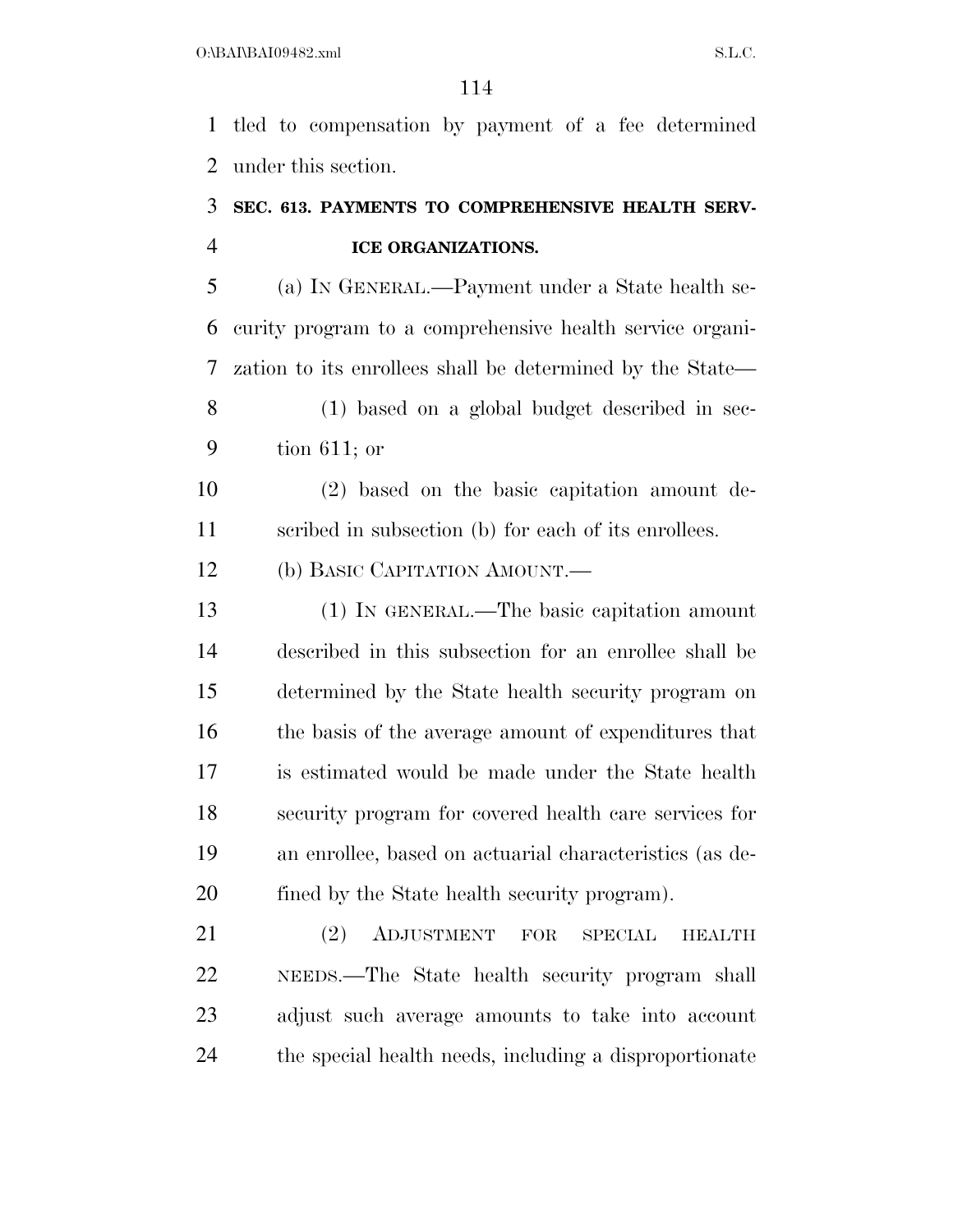tled to compensation by payment of a fee determined under this section.

### **SEC. 613. PAYMENTS TO COMPREHENSIVE HEALTH SERV-ICE ORGANIZATIONS.**

 (a) IN GENERAL.—Payment under a State health se- curity program to a comprehensive health service organi- zation to its enrollees shall be determined by the State— (1) based on a global budget described in sec-

tion 611; or

 (2) based on the basic capitation amount de-scribed in subsection (b) for each of its enrollees.

12 (b) BASIC CAPITATION AMOUNT.

 (1) IN GENERAL.—The basic capitation amount described in this subsection for an enrollee shall be determined by the State health security program on the basis of the average amount of expenditures that is estimated would be made under the State health security program for covered health care services for an enrollee, based on actuarial characteristics (as de-fined by the State health security program).

 (2) ADJUSTMENT FOR SPECIAL HEALTH NEEDS.—The State health security program shall adjust such average amounts to take into account the special health needs, including a disproportionate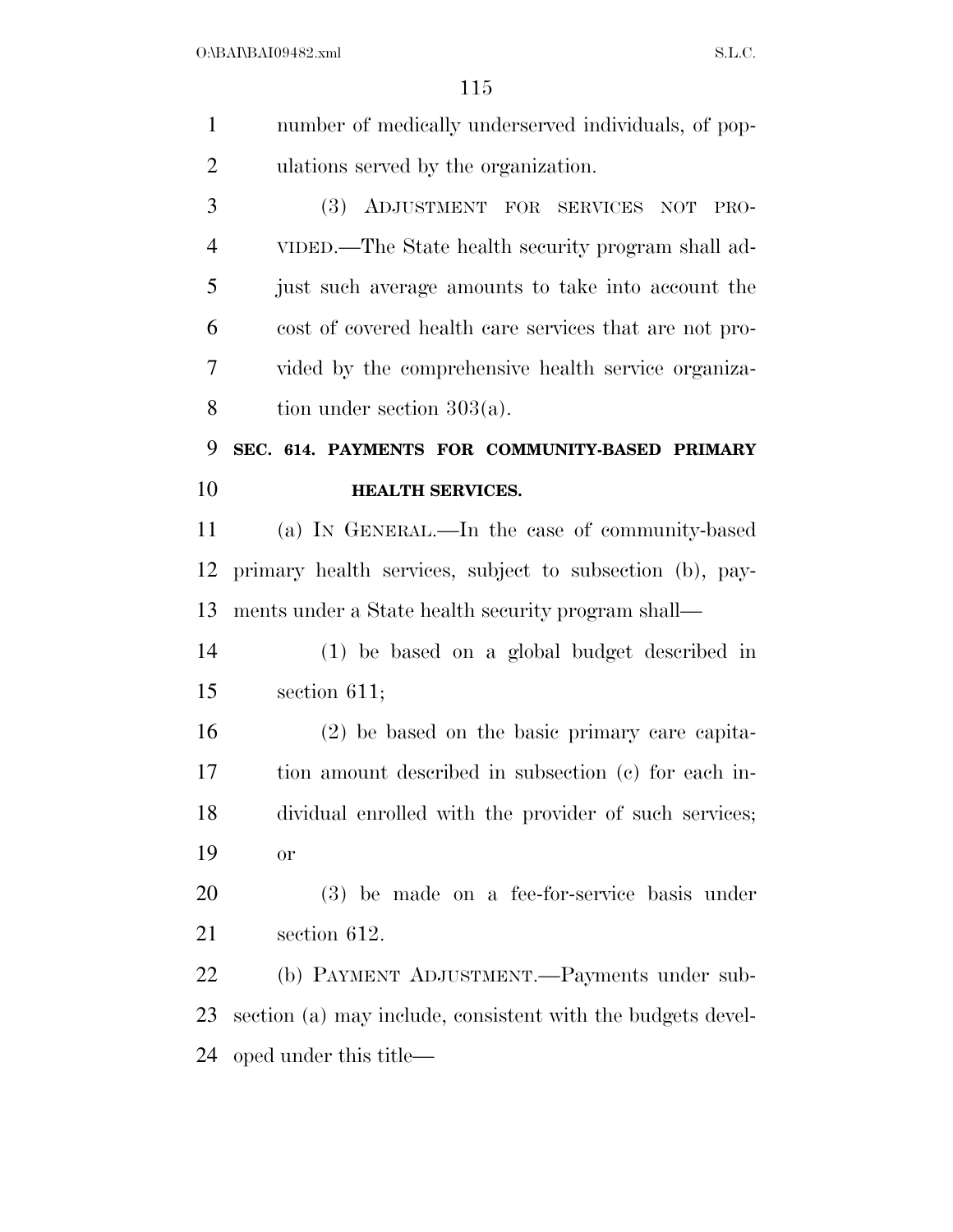$O:\bbox{BANBAI09482.xml} \qquad \qquad \text{S.L.C.}$ 

| number of medically underserved individuals, of pop-        |
|-------------------------------------------------------------|
| ulations served by the organization.                        |
| (3) ADJUSTMENT FOR SERVICES NOT<br>PRO-                     |
| VIDED.—The State health security program shall ad-          |
| just such average amounts to take into account the          |
| cost of covered health care services that are not pro-      |
| vided by the comprehensive health service organiza-         |
| tion under section $303(a)$ .                               |
| SEC. 614. PAYMENTS FOR COMMUNITY-BASED PRIMARY              |
| <b>HEALTH SERVICES.</b>                                     |
| (a) IN GENERAL.—In the case of community-based              |
| primary health services, subject to subsection (b), pay-    |
| ments under a State health security program shall—          |
| (1) be based on a global budget described in                |
| section $611;$                                              |
| $(2)$ be based on the basic primary care capita-            |
| tion amount described in subsection (c) for each in-        |
| dividual enrolled with the provider of such services;       |
| or                                                          |
| $(3)$ be made on a fee-for-service basis under              |
| section 612.                                                |
| (b) PAYMENT ADJUSTMENT.—Payments under sub-                 |
| section (a) may include, consistent with the budgets devel- |
| oped under this title—                                      |
|                                                             |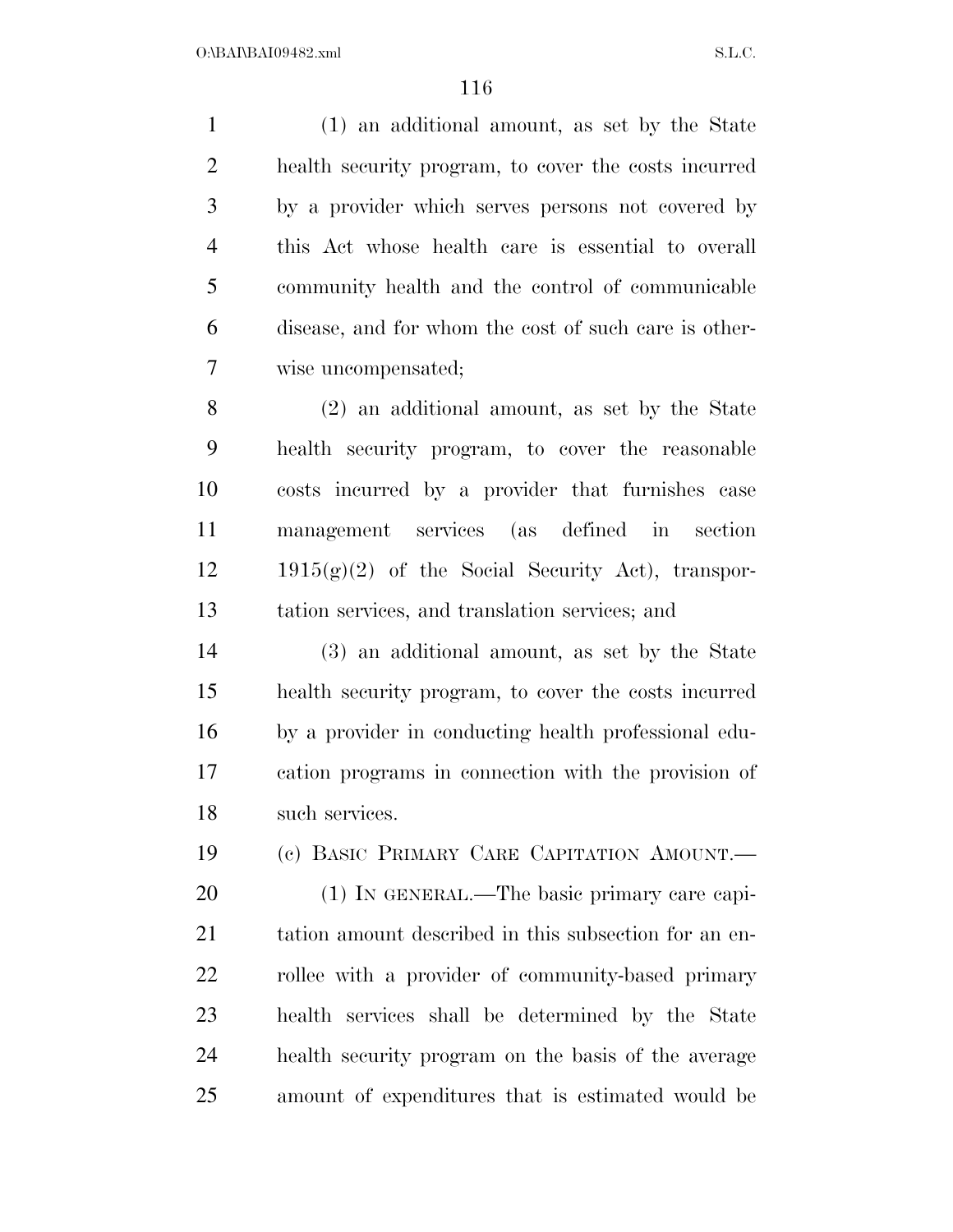(1) an additional amount, as set by the State health security program, to cover the costs incurred by a provider which serves persons not covered by this Act whose health care is essential to overall community health and the control of communicable disease, and for whom the cost of such care is other-wise uncompensated;

 (2) an additional amount, as set by the State health security program, to cover the reasonable costs incurred by a provider that furnishes case management services (as defined in section 1915(g)(2) of the Social Security Act), transpor-tation services, and translation services; and

 (3) an additional amount, as set by the State health security program, to cover the costs incurred by a provider in conducting health professional edu- cation programs in connection with the provision of such services.

(c) BASIC PRIMARY CARE CAPITATION AMOUNT.—

20 (1) IN GENERAL.—The basic primary care capi-21 tation amount described in this subsection for an en-22 rollee with a provider of community-based primary health services shall be determined by the State health security program on the basis of the average amount of expenditures that is estimated would be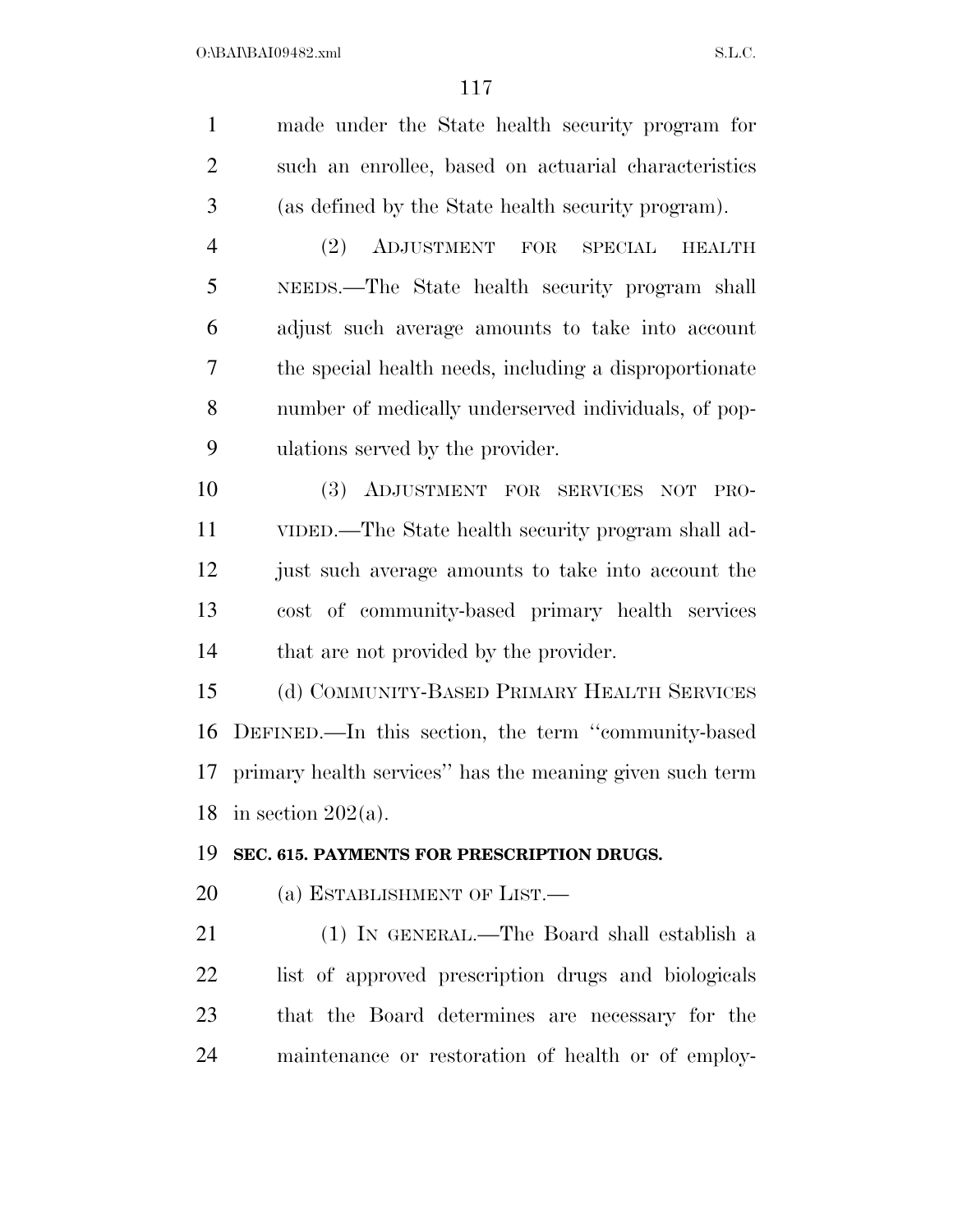| $\mathbf{1}$   | made under the State health security program for         |
|----------------|----------------------------------------------------------|
| $\overline{2}$ | such an enrollee, based on actuarial characteristics     |
| 3              | (as defined by the State health security program).       |
| $\overline{4}$ | (2)<br>ADJUSTMENT FOR SPECIAL<br><b>HEALTH</b>           |
| 5              | NEEDS.—The State health security program shall           |
| 6              | adjust such average amounts to take into account         |
| 7              | the special health needs, including a disproportionate   |
| 8              | number of medically underserved individuals, of pop-     |
| 9              | ulations served by the provider.                         |
| 10             | (3) ADJUSTMENT FOR SERVICES NOT<br>PRO-                  |
| 11             | VIDED.—The State health security program shall ad-       |
| 12             | just such average amounts to take into account the       |
| 13             | cost of community-based primary health services          |
| 14             | that are not provided by the provider.                   |
| 15             | (d) COMMUNITY-BASED PRIMARY HEALTH SERVICES              |
| 16             | DEFINED.—In this section, the term "community-based      |
| 17             | primary health services" has the meaning given such term |
|                | 18 in section $202(a)$ .                                 |
| 19             | SEC. 615. PAYMENTS FOR PRESCRIPTION DRUGS.               |
| 20             | (a) ESTABLISHMENT OF LIST.—                              |
| 21             | (1) IN GENERAL.—The Board shall establish a              |
| 22             | list of approved prescription drugs and biologicals      |
| 23             | that the Board determines are necessary for the          |
| 24             | maintenance or restoration of health or of employ-       |
|                |                                                          |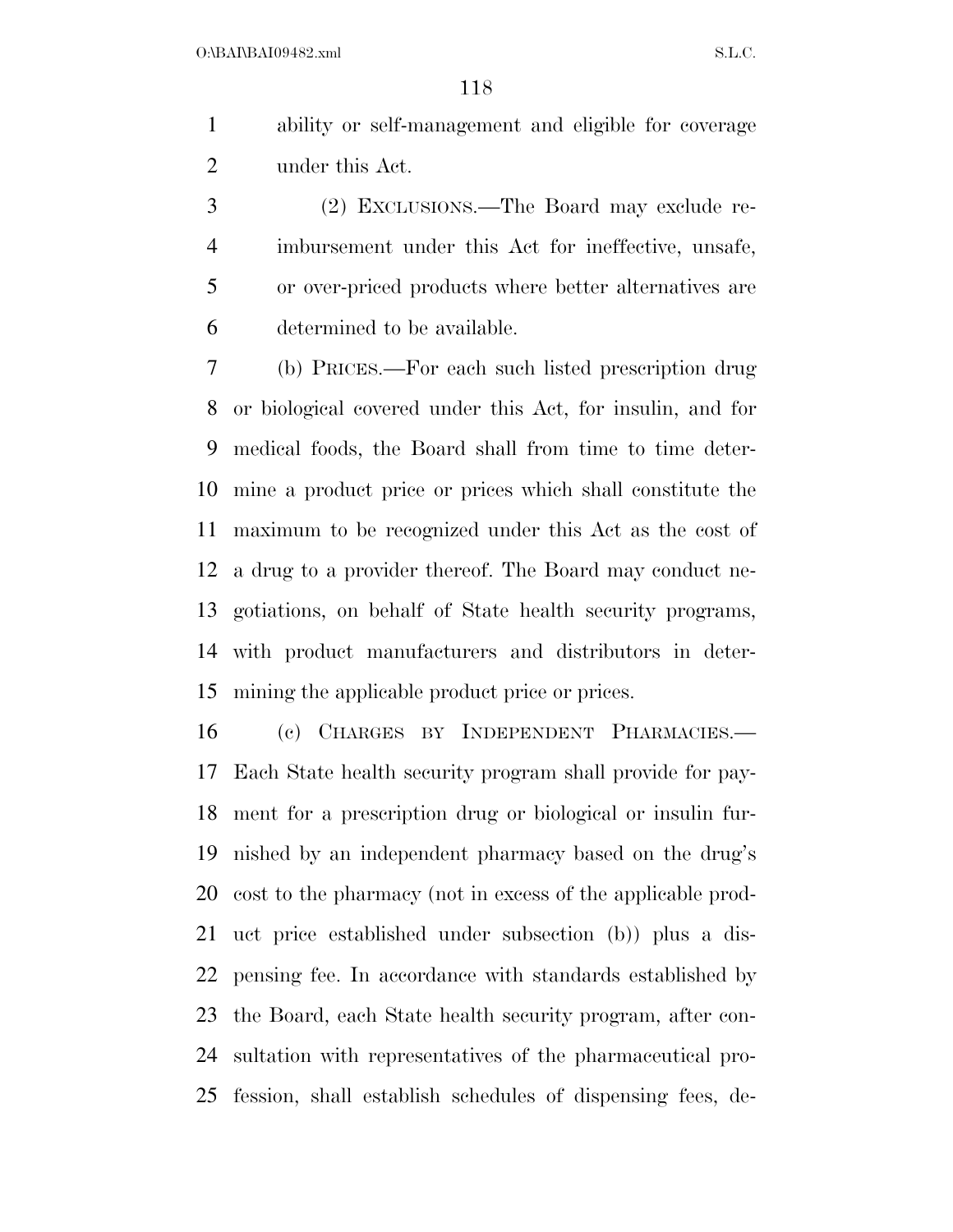$O:\beta A \Gamma \beta A 109482 \ldots$  S.L.C.

 ability or self-management and eligible for coverage under this Act.

 (2) EXCLUSIONS.—The Board may exclude re- imbursement under this Act for ineffective, unsafe, or over-priced products where better alternatives are determined to be available.

 (b) PRICES.—For each such listed prescription drug or biological covered under this Act, for insulin, and for medical foods, the Board shall from time to time deter- mine a product price or prices which shall constitute the maximum to be recognized under this Act as the cost of a drug to a provider thereof. The Board may conduct ne- gotiations, on behalf of State health security programs, with product manufacturers and distributors in deter-mining the applicable product price or prices.

 (c) CHARGES BY INDEPENDENT PHARMACIES.— Each State health security program shall provide for pay- ment for a prescription drug or biological or insulin fur- nished by an independent pharmacy based on the drug's cost to the pharmacy (not in excess of the applicable prod- uct price established under subsection (b)) plus a dis- pensing fee. In accordance with standards established by the Board, each State health security program, after con- sultation with representatives of the pharmaceutical pro-fession, shall establish schedules of dispensing fees, de-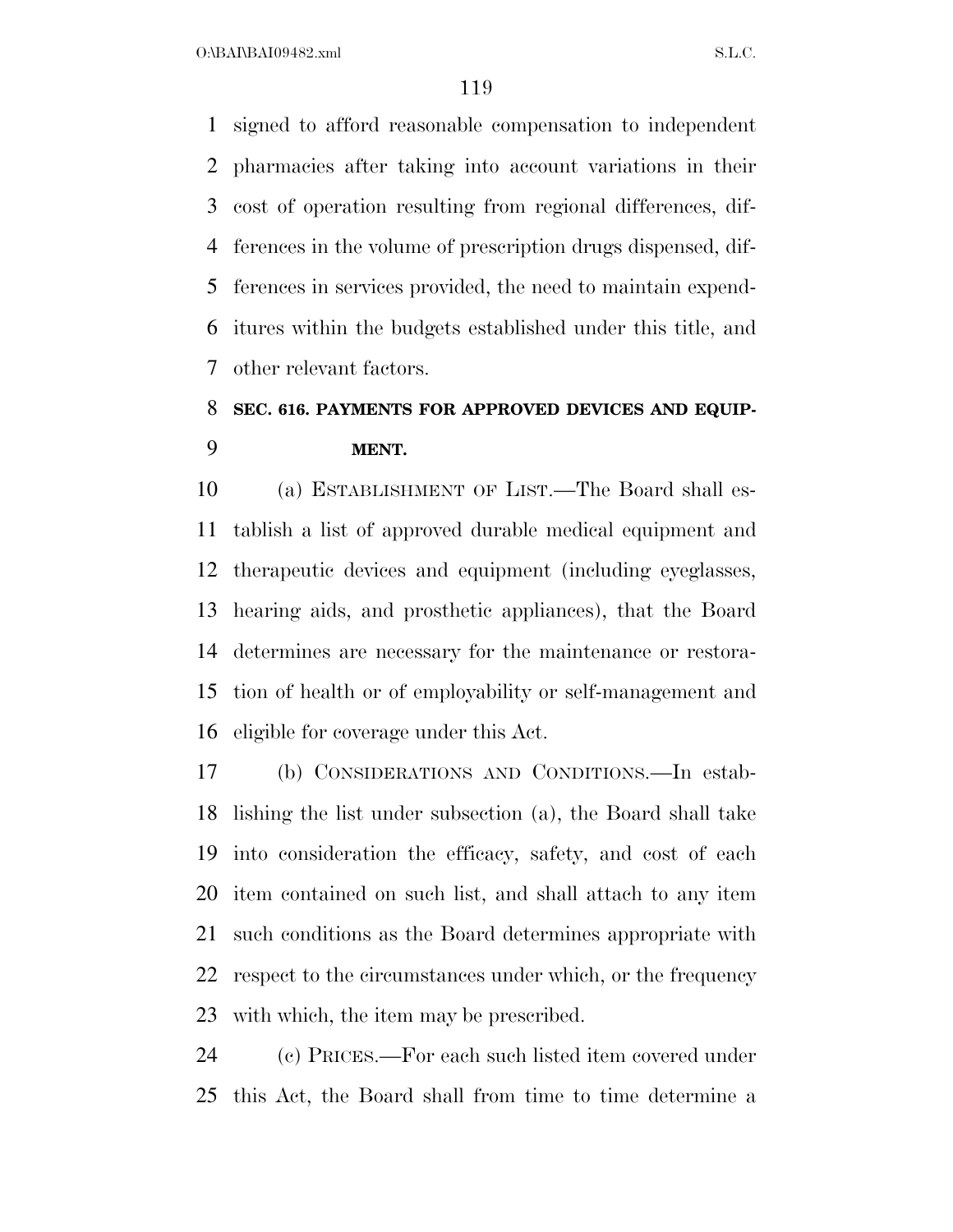signed to afford reasonable compensation to independent pharmacies after taking into account variations in their cost of operation resulting from regional differences, dif- ferences in the volume of prescription drugs dispensed, dif- ferences in services provided, the need to maintain expend- itures within the budgets established under this title, and other relevant factors.

### **SEC. 616. PAYMENTS FOR APPROVED DEVICES AND EQUIP-MENT.**

 (a) ESTABLISHMENT OF LIST.—The Board shall es- tablish a list of approved durable medical equipment and therapeutic devices and equipment (including eyeglasses, hearing aids, and prosthetic appliances), that the Board determines are necessary for the maintenance or restora- tion of health or of employability or self-management and eligible for coverage under this Act.

 (b) CONSIDERATIONS AND CONDITIONS.—In estab- lishing the list under subsection (a), the Board shall take into consideration the efficacy, safety, and cost of each item contained on such list, and shall attach to any item such conditions as the Board determines appropriate with respect to the circumstances under which, or the frequency with which, the item may be prescribed.

 (c) PRICES.—For each such listed item covered under this Act, the Board shall from time to time determine a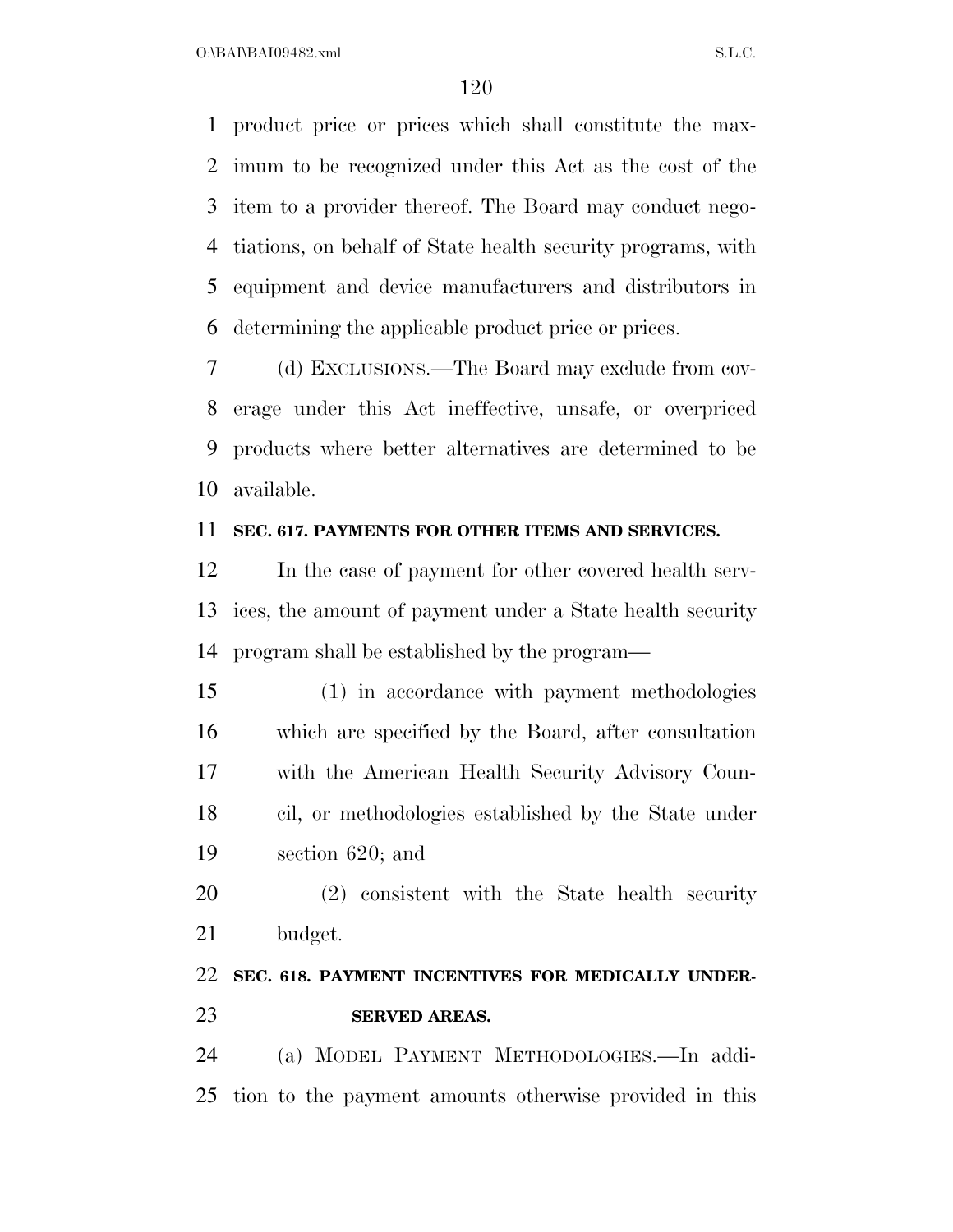product price or prices which shall constitute the max- imum to be recognized under this Act as the cost of the item to a provider thereof. The Board may conduct nego- tiations, on behalf of State health security programs, with equipment and device manufacturers and distributors in determining the applicable product price or prices.

 (d) EXCLUSIONS.—The Board may exclude from cov- erage under this Act ineffective, unsafe, or overpriced products where better alternatives are determined to be available.

#### **SEC. 617. PAYMENTS FOR OTHER ITEMS AND SERVICES.**

 In the case of payment for other covered health serv- ices, the amount of payment under a State health security program shall be established by the program—

 (1) in accordance with payment methodologies which are specified by the Board, after consultation with the American Health Security Advisory Coun- cil, or methodologies established by the State under section 620; and

 (2) consistent with the State health security budget.

### **SEC. 618. PAYMENT INCENTIVES FOR MEDICALLY UNDER-SERVED AREAS.**

 (a) MODEL PAYMENT METHODOLOGIES.—In addi-tion to the payment amounts otherwise provided in this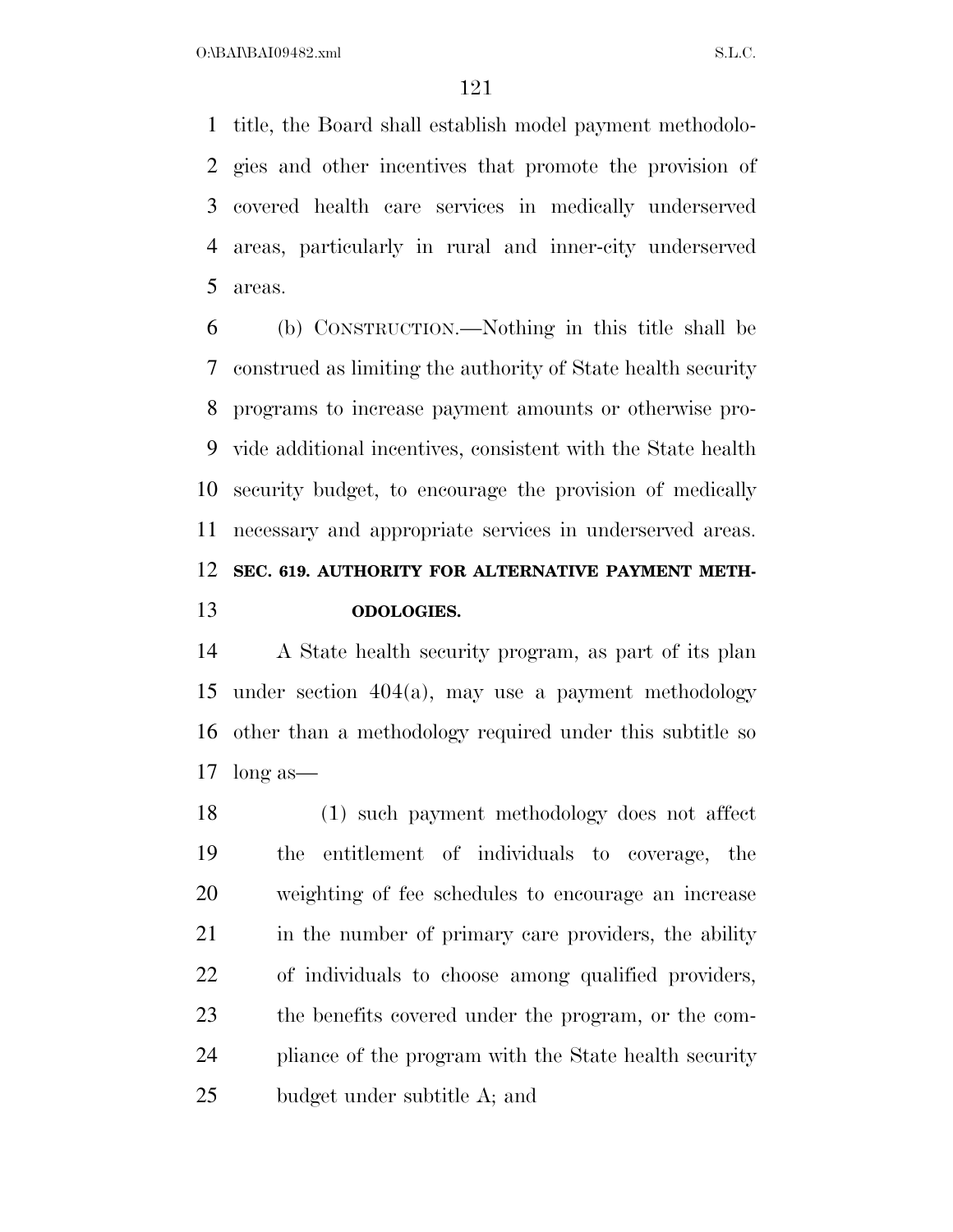title, the Board shall establish model payment methodolo- gies and other incentives that promote the provision of covered health care services in medically underserved areas, particularly in rural and inner-city underserved areas.

 (b) CONSTRUCTION.—Nothing in this title shall be construed as limiting the authority of State health security programs to increase payment amounts or otherwise pro- vide additional incentives, consistent with the State health security budget, to encourage the provision of medically necessary and appropriate services in underserved areas. **SEC. 619. AUTHORITY FOR ALTERNATIVE PAYMENT METH-ODOLOGIES.** 

 A State health security program, as part of its plan under section 404(a), may use a payment methodology other than a methodology required under this subtitle so long as—

 (1) such payment methodology does not affect the entitlement of individuals to coverage, the weighting of fee schedules to encourage an increase 21 in the number of primary care providers, the ability of individuals to choose among qualified providers, the benefits covered under the program, or the com- pliance of the program with the State health security budget under subtitle A; and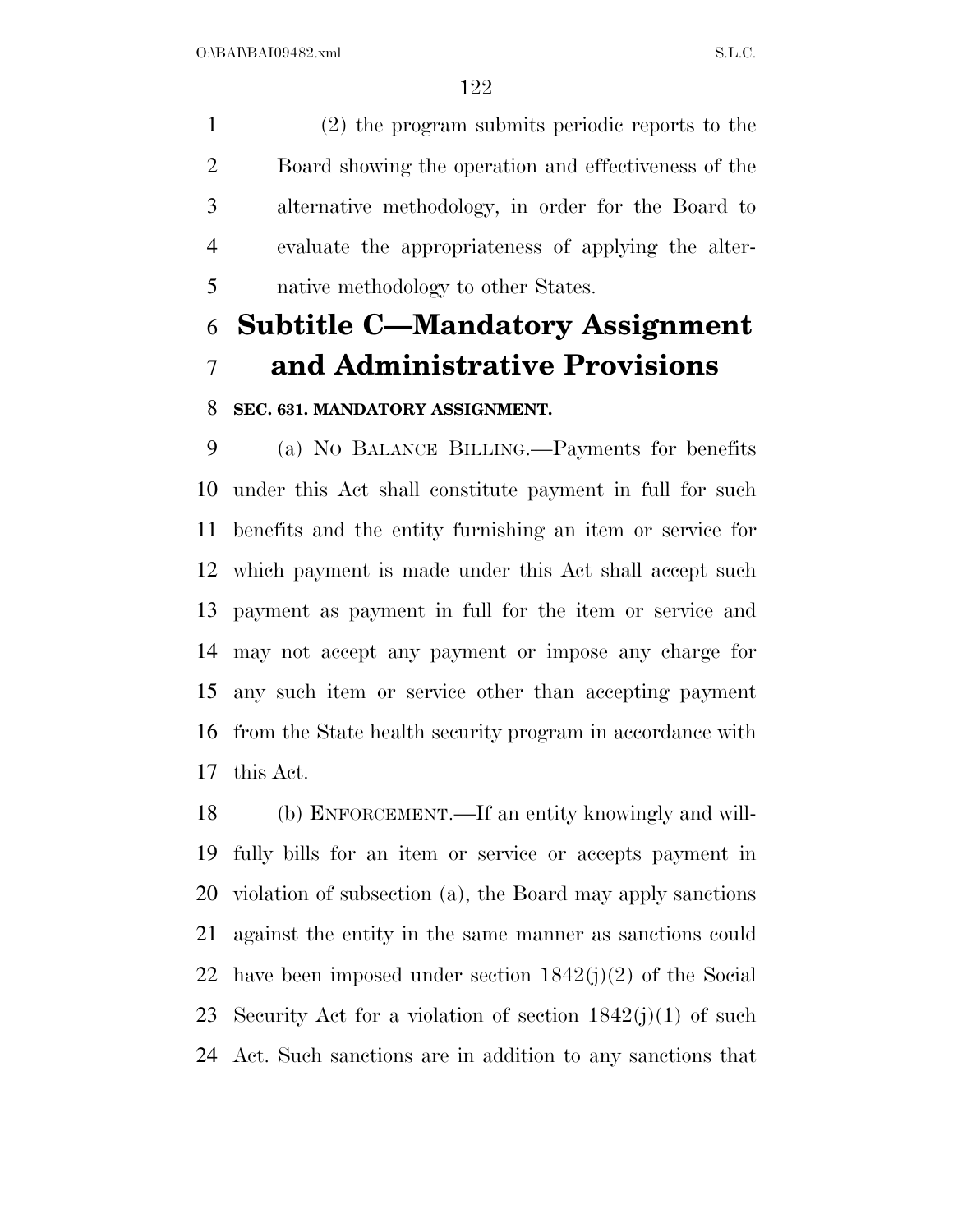(2) the program submits periodic reports to the Board showing the operation and effectiveness of the alternative methodology, in order for the Board to evaluate the appropriateness of applying the alter-native methodology to other States.

# **Subtitle C—Mandatory Assignment and Administrative Provisions**

#### **SEC. 631. MANDATORY ASSIGNMENT.**

 (a) NO BALANCE BILLING.—Payments for benefits under this Act shall constitute payment in full for such benefits and the entity furnishing an item or service for which payment is made under this Act shall accept such payment as payment in full for the item or service and may not accept any payment or impose any charge for any such item or service other than accepting payment from the State health security program in accordance with this Act.

 (b) ENFORCEMENT.—If an entity knowingly and will- fully bills for an item or service or accepts payment in violation of subsection (a), the Board may apply sanctions against the entity in the same manner as sanctions could 22 have been imposed under section  $1842(j)(2)$  of the Social 23 Security Act for a violation of section  $1842(j)(1)$  of such Act. Such sanctions are in addition to any sanctions that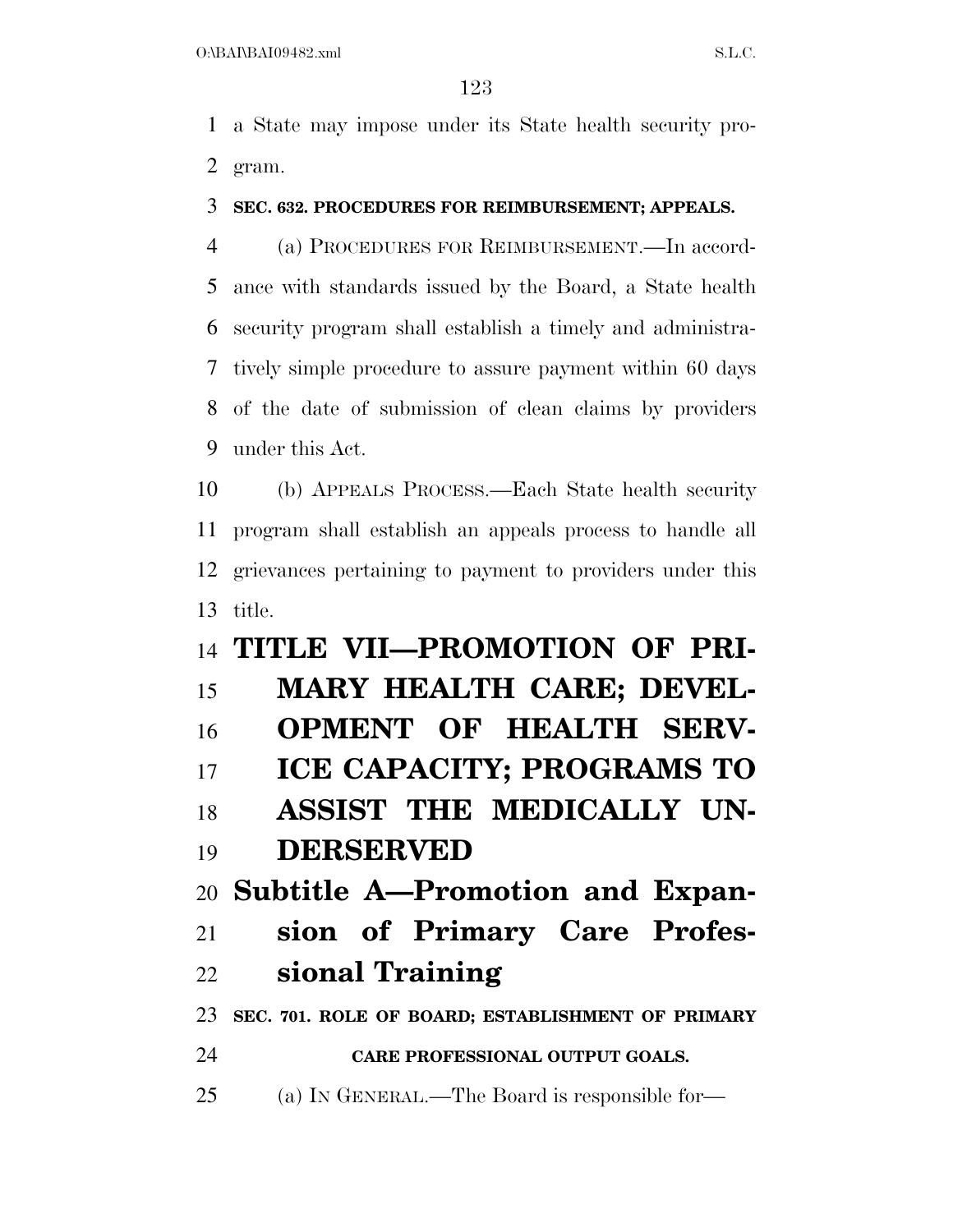a State may impose under its State health security pro-gram.

### **SEC. 632. PROCEDURES FOR REIMBURSEMENT; APPEALS.**

 (a) PROCEDURES FOR REIMBURSEMENT.—In accord- ance with standards issued by the Board, a State health security program shall establish a timely and administra- tively simple procedure to assure payment within 60 days of the date of submission of clean claims by providers under this Act.

 (b) APPEALS PROCESS.—Each State health security program shall establish an appeals process to handle all grievances pertaining to payment to providers under this title.

# **TITLE VII—PROMOTION OF PRI- MARY HEALTH CARE; DEVEL- OPMENT OF HEALTH SERV- ICE CAPACITY; PROGRAMS TO ASSIST THE MEDICALLY UN- DERSERVED Subtitle A—Promotion and Expan- sion of Primary Care Profes- sional Training SEC. 701. ROLE OF BOARD; ESTABLISHMENT OF PRIMARY CARE PROFESSIONAL OUTPUT GOALS.**  (a) IN GENERAL.—The Board is responsible for—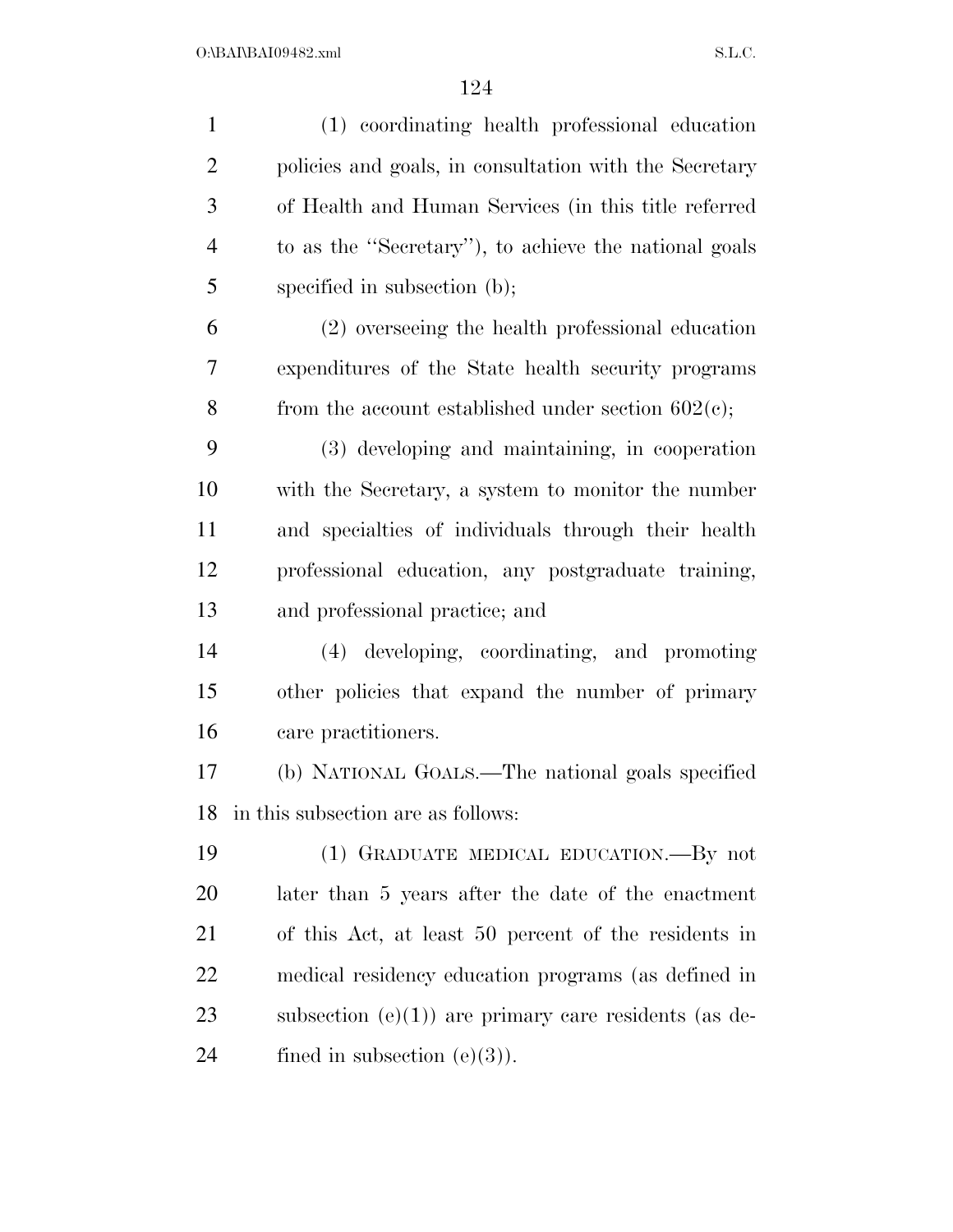| $\mathbf{1}$   | (1) coordinating health professional education         |
|----------------|--------------------------------------------------------|
| $\overline{2}$ | policies and goals, in consultation with the Secretary |
| 3              | of Health and Human Services (in this title referred   |
| $\overline{4}$ | to as the "Secretary"), to achieve the national goals  |
| 5              | specified in subsection (b);                           |
| 6              | (2) overseeing the health professional education       |
| 7              | expenditures of the State health security programs     |
| 8              | from the account established under section $602(e)$ ;  |
| 9              | (3) developing and maintaining, in cooperation         |
| 10             | with the Secretary, a system to monitor the number     |
| 11             | and specialties of individuals through their health    |
| 12             | professional education, any postgraduate training,     |
| 13             | and professional practice; and                         |
| 14             | (4) developing, coordinating, and promoting            |
| 15             | other policies that expand the number of primary       |
| 16             | care practitioners.                                    |
| 17             | (b) NATIONAL GOALS.—The national goals specified       |
| 18             | in this subsection are as follows:                     |
| 19             | (1) GRADUATE MEDICAL EDUCATION.—By not                 |
| 20             | later than 5 years after the date of the enactment     |
| 21             | of this Act, at least 50 percent of the residents in   |
| 22             | medical residency education programs (as defined in    |
| 23             | subsection $(e)(1)$ are primary care residents (as de- |
| 24             | fined in subsection $(e)(3)$ ).                        |
|                |                                                        |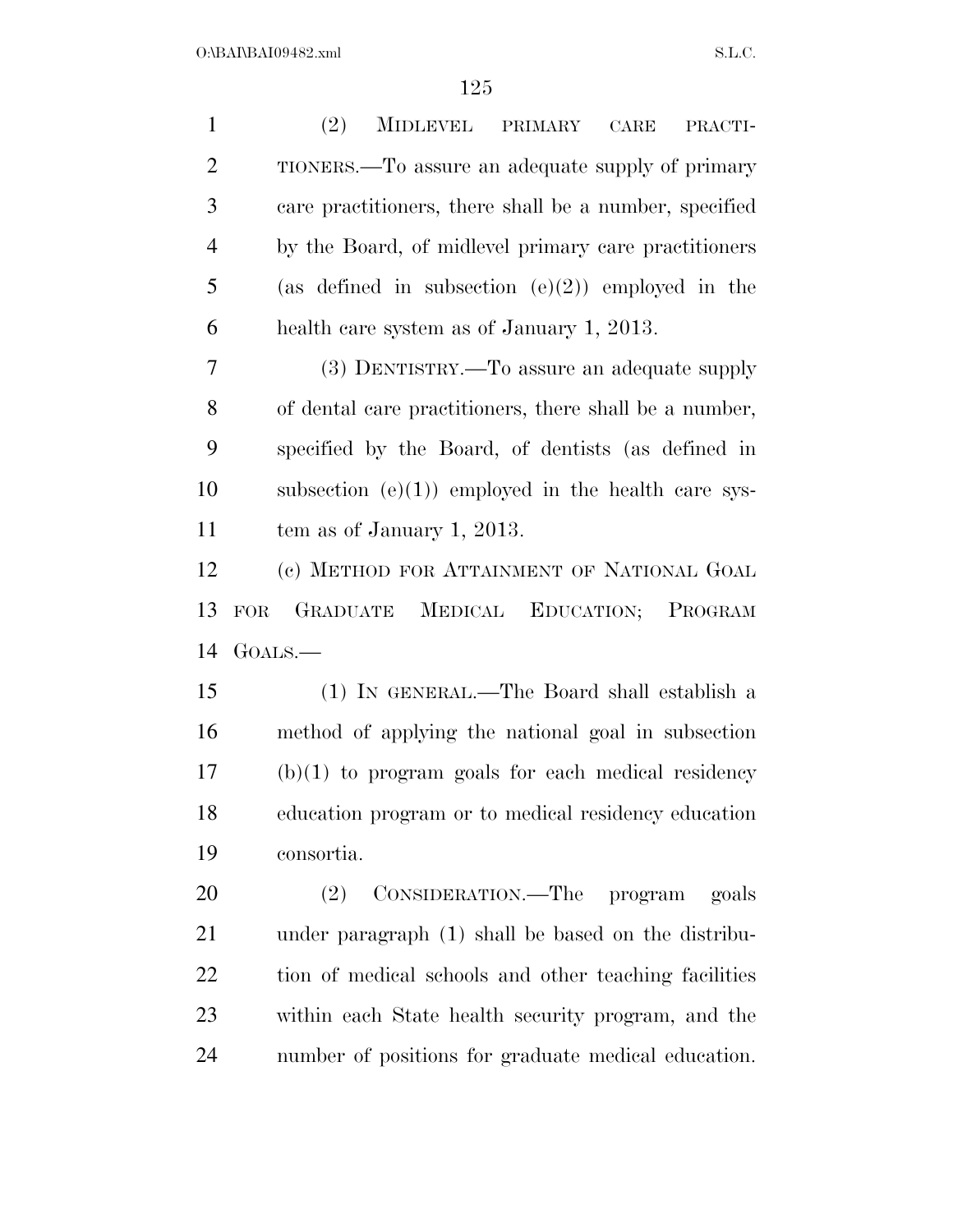| $\mathbf{1}$   | (2)<br><b>MIDLEVEL</b><br>PRIMARY<br>CARE<br>PRACTI-   |
|----------------|--------------------------------------------------------|
| $\overline{2}$ | TIONERS.—To assure an adequate supply of primary       |
| 3              | care practitioners, there shall be a number, specified |
| $\overline{4}$ | by the Board, of midlevel primary care practitioners   |
| 5              | (as defined in subsection $(e)(2)$ ) employed in the   |
| 6              | health care system as of January 1, 2013.              |
| 7              | (3) DENTISTRY.—To assure an adequate supply            |
| 8              | of dental care practitioners, there shall be a number, |
| 9              | specified by the Board, of dentists (as defined in     |
| 10             | subsection $(e)(1)$ employed in the health care sys-   |
| 11             | tem as of January 1, 2013.                             |
| 12             | (c) METHOD FOR ATTAINMENT OF NATIONAL GOAL             |
|                |                                                        |
| 13             | GRADUATE<br>MEDICAL<br>EDUCATION; PROGRAM<br>FOR.      |
| 14             | GOALS.—                                                |
| 15             | (1) IN GENERAL.—The Board shall establish a            |
| 16             | method of applying the national goal in subsection     |
| 17             | $(b)(1)$ to program goals for each medical residency   |
| 18             | education program or to medical residency education    |
| 19             | consortia.                                             |
| 20             | CONSIDERATION.—The program<br>(2)<br>goals             |
| 21             | under paragraph (1) shall be based on the distribu-    |
| 22             | tion of medical schools and other teaching facilities  |
| 23             | within each State health security program, and the     |
| 24             | number of positions for graduate medical education.    |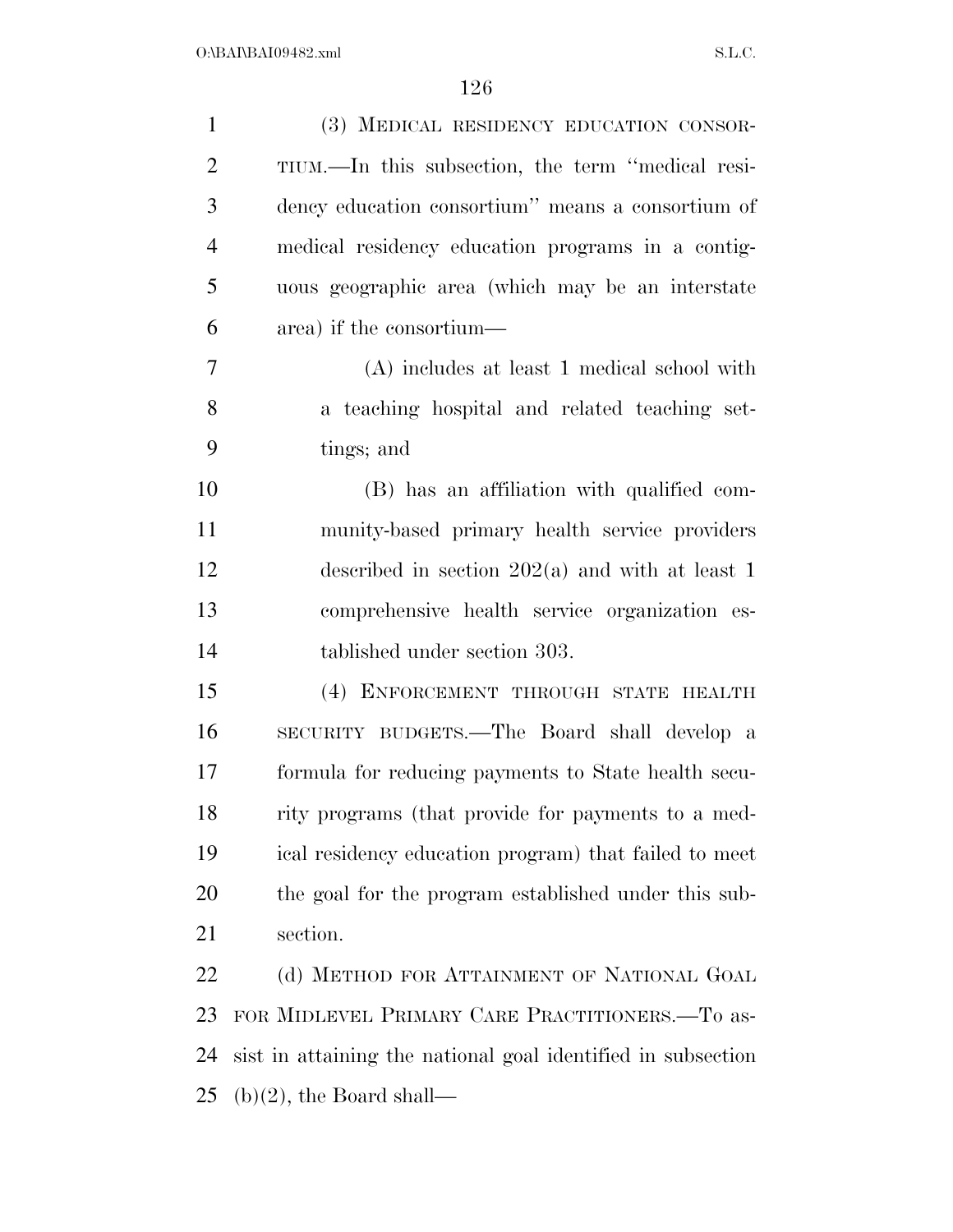| $\mathbf{1}$   | (3) MEDICAL RESIDENCY EDUCATION CONSOR-                      |
|----------------|--------------------------------------------------------------|
| $\overline{2}$ | TIUM.—In this subsection, the term "medical resi-            |
| 3              | dency education consortium" means a consortium of            |
| $\overline{4}$ | medical residency education programs in a contig-            |
| 5              | uous geographic area (which may be an interstate             |
| 6              | area) if the consortium—                                     |
| 7              | (A) includes at least 1 medical school with                  |
| 8              | a teaching hospital and related teaching set-                |
| 9              | tings; and                                                   |
| 10             | (B) has an affiliation with qualified com-                   |
| 11             | munity-based primary health service providers                |
| 12             | described in section $202(a)$ and with at least 1            |
| 13             | comprehensive health service organization es-                |
| 14             | tablished under section 303.                                 |
| 15             | (4) ENFORCEMENT THROUGH STATE HEALTH                         |
| 16             | SECURITY BUDGETS.—The Board shall develop a                  |
| 17             | formula for reducing payments to State health secu-          |
| 18             | rity programs (that provide for payments to a med-           |
| 19             | ical residency education program) that failed to meet        |
| 20             | the goal for the program established under this sub-         |
| 21             | section.                                                     |
| 22             | (d) METHOD FOR ATTAINMENT OF NATIONAL GOAL                   |
| 23             | FOR MIDLEVEL PRIMARY CARE PRACTITIONERS.-To as-              |
| 24             | sist in attaining the national goal identified in subsection |
| 25             | $(b)(2)$ , the Board shall—                                  |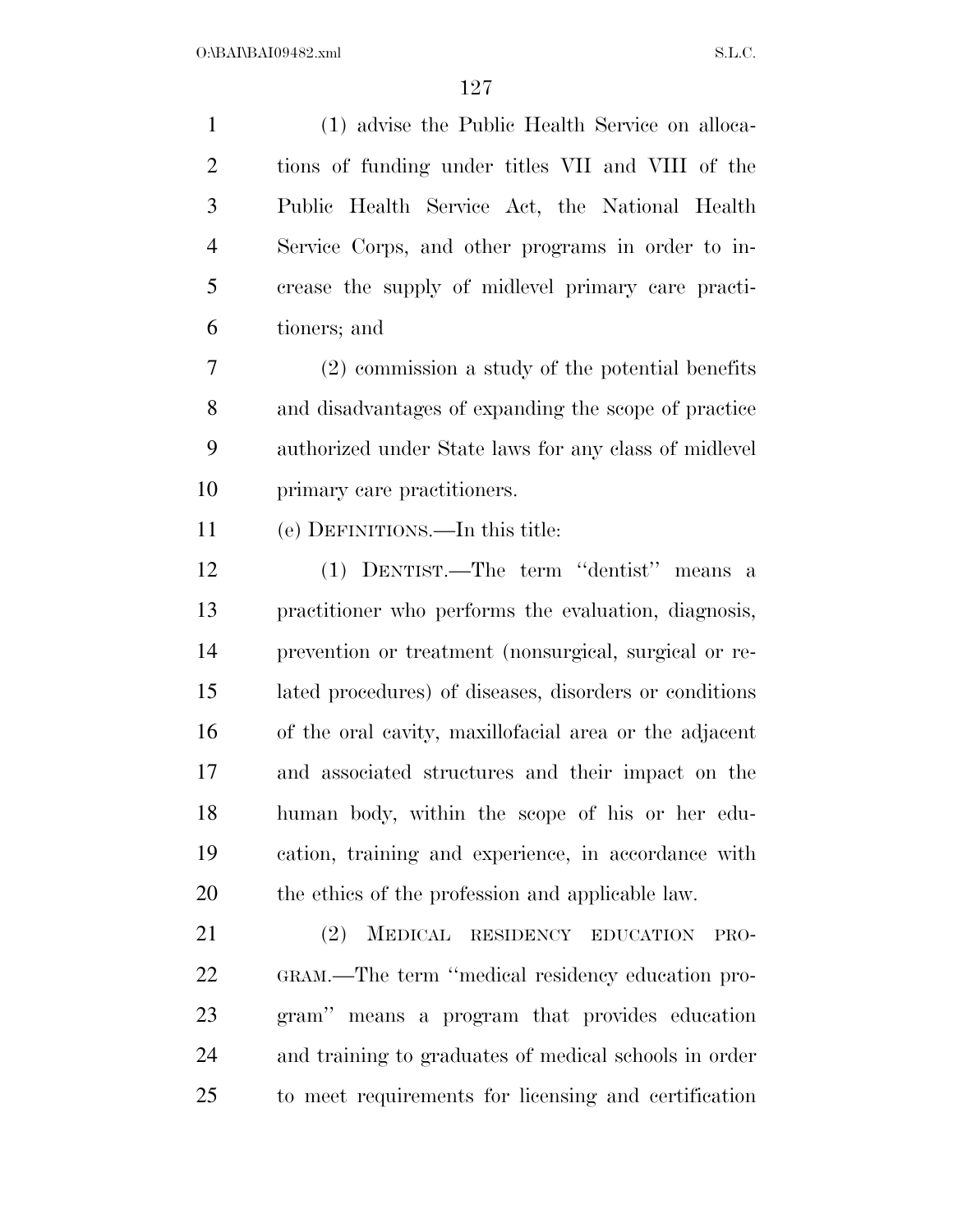(1) advise the Public Health Service on alloca- tions of funding under titles VII and VIII of the Public Health Service Act, the National Health Service Corps, and other programs in order to in- crease the supply of midlevel primary care practi-tioners; and

 (2) commission a study of the potential benefits and disadvantages of expanding the scope of practice authorized under State laws for any class of midlevel primary care practitioners.

(e) DEFINITIONS.—In this title:

 (1) DENTIST.—The term ''dentist'' means a practitioner who performs the evaluation, diagnosis, prevention or treatment (nonsurgical, surgical or re- lated procedures) of diseases, disorders or conditions of the oral cavity, maxillofacial area or the adjacent and associated structures and their impact on the human body, within the scope of his or her edu- cation, training and experience, in accordance with the ethics of the profession and applicable law.

 (2) MEDICAL RESIDENCY EDUCATION PRO- GRAM.—The term ''medical residency education pro- gram'' means a program that provides education and training to graduates of medical schools in order to meet requirements for licensing and certification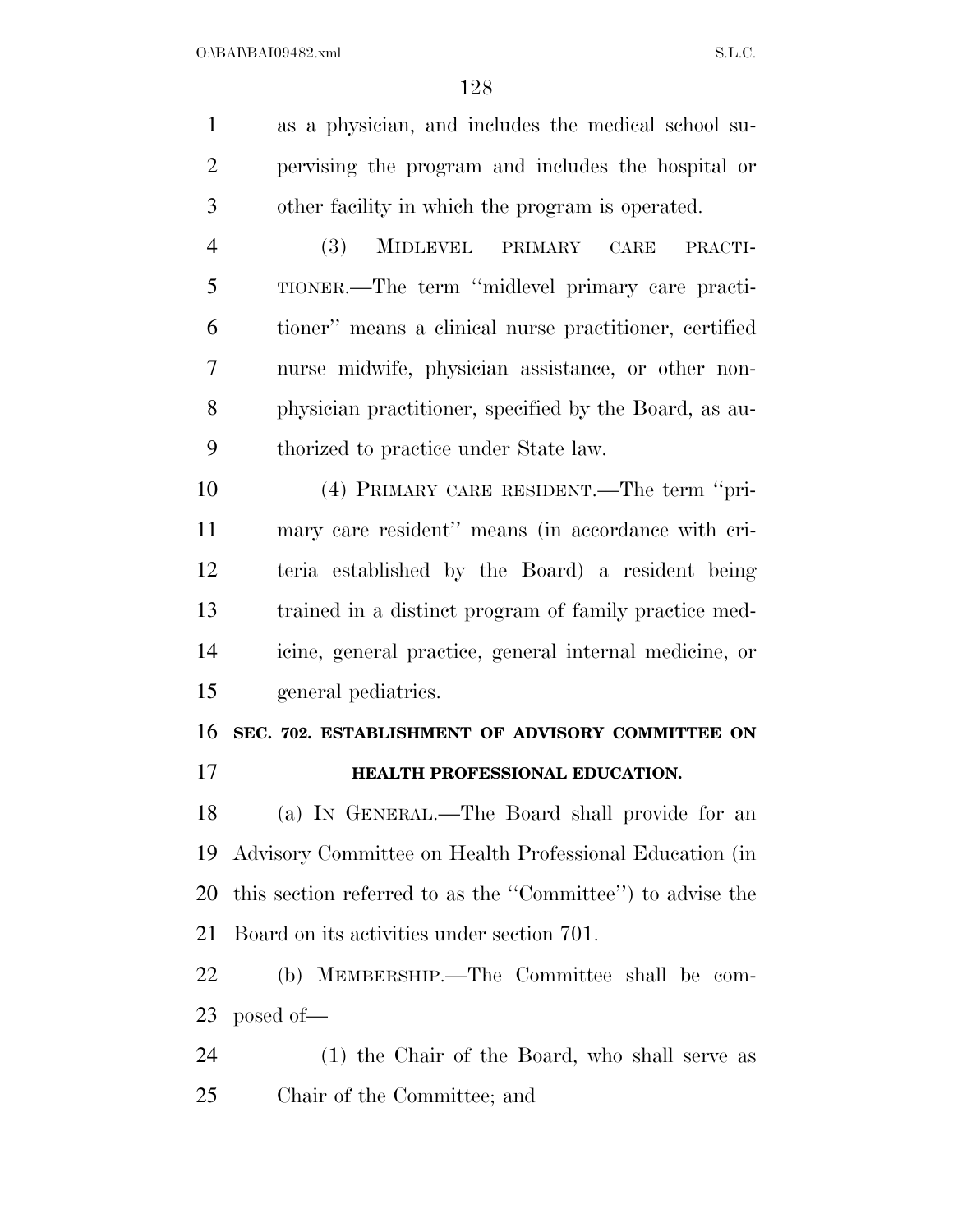| $\mathbf{1}$   | as a physician, and includes the medical school su-       |
|----------------|-----------------------------------------------------------|
| $\overline{2}$ | pervising the program and includes the hospital or        |
| 3              | other facility in which the program is operated.          |
| $\overline{4}$ | (3)<br><b>MIDLEVEL</b><br>PRIMARY<br>CARE<br>PRACTI-      |
| 5              | TIONER.—The term "midlevel primary care practi-           |
| 6              | tioner" means a clinical nurse practitioner, certified    |
| 7              | nurse midwife, physician assistance, or other non-        |
| 8              | physician practitioner, specified by the Board, as au-    |
| 9              | thorized to practice under State law.                     |
| 10             | (4) PRIMARY CARE RESIDENT.—The term "pri-                 |
| 11             | mary care resident" means (in accordance with cri-        |
| 12             | teria established by the Board) a resident being          |
| 13             | trained in a distinct program of family practice med-     |
| 14             | icine, general practice, general internal medicine, or    |
| 15             | general pediatrics.                                       |
| 16             | SEC. 702. ESTABLISHMENT OF ADVISORY COMMITTEE ON          |
| 17             | HEALTH PROFESSIONAL EDUCATION.                            |
| 18             | (a) IN GENERAL.—The Board shall provide for an            |
| 19             | Advisory Committee on Health Professional Education (in   |
| 20             | this section referred to as the "Committee" to advise the |
| 21             | Board on its activities under section 701.                |
| 22             | (b) MEMBERSHIP.—The Committee shall be com-               |
| 23             | posed of—                                                 |
| 24             | (1) the Chair of the Board, who shall serve as            |
|                |                                                           |

Chair of the Committee; and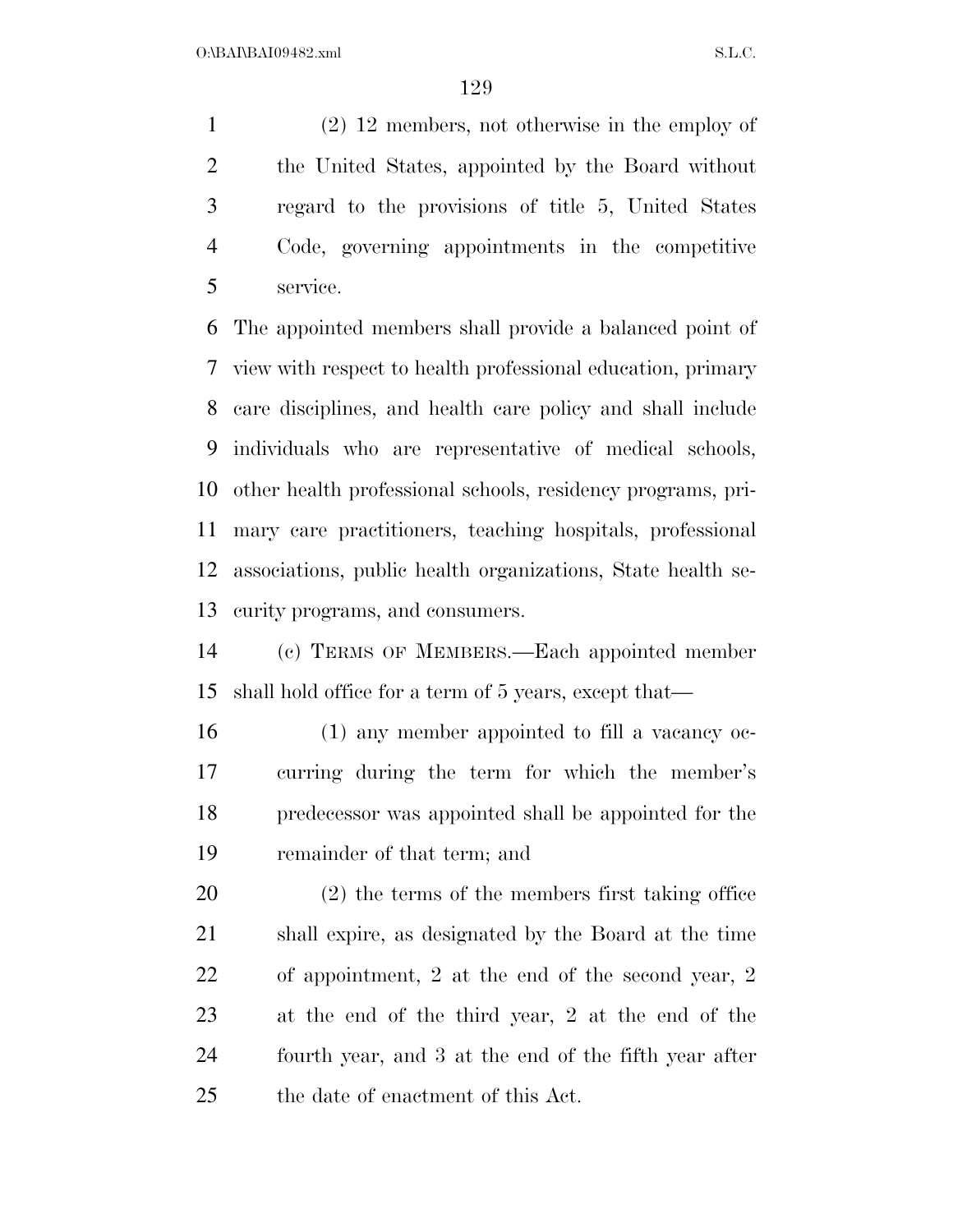(2) 12 members, not otherwise in the employ of the United States, appointed by the Board without regard to the provisions of title 5, United States Code, governing appointments in the competitive service.

 The appointed members shall provide a balanced point of view with respect to health professional education, primary care disciplines, and health care policy and shall include individuals who are representative of medical schools, other health professional schools, residency programs, pri- mary care practitioners, teaching hospitals, professional associations, public health organizations, State health se-curity programs, and consumers.

 (c) TERMS OF MEMBERS.—Each appointed member shall hold office for a term of 5 years, except that—

 (1) any member appointed to fill a vacancy oc- curring during the term for which the member's predecessor was appointed shall be appointed for the remainder of that term; and

 (2) the terms of the members first taking office shall expire, as designated by the Board at the time of appointment, 2 at the end of the second year, 2 at the end of the third year, 2 at the end of the fourth year, and 3 at the end of the fifth year after the date of enactment of this Act.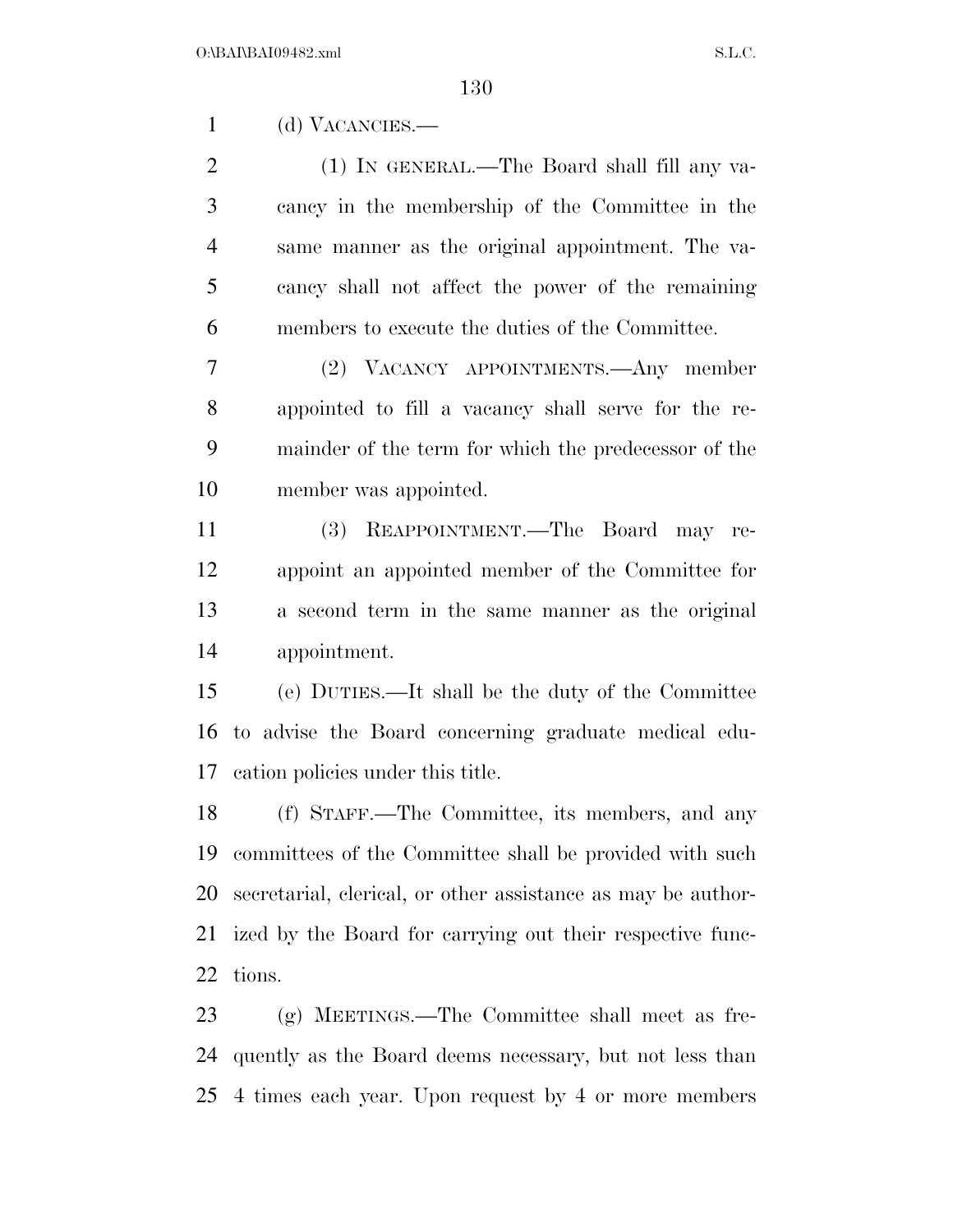(d) VACANCIES.—

 (1) IN GENERAL.—The Board shall fill any va- cancy in the membership of the Committee in the same manner as the original appointment. The va- cancy shall not affect the power of the remaining members to execute the duties of the Committee.

 (2) VACANCY APPOINTMENTS.—Any member appointed to fill a vacancy shall serve for the re- mainder of the term for which the predecessor of the member was appointed.

 (3) REAPPOINTMENT.—The Board may re- appoint an appointed member of the Committee for a second term in the same manner as the original appointment.

 (e) DUTIES.—It shall be the duty of the Committee to advise the Board concerning graduate medical edu-cation policies under this title.

 (f) STAFF.—The Committee, its members, and any committees of the Committee shall be provided with such secretarial, clerical, or other assistance as may be author- ized by the Board for carrying out their respective func-tions.

 (g) MEETINGS.—The Committee shall meet as fre- quently as the Board deems necessary, but not less than 4 times each year. Upon request by 4 or more members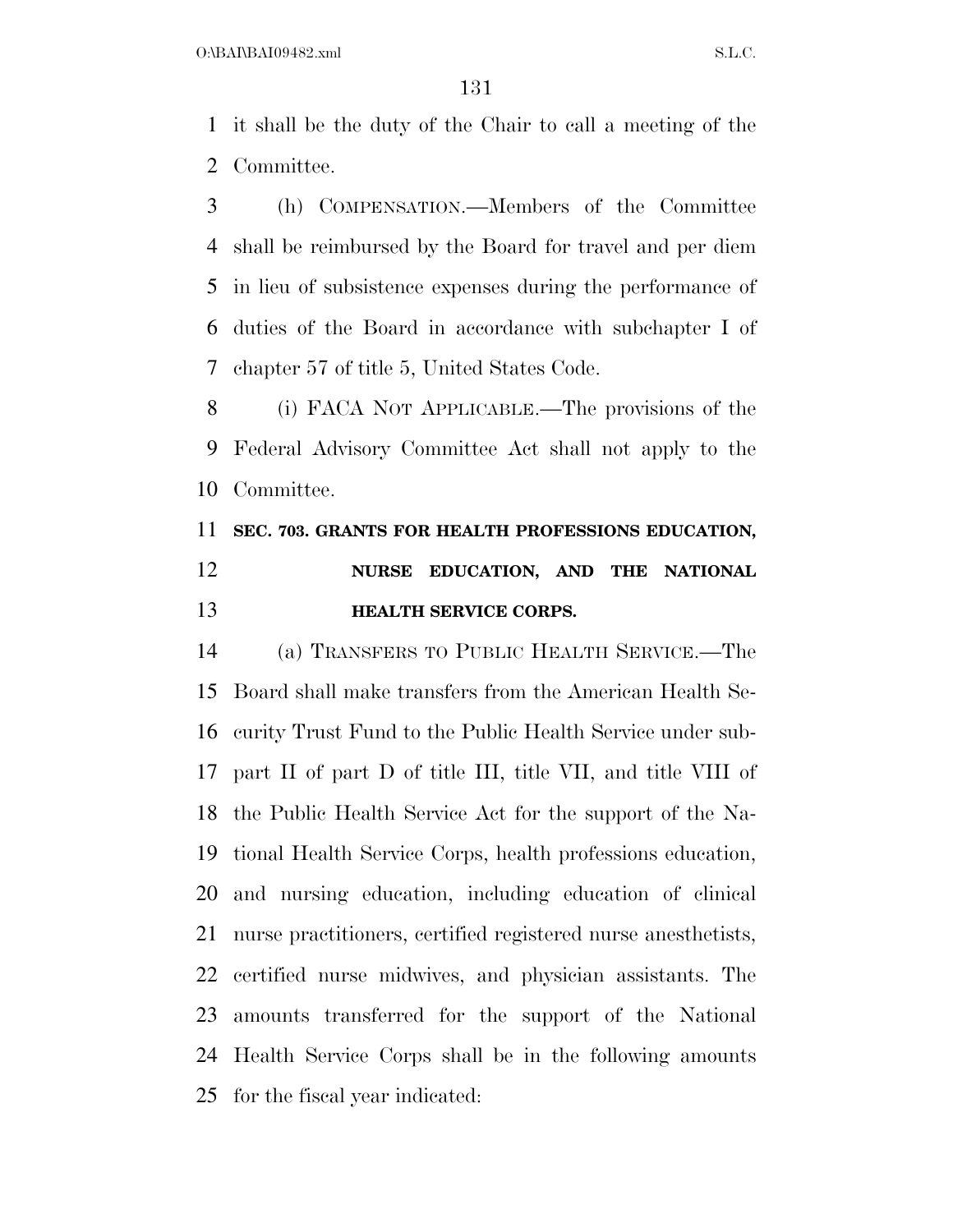it shall be the duty of the Chair to call a meeting of the Committee.

 (h) COMPENSATION.—Members of the Committee shall be reimbursed by the Board for travel and per diem in lieu of subsistence expenses during the performance of duties of the Board in accordance with subchapter I of chapter 57 of title 5, United States Code.

 (i) FACA NOT APPLICABLE.—The provisions of the Federal Advisory Committee Act shall not apply to the Committee.

## **SEC. 703. GRANTS FOR HEALTH PROFESSIONS EDUCATION, NURSE EDUCATION, AND THE NATIONAL HEALTH SERVICE CORPS.**

 (a) TRANSFERS TO PUBLIC HEALTH SERVICE.—The Board shall make transfers from the American Health Se- curity Trust Fund to the Public Health Service under sub- part II of part D of title III, title VII, and title VIII of the Public Health Service Act for the support of the Na- tional Health Service Corps, health professions education, and nursing education, including education of clinical nurse practitioners, certified registered nurse anesthetists, certified nurse midwives, and physician assistants. The amounts transferred for the support of the National Health Service Corps shall be in the following amounts for the fiscal year indicated: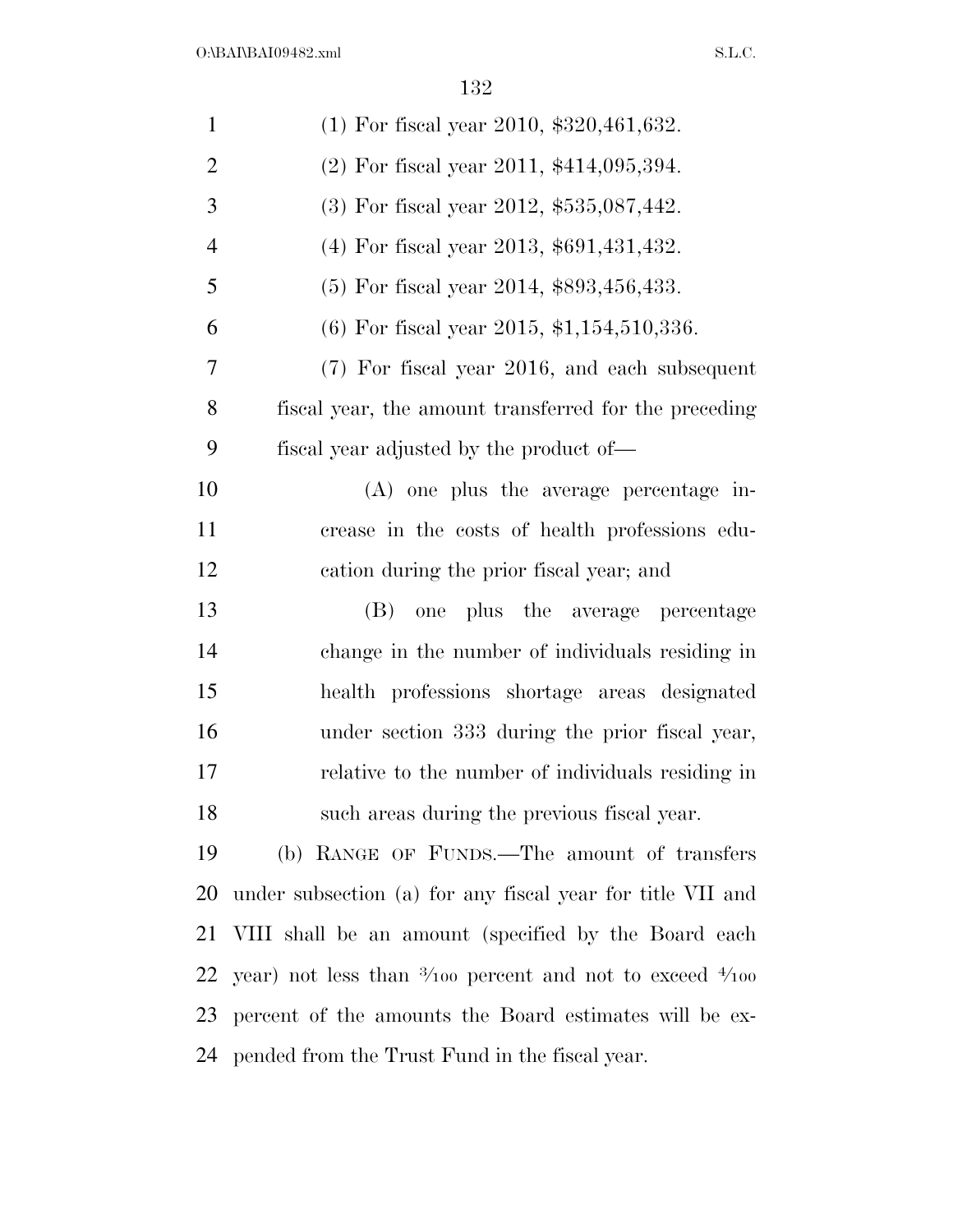| $\mathbf{1}$   | $(1)$ For fiscal year 2010, \$320,461,632.                                    |
|----------------|-------------------------------------------------------------------------------|
| $\overline{2}$ | $(2)$ For fiscal year 2011, \$414,095,394.                                    |
| 3              | $(3)$ For fiscal year 2012, \$535,087,442.                                    |
| $\overline{4}$ | $(4)$ For fiscal year 2013, \$691,431,432.                                    |
| 5              | $(5)$ For fiscal year 2014, \$893,456,433.                                    |
| 6              | $(6)$ For fiscal year 2015, \$1,154,510,336.                                  |
| 7              | (7) For fiscal year 2016, and each subsequent                                 |
| 8              | fiscal year, the amount transferred for the preceding                         |
| 9              | fiscal year adjusted by the product of—                                       |
| 10             | $(A)$ one plus the average percentage in-                                     |
| 11             | crease in the costs of health professions edu-                                |
| 12             | cation during the prior fiscal year; and                                      |
| 13             | one plus the average percentage<br>(B)                                        |
| 14             | change in the number of individuals residing in                               |
| 15             | health professions shortage areas designated                                  |
| 16             | under section 333 during the prior fiscal year,                               |
| 17             | relative to the number of individuals residing in                             |
| 18             | such areas during the previous fiscal year.                                   |
| 19             | (b) RANGE OF FUNDS.—The amount of transfers                                   |
| 20             | under subsection (a) for any fiscal year for title VII and                    |
| 21             | VIII shall be an amount (specified by the Board each                          |
| 22             | year) not less than $\frac{3}{100}$ percent and not to exceed $\frac{4}{100}$ |
| 23             | percent of the amounts the Board estimates will be ex-                        |
| 24             | pended from the Trust Fund in the fiscal year.                                |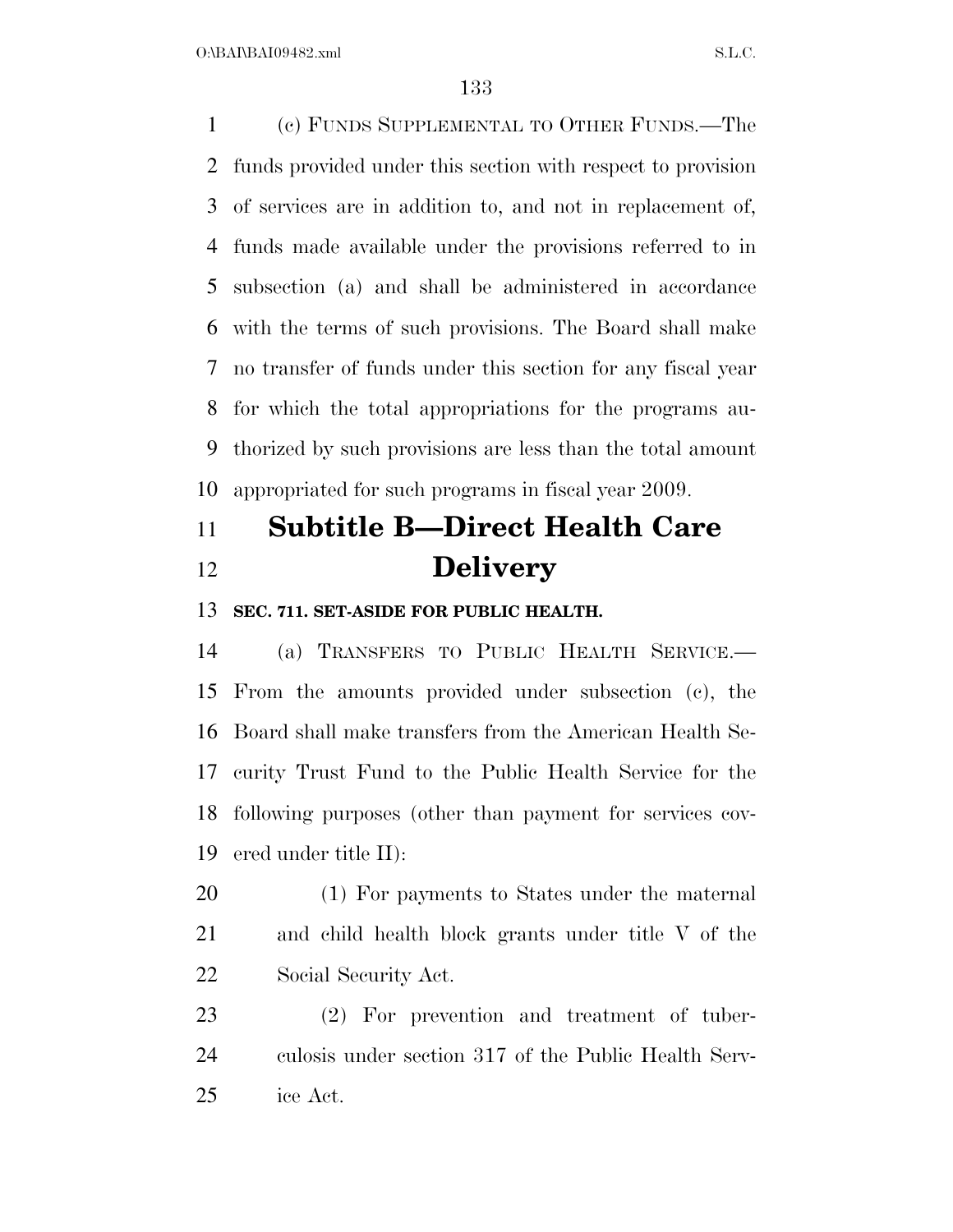$O:\beta A \Gamma \beta A 109482 \ldots$  S.L.C.

 (c) FUNDS SUPPLEMENTAL TO OTHER FUNDS.—The funds provided under this section with respect to provision of services are in addition to, and not in replacement of, funds made available under the provisions referred to in subsection (a) and shall be administered in accordance with the terms of such provisions. The Board shall make no transfer of funds under this section for any fiscal year for which the total appropriations for the programs au- thorized by such provisions are less than the total amount appropriated for such programs in fiscal year 2009.

# **Subtitle B—Direct Health Care Delivery**

### **SEC. 711. SET-ASIDE FOR PUBLIC HEALTH.**

 (a) TRANSFERS TO PUBLIC HEALTH SERVICE.— From the amounts provided under subsection (c), the Board shall make transfers from the American Health Se- curity Trust Fund to the Public Health Service for the following purposes (other than payment for services cov-ered under title II):

 (1) For payments to States under the maternal and child health block grants under title V of the Social Security Act.

 (2) For prevention and treatment of tuber- culosis under section 317 of the Public Health Serv-ice Act.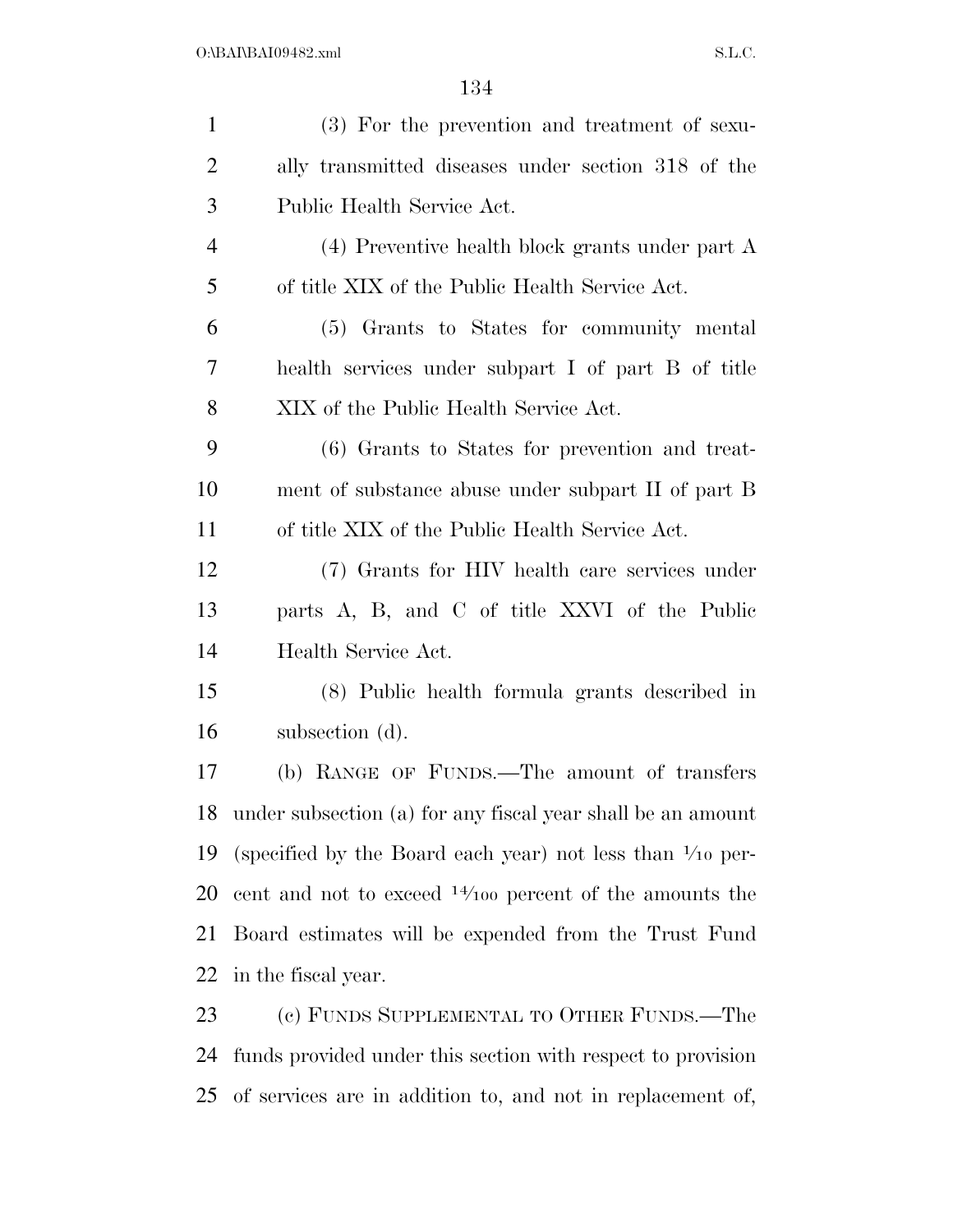| $\mathbf{1}$   | (3) For the prevention and treatment of sexu-                        |
|----------------|----------------------------------------------------------------------|
| $\overline{2}$ | ally transmitted diseases under section 318 of the                   |
| 3              | Public Health Service Act.                                           |
| 4              | $(4)$ Preventive health block grants under part A                    |
| 5              | of title XIX of the Public Health Service Act.                       |
| 6              | (5) Grants to States for community mental                            |
| $\overline{7}$ | health services under subpart I of part B of title                   |
| 8              | XIX of the Public Health Service Act.                                |
| 9              | (6) Grants to States for prevention and treat-                       |
| 10             | ment of substance abuse under subpart II of part B                   |
| 11             | of title XIX of the Public Health Service Act.                       |
| 12             | (7) Grants for HIV health care services under                        |
| 13             | parts A, B, and C of title XXVI of the Public                        |
| 14             | Health Service Act.                                                  |
| 15             | (8) Public health formula grants described in                        |
| 16             | subsection (d).                                                      |
| 17             | (b) RANGE OF FUNDS.—The amount of transfers                          |
| 18             | under subsection (a) for any fiscal year shall be an amount          |
| 19             | (specified by the Board each year) not less than $\frac{1}{10}$ per- |
| 20             | cent and not to exceed $14/100$ percent of the amounts the           |
| 21             | Board estimates will be expended from the Trust Fund                 |
| 22             | in the fiscal year.                                                  |
| 23             | (c) FUNDS SUPPLEMENTAL TO OTHER FUNDS.—The                           |
| 24             | funds provided under this section with respect to provision          |

of services are in addition to, and not in replacement of,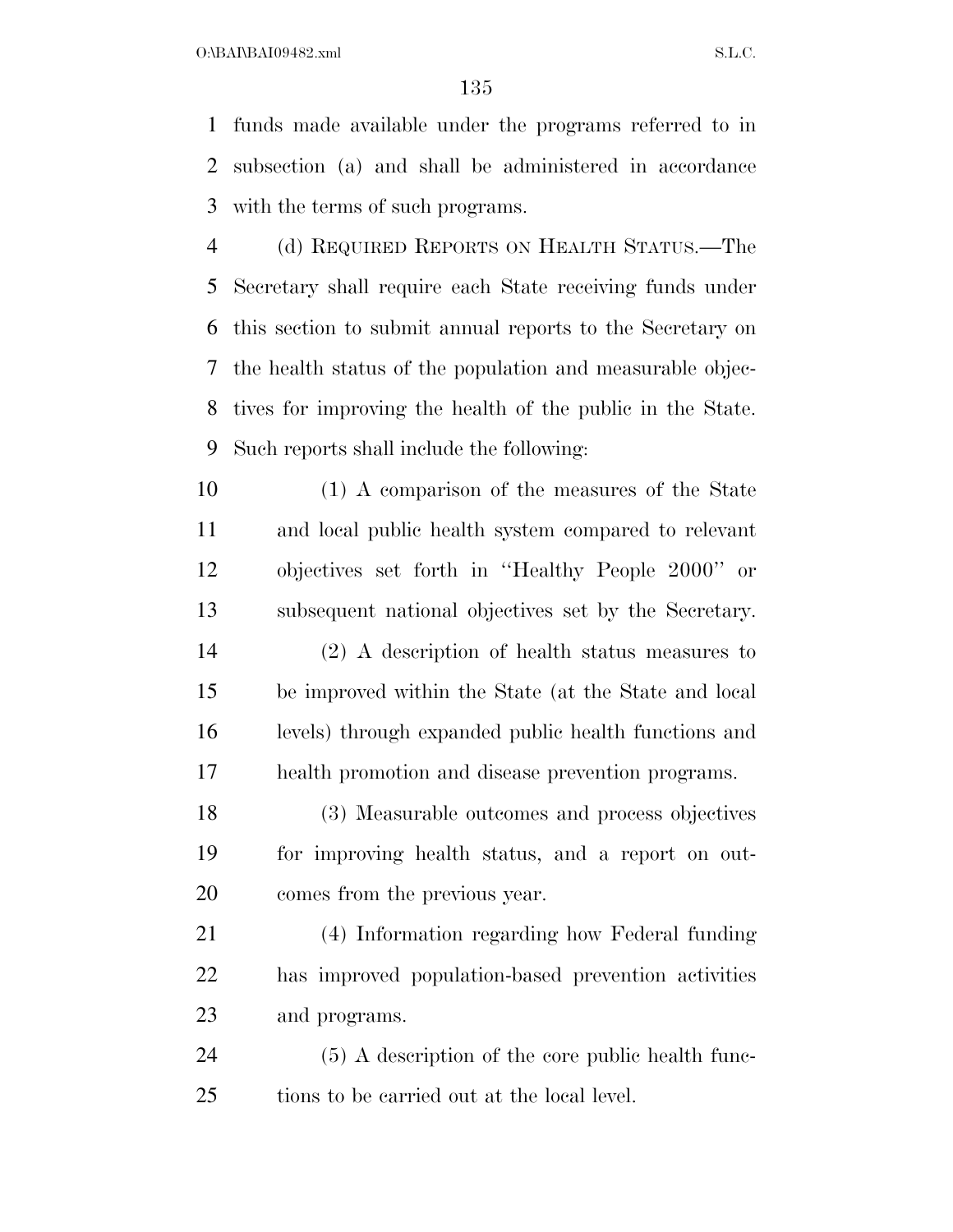$O:\beta A \Gamma B A I09482$ .xml  $S.L.C.$ 

 funds made available under the programs referred to in subsection (a) and shall be administered in accordance with the terms of such programs.

 (d) REQUIRED REPORTS ON HEALTH STATUS.—The Secretary shall require each State receiving funds under this section to submit annual reports to the Secretary on the health status of the population and measurable objec- tives for improving the health of the public in the State. Such reports shall include the following:

 (1) A comparison of the measures of the State and local public health system compared to relevant objectives set forth in ''Healthy People 2000'' or subsequent national objectives set by the Secretary.

 (2) A description of health status measures to be improved within the State (at the State and local levels) through expanded public health functions and health promotion and disease prevention programs.

 (3) Measurable outcomes and process objectives for improving health status, and a report on out-comes from the previous year.

 (4) Information regarding how Federal funding has improved population-based prevention activities and programs.

 (5) A description of the core public health func-tions to be carried out at the local level.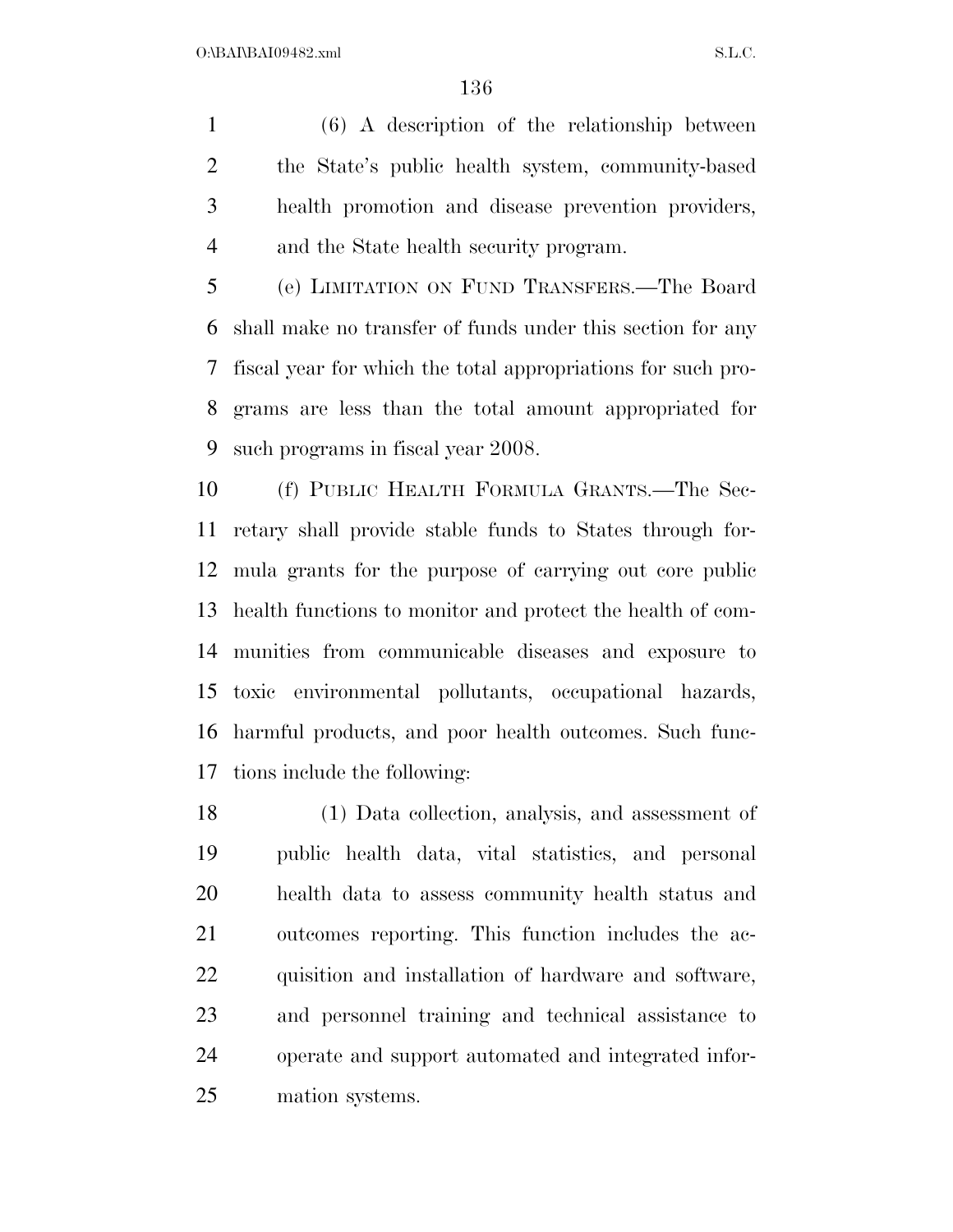(6) A description of the relationship between the State's public health system, community-based health promotion and disease prevention providers, and the State health security program.

 (e) LIMITATION ON FUND TRANSFERS.—The Board shall make no transfer of funds under this section for any fiscal year for which the total appropriations for such pro- grams are less than the total amount appropriated for such programs in fiscal year 2008.

 (f) PUBLIC HEALTH FORMULA GRANTS.—The Sec- retary shall provide stable funds to States through for- mula grants for the purpose of carrying out core public health functions to monitor and protect the health of com- munities from communicable diseases and exposure to toxic environmental pollutants, occupational hazards, harmful products, and poor health outcomes. Such func-tions include the following:

 (1) Data collection, analysis, and assessment of public health data, vital statistics, and personal health data to assess community health status and outcomes reporting. This function includes the ac- quisition and installation of hardware and software, and personnel training and technical assistance to operate and support automated and integrated infor-mation systems.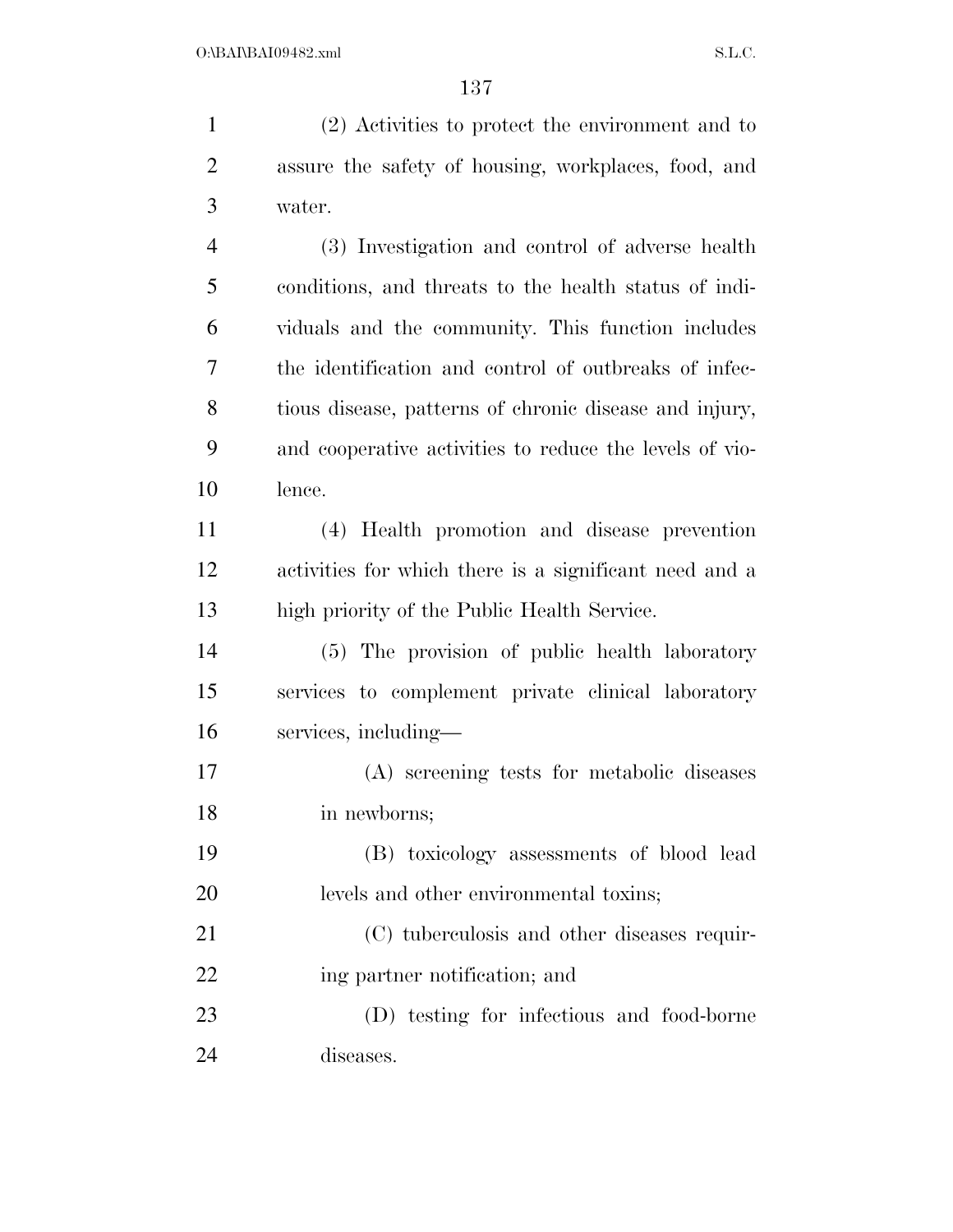(2) Activities to protect the environment and to assure the safety of housing, workplaces, food, and water. (3) Investigation and control of adverse health conditions, and threats to the health status of indi-viduals and the community. This function includes

 tious disease, patterns of chronic disease and injury, and cooperative activities to reduce the levels of vio-lence.

the identification and control of outbreaks of infec-

 (4) Health promotion and disease prevention activities for which there is a significant need and a high priority of the Public Health Service.

 (5) The provision of public health laboratory services to complement private clinical laboratory services, including—

 (A) screening tests for metabolic diseases in newborns;

 (B) toxicology assessments of blood lead levels and other environmental toxins;

 (C) tuberculosis and other diseases requir-22 ing partner notification; and

 (D) testing for infectious and food-borne diseases.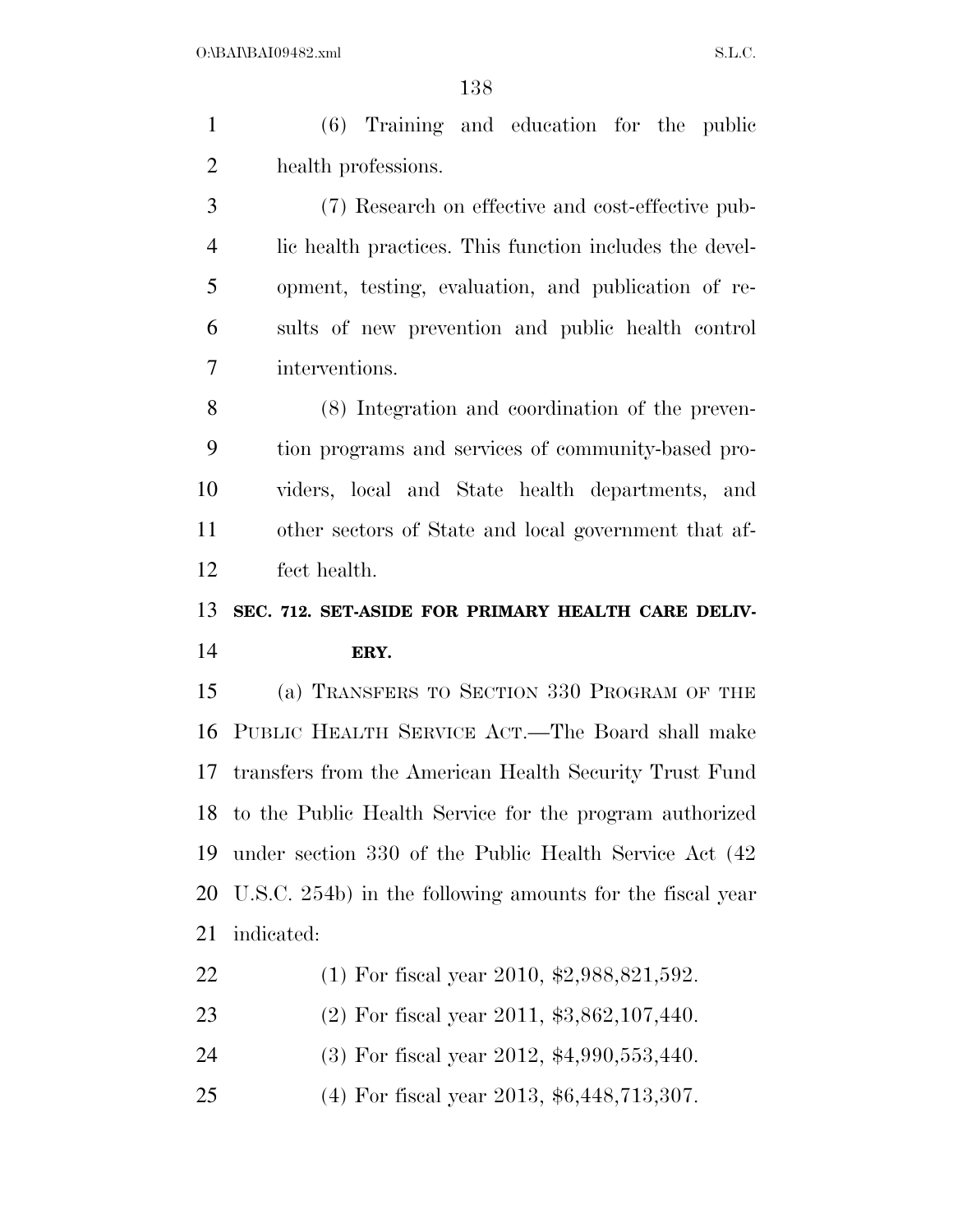(6) Training and education for the public health professions. (7) Research on effective and cost-effective pub-

 lic health practices. This function includes the devel- opment, testing, evaluation, and publication of re- sults of new prevention and public health control interventions.

 (8) Integration and coordination of the preven- tion programs and services of community-based pro- viders, local and State health departments, and other sectors of State and local government that af-fect health.

### **SEC. 712. SET-ASIDE FOR PRIMARY HEALTH CARE DELIV-ERY.**

 (a) TRANSFERS TO SECTION 330 PROGRAM OF THE PUBLIC HEALTH SERVICE ACT.—The Board shall make transfers from the American Health Security Trust Fund to the Public Health Service for the program authorized under section 330 of the Public Health Service Act (42 U.S.C. 254b) in the following amounts for the fiscal year indicated:

- (1) For fiscal year 2010, \$2,988,821,592.
- (2) For fiscal year 2011, \$3,862,107,440.
- (3) For fiscal year 2012, \$4,990,553,440.
- (4) For fiscal year 2013, \$6,448,713,307.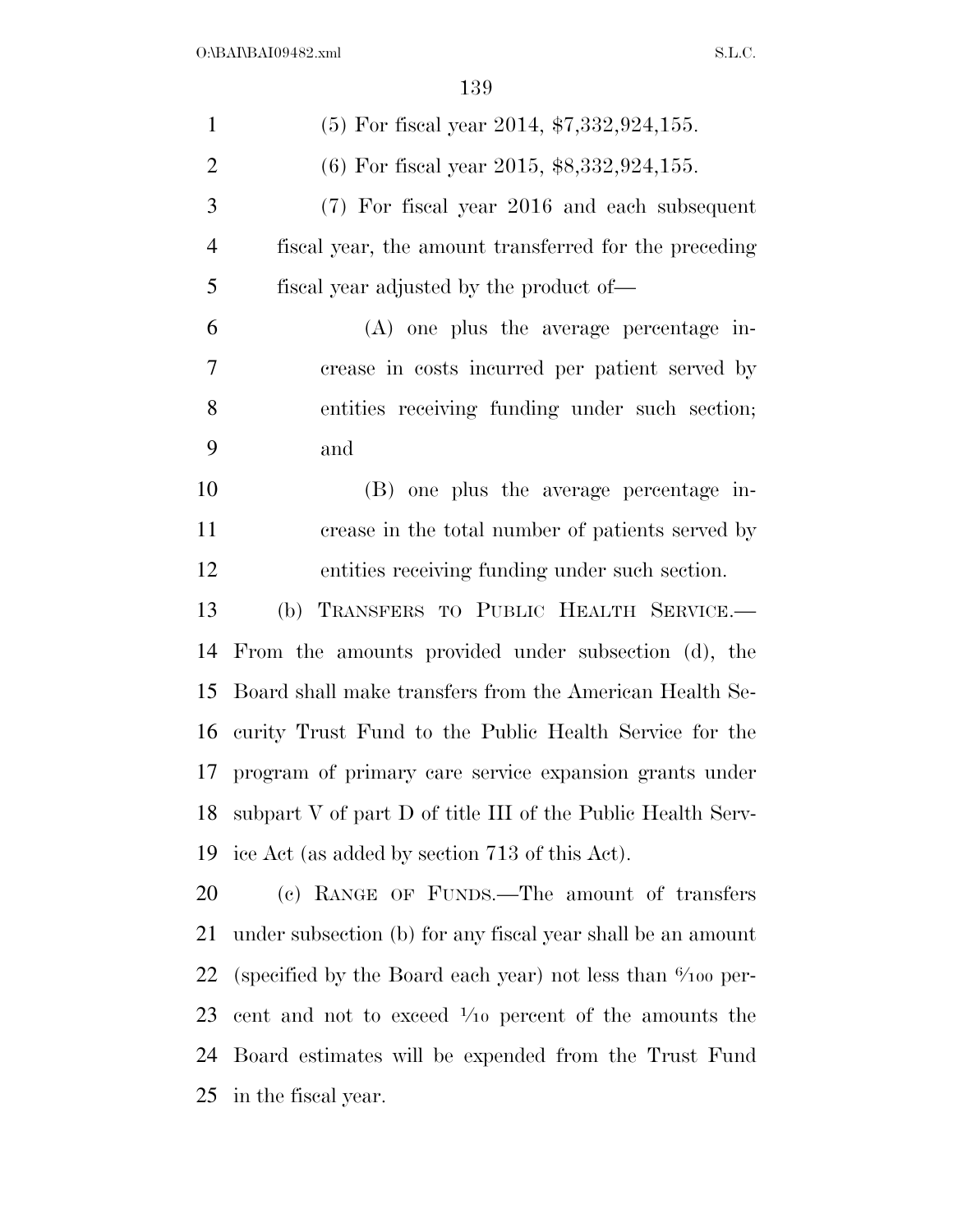| $\mathbf{1}$   | $(5)$ For fiscal year 2014, \$7,332,924,155.                          |
|----------------|-----------------------------------------------------------------------|
| $\overline{2}$ | $(6)$ For fiscal year 2015, \$8,332,924,155.                          |
| 3              | (7) For fiscal year 2016 and each subsequent                          |
| $\overline{4}$ | fiscal year, the amount transferred for the preceding                 |
| 5              | fiscal year adjusted by the product of—                               |
| 6              | $(A)$ one plus the average percentage in-                             |
| 7              | crease in costs incurred per patient served by                        |
| 8              | entities receiving funding under such section;                        |
| 9              | and                                                                   |
| 10             | (B) one plus the average percentage in-                               |
| 11             | crease in the total number of patients served by                      |
| 12             | entities receiving funding under such section.                        |
| 13             | (b) TRANSFERS TO PUBLIC HEALTH SERVICE.-                              |
| 14             | From the amounts provided under subsection (d), the                   |
| 15             | Board shall make transfers from the American Health Se-               |
| 16             | curity Trust Fund to the Public Health Service for the                |
| 17             | program of primary care service expansion grants under                |
| 18             | subpart V of part D of title III of the Public Health Serv-           |
| 19             | ice Act (as added by section 713 of this Act).                        |
| 20             | (c) RANGE OF FUNDS.—The amount of transfers                           |
| 21             | under subsection (b) for any fiscal year shall be an amount           |
| 22             | (specified by the Board each year) not less than $\frac{6}{100}$ per- |
| 23             | cent and not to exceed $\frac{1}{10}$ percent of the amounts the      |
| 24             | Board estimates will be expended from the Trust Fund                  |
| 25             | in the fiscal year.                                                   |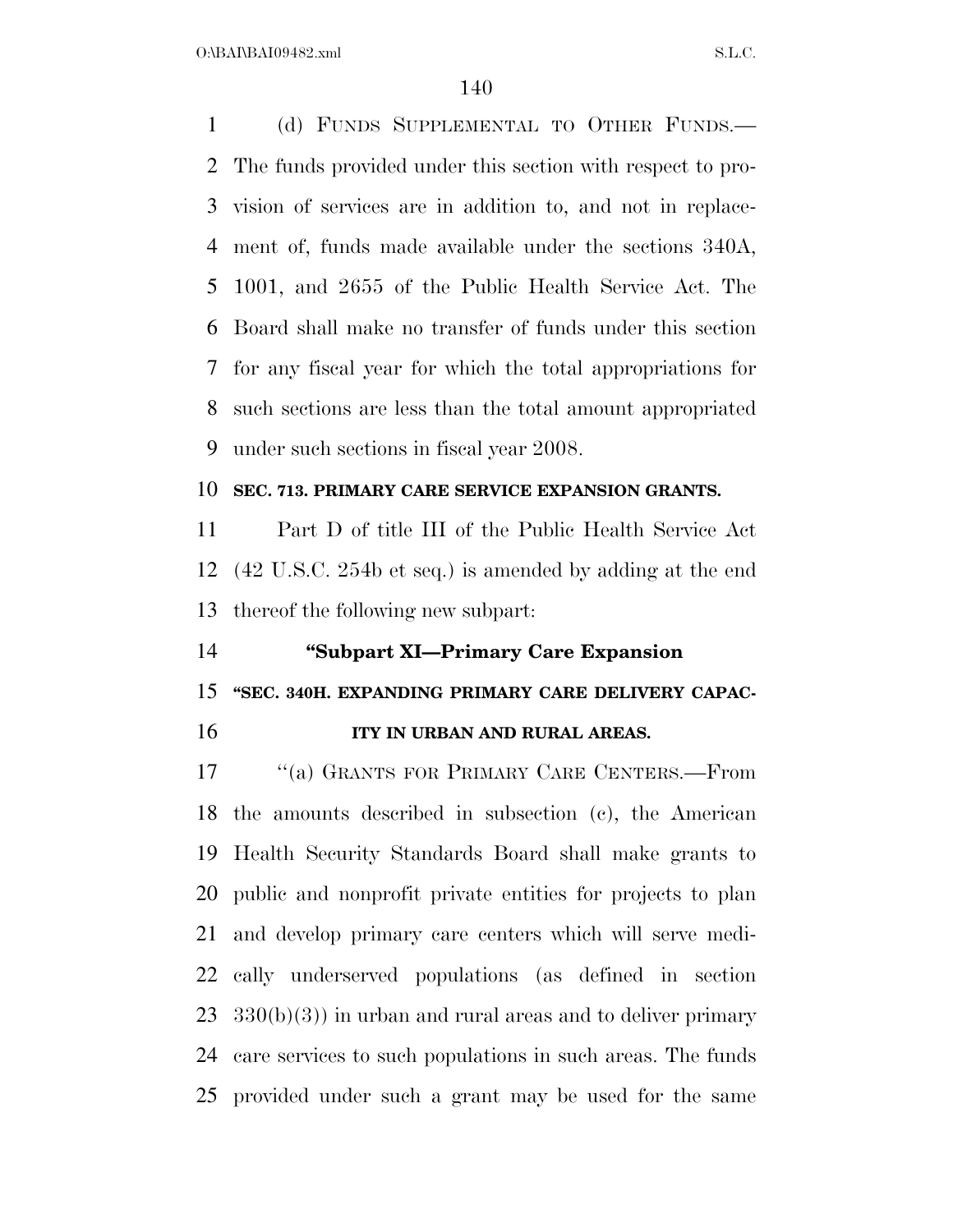$O:\beta A \Gamma \beta A 109482 \ldots$  S.L.C.

 (d) FUNDS SUPPLEMENTAL TO OTHER FUNDS.— The funds provided under this section with respect to pro- vision of services are in addition to, and not in replace- ment of, funds made available under the sections 340A, 1001, and 2655 of the Public Health Service Act. The Board shall make no transfer of funds under this section for any fiscal year for which the total appropriations for such sections are less than the total amount appropriated under such sections in fiscal year 2008.

#### **SEC. 713. PRIMARY CARE SERVICE EXPANSION GRANTS.**

 Part D of title III of the Public Health Service Act (42 U.S.C. 254b et seq.) is amended by adding at the end thereof the following new subpart:

### **''Subpart XI—Primary Care Expansion**

### **''SEC. 340H. EXPANDING PRIMARY CARE DELIVERY CAPAC-**

**ITY IN URBAN AND RURAL AREAS.** 

 ''(a) GRANTS FOR PRIMARY CARE CENTERS.—From the amounts described in subsection (c), the American Health Security Standards Board shall make grants to public and nonprofit private entities for projects to plan and develop primary care centers which will serve medi- cally underserved populations (as defined in section  $23 \quad 330(b)(3)$  in urban and rural areas and to deliver primary care services to such populations in such areas. The funds provided under such a grant may be used for the same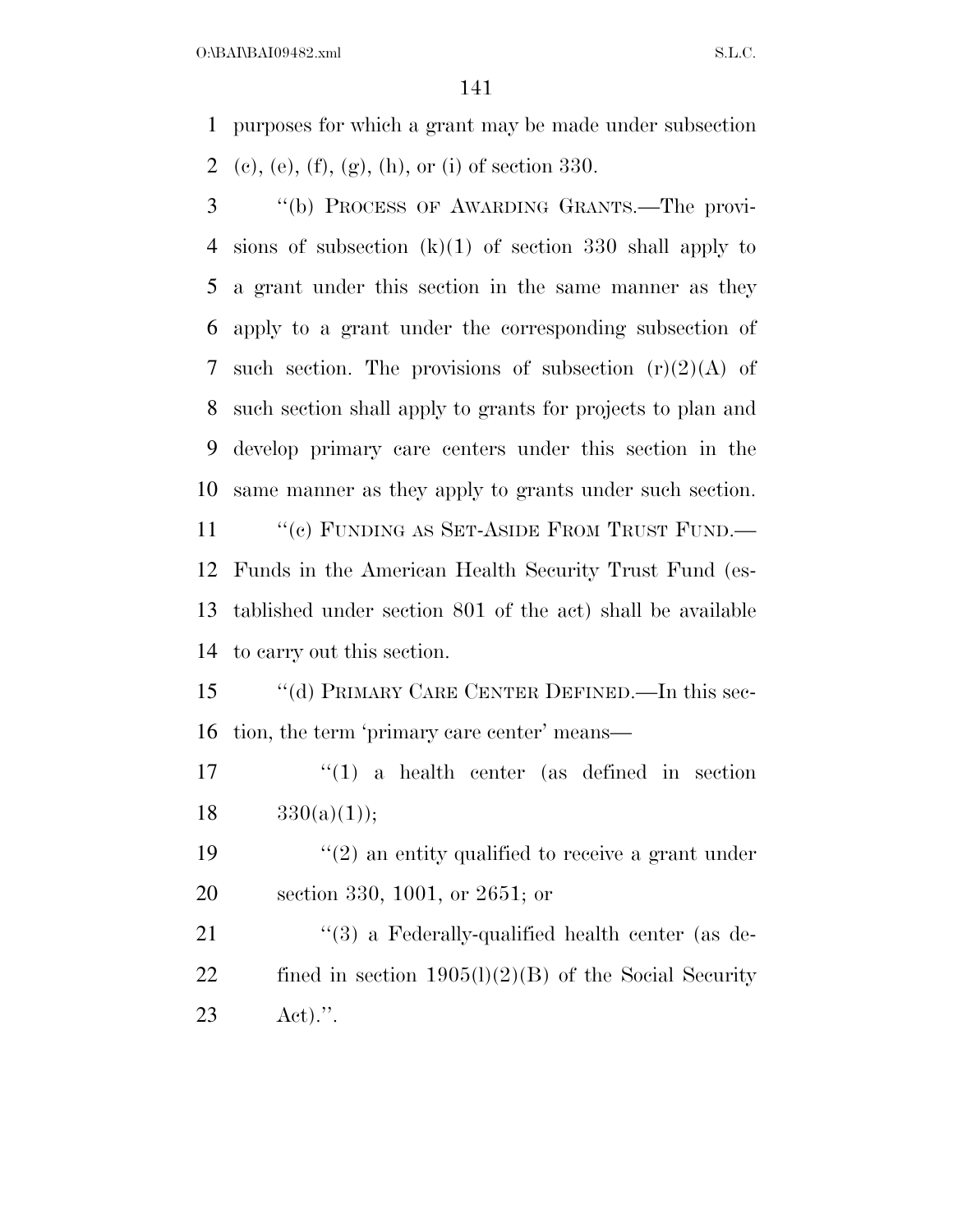purposes for which a grant may be made under subsection (c), (e), (f), (g), (h), or (i) of section 330.

 ''(b) PROCESS OF AWARDING GRANTS.—The provi- sions of subsection (k)(1) of section 330 shall apply to a grant under this section in the same manner as they apply to a grant under the corresponding subsection of 7 such section. The provisions of subsection  $(r)(2)(A)$  of such section shall apply to grants for projects to plan and develop primary care centers under this section in the same manner as they apply to grants under such section. 11 "(c) FUNDING AS SET-ASIDE FROM TRUST FUND.— Funds in the American Health Security Trust Fund (es-tablished under section 801 of the act) shall be available

to carry out this section.

 ''(d) PRIMARY CARE CENTER DEFINED.—In this sec-tion, the term 'primary care center' means—

 ''(1) a health center (as defined in section 18  $330(a)(1)$ ;

19  $\frac{1}{2}$  an entity qualified to receive a grant under section 330, 1001, or 2651; or

21 ''(3) a Federally-qualified health center (as de-22 fined in section  $1905(l)(2)(B)$  of the Social Security Act).''.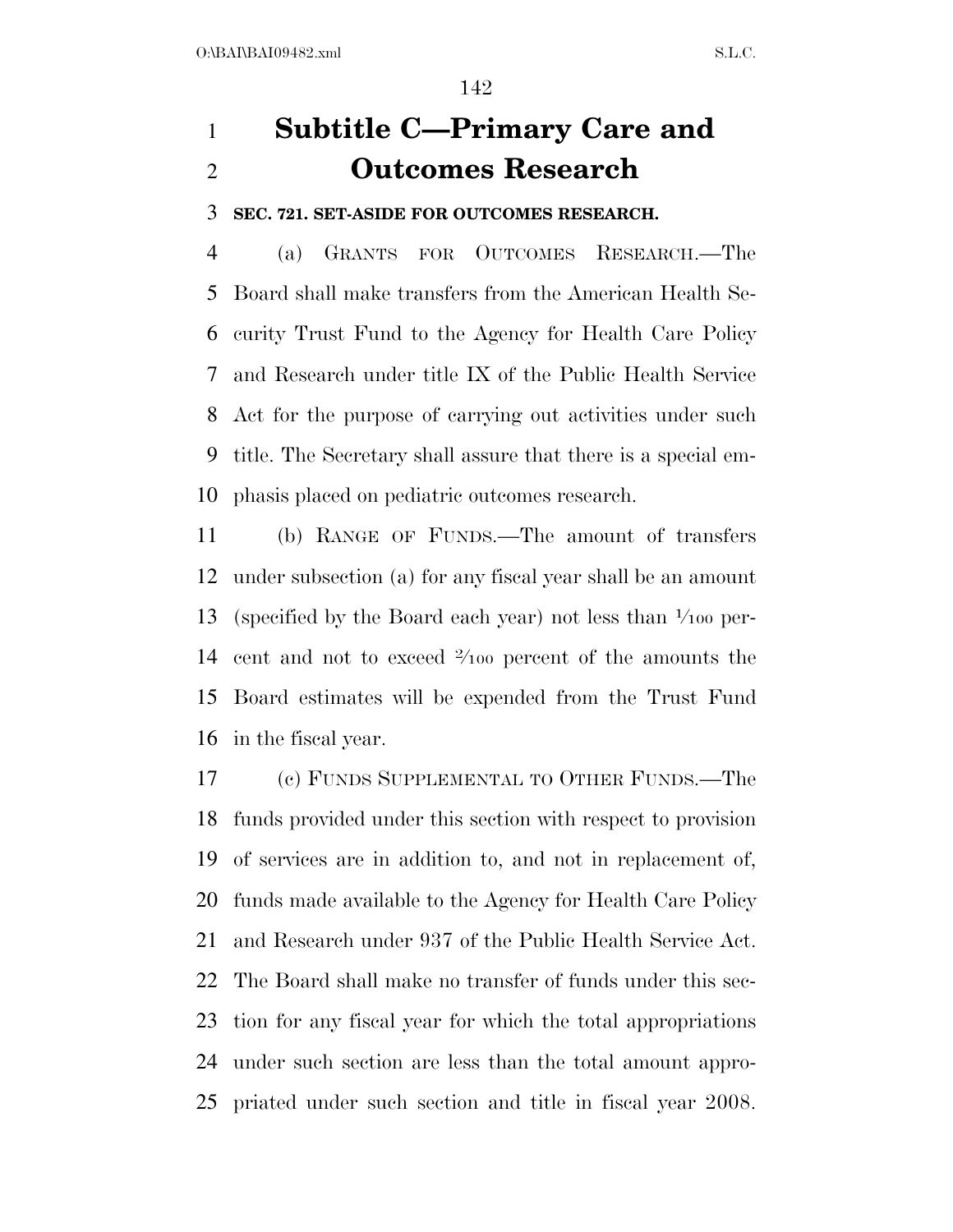# **Subtitle C—Primary Care and Outcomes Research**

**SEC. 721. SET-ASIDE FOR OUTCOMES RESEARCH.** 

 (a) GRANTS FOR OUTCOMES RESEARCH.—The Board shall make transfers from the American Health Se- curity Trust Fund to the Agency for Health Care Policy and Research under title IX of the Public Health Service Act for the purpose of carrying out activities under such title. The Secretary shall assure that there is a special em-phasis placed on pediatric outcomes research.

 (b) RANGE OF FUNDS.—The amount of transfers under subsection (a) for any fiscal year shall be an amount 13 (specified by the Board each year) not less than  $\frac{1}{100}$  per-14 cent and not to exceed  $\frac{2}{100}$  percent of the amounts the Board estimates will be expended from the Trust Fund in the fiscal year.

 (c) FUNDS SUPPLEMENTAL TO OTHER FUNDS.—The funds provided under this section with respect to provision of services are in addition to, and not in replacement of, funds made available to the Agency for Health Care Policy and Research under 937 of the Public Health Service Act. The Board shall make no transfer of funds under this sec- tion for any fiscal year for which the total appropriations under such section are less than the total amount appro-priated under such section and title in fiscal year 2008.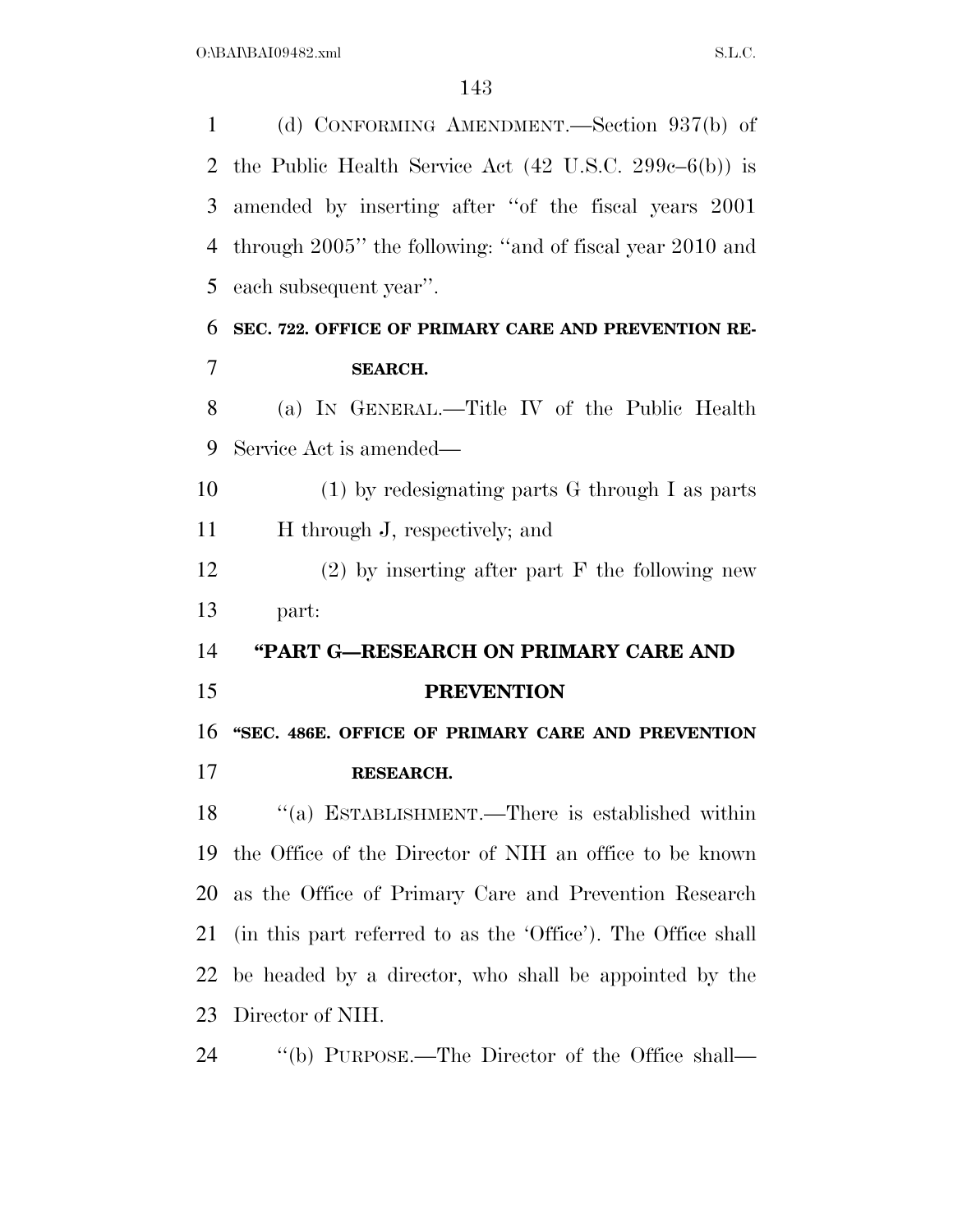(d) CONFORMING AMENDMENT.—Section 937(b) of the Public Health Service Act (42 U.S.C. 299c–6(b)) is amended by inserting after ''of the fiscal years 2001 through 2005'' the following: ''and of fiscal year 2010 and each subsequent year''. **SEC. 722. OFFICE OF PRIMARY CARE AND PREVENTION RE- SEARCH.**  (a) IN GENERAL.—Title IV of the Public Health Service Act is amended— (1) by redesignating parts G through I as parts H through J, respectively; and (2) by inserting after part F the following new part: **''PART G—RESEARCH ON PRIMARY CARE AND PREVENTION ''SEC. 486E. OFFICE OF PRIMARY CARE AND PREVENTION RESEARCH.**  ''(a) ESTABLISHMENT.—There is established within the Office of the Director of NIH an office to be known as the Office of Primary Care and Prevention Research (in this part referred to as the 'Office'). The Office shall be headed by a director, who shall be appointed by the Director of NIH. ''(b) PURPOSE.—The Director of the Office shall—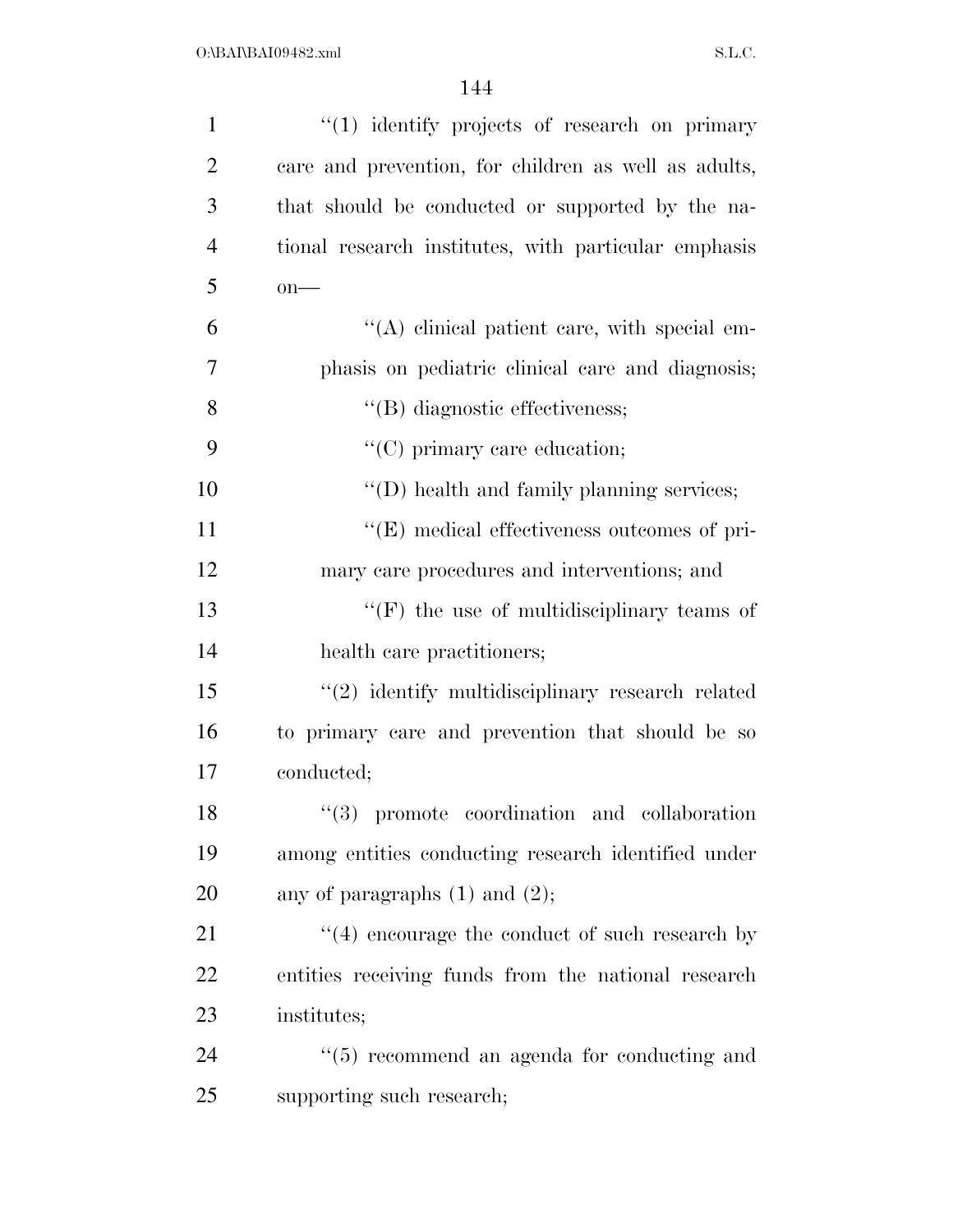| $\mathbf{1}$   | $\lq(1)$ identify projects of research on primary    |
|----------------|------------------------------------------------------|
| $\overline{2}$ | care and prevention, for children as well as adults, |
| 3              | that should be conducted or supported by the na-     |
| $\overline{4}$ | tional research institutes, with particular emphasis |
| 5              | $on$ —                                               |
| 6              | $\lq\lq$ clinical patient care, with special em-     |
| 7              | phasis on pediatric clinical care and diagnosis;     |
| 8              | $\lq\lq$ diagnostic effectiveness;                   |
| 9              | $\lq\lq$ (C) primary care education;                 |
| 10             | $\lq\lq$ (D) health and family planning services;    |
| 11             | $\lq\lq(E)$ medical effectiveness outcomes of pri-   |
| 12             | mary care procedures and interventions; and          |
| 13             | $\lq\lq(F)$ the use of multidisciplinary teams of    |
| 14             | health care practitioners;                           |
| 15             | $\lq(2)$ identify multidisciplinary research related |
| 16             | to primary care and prevention that should be so     |
| 17             | conducted;                                           |
| 18             | "(3) promote coordination and collaboration          |
| 19             | among entities conducting research identified under  |
| 20             | any of paragraphs $(1)$ and $(2)$ ;                  |
| 21             | $(4)$ encourage the conduct of such research by      |
| 22             | entities receiving funds from the national research  |
| 23             | institutes;                                          |
| 24             | $\cdot$ (5) recommend an agenda for conducting and   |
| 25             | supporting such research;                            |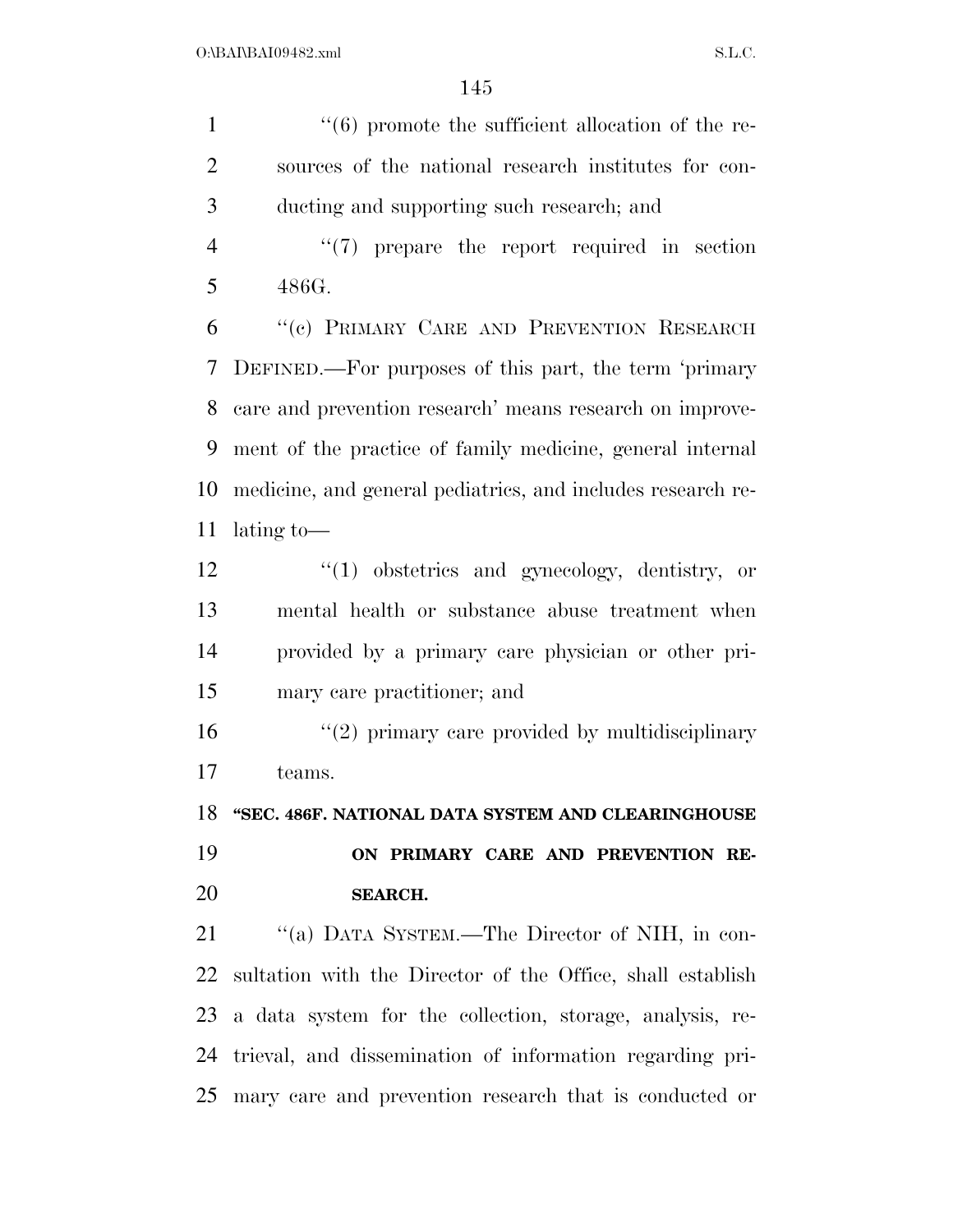1  $\frac{1}{6}$  from the sufficient allocation of the re- sources of the national research institutes for con-ducting and supporting such research; and

4 "(7) prepare the report required in section 486G.

 ''(c) PRIMARY CARE AND PREVENTION RESEARCH DEFINED.—For purposes of this part, the term 'primary care and prevention research' means research on improve- ment of the practice of family medicine, general internal medicine, and general pediatrics, and includes research re-lating to—

 ''(1) obstetrics and gynecology, dentistry, or mental health or substance abuse treatment when provided by a primary care physician or other pri-mary care practitioner; and

16 "(2) primary care provided by multidisciplinary teams.

**''SEC. 486F. NATIONAL DATA SYSTEM AND CLEARINGHOUSE** 

 **ON PRIMARY CARE AND PREVENTION RE-SEARCH.** 

 ''(a) DATA SYSTEM.—The Director of NIH, in con- sultation with the Director of the Office, shall establish a data system for the collection, storage, analysis, re- trieval, and dissemination of information regarding pri-mary care and prevention research that is conducted or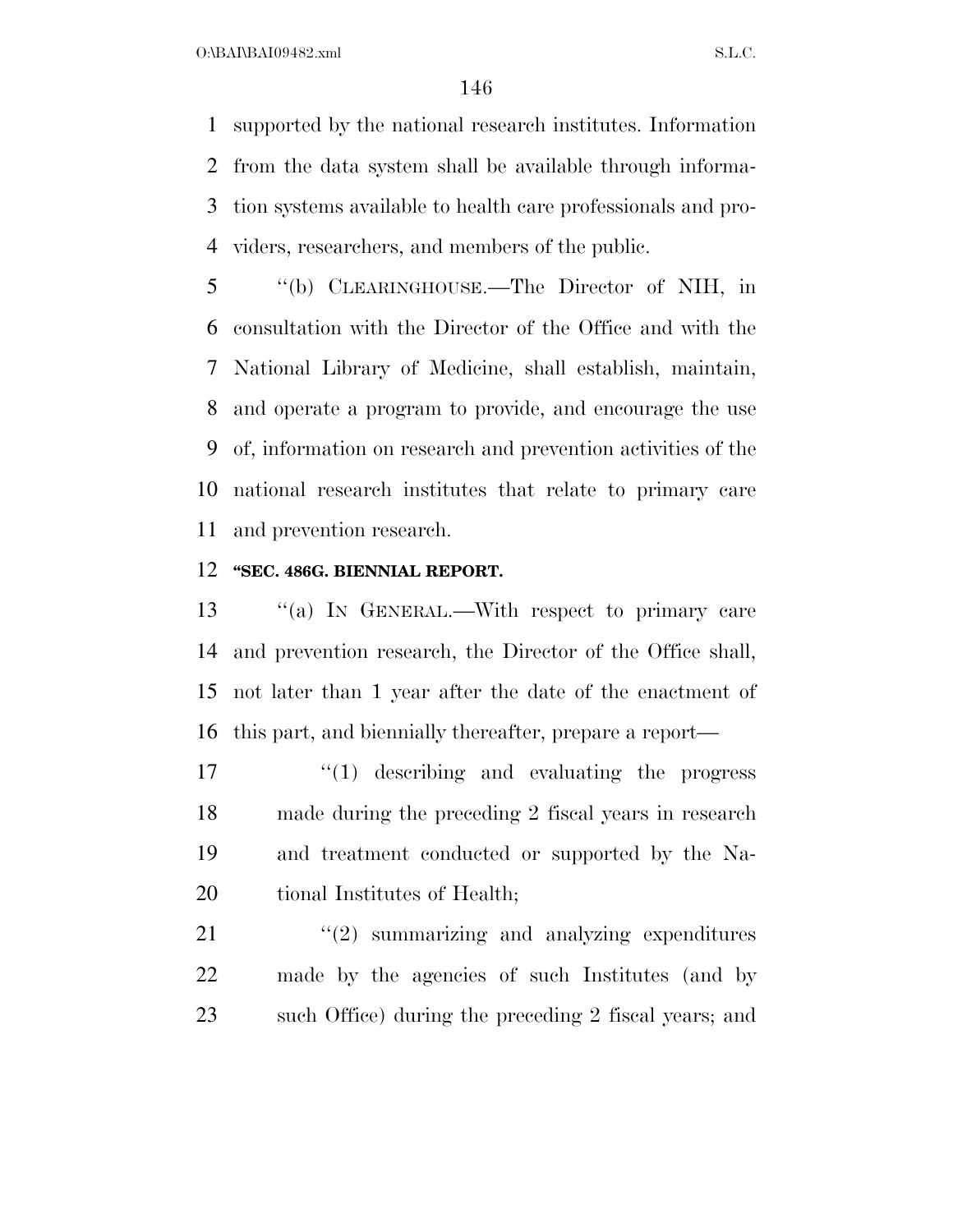supported by the national research institutes. Information from the data system shall be available through informa- tion systems available to health care professionals and pro-viders, researchers, and members of the public.

 ''(b) CLEARINGHOUSE.—The Director of NIH, in consultation with the Director of the Office and with the National Library of Medicine, shall establish, maintain, and operate a program to provide, and encourage the use of, information on research and prevention activities of the national research institutes that relate to primary care and prevention research.

### **''SEC. 486G. BIENNIAL REPORT.**

 ''(a) IN GENERAL.—With respect to primary care and prevention research, the Director of the Office shall, not later than 1 year after the date of the enactment of this part, and biennially thereafter, prepare a report—

 $\frac{1}{2}$   $\frac{1}{2}$  describing and evaluating the progress made during the preceding 2 fiscal years in research and treatment conducted or supported by the Na-20 tional Institutes of Health;

 ''(2) summarizing and analyzing expenditures made by the agencies of such Institutes (and by such Office) during the preceding 2 fiscal years; and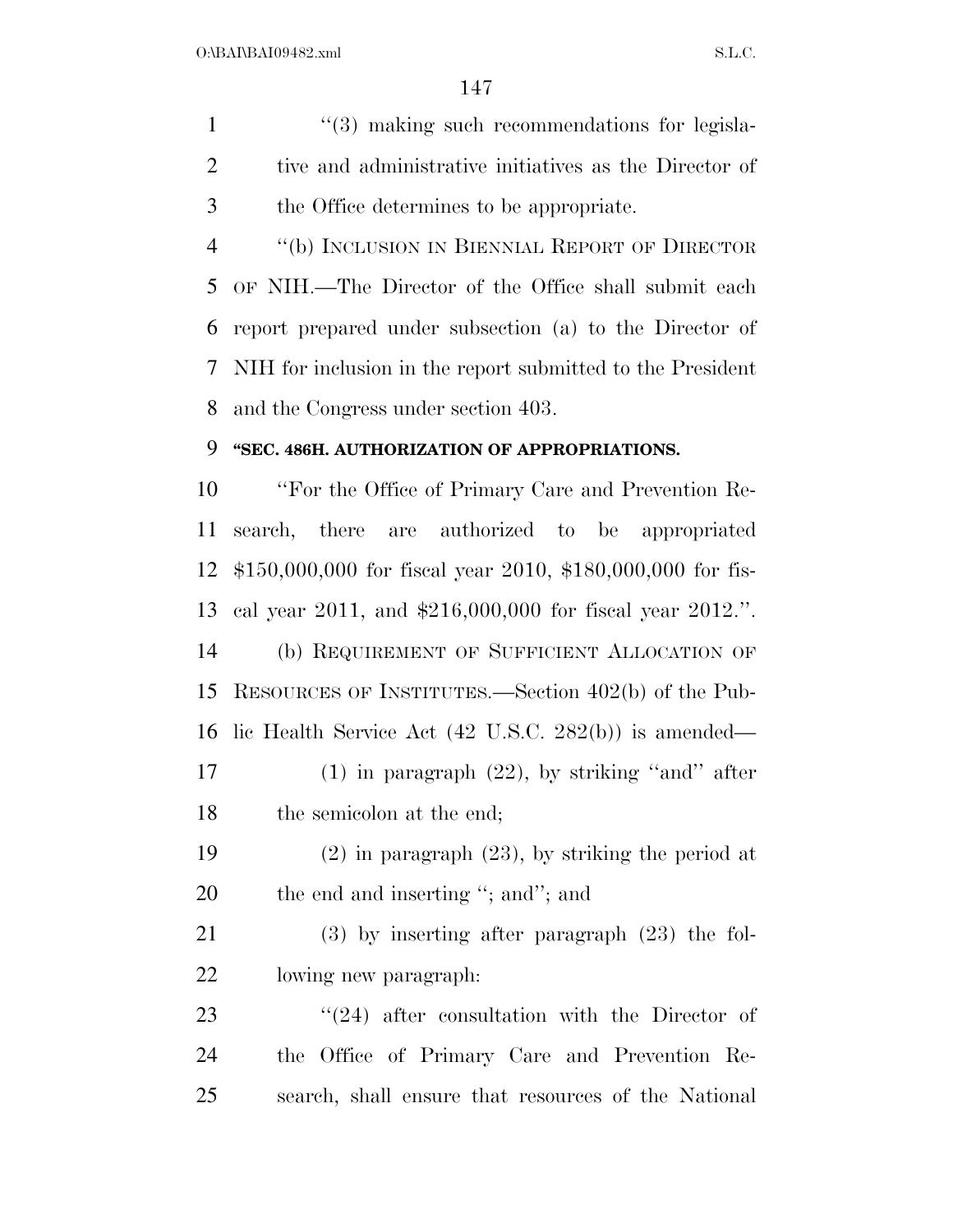1 ''(3) making such recommendations for legisla- tive and administrative initiatives as the Director of the Office determines to be appropriate.

 ''(b) INCLUSION IN BIENNIAL REPORT OF DIRECTOR OF NIH.—The Director of the Office shall submit each report prepared under subsection (a) to the Director of NIH for inclusion in the report submitted to the President and the Congress under section 403.

### **''SEC. 486H. AUTHORIZATION OF APPROPRIATIONS.**

 ''For the Office of Primary Care and Prevention Re- search, there are authorized to be appropriated \$150,000,000 for fiscal year 2010, \$180,000,000 for fis- cal year 2011, and \$216,000,000 for fiscal year 2012.''. (b) REQUIREMENT OF SUFFICIENT ALLOCATION OF RESOURCES OF INSTITUTES.—Section 402(b) of the Pub-

lic Health Service Act (42 U.S.C. 282(b)) is amended—

 (1) in paragraph (22), by striking ''and'' after the semicolon at the end;

 (2) in paragraph (23), by striking the period at 20 the end and inserting "; and"; and

 (3) by inserting after paragraph (23) the fol-lowing new paragraph:

23 "(24) after consultation with the Director of the Office of Primary Care and Prevention Re-search, shall ensure that resources of the National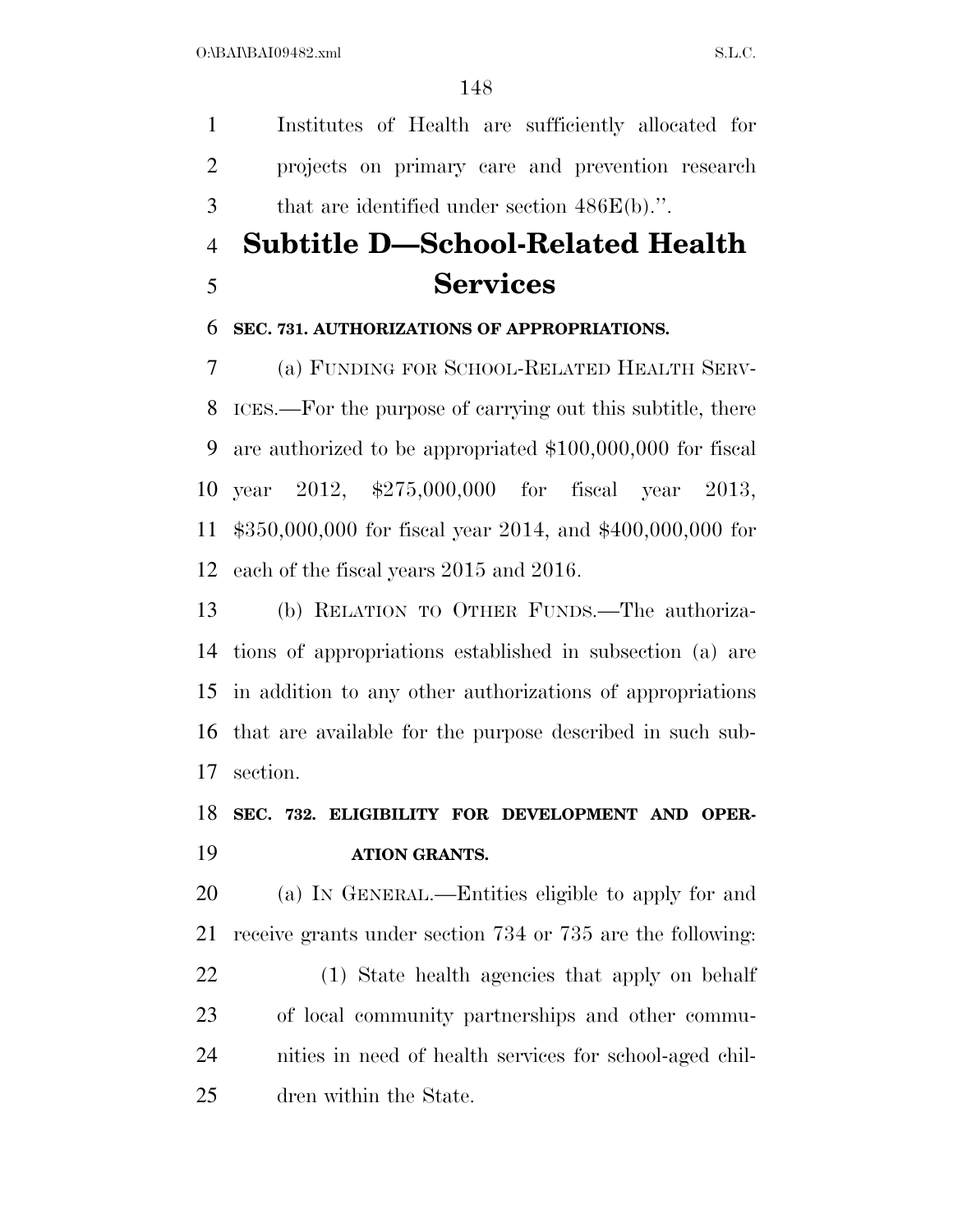Institutes of Health are sufficiently allocated for projects on primary care and prevention research that are identified under section 486E(b).''.

## **Subtitle D—School-Related Health Services**

### **SEC. 731. AUTHORIZATIONS OF APPROPRIATIONS.**

 (a) FUNDING FOR SCHOOL-RELATED HEALTH SERV- ICES.—For the purpose of carrying out this subtitle, there are authorized to be appropriated \$100,000,000 for fiscal year 2012, \$275,000,000 for fiscal year 2013, \$350,000,000 for fiscal year 2014, and \$400,000,000 for each of the fiscal years 2015 and 2016.

 (b) RELATION TO OTHER FUNDS.—The authoriza- tions of appropriations established in subsection (a) are in addition to any other authorizations of appropriations that are available for the purpose described in such sub-section.

### **SEC. 732. ELIGIBILITY FOR DEVELOPMENT AND OPER-ATION GRANTS.**

 (a) IN GENERAL.—Entities eligible to apply for and receive grants under section 734 or 735 are the following:

 (1) State health agencies that apply on behalf of local community partnerships and other commu- nities in need of health services for school-aged chil-dren within the State.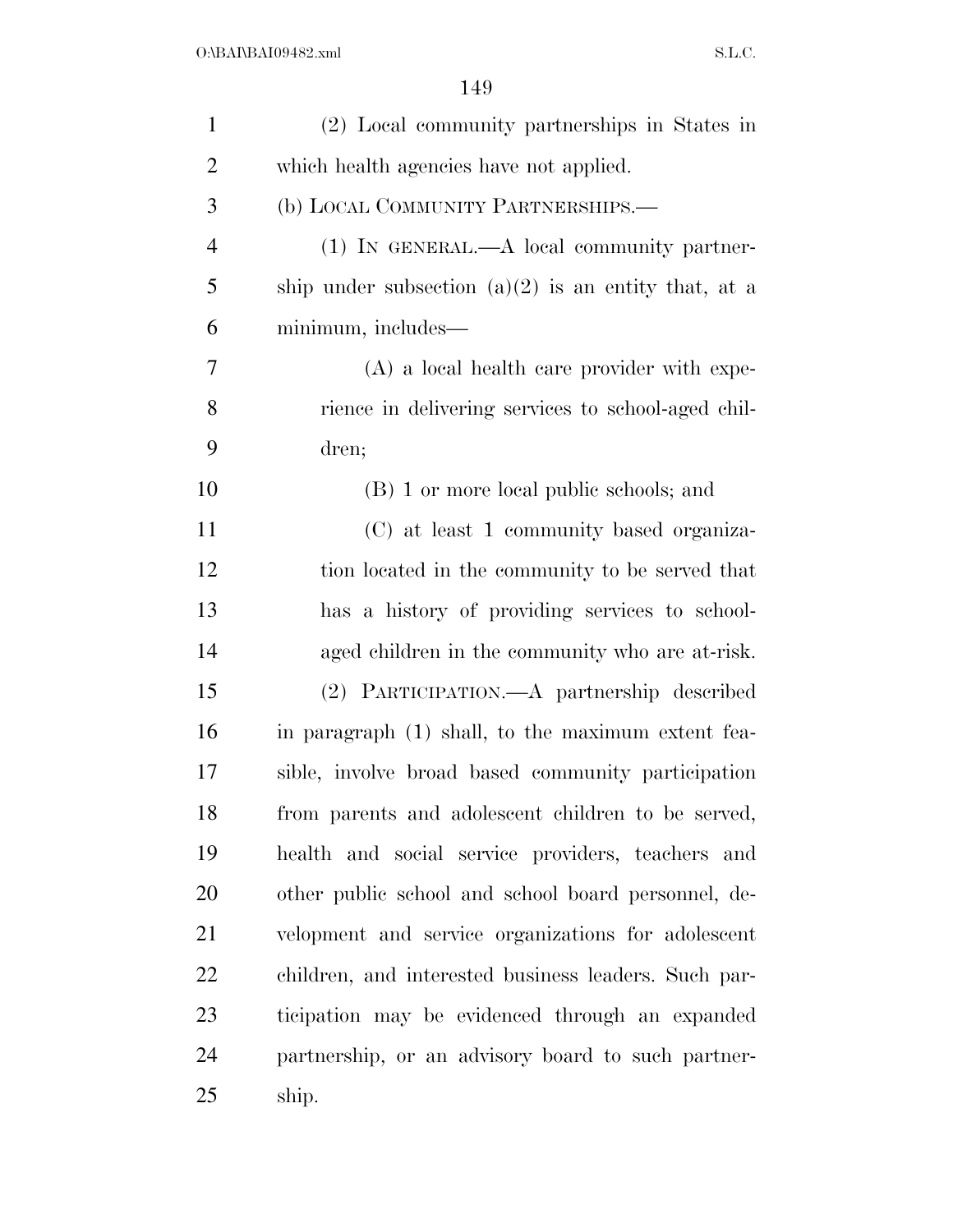| $\mathbf{1}$   | (2) Local community partnerships in States in          |
|----------------|--------------------------------------------------------|
| $\overline{2}$ | which health agencies have not applied.                |
| 3              | (b) LOCAL COMMUNITY PARTNERSHIPS.-                     |
| $\overline{4}$ | $(1)$ IN GENERAL.—A local community partner-           |
| 5              | ship under subsection $(a)(2)$ is an entity that, at a |
| 6              | minimum, includes—                                     |
| 7              | $(A)$ a local health care provider with expe-          |
| 8              | rience in delivering services to school-aged chil-     |
| 9              | dren;                                                  |
| 10             | (B) 1 or more local public schools; and                |
| 11             | (C) at least 1 community based organiza-               |
| 12             | tion located in the community to be served that        |
| 13             | has a history of providing services to school-         |
| 14             | aged children in the community who are at-risk.        |
| 15             | (2) PARTICIPATION.—A partnership described             |
| 16             | in paragraph (1) shall, to the maximum extent fea-     |
| 17             | sible, involve broad based community participation     |
| 18             | from parents and adolescent children to be served,     |
| 19             | health and social service providers, teachers and      |
| 20             | other public school and school board personnel, de-    |
| 21             | velopment and service organizations for adolescent     |
| 22             | children, and interested business leaders. Such par-   |
| 23             | ticipation may be evidenced through an expanded        |
| 24             | partnership, or an advisory board to such partner-     |
| 25             | ship.                                                  |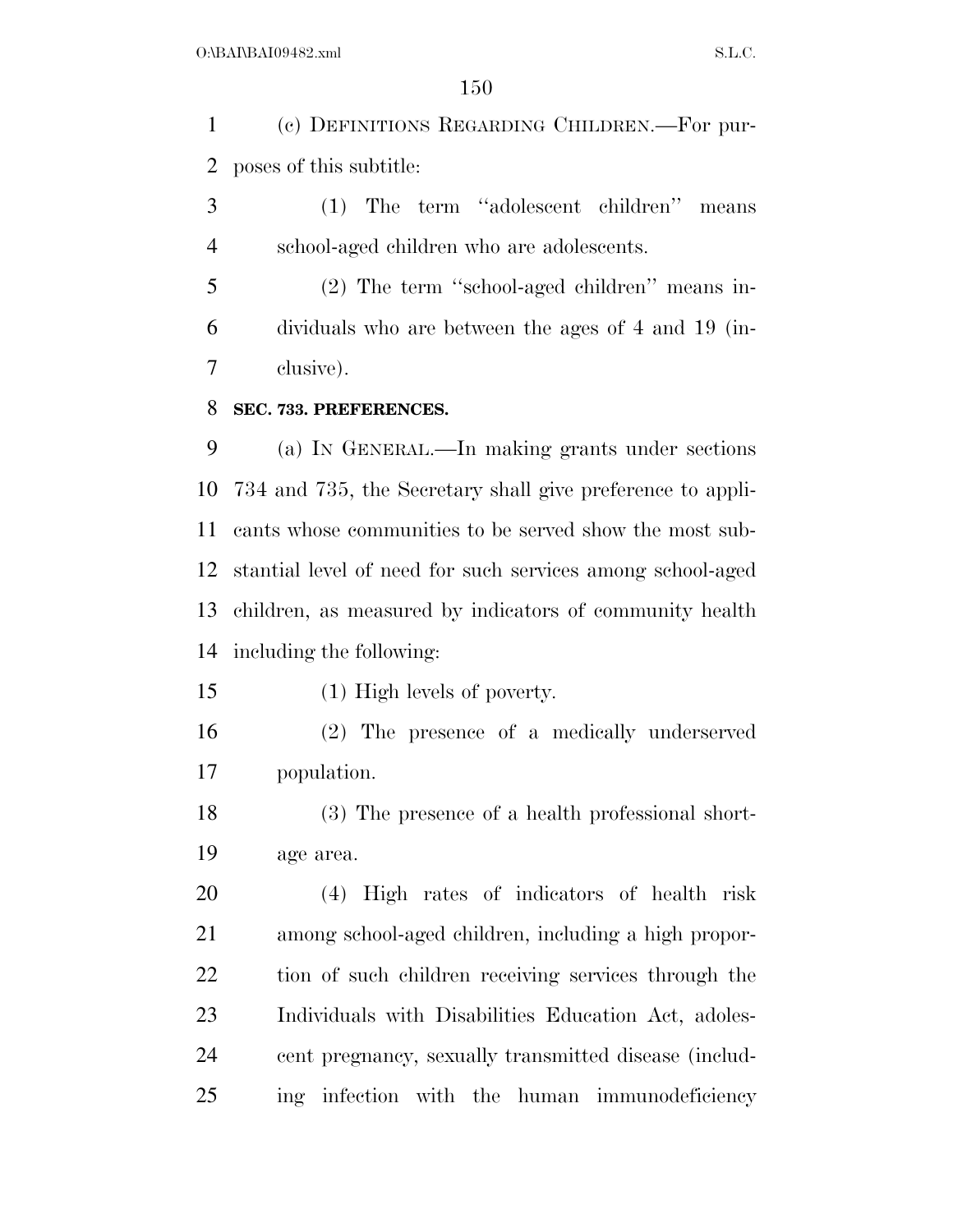(c) DEFINITIONS REGARDING CHILDREN.—For pur-poses of this subtitle:

 (1) The term ''adolescent children'' means school-aged children who are adolescents.

 (2) The term ''school-aged children'' means in- dividuals who are between the ages of 4 and 19 (in-clusive).

### **SEC. 733. PREFERENCES.**

 (a) IN GENERAL.—In making grants under sections 734 and 735, the Secretary shall give preference to appli- cants whose communities to be served show the most sub- stantial level of need for such services among school-aged children, as measured by indicators of community health including the following:

(1) High levels of poverty.

 (2) The presence of a medically underserved population.

 (3) The presence of a health professional short-age area.

 (4) High rates of indicators of health risk among school-aged children, including a high propor- tion of such children receiving services through the Individuals with Disabilities Education Act, adoles- cent pregnancy, sexually transmitted disease (includ-ing infection with the human immunodeficiency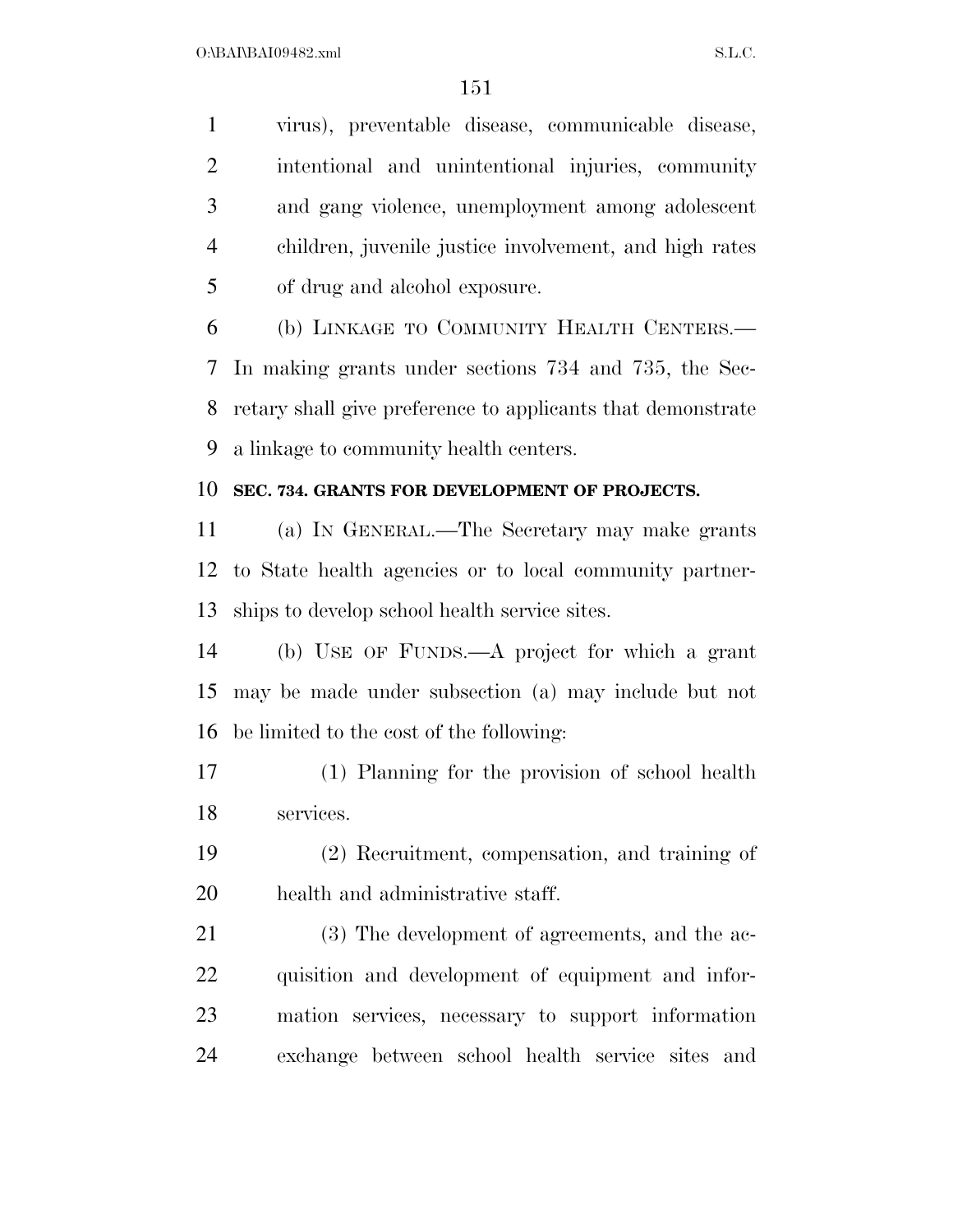virus), preventable disease, communicable disease, intentional and unintentional injuries, community and gang violence, unemployment among adolescent children, juvenile justice involvement, and high rates of drug and alcohol exposure.

 (b) LINKAGE TO COMMUNITY HEALTH CENTERS.— In making grants under sections 734 and 735, the Sec- retary shall give preference to applicants that demonstrate a linkage to community health centers.

### **SEC. 734. GRANTS FOR DEVELOPMENT OF PROJECTS.**

 (a) IN GENERAL.—The Secretary may make grants to State health agencies or to local community partner-ships to develop school health service sites.

 (b) USE OF FUNDS.—A project for which a grant may be made under subsection (a) may include but not be limited to the cost of the following:

 (1) Planning for the provision of school health services.

 (2) Recruitment, compensation, and training of health and administrative staff.

 (3) The development of agreements, and the ac- quisition and development of equipment and infor- mation services, necessary to support information exchange between school health service sites and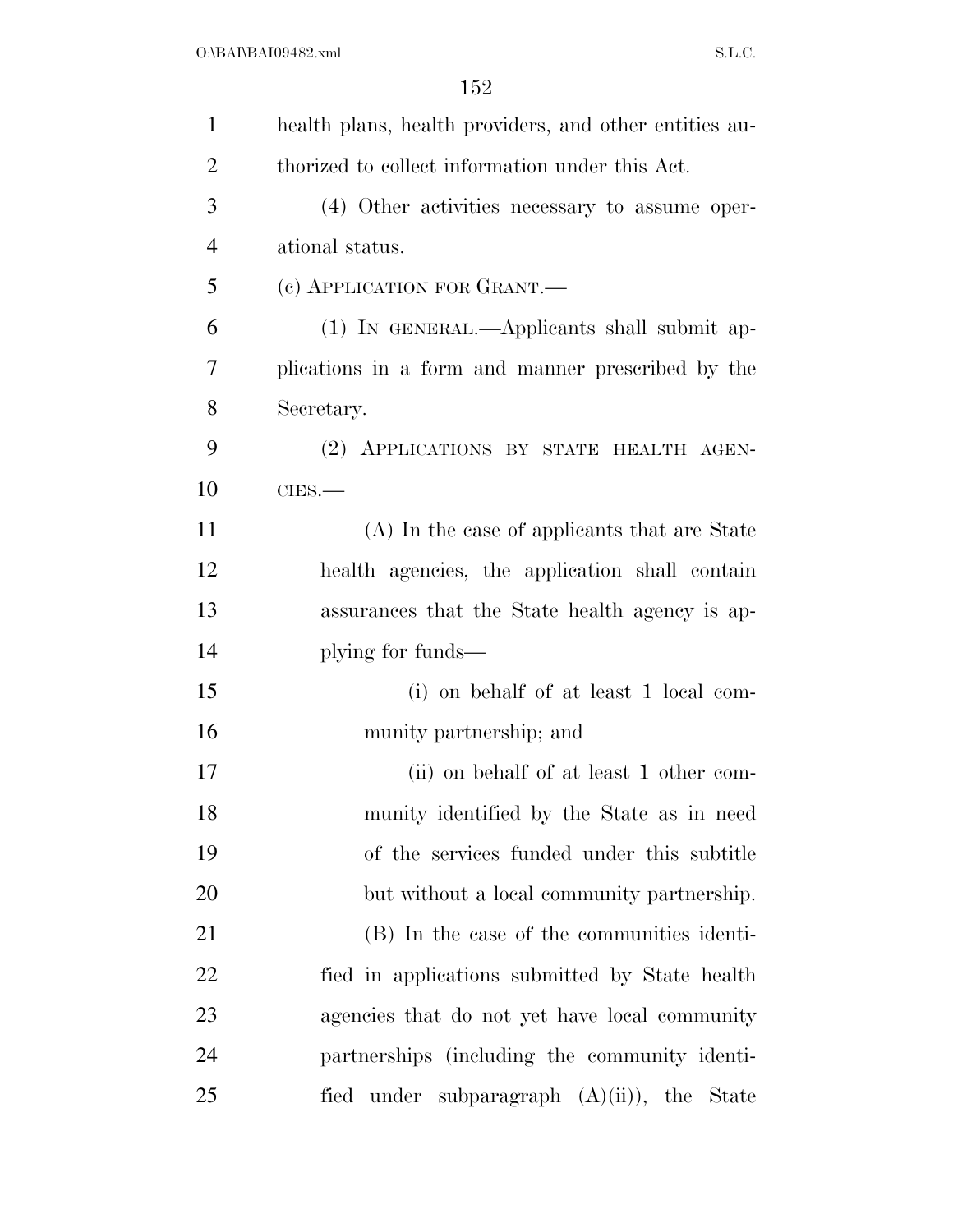| 1              | health plans, health providers, and other entities au- |
|----------------|--------------------------------------------------------|
| 2              | thorized to collect information under this Act.        |
| 3              | (4) Other activities necessary to assume oper-         |
| $\overline{4}$ | ational status.                                        |
| 5              | (c) APPLICATION FOR GRANT.—                            |
| 6              | (1) IN GENERAL.—Applicants shall submit ap-            |
| 7              | plications in a form and manner prescribed by the      |
| 8              | Secretary.                                             |
| 9              | (2) APPLICATIONS BY STATE HEALTH AGEN-                 |
| 10             | $CIES$ .                                               |
| 11             | (A) In the case of applicants that are State           |
| 12             | health agencies, the application shall contain         |
| 13             | assurances that the State health agency is ap-         |
| 14             | plying for funds—                                      |
| 15             | (i) on behalf of at least 1 local com-                 |
| 16             | munity partnership; and                                |
| 17             | (ii) on behalf of at least 1 other com-                |
| 18             | munity identified by the State as in need              |
| 19             | of the services funded under this subtitle             |
| 20             | but without a local community partnership.             |
| 21             | (B) In the case of the communities identi-             |
| <u>22</u>      | fied in applications submitted by State health         |
| 23             | agencies that do not yet have local community          |
| 24             | partnerships (including the community identi-          |
| 25             | fied under subparagraph $(A)(ii)$ , the State          |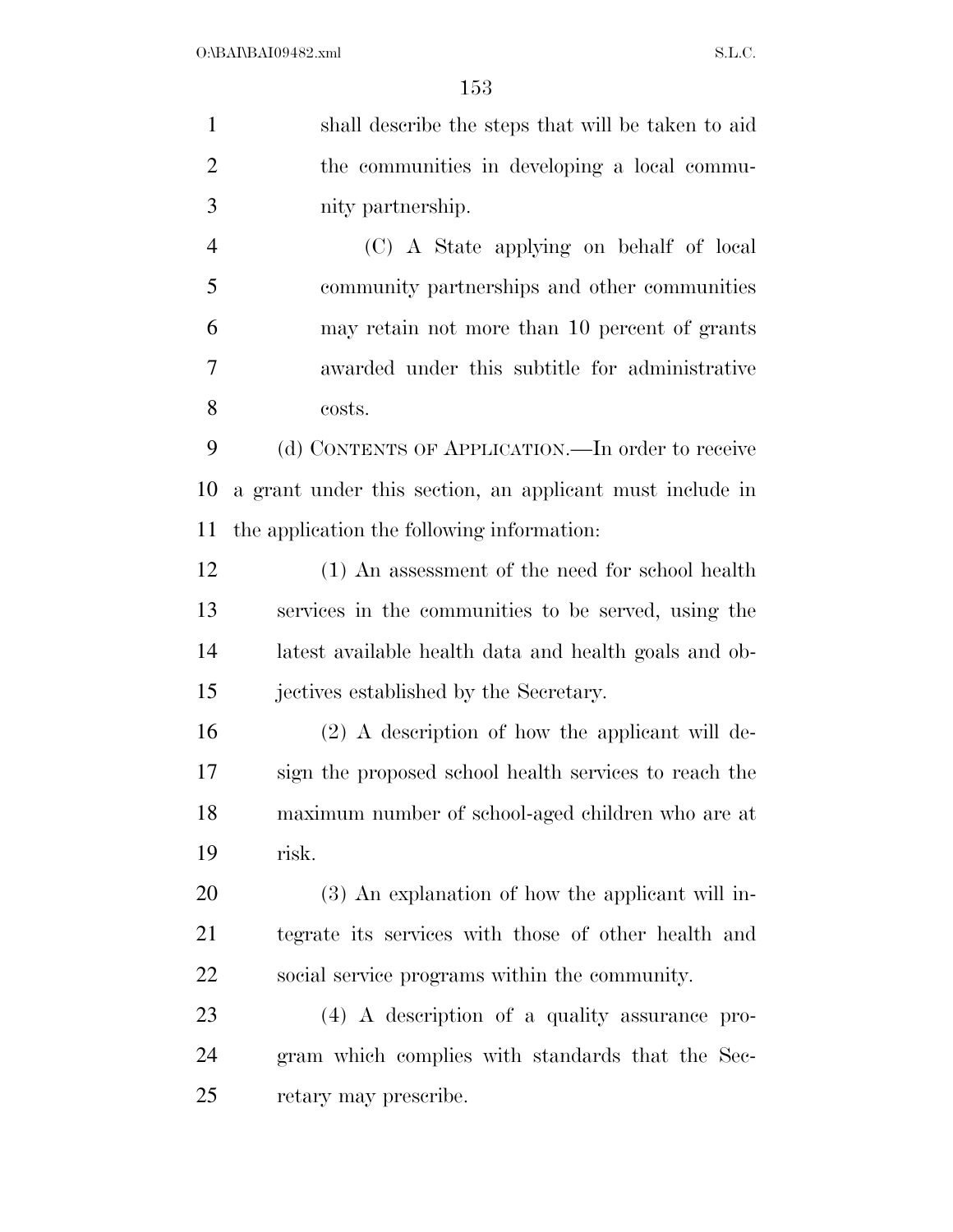shall describe the steps that will be taken to aid the communities in developing a local commu- nity partnership. (C) A State applying on behalf of local community partnerships and other communities may retain not more than 10 percent of grants awarded under this subtitle for administrative costs. 9 (d) CONTENTS OF APPLICATION.—In order to receive a grant under this section, an applicant must include in the application the following information: (1) An assessment of the need for school health services in the communities to be served, using the latest available health data and health goals and ob- jectives established by the Secretary. (2) A description of how the applicant will de- sign the proposed school health services to reach the maximum number of school-aged children who are at risk. (3) An explanation of how the applicant will in- tegrate its services with those of other health and social service programs within the community. (4) A description of a quality assurance pro- gram which complies with standards that the Sec-retary may prescribe.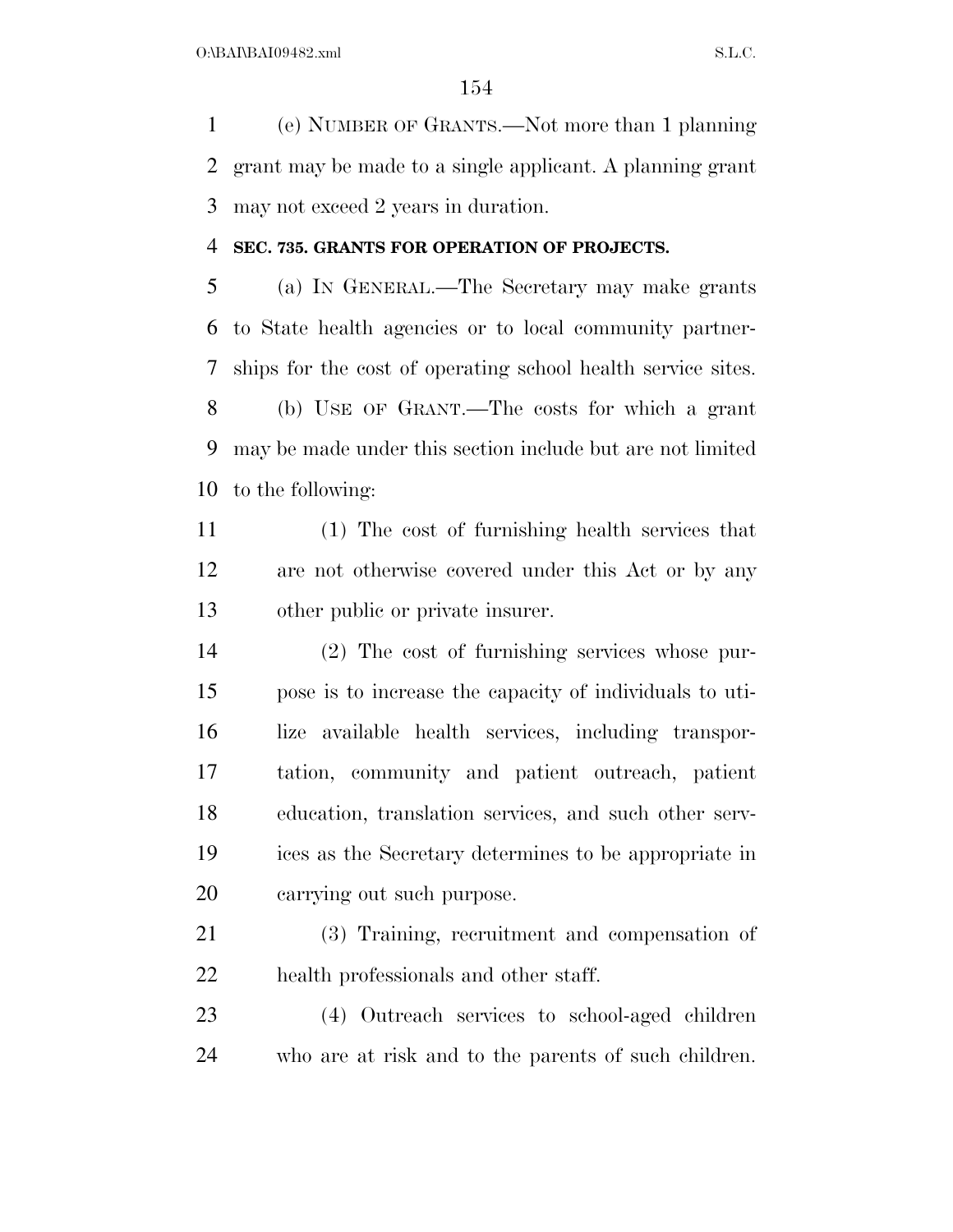(e) NUMBER OF GRANTS.—Not more than 1 planning grant may be made to a single applicant. A planning grant may not exceed 2 years in duration.

#### **SEC. 735. GRANTS FOR OPERATION OF PROJECTS.**

 (a) IN GENERAL.—The Secretary may make grants to State health agencies or to local community partner- ships for the cost of operating school health service sites. (b) USE OF GRANT.—The costs for which a grant may be made under this section include but are not limited to the following:

 (1) The cost of furnishing health services that are not otherwise covered under this Act or by any other public or private insurer.

 (2) The cost of furnishing services whose pur- pose is to increase the capacity of individuals to uti- lize available health services, including transpor- tation, community and patient outreach, patient education, translation services, and such other serv- ices as the Secretary determines to be appropriate in carrying out such purpose.

 (3) Training, recruitment and compensation of health professionals and other staff.

 (4) Outreach services to school-aged children who are at risk and to the parents of such children.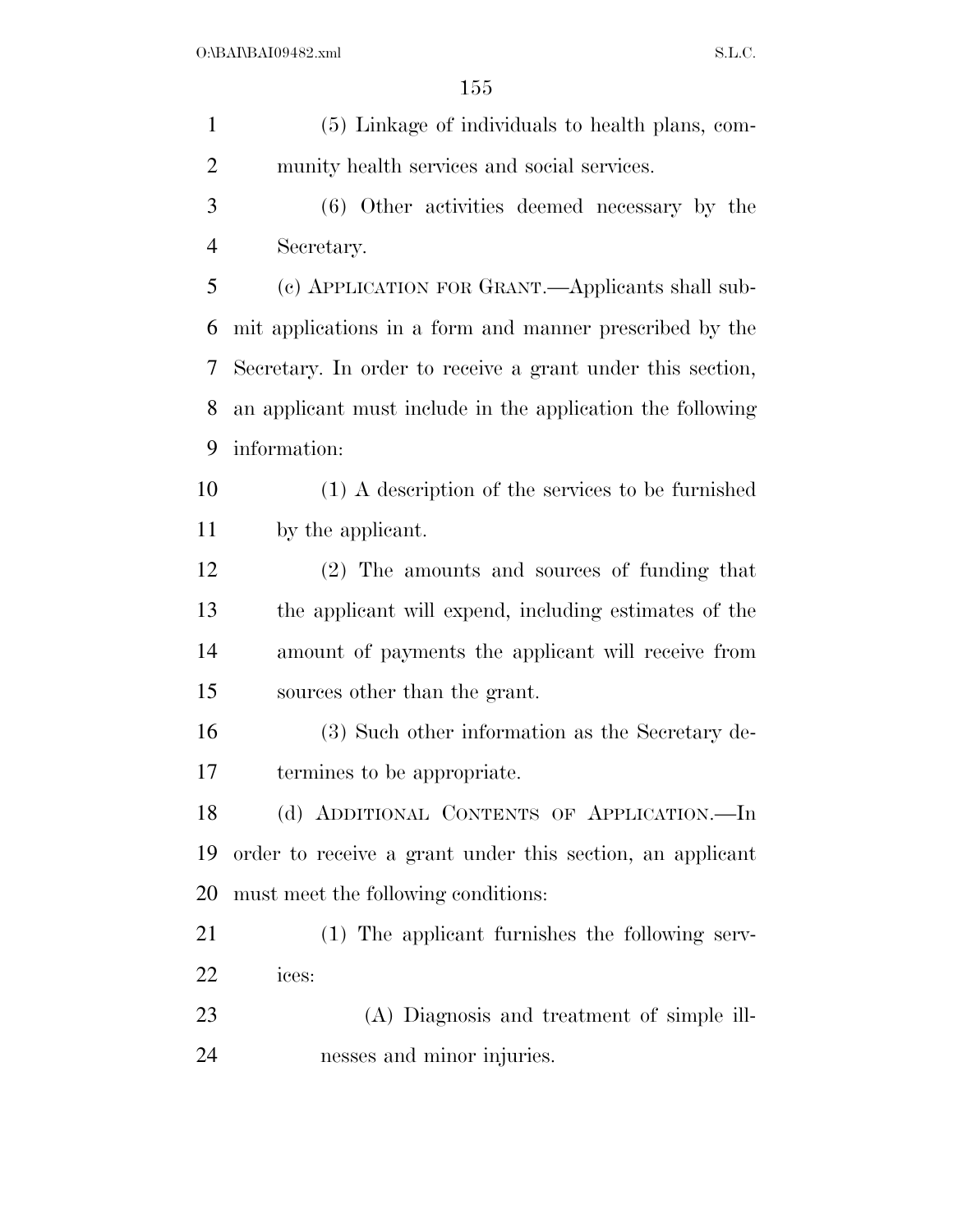| $\mathbf{1}$   | (5) Linkage of individuals to health plans, com-           |
|----------------|------------------------------------------------------------|
| $\overline{2}$ | munity health services and social services.                |
| 3              | (6) Other activities deemed necessary by the               |
| $\overline{4}$ | Secretary.                                                 |
| 5              | (c) APPLICATION FOR GRANT.—Applicants shall sub-           |
| 6              | mit applications in a form and manner prescribed by the    |
| 7              | Secretary. In order to receive a grant under this section, |
| 8              | an applicant must include in the application the following |
| 9              | information:                                               |
| 10             | (1) A description of the services to be furnished          |
| 11             | by the applicant.                                          |
| 12             | (2) The amounts and sources of funding that                |
| 13             | the applicant will expend, including estimates of the      |
| 14             | amount of payments the applicant will receive from         |
| 15             | sources other than the grant.                              |
| 16             | (3) Such other information as the Secretary de-            |
| 17             | termines to be appropriate.                                |
| 18             | (d) ADDITIONAL CONTENTS OF APPLICATION.-In                 |
| 19             | order to receive a grant under this section, an applicant  |
| 20             | must meet the following conditions:                        |
| 21             | (1) The applicant furnishes the following serv-            |
| 22             | ices:                                                      |
| 23             | (A) Diagnosis and treatment of simple ill-                 |
| 24             | nesses and minor injuries.                                 |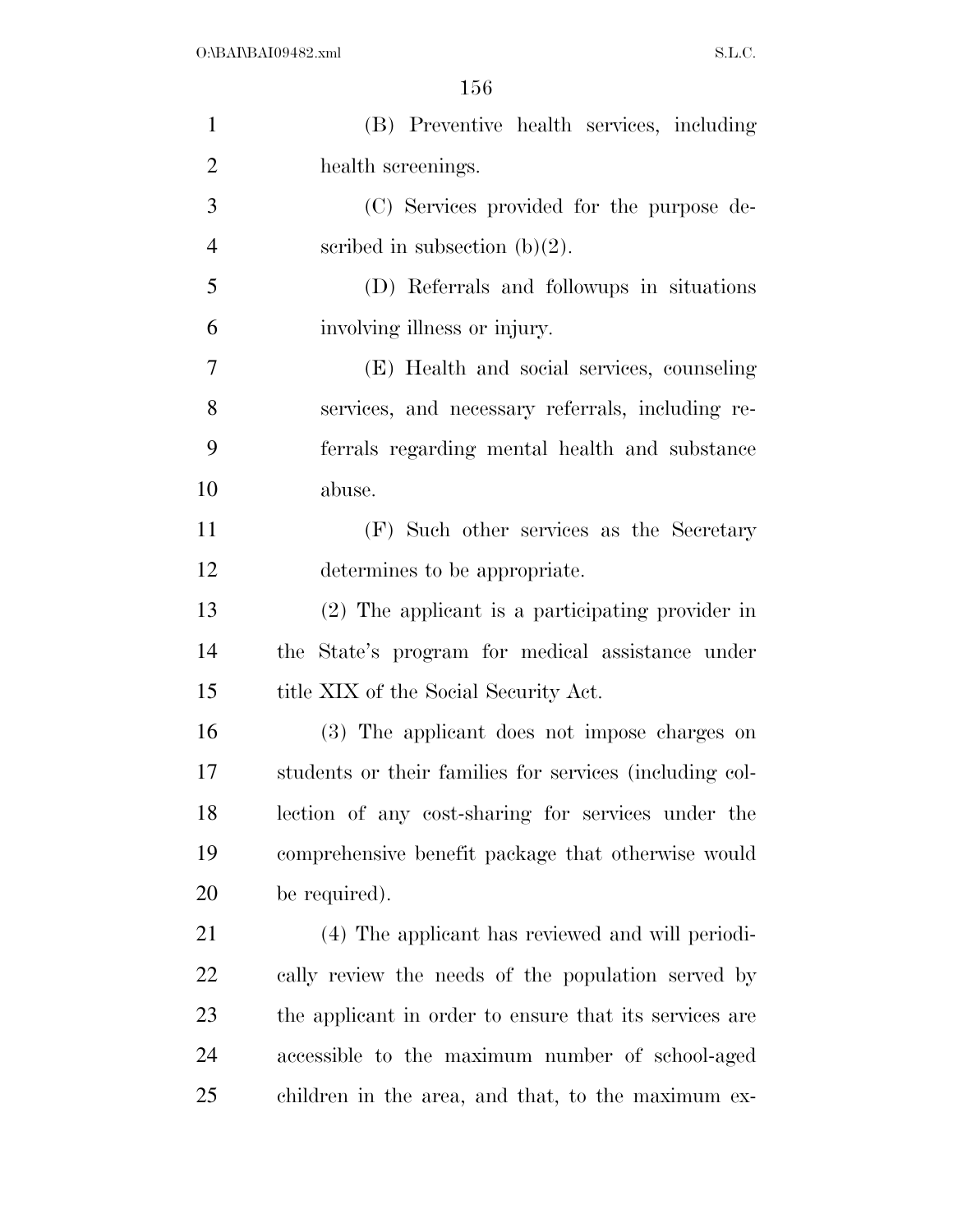| $\mathbf{1}$   | (B) Preventive health services, including               |
|----------------|---------------------------------------------------------|
| $\overline{2}$ | health screenings.                                      |
| 3              | (C) Services provided for the purpose de-               |
| $\overline{4}$ | scribed in subsection $(b)(2)$ .                        |
| 5              | (D) Referrals and followips in situations               |
| 6              | involving illness or injury.                            |
| 7              | (E) Health and social services, counseling              |
| 8              | services, and necessary referrals, including re-        |
| 9              | ferrals regarding mental health and substance           |
| 10             | abuse.                                                  |
| 11             | (F) Such other services as the Secretary                |
| 12             | determines to be appropriate.                           |
| 13             | (2) The applicant is a participating provider in        |
| 14             | the State's program for medical assistance under        |
| 15             | title XIX of the Social Security Act.                   |
| 16             | (3) The applicant does not impose charges on            |
| 17             | students or their families for services (including col- |
| 18             | lection of any cost-sharing for services under the      |
| 19             | comprehensive benefit package that otherwise would      |
| 20             | be required).                                           |
| 21             | (4) The applicant has reviewed and will periodi-        |
| 22             | cally review the needs of the population served by      |
| 23             | the applicant in order to ensure that its services are  |
| 24             | accessible to the maximum number of school-aged         |
| 25             | children in the area, and that, to the maximum ex-      |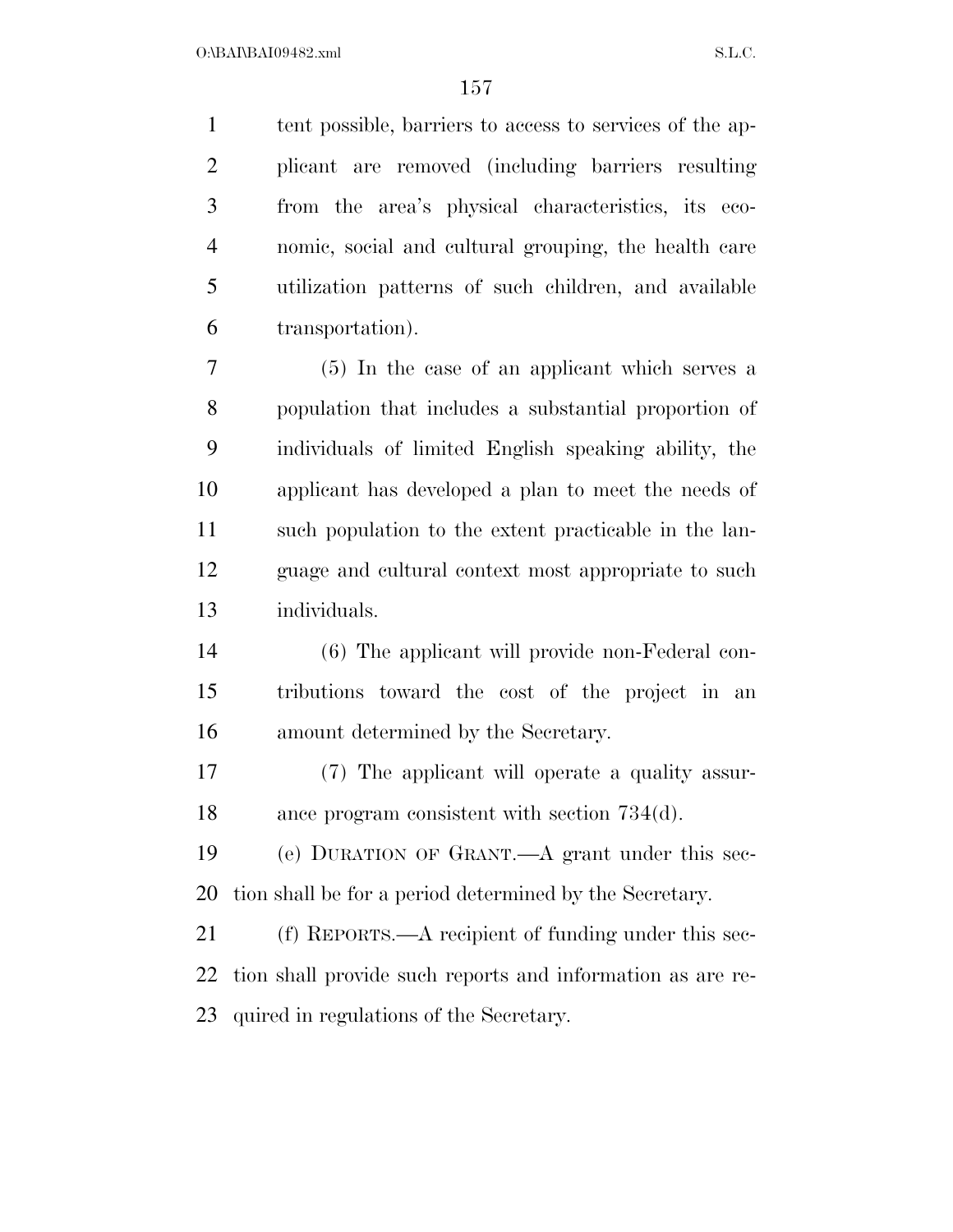tent possible, barriers to access to services of the ap- plicant are removed (including barriers resulting from the area's physical characteristics, its eco- nomic, social and cultural grouping, the health care utilization patterns of such children, and available transportation).

 (5) In the case of an applicant which serves a population that includes a substantial proportion of individuals of limited English speaking ability, the applicant has developed a plan to meet the needs of such population to the extent practicable in the lan- guage and cultural context most appropriate to such individuals.

 (6) The applicant will provide non-Federal con- tributions toward the cost of the project in an amount determined by the Secretary.

 (7) The applicant will operate a quality assur-ance program consistent with section 734(d).

 (e) DURATION OF GRANT.—A grant under this sec-tion shall be for a period determined by the Secretary.

 (f) REPORTS.—A recipient of funding under this sec- tion shall provide such reports and information as are re-quired in regulations of the Secretary.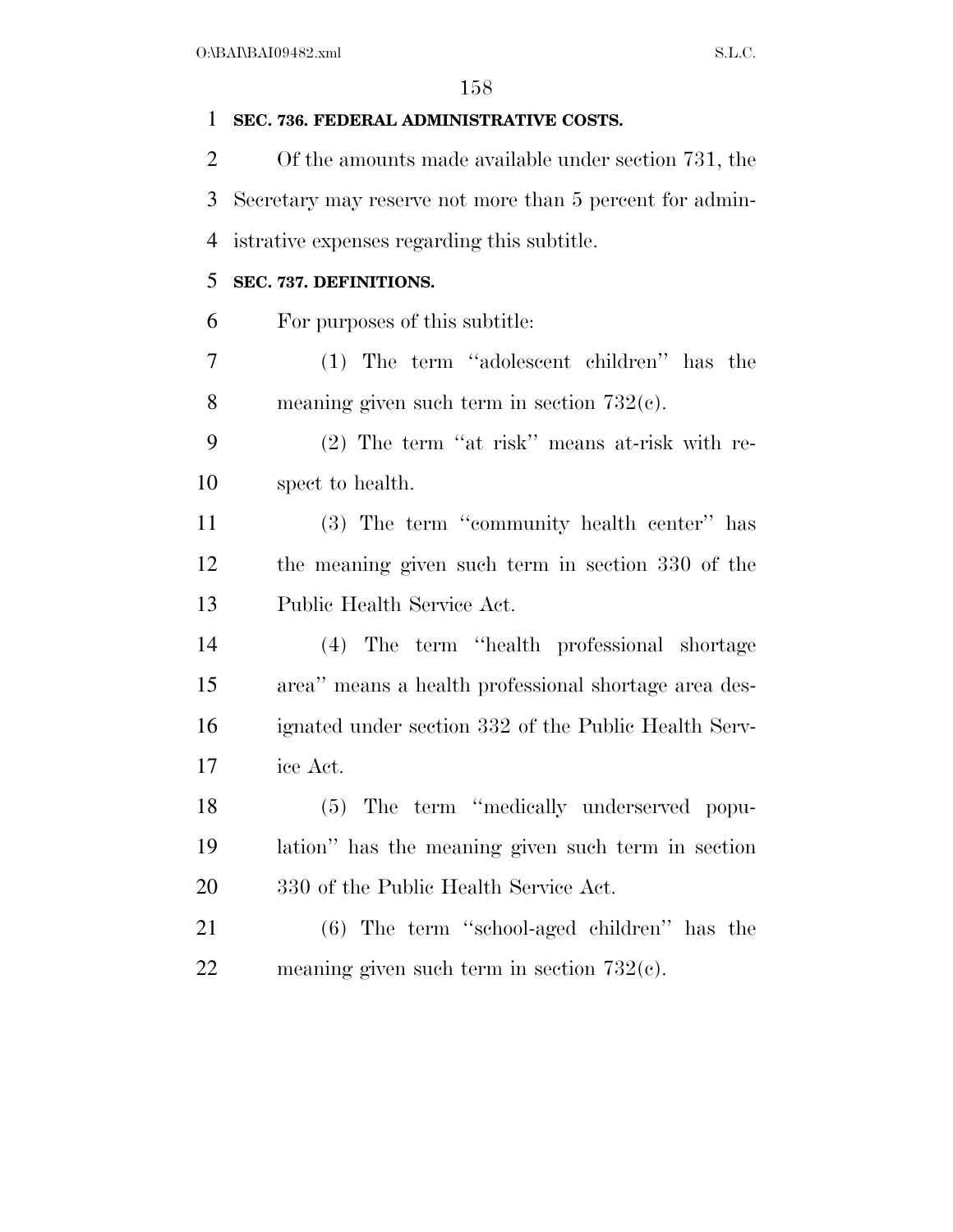### **SEC. 736. FEDERAL ADMINISTRATIVE COSTS.**

 Of the amounts made available under section 731, the Secretary may reserve not more than 5 percent for admin-istrative expenses regarding this subtitle.

### **SEC. 737. DEFINITIONS.**

For purposes of this subtitle:

 (1) The term ''adolescent children'' has the meaning given such term in section 732(c).

 (2) The term ''at risk'' means at-risk with re-spect to health.

 (3) The term ''community health center'' has the meaning given such term in section 330 of the Public Health Service Act.

 (4) The term ''health professional shortage area'' means a health professional shortage area des- ignated under section 332 of the Public Health Serv-ice Act.

 (5) The term ''medically underserved popu- lation'' has the meaning given such term in section 330 of the Public Health Service Act.

 (6) The term ''school-aged children'' has the meaning given such term in section 732(c).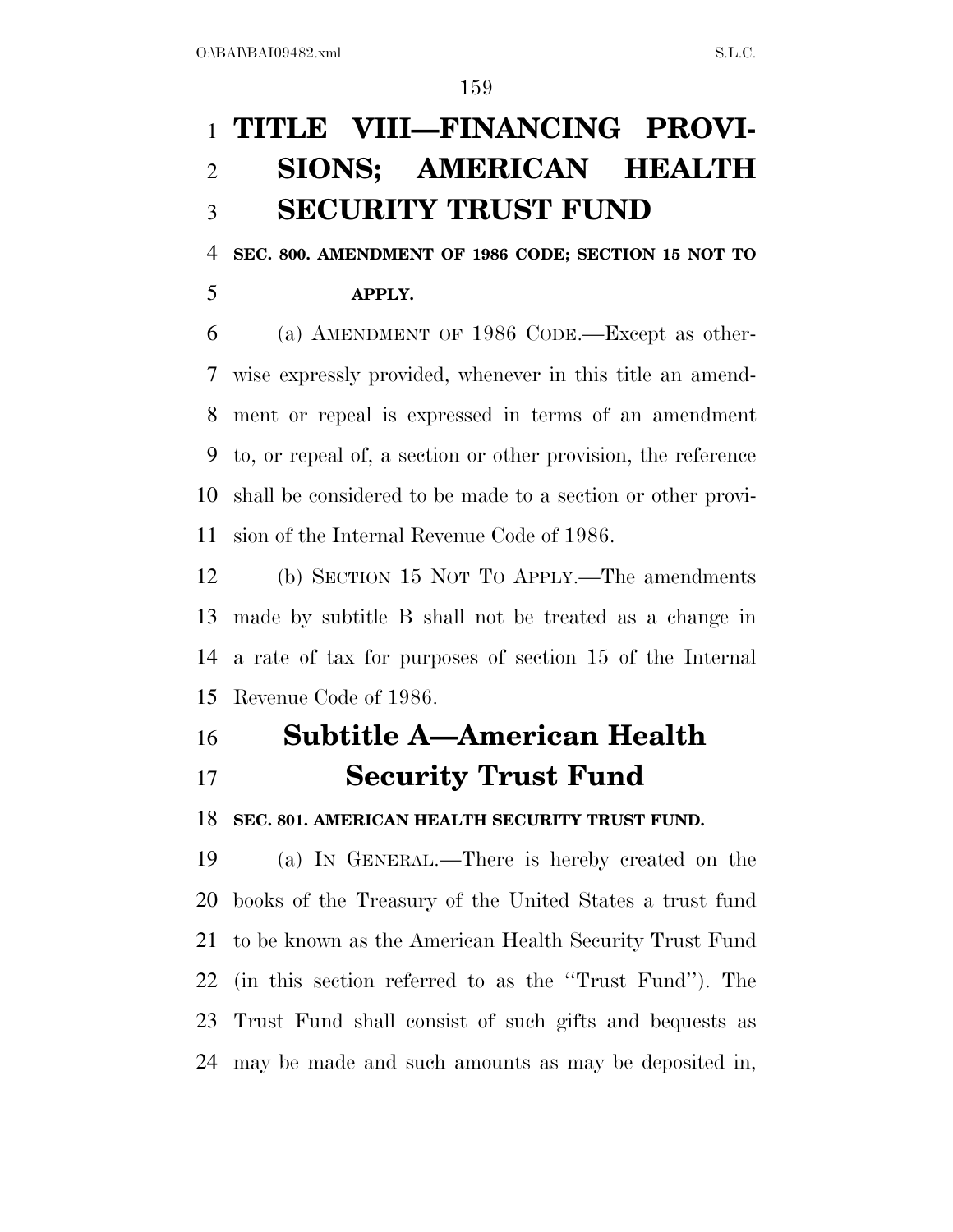## **TITLE VIII—FINANCING PROVI- SIONS; AMERICAN HEALTH SECURITY TRUST FUND**

**SEC. 800. AMENDMENT OF 1986 CODE; SECTION 15 NOT TO** 

**APPLY.** 

 (a) AMENDMENT OF 1986 CODE.—Except as other- wise expressly provided, whenever in this title an amend- ment or repeal is expressed in terms of an amendment to, or repeal of, a section or other provision, the reference shall be considered to be made to a section or other provi-sion of the Internal Revenue Code of 1986.

 (b) SECTION 15 NOT TO APPLY.—The amendments made by subtitle B shall not be treated as a change in a rate of tax for purposes of section 15 of the Internal Revenue Code of 1986.

## **Subtitle A—American Health Security Trust Fund**

**SEC. 801. AMERICAN HEALTH SECURITY TRUST FUND.** 

 (a) IN GENERAL.—There is hereby created on the books of the Treasury of the United States a trust fund to be known as the American Health Security Trust Fund (in this section referred to as the ''Trust Fund''). The Trust Fund shall consist of such gifts and bequests as may be made and such amounts as may be deposited in,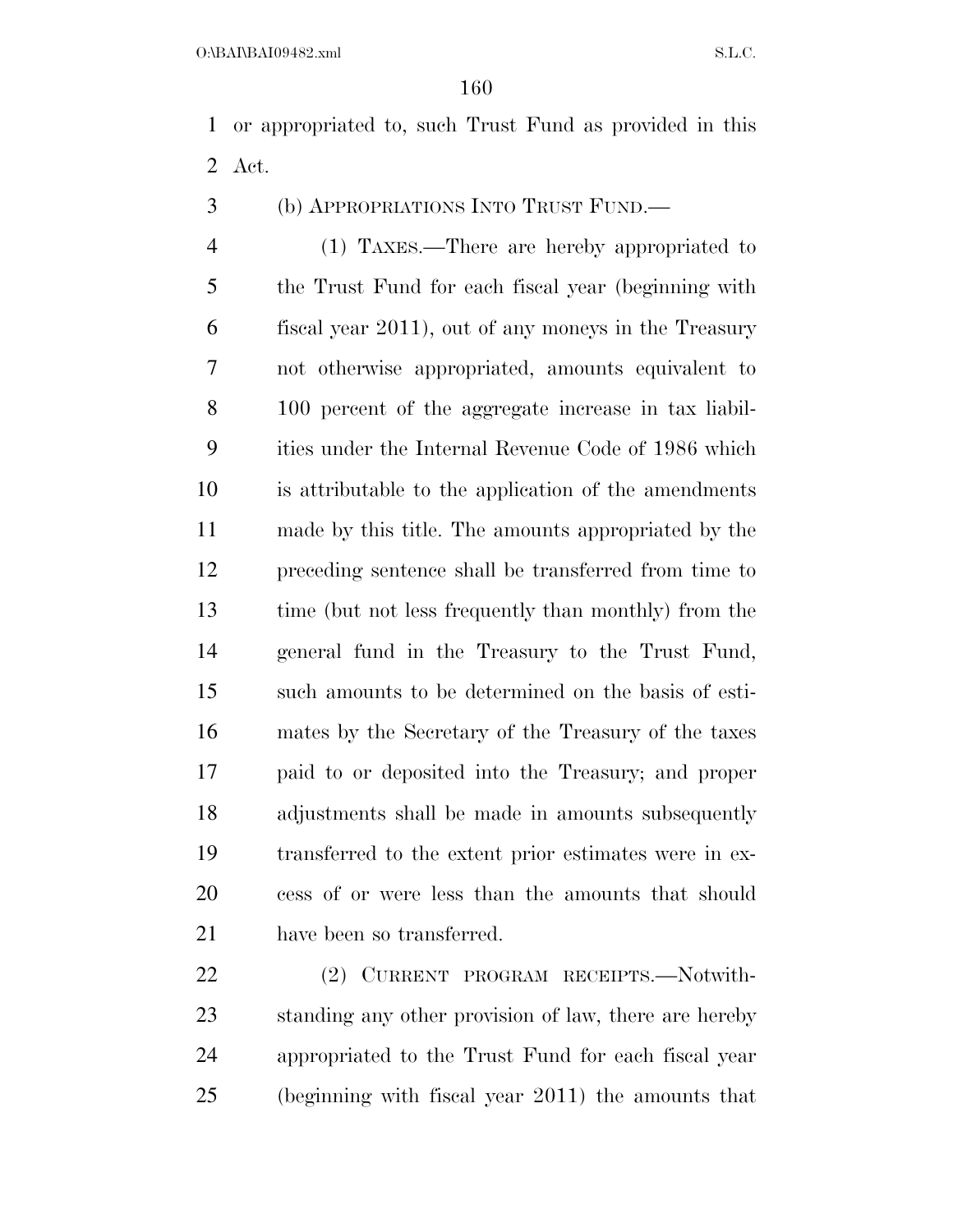or appropriated to, such Trust Fund as provided in this Act.

(b) APPROPRIATIONS INTO TRUST FUND.—

 (1) TAXES.—There are hereby appropriated to the Trust Fund for each fiscal year (beginning with fiscal year 2011), out of any moneys in the Treasury not otherwise appropriated, amounts equivalent to 100 percent of the aggregate increase in tax liabil- ities under the Internal Revenue Code of 1986 which is attributable to the application of the amendments made by this title. The amounts appropriated by the preceding sentence shall be transferred from time to time (but not less frequently than monthly) from the general fund in the Treasury to the Trust Fund, such amounts to be determined on the basis of esti- mates by the Secretary of the Treasury of the taxes paid to or deposited into the Treasury; and proper adjustments shall be made in amounts subsequently transferred to the extent prior estimates were in ex- cess of or were less than the amounts that should have been so transferred.

 (2) CURRENT PROGRAM RECEIPTS.—Notwith- standing any other provision of law, there are hereby appropriated to the Trust Fund for each fiscal year (beginning with fiscal year 2011) the amounts that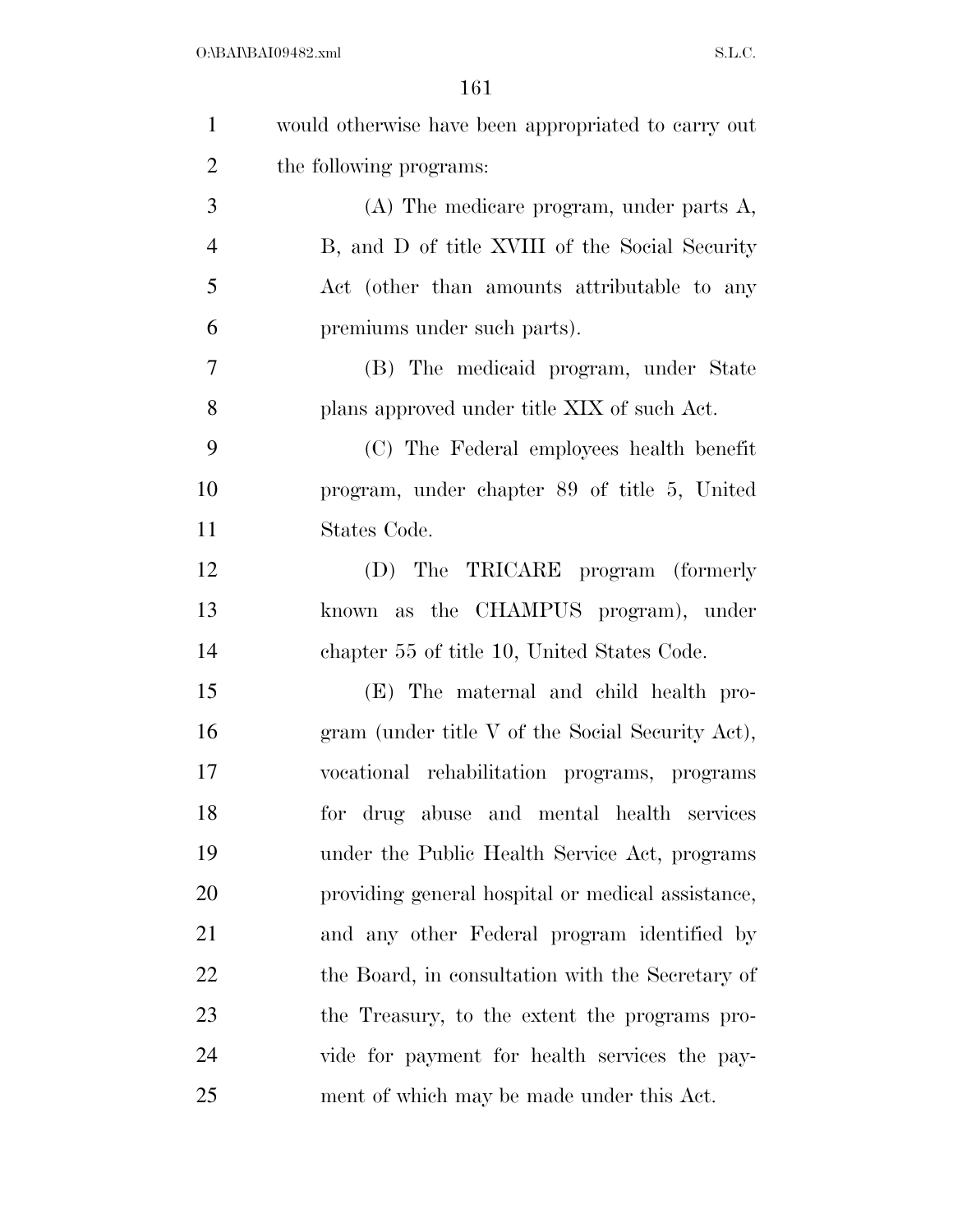| $\mathbf{1}$   | would otherwise have been appropriated to carry out |
|----------------|-----------------------------------------------------|
| $\overline{2}$ | the following programs:                             |
| 3              | $(A)$ The medicare program, under parts $A$ ,       |
| $\overline{4}$ | B, and D of title XVIII of the Social Security      |
| 5              | Act (other than amounts attributable to any         |
| 6              | premiums under such parts).                         |
| $\overline{7}$ | (B) The medicaid program, under State               |
| 8              | plans approved under title XIX of such Act.         |
| 9              | (C) The Federal employees health benefit            |
| 10             | program, under chapter 89 of title 5, United        |
| 11             | States Code.                                        |
| 12             | (D) The TRICARE program (formerly                   |
| 13             | known as the CHAMPUS program), under                |
| 14             | chapter 55 of title 10, United States Code.         |
| 15             | (E) The maternal and child health pro-              |
| 16             | gram (under title V of the Social Security Act),    |
| 17             | vocational rehabilitation programs, programs        |
| 18             | for drug abuse and mental health services           |
| 19             | under the Public Health Service Act, programs       |
| 20             | providing general hospital or medical assistance,   |
| 21             | and any other Federal program identified by         |
| 22             | the Board, in consultation with the Secretary of    |
| 23             | the Treasury, to the extent the programs pro-       |
| 24             | vide for payment for health services the pay-       |
| 25             | ment of which may be made under this Act.           |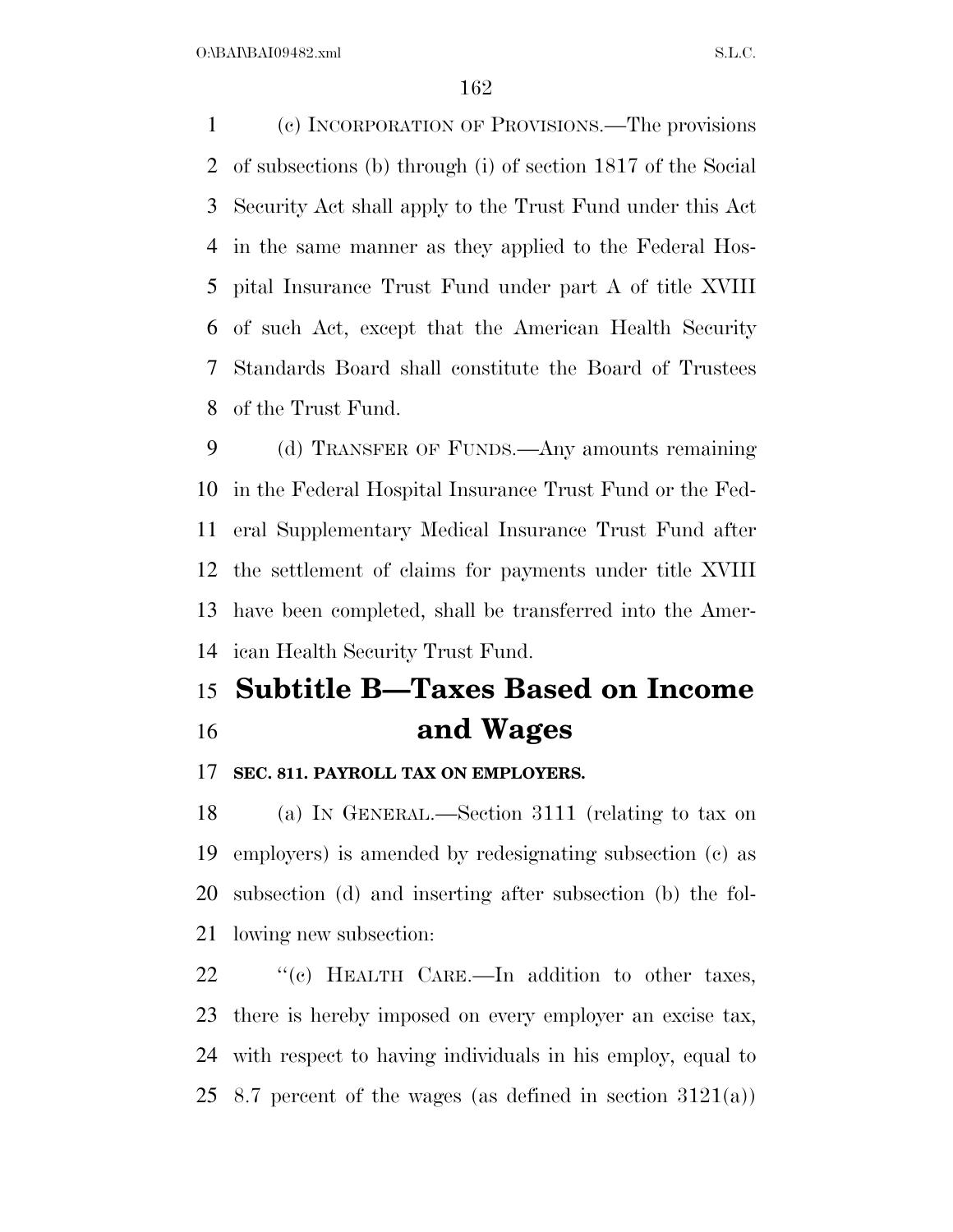(c) INCORPORATION OF PROVISIONS.—The provisions of subsections (b) through (i) of section 1817 of the Social Security Act shall apply to the Trust Fund under this Act in the same manner as they applied to the Federal Hos- pital Insurance Trust Fund under part A of title XVIII of such Act, except that the American Health Security Standards Board shall constitute the Board of Trustees of the Trust Fund.

 (d) TRANSFER OF FUNDS.—Any amounts remaining in the Federal Hospital Insurance Trust Fund or the Fed- eral Supplementary Medical Insurance Trust Fund after the settlement of claims for payments under title XVIII have been completed, shall be transferred into the Amer-ican Health Security Trust Fund.

## **Subtitle B—Taxes Based on Income and Wages**

### **SEC. 811. PAYROLL TAX ON EMPLOYERS.**

 (a) IN GENERAL.—Section 3111 (relating to tax on employers) is amended by redesignating subsection (c) as subsection (d) and inserting after subsection (b) the fol-lowing new subsection:

22 "(c) HEALTH CARE.—In addition to other taxes, there is hereby imposed on every employer an excise tax, with respect to having individuals in his employ, equal to 25 8.7 percent of the wages (as defined in section  $3121(a)$ )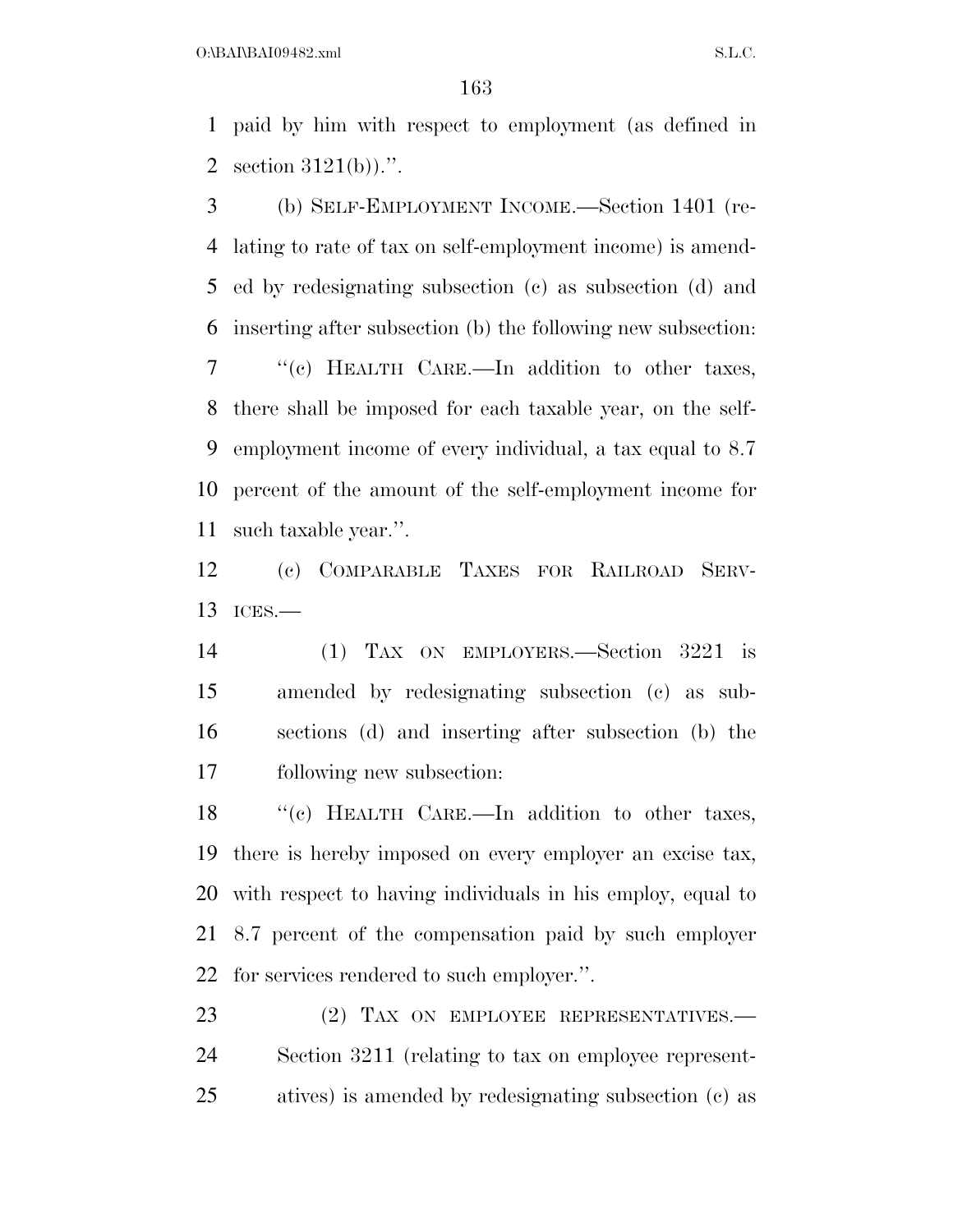$O:\beta A \Gamma B A I09482$ .xml  $S.L.C.$ 

 paid by him with respect to employment (as defined in section 3121(b)).''.

 (b) SELF-EMPLOYMENT INCOME.—Section 1401 (re- lating to rate of tax on self-employment income) is amend- ed by redesignating subsection (c) as subsection (d) and inserting after subsection (b) the following new subsection: ''(c) HEALTH CARE.—In addition to other taxes, there shall be imposed for each taxable year, on the self- employment income of every individual, a tax equal to 8.7 percent of the amount of the self-employment income for such taxable year.''.

 (c) COMPARABLE TAXES FOR RAILROAD SERV-ICES.—

 (1) TAX ON EMPLOYERS.—Section 3221 is amended by redesignating subsection (c) as sub- sections (d) and inserting after subsection (b) the following new subsection:

18 "(c) HEALTH CARE.—In addition to other taxes, there is hereby imposed on every employer an excise tax, with respect to having individuals in his employ, equal to 8.7 percent of the compensation paid by such employer for services rendered to such employer.''.

23 (2) TAX ON EMPLOYEE REPRESENTATIVES.— Section 3211 (relating to tax on employee represent-atives) is amended by redesignating subsection (c) as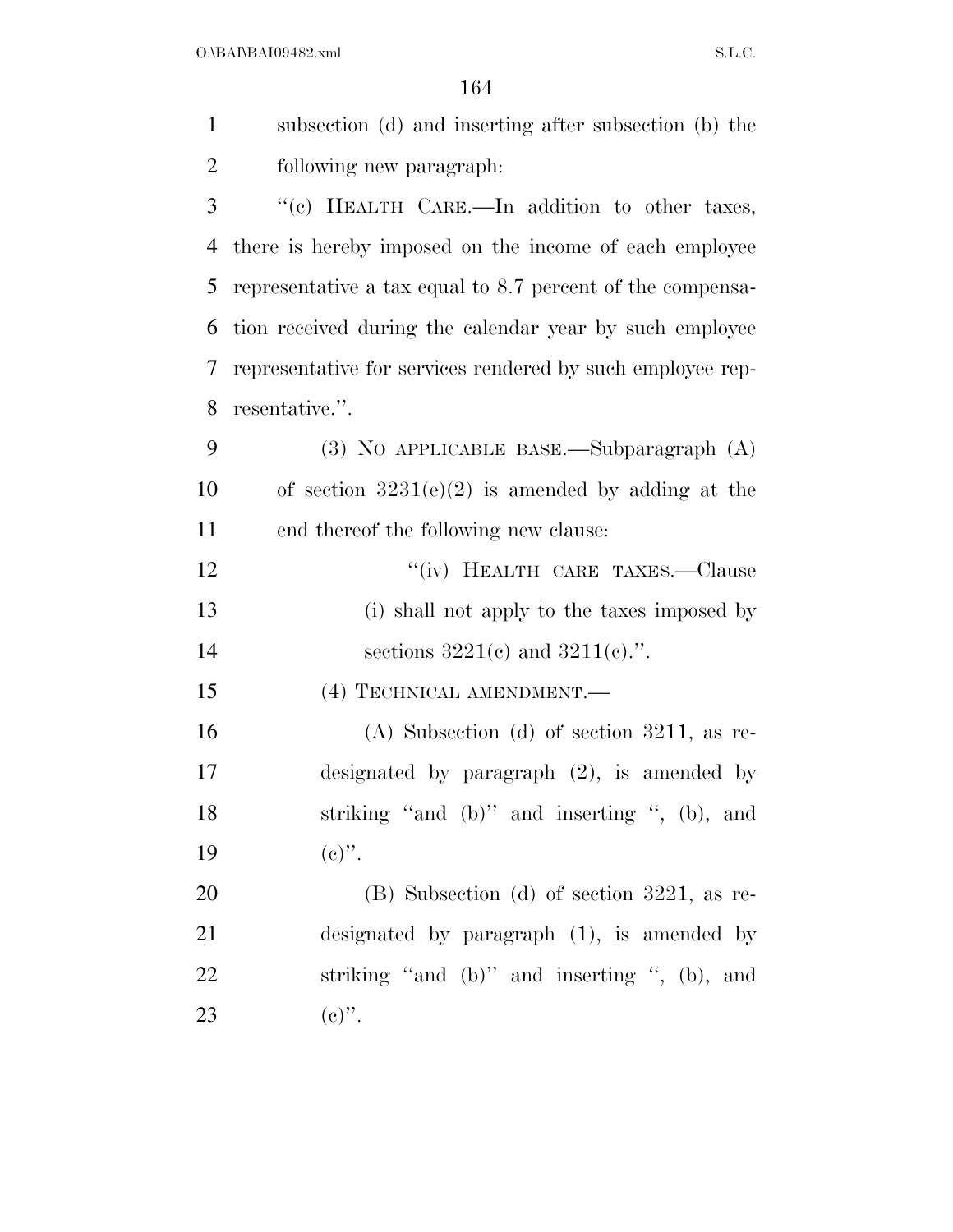$O:\beta A \Gamma B A I09482$ .xml  $S.L.C.$ 

| $\mathbf{1}$   | subsection (d) and inserting after subsection (b) the      |
|----------------|------------------------------------------------------------|
| $\overline{2}$ | following new paragraph.                                   |
| 3              | "(c) HEALTH CARE.-In addition to other taxes,              |
| 4              | there is hereby imposed on the income of each employee     |
| 5              | representative a tax equal to 8.7 percent of the compensa- |
| 6              | tion received during the calendar year by such employee    |
| 7              | representative for services rendered by such employee rep- |
| 8              | resentative.".                                             |
| 9              | (3) NO APPLICABLE BASE.—Subparagraph (A)                   |
| 10             | of section $3231(e)(2)$ is amended by adding at the        |
| 11             | end thereof the following new clause:                      |
| 12             | "(iv) HEALTH CARE TAXES.—Clause                            |
| 13             | (i) shall not apply to the taxes imposed by                |
| 14             | sections $3221(e)$ and $3211(e)$ .".                       |
| 15             | (4) TECHNICAL AMENDMENT.                                   |
| 16             | $(A)$ Subsection $(d)$ of section 3211, as re-             |
| 17             | designated by paragraph $(2)$ , is amended by              |
| 18             | striking "and (b)" and inserting ", (b), and               |
| 19             | $(c)$ ".                                                   |
| 20             | $(B)$ Subsection (d) of section 3221, as re-               |
| 21             | designated by paragraph $(1)$ , is amended by              |
| 22             | striking "and (b)" and inserting ", (b), and               |
| 23             | $(e)$ ".                                                   |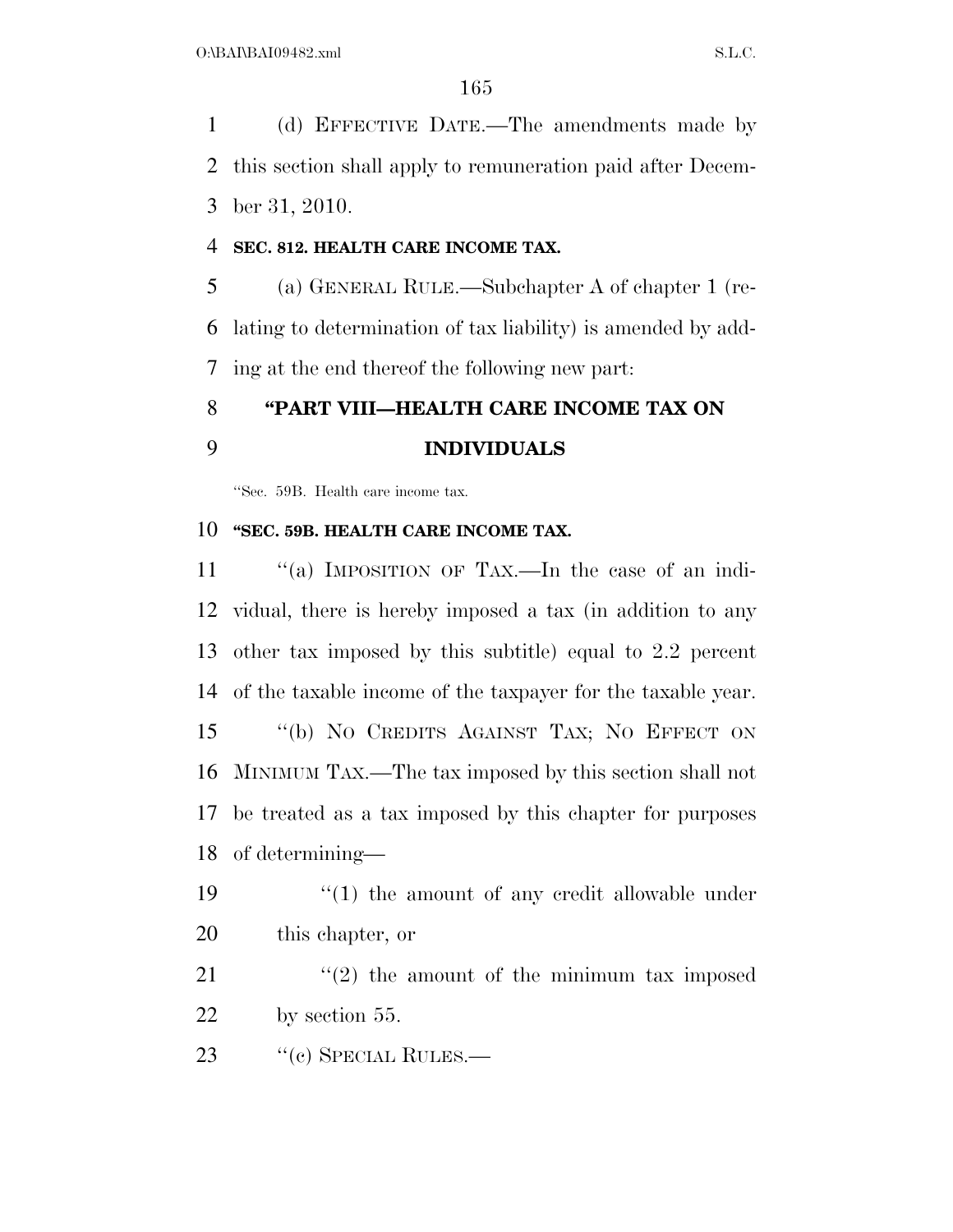(d) EFFECTIVE DATE.—The amendments made by this section shall apply to remuneration paid after Decem-ber 31, 2010.

### **SEC. 812. HEALTH CARE INCOME TAX.**

 (a) GENERAL RULE.—Subchapter A of chapter 1 (re- lating to determination of tax liability) is amended by add-ing at the end thereof the following new part:

## **''PART VIII—HEALTH CARE INCOME TAX ON INDIVIDUALS**

''Sec. 59B. Health care income tax.

### **''SEC. 59B. HEALTH CARE INCOME TAX.**

 ''(a) IMPOSITION OF TAX.—In the case of an indi- vidual, there is hereby imposed a tax (in addition to any other tax imposed by this subtitle) equal to 2.2 percent of the taxable income of the taxpayer for the taxable year. ''(b) NO CREDITS AGAINST TAX; NO EFFECT ON MINIMUM TAX.—The tax imposed by this section shall not be treated as a tax imposed by this chapter for purposes of determining—

19 ''(1) the amount of any credit allowable under this chapter, or

21  $\langle \cdot (2) \rangle$  the amount of the minimum tax imposed by section 55.

23 "(c) SPECIAL RULES.—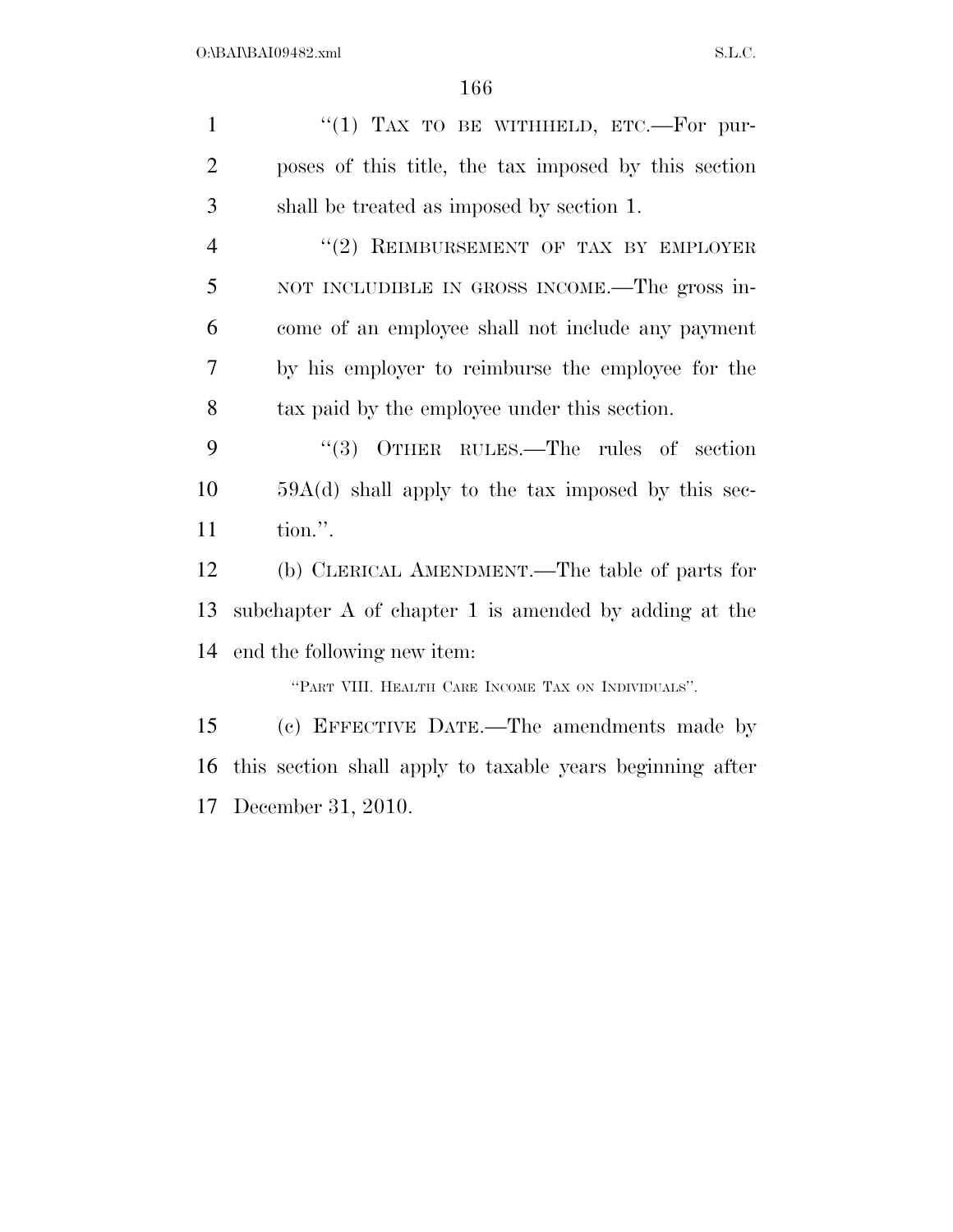December 31, 2010.

| $\mathbf{1}$   | "(1) TAX TO BE WITHHELD, ETC.-For pur-                       |
|----------------|--------------------------------------------------------------|
| $\overline{2}$ | poses of this title, the tax imposed by this section         |
| 3              | shall be treated as imposed by section 1.                    |
| $\overline{4}$ | "(2) REIMBURSEMENT OF TAX BY EMPLOYER                        |
| 5              | NOT INCLUDIBLE IN GROSS INCOME.—The gross in-                |
| 6              | come of an employee shall not include any payment            |
| 7              | by his employer to reimburse the employee for the            |
| 8              | tax paid by the employee under this section.                 |
| 9              | $(3)$ OTHER RULES.—The rules of section                      |
| 10             | $59A(d)$ shall apply to the tax imposed by this sec-         |
| 11             | tion.".                                                      |
| 12             | (b) CLERICAL AMENDMENT.—The table of parts for               |
| 13             | subchapter A of chapter 1 is amended by adding at the        |
| 14             | end the following new item:                                  |
|                | "PART VIII. HEALTH CARE INCOME TAX ON INDIVIDUALS".          |
| 15             | (c) EFFECTIVE DATE.—The amendments made by                   |
|                | 16 this section shall apply to taxable years beginning after |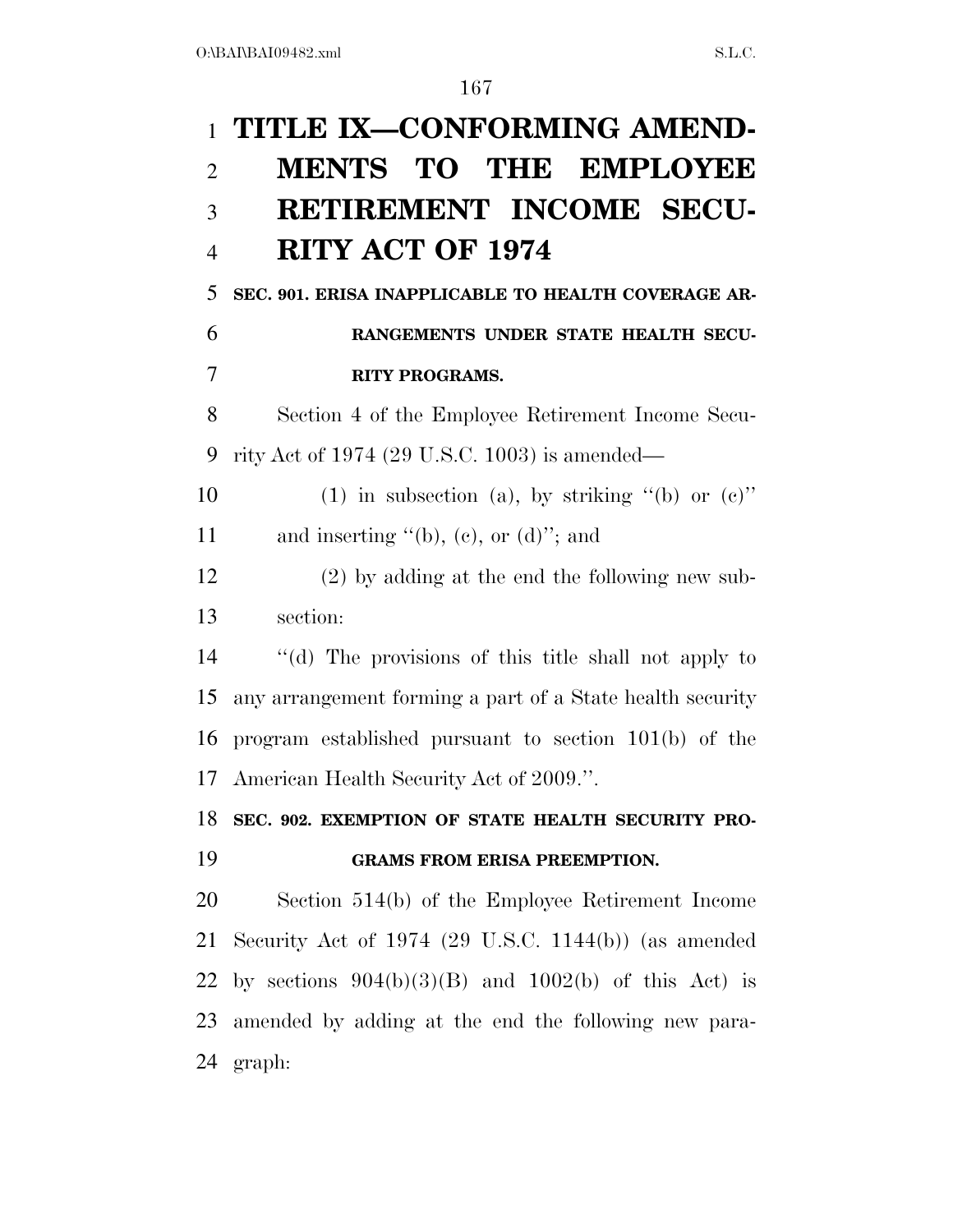# **TITLE IX—CONFORMING AMEND- MENTS TO THE EMPLOYEE RETIREMENT INCOME SECU- RITY ACT OF 1974 SEC. 901. ERISA INAPPLICABLE TO HEALTH COVERAGE AR- RANGEMENTS UNDER STATE HEALTH SECU- RITY PROGRAMS.**  Section 4 of the Employee Retirement Income Secu- rity Act of 1974 (29 U.S.C. 1003) is amended— 10 (1) in subsection (a), by striking  $(6)$  or  $(e)$ . 11 and inserting  $\lq\lq(b)$ , (c), or (d)"; and (2) by adding at the end the following new sub- section: ''(d) The provisions of this title shall not apply to any arrangement forming a part of a State health security

 program established pursuant to section 101(b) of the American Health Security Act of 2009.''.

### **SEC. 902. EXEMPTION OF STATE HEALTH SECURITY PRO-GRAMS FROM ERISA PREEMPTION.**

 Section 514(b) of the Employee Retirement Income Security Act of 1974 (29 U.S.C. 1144(b)) (as amended 22 by sections  $904(b)(3)(B)$  and  $1002(b)$  of this Act) is amended by adding at the end the following new para-graph: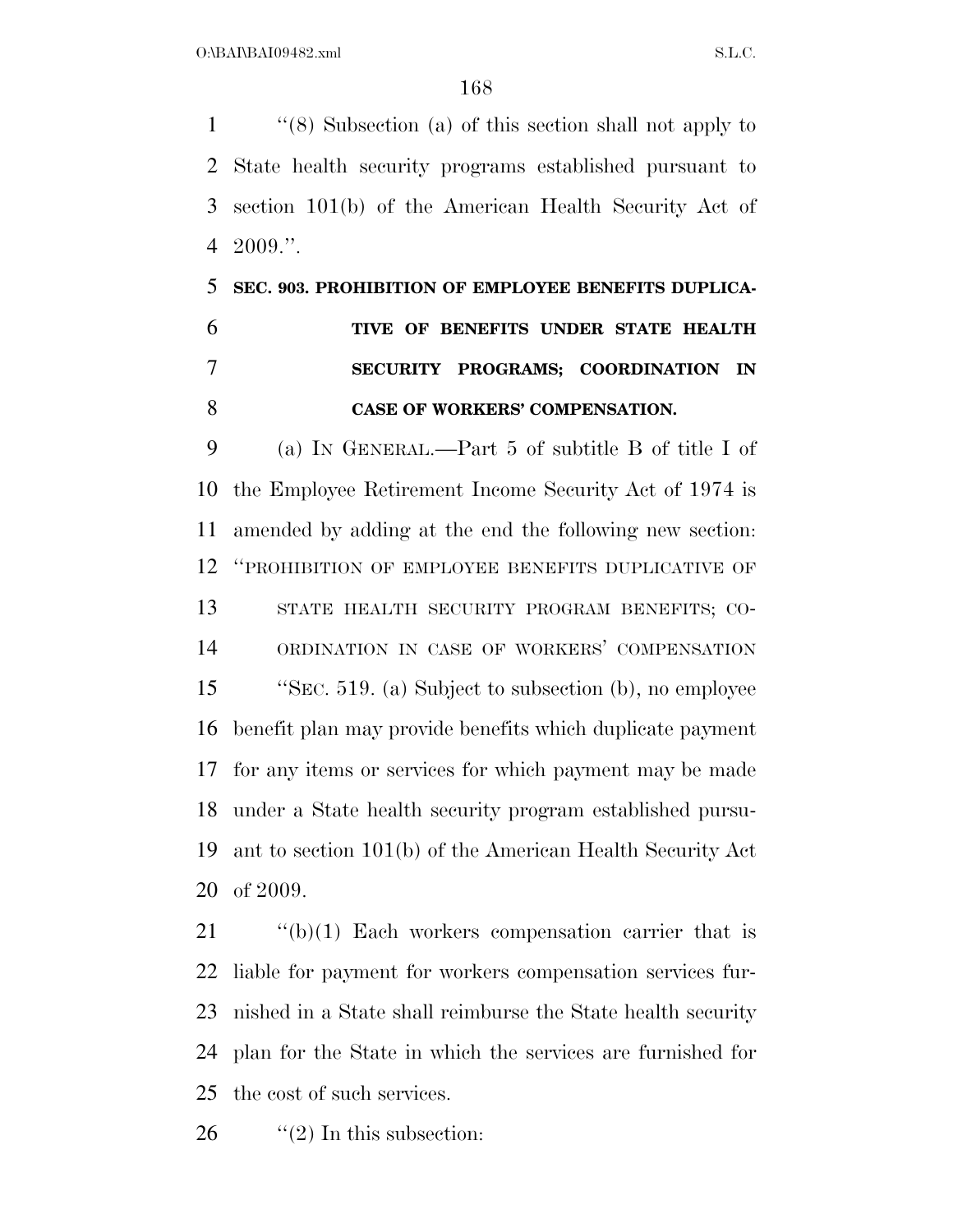''(8) Subsection (a) of this section shall not apply to State health security programs established pursuant to section 101(b) of the American Health Security Act of  $4\quad 2009."$ 

## **SEC. 903. PROHIBITION OF EMPLOYEE BENEFITS DUPLICA- TIVE OF BENEFITS UNDER STATE HEALTH SECURITY PROGRAMS; COORDINATION IN CASE OF WORKERS' COMPENSATION.**

 (a) IN GENERAL.—Part 5 of subtitle B of title I of the Employee Retirement Income Security Act of 1974 is amended by adding at the end the following new section: ''PROHIBITION OF EMPLOYEE BENEFITS DUPLICATIVE OF STATE HEALTH SECURITY PROGRAM BENEFITS; CO- ORDINATION IN CASE OF WORKERS' COMPENSATION ''SEC. 519. (a) Subject to subsection (b), no employee benefit plan may provide benefits which duplicate payment for any items or services for which payment may be made under a State health security program established pursu- ant to section 101(b) of the American Health Security Act of 2009.

 ''(b)(1) Each workers compensation carrier that is liable for payment for workers compensation services fur- nished in a State shall reimburse the State health security plan for the State in which the services are furnished for the cost of such services.

26  $\frac{1}{2}$  (2) In this subsection: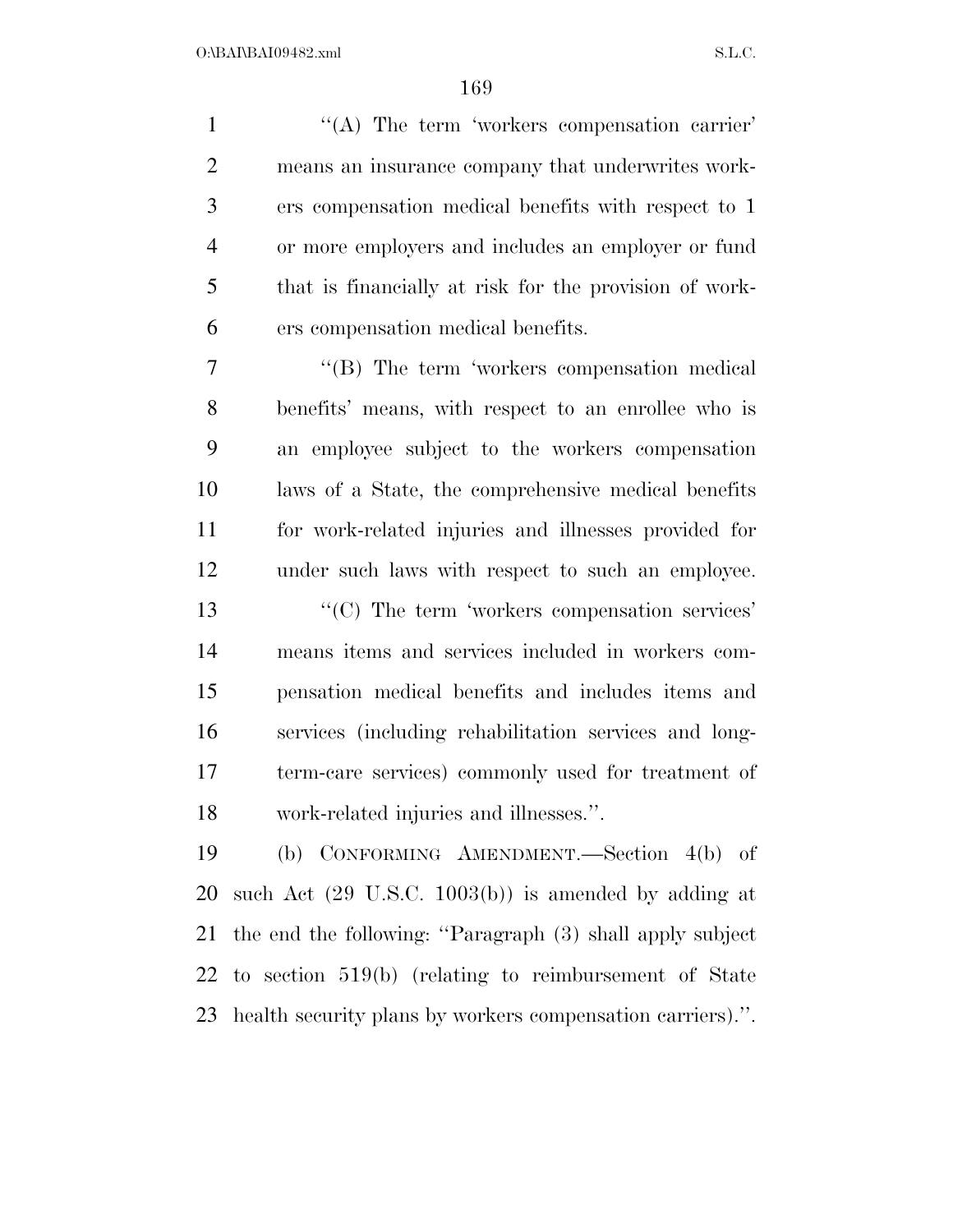1 "(A) The term 'workers compensation carrier' means an insurance company that underwrites work- ers compensation medical benefits with respect to 1 or more employers and includes an employer or fund that is financially at risk for the provision of work-ers compensation medical benefits.

7 "'(B) The term 'workers compensation medical benefits' means, with respect to an enrollee who is an employee subject to the workers compensation laws of a State, the comprehensive medical benefits for work-related injuries and illnesses provided for under such laws with respect to such an employee.  $\frac{1}{2}$  (C) The term 'workers compensation services' means items and services included in workers com- pensation medical benefits and includes items and services (including rehabilitation services and long- term-care services) commonly used for treatment of work-related injuries and illnesses.''.

 (b) CONFORMING AMENDMENT.—Section 4(b) of such Act (29 U.S.C. 1003(b)) is amended by adding at the end the following: ''Paragraph (3) shall apply subject to section 519(b) (relating to reimbursement of State health security plans by workers compensation carriers).''.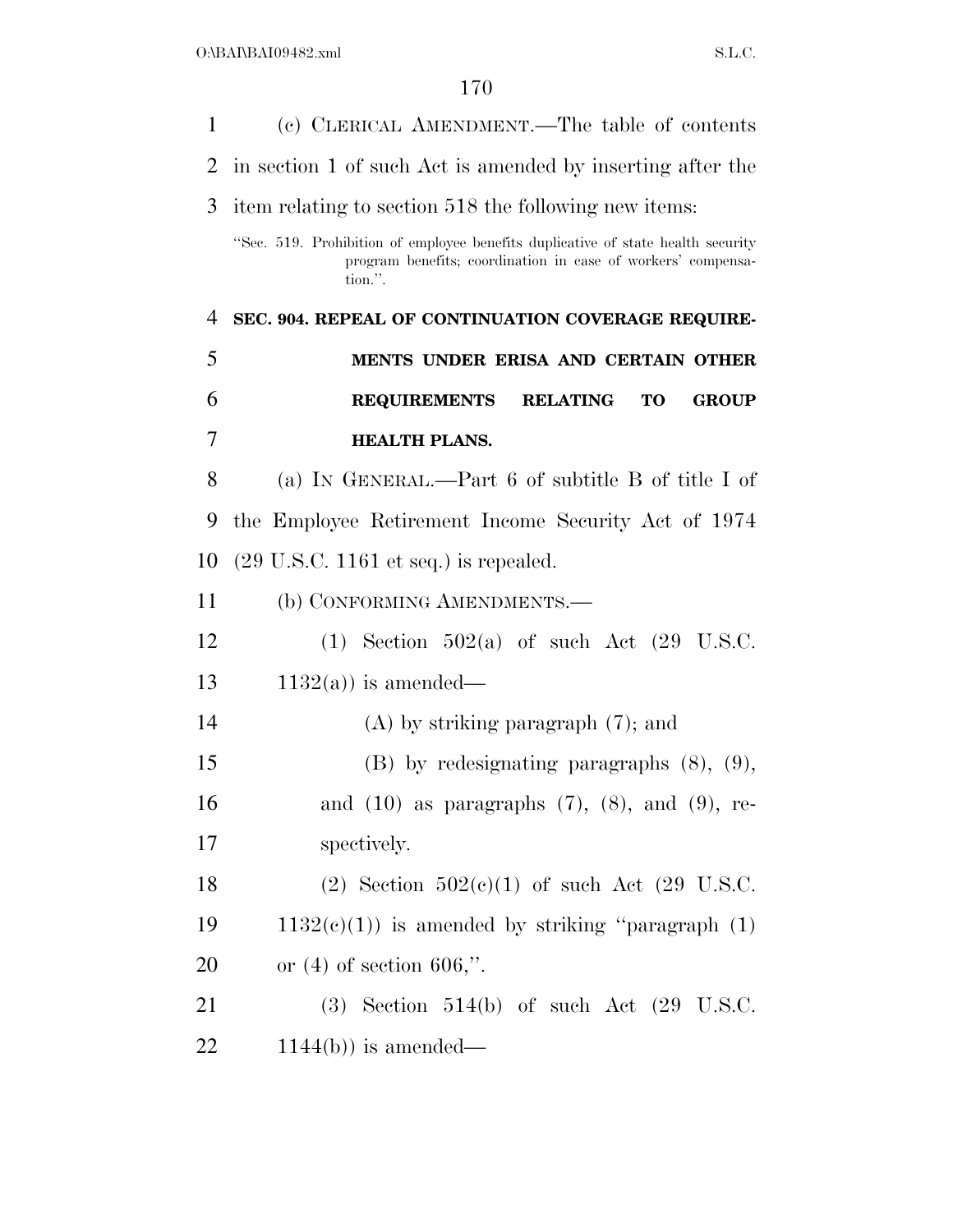| 1              | (c) CLERICAL AMENDMENT.—The table of contents                                                                                                               |
|----------------|-------------------------------------------------------------------------------------------------------------------------------------------------------------|
| $\overline{2}$ | in section 1 of such Act is amended by inserting after the                                                                                                  |
| 3              | item relating to section 518 the following new items:                                                                                                       |
|                | "Sec. 519. Prohibition of employee benefits duplicative of state health security<br>program benefits; coordination in case of workers' compensa-<br>tion.". |
| $\overline{4}$ | SEC. 904. REPEAL OF CONTINUATION COVERAGE REQUIRE-                                                                                                          |
| 5              | MENTS UNDER ERISA AND CERTAIN OTHER                                                                                                                         |
| 6              | <b>REQUIREMENTS</b><br><b>RELATING</b><br><b>TO</b><br><b>GROUP</b>                                                                                         |
| 7              | <b>HEALTH PLANS.</b>                                                                                                                                        |
| 8              | (a) IN GENERAL.—Part 6 of subtitle B of title I of                                                                                                          |
| 9              | the Employee Retirement Income Security Act of 1974                                                                                                         |
| 10             | $(29 \text{ U.S.C. } 1161 \text{ et seq.})$ is repealed.                                                                                                    |
| 11             | (b) CONFORMING AMENDMENTS.—                                                                                                                                 |
| 12             | (1) Section $502(a)$ of such Act (29 U.S.C.                                                                                                                 |
| 13             | $1132(a)$ is amended—                                                                                                                                       |
| 14             | $(A)$ by striking paragraph $(7)$ ; and                                                                                                                     |
| 15             | $(B)$ by redesignating paragraphs $(8)$ , $(9)$ ,                                                                                                           |
| 16             | and $(10)$ as paragraphs $(7)$ , $(8)$ , and $(9)$ , re-                                                                                                    |
| 17             | spectively.                                                                                                                                                 |
| 18             | (2) Section $502(c)(1)$ of such Act (29 U.S.C.                                                                                                              |
| 19             | $1132(c)(1)$ is amended by striking "paragraph $(1)$                                                                                                        |
| 20             | or $(4)$ of section 606,".                                                                                                                                  |
| 21             | $(3)$ Section 514(b) of such Act $(29 \text{ U.S.C.})$                                                                                                      |
| 22             | $1144(b)$ ) is amended—                                                                                                                                     |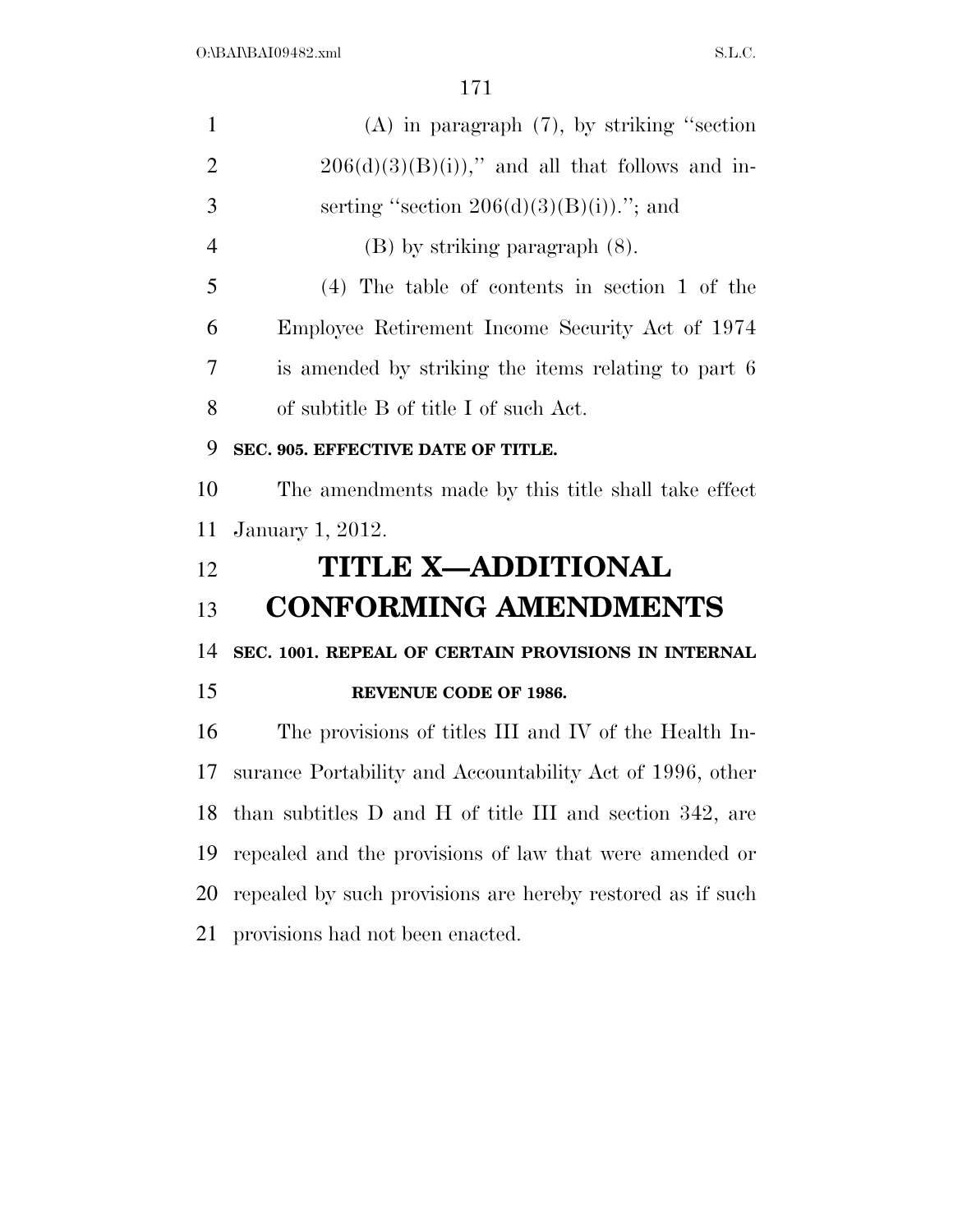| $\mathbf{1}$   | $(A)$ in paragraph $(7)$ , by striking "section"           |
|----------------|------------------------------------------------------------|
| $\overline{2}$ | $206(d)(3)(B(i))$ ," and all that follows and in-          |
| 3              | serting "section $206(d)(3)(B(i))$ "; and                  |
| $\overline{4}$ | $(B)$ by striking paragraph $(8)$ .                        |
| 5              | $(4)$ The table of contents in section 1 of the            |
| 6              | Employee Retirement Income Security Act of 1974            |
| 7              | is amended by striking the items relating to part 6        |
| 8              | of subtitle B of title I of such Act.                      |
| 9              | SEC. 905. EFFECTIVE DATE OF TITLE.                         |
| 10             | The amendments made by this title shall take effect        |
| 11             | January 1, 2012.                                           |
| 12             | <b>TITLE X-ADDITIONAL</b>                                  |
| 13             | <b>CONFORMING AMENDMENTS</b>                               |
| 14             | SEC. 1001. REPEAL OF CERTAIN PROVISIONS IN INTERNAL        |
| 15             | <b>REVENUE CODE OF 1986.</b>                               |
| 16             | The provisions of titles III and IV of the Health In-      |
| 17             | surance Portability and Accountability Act of 1996, other  |
| 18             | than subtitles D and H of title III and section 342, are   |
| 19             | repealed and the provisions of law that were amended or    |
| 20             | repealed by such provisions are hereby restored as if such |
| 21             | provisions had not been enacted.                           |
|                |                                                            |